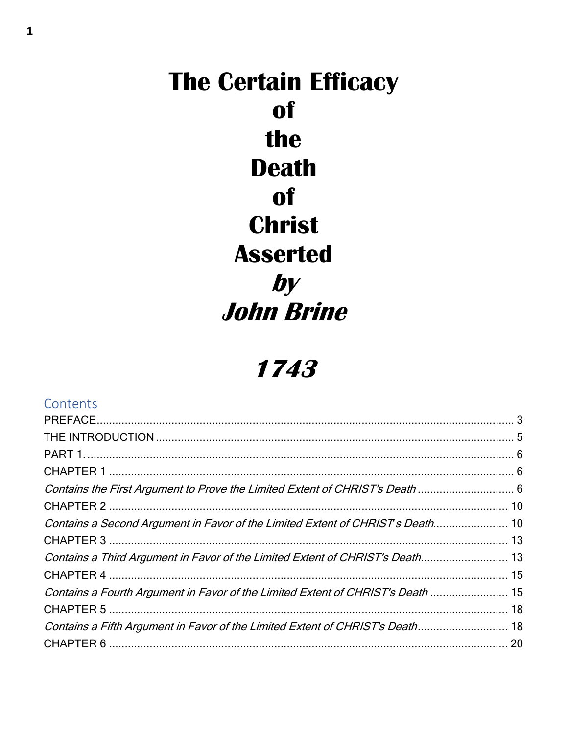# **The Certain Efficacy of** the **Death of Christ Asserted**  $by$ **John Brine**

# 1743

| Contents                                                                        |  |
|---------------------------------------------------------------------------------|--|
|                                                                                 |  |
|                                                                                 |  |
|                                                                                 |  |
|                                                                                 |  |
| Contains the First Argument to Prove the Limited Extent of CHRIST's Death  6    |  |
|                                                                                 |  |
| Contains a Second Argument in Favor of the Limited Extent of CHRIST's Death 10  |  |
|                                                                                 |  |
| Contains a Third Argument in Favor of the Limited Extent of CHRIST's Death 13   |  |
|                                                                                 |  |
| Contains a Fourth Argument in Favor of the Limited Extent of CHRIST's Death  15 |  |
|                                                                                 |  |
| Contains a Fifth Argument in Favor of the Limited Extent of CHRIST's Death 18   |  |
|                                                                                 |  |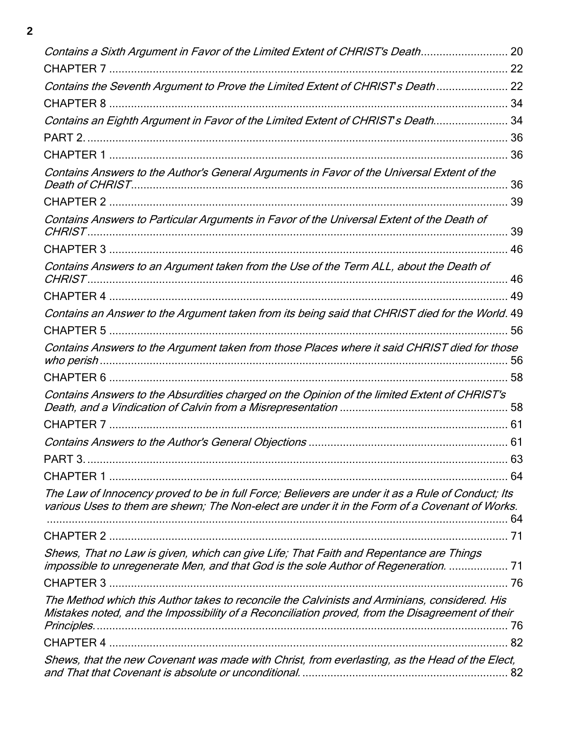| Contains a Sixth Argument in Favor of the Limited Extent of CHRIST's Death 20                                                                                                  |     |
|--------------------------------------------------------------------------------------------------------------------------------------------------------------------------------|-----|
|                                                                                                                                                                                |     |
| Contains the Seventh Argument to Prove the Limited Extent of CHRIST's Death 22                                                                                                 |     |
|                                                                                                                                                                                |     |
| Contains an Eighth Argument in Favor of the Limited Extent of CHRIST's Death 34                                                                                                |     |
|                                                                                                                                                                                |     |
|                                                                                                                                                                                |     |
| Contains Answers to the Author's General Arguments in Favor of the Universal Extent of the                                                                                     | 36  |
|                                                                                                                                                                                |     |
| Contains Answers to Particular Arguments in Favor of the Universal Extent of the Death of                                                                                      | 39  |
|                                                                                                                                                                                | 46  |
| Contains Answers to an Argument taken from the Use of the Term ALL, about the Death of                                                                                         | 46  |
|                                                                                                                                                                                | 49  |
| Contains an Answer to the Argument taken from its being said that CHRIST died for the World. 49                                                                                |     |
|                                                                                                                                                                                | 56  |
| Contains Answers to the Argument taken from those Places where it said CHRIST died for those                                                                                   | 56  |
|                                                                                                                                                                                | 58  |
| Contains Answers to the Absurdities charged on the Opinion of the limited Extent of CHRIST's                                                                                   |     |
|                                                                                                                                                                                |     |
|                                                                                                                                                                                |     |
|                                                                                                                                                                                | 63  |
|                                                                                                                                                                                | -64 |
| The Law of Innocency proved to be in full Force; Believers are under it as a Rule of Conduct; Its                                                                              |     |
| various Uses to them are shewn; The Non-elect are under it in the Form of a Covenant of Works.                                                                                 |     |
|                                                                                                                                                                                |     |
| Shews, That no Law is given, which can give Life; That Faith and Repentance are Things<br>impossible to unregenerate Men, and that God is the sole Author of Regeneration.  71 |     |
|                                                                                                                                                                                |     |
| The Method which this Author takes to reconcile the Calvinists and Arminians, considered. His                                                                                  |     |
| Mistakes noted, and the Impossibility of a Reconciliation proved, from the Disagreement of their<br>Principles.                                                                | 76  |
|                                                                                                                                                                                | 82  |
| Shews, that the new Covenant was made with Christ, from everlasting, as the Head of the Elect,                                                                                 | 82  |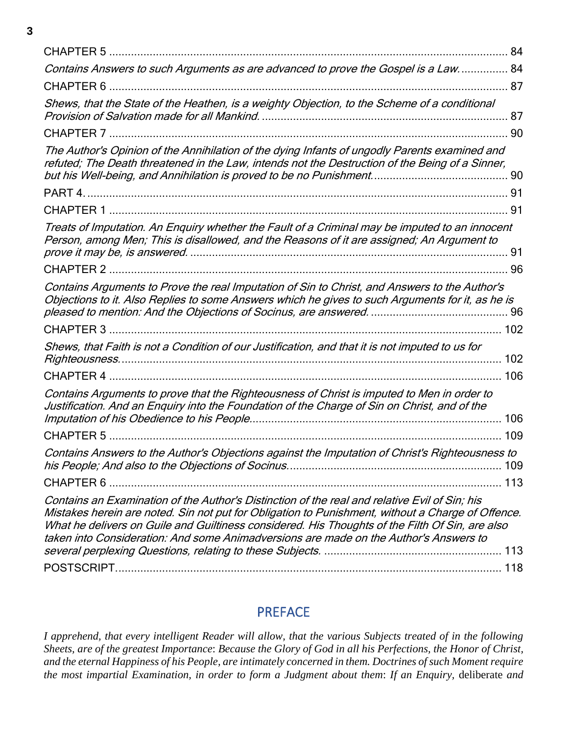| 84                                                                                                                                                                                                                                                                                                                                                                                             |
|------------------------------------------------------------------------------------------------------------------------------------------------------------------------------------------------------------------------------------------------------------------------------------------------------------------------------------------------------------------------------------------------|
| Contains Answers to such Arguments as are advanced to prove the Gospel is a Law 84                                                                                                                                                                                                                                                                                                             |
|                                                                                                                                                                                                                                                                                                                                                                                                |
| Shews, that the State of the Heathen, is a weighty Objection, to the Scheme of a conditional<br>87                                                                                                                                                                                                                                                                                             |
| 90                                                                                                                                                                                                                                                                                                                                                                                             |
| The Author's Opinion of the Annihilation of the dying Infants of ungodly Parents examined and<br>refuted; The Death threatened in the Law, intends not the Destruction of the Being of a Sinner,                                                                                                                                                                                               |
| PART 4.                                                                                                                                                                                                                                                                                                                                                                                        |
|                                                                                                                                                                                                                                                                                                                                                                                                |
| Treats of Imputation. An Enquiry whether the Fault of a Criminal may be imputed to an innocent<br>Person, among Men; This is disallowed, and the Reasons of it are assigned; An Argument to                                                                                                                                                                                                    |
|                                                                                                                                                                                                                                                                                                                                                                                                |
| Contains Arguments to Prove the real Imputation of Sin to Christ, and Answers to the Author's<br>Objections to it. Also Replies to some Answers which he gives to such Arguments for it, as he is                                                                                                                                                                                              |
| <b>CHAPTER 3</b>                                                                                                                                                                                                                                                                                                                                                                               |
| Shews, that Faith is not a Condition of our Justification, and that it is not imputed to us for<br>102                                                                                                                                                                                                                                                                                         |
| 106                                                                                                                                                                                                                                                                                                                                                                                            |
| Contains Arguments to prove that the Righteousness of Christ is imputed to Men in order to<br>Justification. And an Enquiry into the Foundation of the Charge of Sin on Christ, and of the                                                                                                                                                                                                     |
| 106                                                                                                                                                                                                                                                                                                                                                                                            |
| 109<br><b>CHAPTER 5</b>                                                                                                                                                                                                                                                                                                                                                                        |
| Contains Answers to the Author's Objections against the Imputation of Christ's Righteousness to<br>109                                                                                                                                                                                                                                                                                         |
|                                                                                                                                                                                                                                                                                                                                                                                                |
| Contains an Examination of the Author's Distinction of the real and relative Evil of Sin; his<br>Mistakes herein are noted. Sin not put for Obligation to Punishment, without a Charge of Offence.<br>What he delivers on Guile and Guiltiness considered. His Thoughts of the Filth Of Sin, are also<br>taken into Consideration: And some Animadversions are made on the Author's Answers to |
|                                                                                                                                                                                                                                                                                                                                                                                                |

## PREFACE

<span id="page-2-0"></span>*I apprehend, that every intelligent Reader will allow, that the various Subjects treated of in the following Sheets, are of the greatest Importance*: *Because the Glory of God in all his Perfections, the Honor of Christ, and the eternal Happiness of his People, are intimately concerned in them. Doctrines of such Moment require the most impartial Examination, in order to form a Judgment about them*: *If an Enquiry,* deliberate *and*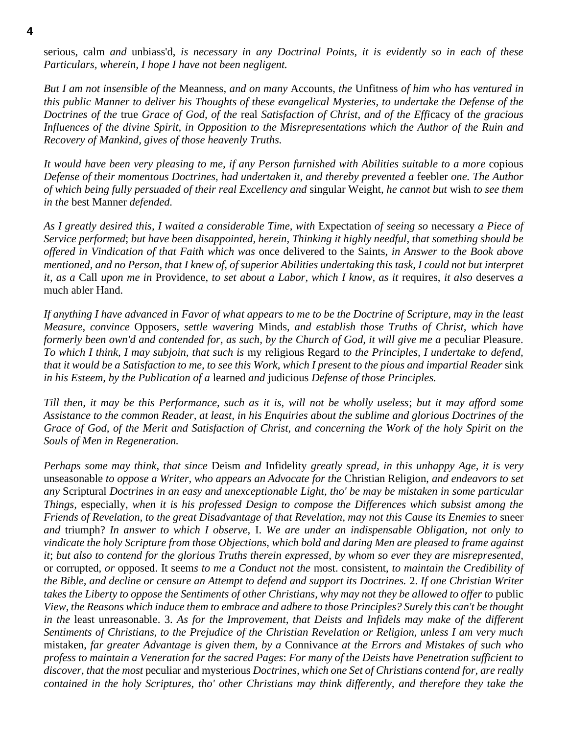serious, calm *and* unbiass'd, *is necessary in any Doctrinal Points, it is evidently so in each of these Particulars, wherein, I hope I have not been negligent.*

*But I am not insensible of the* Meanness, *and on many* Accounts, *the* Unfitness *of him who has ventured in this public Manner to deliver his Thoughts of these evangelical Mysteries, to undertake the Defense of the Doctrines of the* true *Grace of God, of the* real *Satisfaction of Christ, and of the Effi*cacy of *the gracious Influences of the divine Spirit, in Opposition to the Misrepresentations which the Author of the Ruin and Recovery of Mankind, gives of those heavenly Truths.*

*It would have been very pleasing to me, if any Person furnished with Abilities suitable to a more* copious *Defense of their momentous Doctrines, had undertaken it, and thereby prevented a* feebler *one. The Author of which being fully persuaded of their real Excellency and* singular Weight, *he cannot but* wish *to see them in the* best Manner *defended.*

*As I greatly desired this, I waited a considerable Time, with* Expectation *of seeing so* necessary *a Piece of Service performed*; *but have been disappointed, herein, Thinking it highly needful, that something should be offered in Vindication of that Faith which was* once delivered to the Saints, *in Answer to the Book above mentioned, and no Person, that I knew of, of superior Abilities undertaking this task, I could not but interpret it, as a* Call *upon me in* Providence, *to set about a Labor, which I know, as it* requires, *it also* deserves *a* much abler Hand.

*If anything I have advanced in Favor of what appears to me to be the Doctrine of Scripture, may in the least Measure, convince* Opposers, *settle wavering* Minds, *and establish those Truths of Christ, which have formerly been own'd and contended for, as such, by the Church of God, it will give me a* peculiar Pleasure. *To which I think, I may subjoin, that such is* my religious Regard *to the Principles, I undertake to defend, that it would be a Satisfaction to me, to see this Work, which I present to the pious and impartial Reader* sink *in his Esteem, by the Publication of a* learned *and* judicious *Defense of those Principles.*

*Till then, it may be this Performance, such as it is, will not be wholly useless*; *but it may afford some Assistance to the common Reader, at least, in his Enquiries about the sublime and glorious Doctrines of the Grace of God, of the Merit and Satisfaction of Christ, and concerning the Work of the holy Spirit on the Souls of Men in Regeneration.*

*Perhaps some may think, that since* Deism *and* Infidelity *greatly spread, in this unhappy Age, it is very* unseasonable *to oppose a Writer, who appears an Advocate for the* Christian Religion, *and endeavors to set any* Scriptural *Doctrines in an easy and unexceptionable Light, tho' be may be mistaken in some particular Things,* especially, *when it is his professed Design to compose the Differences which subsist among the Friends of Revelation, to the great Disadvantage of that Revelation, may not this Cause its Enemies to* sneer *and* triumph? *In answer to which I observe,* I. *We are under an indispensable Obligation, not only to vindicate the holy Scripture from those Objections, which bold and daring Men are pleased to frame against it*; *but also to contend for the glorious Truths therein expressed, by whom so ever they are misrepresented,*  or corrupted, *or* opposed. It seem*s to me a Conduct not the* most. consistent, *to maintain the Credibility of the Bible, and decline or censure an Attempt to defend and support its Doctrines.* 2. *If one Christian Writer takes the Liberty to oppose the Sentiments of other Christians, why may not they be allowed to offer to* public *View, the Reasons which induce them to embrace and adhere to those Principles? Surely this can't be thought in the* least unreasonable. 3. *As for the Improvement, that Deists and Infidels may make of the different Sentiments of Christians, to the Prejudice of the Christian Revelation or Religion, unless I am very much* mistaken, *far greater Advantage is given them, by a* Connivance *at the Errors and Mistakes of such who profess to maintain a Veneration for the sacred Pages*: *For many of the Deists have Penetration sufficient to discover, that the most* peculiar and mysterious *Doctrines, which one Set of Christians contend for, are really contained in the holy Scriptures, tho' other Christians may think differently, and therefore they take the*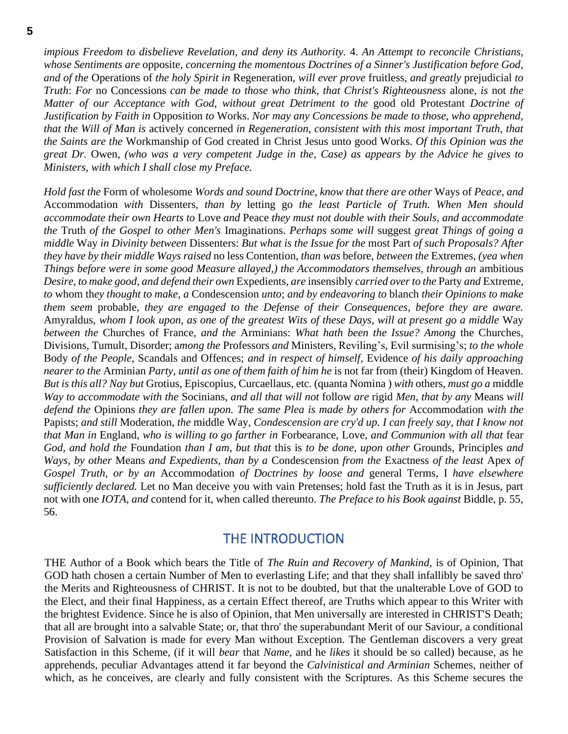*impious Freedom to disbelieve Revelation, and deny its Authority.* 4. *An Attempt to reconcile Christians, whose Sentiments are* opposite, *concerning the momentous Doctrines of a Sinner's Justification before God, and of the* Operations of *the holy Spirit in* Regeneration, *will ever prove* fruitless, *and greatly* prejudicial *to Truth*: *For* no Concessions *can be made to those who think, that Christ's Righteousness* alone, *is* not *the Matter of our Acceptance with God, without great Detriment to the* good old Protestant *Doctrine of Justification by Faith in* Opposition *to* Works. *Nor may any Concessions be made to those, who apprehend, that the Will of Man is* actively concerned *in Regeneration, consistent with this most important Truth, that the Saints are the* Workmanship of God created in Christ Jesus unto good Works. *Of this Opinion was the great Dr.* Owen, *(who was a very competent Judge in the, Case) as appears by the Advice he gives to Ministers, with which I shall close my Preface.*

*Hold fast the* Form of wholesome *Words and sound Doctrine, know that there are other* Ways of *Peace, and* Accommodation *with* Dissenters*, than by* letting go *the least Particle of Truth. When Men should accommodate their own Hearts to* Love *and* Peace *they must not double with their Souls, and accommodate the* Truth *of the Gospel to other Men's* Imaginations. *Perhaps some will* suggest *great Things of going a middle* Way *in Divinity between* Dissenters: *But what is the Issue for the* most Part *of such Proposals? After they have by their middle Ways raised* no less Contention, *than was* before, *between the* Extremes, *(yea when Things before were in some good Measure allayed,) the Accommodators themselves, through an* ambitious *Desire, to make good, and defend their own* Expedients, *are* insensibly *carried over to the* Party *and* Extreme, *to* whom th*ey thought to make, a* Condescension *unto*; *and by endeavoring to* blanch *their Opinions to make them seem* probable, *they are engaged to the Defense of their Consequences, before they are aware.* Amyraldus, *whom I look upon, as one of the greatest Wits of these Days, will at present go a middle* Way *between the* Churches of France, *and the* Arminians: *What hath been the Issue? Among* the Churches, Divisions, Tumult, Disorder; a*mong the* Professors *and* Ministers, Reviling's, Evil surmising's; *to the whole*  Body *of the People,* Scandals and Offences; *and in respect of himself,* Evidence *of his daily approaching nearer to the* Arminian *Party, until as one of them faith of him he* is not far from (their) Kingdom of Heaven. *But is this all? Nay but* Grotius, Episcopius, Curcaellaus, etc. (quanta Nomina ) *with* others, *must go a* middle *Way to accommodate with the* Socinians, *and all that will not* follow *are* rigid *Men, that by any* Means *will defend the* Opinions *they are fallen upon. The same Plea is made by others for* Accommodation *with the* Papists; *and still* Moderation, *the* middle Way, *Condescension are cry'd up. I can freely say, that I know not that Man in* England, *who is willing to go farther in* Forbearance, Love, *and Communion with all that* fear *God, and hold the* Foundation *than I am, but that* this is *to be done, upon other* Grounds, Principles *and Ways, by other* Means *and Expedients, than by a* Condescension *from the* Exactness *of the least* Apex *of Gospel Truth, or by an* Accommodation *of Doctrines by loose and* general Terms, I *have elsewhere sufficiently declared.* Let no Man deceive you with vain Pretenses; hold fast the Truth as it is in Jesus, part not with one *IOTA, and* contend for it, when called thereunto. *The Preface to his Book against* Biddle, p. 55, 56.

#### THE INTRODUCTION

<span id="page-4-0"></span>THE Author of a Book which bears the Title of *The Ruin and Recovery of Mankind,* is of Opinion, That GOD hath chosen a certain Number of Men to everlasting Life; and that they shall infallibly be saved thro' the Merits and Righteousness of CHRIST. It is not to be doubted, but that the unalterable Love of GOD to the Elect, and their final Happiness, as a certain Effect thereof, are Truths which appear to this Writer with the brightest Evidence. Since he is also of Opinion, that Men universally are interested in CHRIST'S Death; that all are brought into a salvable State; or, that thro' the superabundant Merit of our Saviour, a conditional Provision of Salvation is made for every Man without Exception. The Gentleman discovers a very great Satisfaction in this Scheme, (if it will *bear* that *Name,* and he *likes* it should be so called) because, as he apprehends, peculiar Advantages attend it far beyond the *Calvinistical and Arminian* Schemes, neither of which, as he conceives, are clearly and fully consistent with the Scriptures. As this Scheme secures the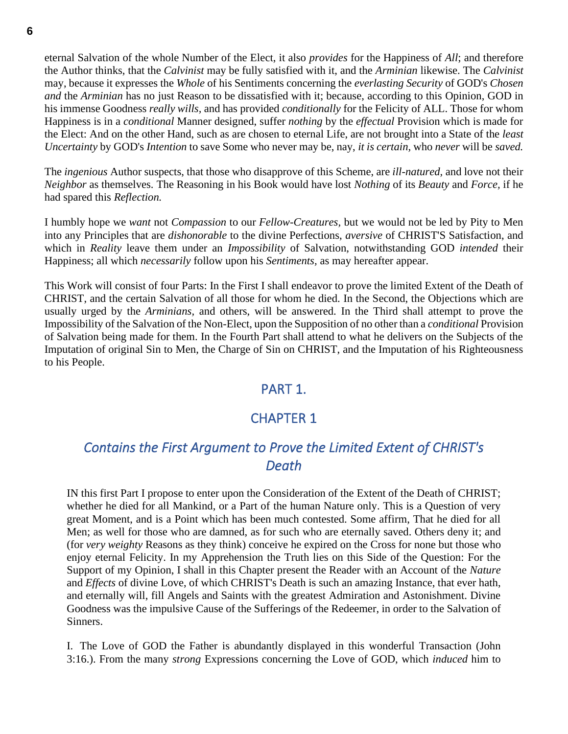eternal Salvation of the whole Number of the Elect, it also *provides* for the Happiness of *All*; and therefore the Author thinks, that the *Calvinist* may be fully satisfied with it, and the *Arminian* likewise. The *Calvinist* may, because it expresses the *Whole* of his Sentiments concerning the *everlasting Security* of GOD's *Chosen and* the *Arminian* has no just Reason to be dissatisfied with it; because, according to this Opinion, GOD in his immense Goodness *really wills,* and has provided *conditionally* for the Felicity of ALL. Those for whom Happiness is in a *conditional* Manner designed, suffer *nothing* by the *effectual* Provision which is made for the Elect: And on the other Hand, such as are chosen to eternal Life, are not brought into a State of the *least Uncertainty* by GOD's *Intention* to save Some who never may be, nay, *it is certain,* who *never* will be *saved.*

The *ingenious* Author suspects, that those who disapprove of this Scheme, are *ill-natured,* and love not their *Neighbor* as themselves. The Reasoning in his Book would have lost *Nothing* of its *Beauty* and *Force,* if he had spared this *Reflection.*

I humbly hope we *want* not *Compassion* to our *Fellow-Creatures,* but we would not be led by Pity to Men into any Principles that are *dishonorable* to the divine Perfections, *aversive* of CHRIST'S Satisfaction, and which in *Reality* leave them under an *Impossibility* of Salvation, notwithstanding GOD *intended* their Happiness; all which *necessarily* follow upon his *Sentiments,* as may hereafter appear.

This Work will consist of four Parts: In the First I shall endeavor to prove the limited Extent of the Death of CHRIST, and the certain Salvation of all those for whom he died. In the Second, the Objections which are usually urged by the *Arminians,* and others, will be answered. In the Third shall attempt to prove the Impossibility of the Salvation of the Non-Elect, upon the Supposition of no other than a *conditional* Provision of Salvation being made for them. In the Fourth Part shall attend to what he delivers on the Subjects of the Imputation of original Sin to Men, the Charge of Sin on CHRIST, and the Imputation of his Righteousness to his People.

# PART 1.

# CHAPTER 1

# <span id="page-5-2"></span><span id="page-5-1"></span><span id="page-5-0"></span>*Contains the First Argument to Prove the Limited Extent of CHRIST's Death*

IN this first Part I propose to enter upon the Consideration of the Extent of the Death of CHRIST; whether he died for all Mankind, or a Part of the human Nature only. This is a Question of very great Moment, and is a Point which has been much contested. Some affirm, That he died for all Men; as well for those who are damned, as for such who are eternally saved. Others deny it; and (for *very weighty* Reasons as they think) conceive he expired on the Cross for none but those who enjoy eternal Felicity. In my Apprehension the Truth lies on this Side of the Question: For the Support of my Opinion, I shall in this Chapter present the Reader with an Account of the *Nature* and *Effects* of divine Love, of which CHRIST's Death is such an amazing Instance, that ever hath, and eternally will, fill Angels and Saints with the greatest Admiration and Astonishment. Divine Goodness was the impulsive Cause of the Sufferings of the Redeemer, in order to the Salvation of Sinners.

I. The Love of GOD the Father is abundantly displayed in this wonderful Transaction (John 3:16.). From the many *strong* Expressions concerning the Love of GOD, which *induced* him to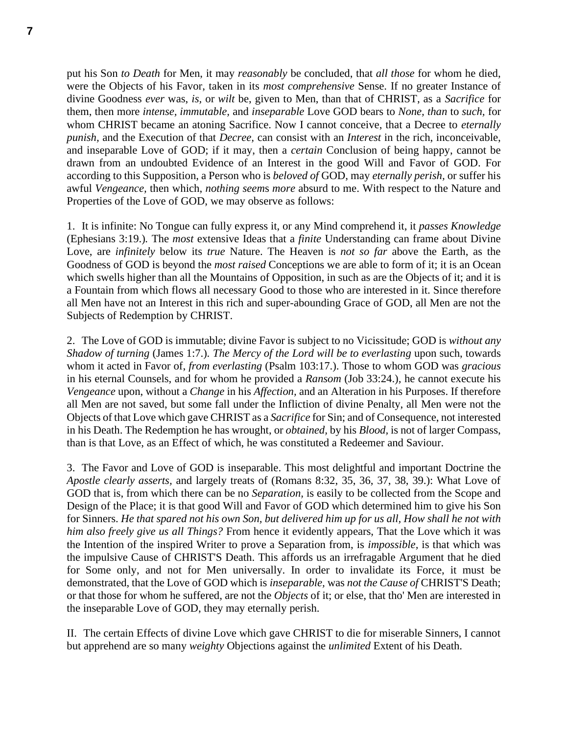put his Son *to Death* for Men, it may *reasonably* be concluded, that *all those* for whom he died, were the Objects of his Favor, taken in its *most comprehensive* Sense. If no greater Instance of divine Goodness *ever* was, *is,* or *wilt* be, given to Men, than that of CHRIST, as a *Sacrifice* for them, then more *intense, immutable,* and *inseparable* Love GOD bears to *None, than* to *such,* for whom CHRIST became an atoning Sacrifice. Now I cannot conceive, that a Decree to *eternally punish,* and the Execution of that *Decree,* can consist with an *Interest* in the rich, inconceivable, and inseparable Love of GOD; if it may, then a *certain* Conclusion of being happy, cannot be drawn from an undoubted Evidence of an Interest in the good Will and Favor of GOD. For according to this Supposition, a Person who is *beloved of* GOD, may *eternally perish,* or suffer his awful *Vengeance,* then which, *nothing seem*s *more* absurd to me. With respect to the Nature and Properties of the Love of GOD, we may observe as follows:

1. It is infinite: No Tongue can fully express it, or any Mind comprehend it, it *passes Knowledge* (Ephesians 3:19.)*.* The *most* extensive Ideas that a *finite* Understanding can frame about Divine Love, are *infinitely* below its *true* Nature. The Heaven is *not so far* above the Earth, as the Goodness of GOD is beyond the *most raised* Conceptions we are able to form of it; it is an Ocean which swells higher than all the Mountains of Opposition, in such as are the Objects of it; and it is a Fountain from which flows all necessary Good to those who are interested in it. Since therefore all Men have not an Interest in this rich and super-abounding Grace of GOD, all Men are not the Subjects of Redemption by CHRIST.

2. The Love of GOD is immutable; divine Favor is subject to no Vicissitude; GOD is *without any Shadow of turning* (James 1:7.)*. The Mercy of the Lord will be to everlasting* upon such, towards whom it acted in Favor of, *from everlasting* (Psalm 103:17.). Those to whom GOD was *gracious* in his eternal Counsels, and for whom he provided a *Ransom* (Job 33:24.)*,* he cannot execute his *Vengeance* upon, without a *Change* in his *Affection,* and an Alteration in his Purposes. If therefore all Men are not saved, but some fall under the Infliction of divine Penalty, all Men were not the Objects of that Love which gave CHRIST as a *Sacrifice* for Sin; and of Consequence, not interested in his Death. The Redemption he has wrought, or *obtained,* by his *Blood,* is not of larger Compass, than is that Love, as an Effect of which, he was constituted a Redeemer and Saviour.

3. The Favor and Love of GOD is inseparable. This most delightful and important Doctrine the *Apostle clearly asserts,* and largely treats of (Romans 8:32, 35, 36, 37, 38, 39.): What Love of GOD that is, from which there can be no *Separation,* is easily to be collected from the Scope and Design of the Place; it is that good Will and Favor of GOD which determined him to give his Son for Sinners. *He that spared not his own Son, but delivered him up for us all, How shall he not with him also freely give us all Things?* From hence it evidently appears, That the Love which it was the Intention of the inspired Writer to prove a Separation from, is *impossible,* is that which was the impulsive Cause of CHRIST'S Death. This affords us an irrefragable Argument that he died for Some only, and not for Men universally. In order to invalidate its Force, it must be demonstrated, that the Love of GOD which is *inseparable,* was *not the Cause of* CHRIST'S Death; or that those for whom he suffered, are not the *Objects* of it; or else, that tho' Men are interested in the inseparable Love of GOD, they may eternally perish.

II. The certain Effects of divine Love which gave CHRIST to die for miserable Sinners, I cannot but apprehend are so many *weighty* Objections against the *unlimited* Extent of his Death.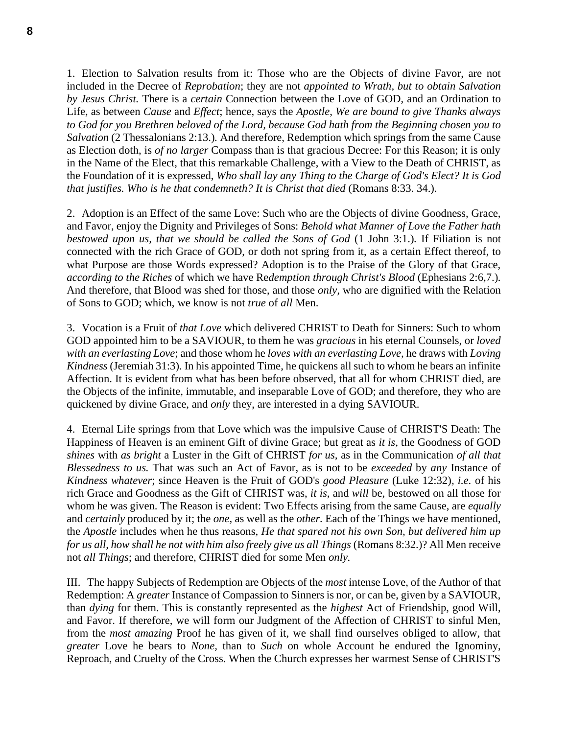1. Election to Salvation results from it: Those who are the Objects of divine Favor, are not included in the Decree of *Reprobation*; they are not *appointed to Wrath, but to obtain Salvation by Jesus Christ.* There is a *certain* Connection between the Love of GOD, and an Ordination to Life, as between *Cause* and *Effect*; hence, says the *Apostle*, *We are bound to give Thanks always to God for you Brethren beloved of the Lord, because God hath from the Beginning chosen you to Salvation* (2 Thessalonians 2:13.)*.* And therefore, Redemption which springs from the same Cause as Election doth, is *of no larger* Compass than is that gracious Decree: For this Reason; it is only in the Name of the Elect, that this remarkable Challenge, with a View to the Death of CHRIST, as the Foundation of it is expressed, *Who shall lay any Thing to the Charge of God's Elect? It is God that justifies. Who is he that condemneth? It is Christ that died* (Romans 8:33. 34.)*.*

2. Adoption is an Effect of the same Love: Such who are the Objects of divine Goodness, Grace, and Favor, enjoy the Dignity and Privileges of Sons: *Behold what Manner of Love the Father hath bestowed upon us, that we should be called the Sons of God* (1 John 3:1.)*.* If Filiation is not connected with the rich Grace of GOD, or doth not spring from it, as a certain Effect thereof, to what Purpose are those Words expressed? Adoption is to the Praise of the Glory of that Grace, *according to the Riches* of which we have Re*demption through Christ's Blood* (Ephesians 2:6,7.)*.* And therefore, that Blood was shed for those, and those *only,* who are dignified with the Relation of Sons to GOD; which, we know is not *true* of *all* Men.

3. Vocation is a Fruit of *that Love* which delivered CHRIST to Death for Sinners: Such to whom GOD appointed him to be a SAVIOUR, to them he was *gracious* in his eternal Counsels, or *loved with an everlasting Love*; and those whom he *loves with an everlasting Love,* he draws with *Loving Kindness* (Jeremiah 31:3)*.* In his appointed Time, he quickens all such to whom he bears an infinite Affection. It is evident from what has been before observed, that all for whom CHRIST died, are the Objects of the infinite, immutable, and inseparable Love of GOD; and therefore, they who are quickened by divine Grace, and *only* they, are interested in a dying SAVIOUR.

4. Eternal Life springs from that Love which was the impulsive Cause of CHRIST'S Death: The Happiness of Heaven is an eminent Gift of divine Grace; but great as *it is,* the Goodness of GOD *shines* with *as bright* a Luster in the Gift of CHRIST *for us,* as in the Communication *of all that Blessedness to us.* That was such an Act of Favor, as is not to be *exceeded* by *any* Instance of *Kindness whatever*; since Heaven is the Fruit of GOD's *good Pleasure* (Luke 12:32)*, i.e.* of his rich Grace and Goodness as the Gift of CHRIST was, *it is,* and *will* be, bestowed on all those for whom he was given. The Reason is evident: Two Effects arising from the same Cause, are *equally* and *certainly* produced by it; the *one,* as well as the *other.* Each of the Things we have mentioned, the *Apostle* includes when he thus reasons, *He that spared not his own Son, but delivered him up for us all, how shall he not with him also freely give us all Things* (Romans 8:32.)? All Men receive not *all Things*; and therefore, CHRIST died for some Men *only.*

III. The happy Subjects of Redemption are Objects of the *most* intense Love, of the Author of that Redemption: A *greater* Instance of Compassion to Sinners is nor, or can be, given by a SAVIOUR, than *dying* for them. This is constantly represented as the *highest* Act of Friendship, good Will, and Favor. If therefore, we will form our Judgment of the Affection of CHRIST to sinful Men, from the *most amazing* Proof he has given of it, we shall find ourselves obliged to allow, that *greater* Love he bears to *None,* than to *Such* on whole Account he endured the Ignominy, Reproach, and Cruelty of the Cross. When the Church expresses her warmest Sense of CHRIST'S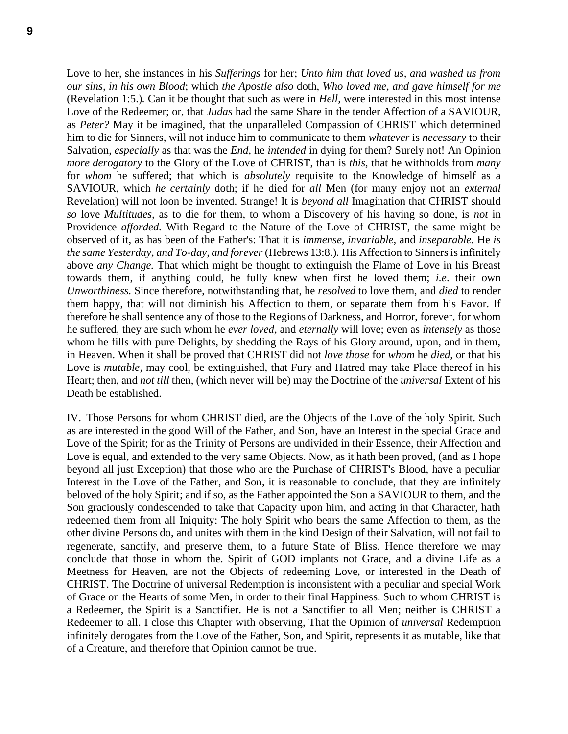Love to her, she instances in his *Sufferings* for her; *Unto him that loved us, and washed us from our sins, in his own Blood*; which *the Apostle also* doth, *Who loved me, and gave himself for me*  (Revelation 1:5.)*.* Can it be thought that such as were in *Hell,* were interested in this most intense Love of the Redeemer; or, that *Judas* had the same Share in the tender Affection of a SAVIOUR, as *Peter?* May it be imagined, that the unparalleled Compassion of CHRIST which determined him to die for Sinners, will not induce him to communicate to them *whatever* is *necessary* to their Salvation, *especially* as that was the *End,* he *intended* in dying for them? Surely not! An Opinion *more derogatory* to the Glory of the Love of CHRIST, than is *this,* that he withholds from *many* for *whom* he suffered; that which is *absolutely* requisite to the Knowledge of himself as a SAVIOUR, which *he certainly* doth; if he died for *all* Men (for many enjoy not an *external* Revelation) will not loon be invented. Strange! It is *beyond all* Imagination that CHRIST should *so* love *Multitudes,* as to die for them, to whom a Discovery of his having so done, is *not* in Providence *afforded.* With Regard to the Nature of the Love of CHRIST, the same might be observed of it, as has been of the Father's: That it is *immense, invariable,* and *inseparable.* He *is the same Yesterday, and To-day, and forever* (Hebrews 13:8.)*.* His Affection to Sinners is infinitely above *any Change.* That which might be thought to extinguish the Flame of Love in his Breast towards them, if anything could, he fully knew when first he loved them; *i.e*. their own *Unworthiness.* Since therefore, notwithstanding that, he *resolved* to love them, and *died* to render them happy, that will not diminish his Affection to them, or separate them from his Favor. If therefore he shall sentence any of those to the Regions of Darkness, and Horror, forever, for whom he suffered, they are such whom he *ever loved,* and *eternally* will love; even as *intensely* as those whom he fills with pure Delights, by shedding the Rays of his Glory around, upon, and in them, in Heaven. When it shall be proved that CHRIST did not *love those* for *whom* he *died,* or that his Love is *mutable,* may cool, be extinguished, that Fury and Hatred may take Place thereof in his Heart; then, and *not till* then, (which never will be) may the Doctrine of the *universal* Extent of his Death be established.

IV. Those Persons for whom CHRIST died, are the Objects of the Love of the holy Spirit. Such as are interested in the good Will of the Father, and Son, have an Interest in the special Grace and Love of the Spirit; for as the Trinity of Persons are undivided in their Essence, their Affection and Love is equal, and extended to the very same Objects. Now, as it hath been proved, (and as I hope beyond all just Exception) that those who are the Purchase of CHRIST's Blood, have a peculiar Interest in the Love of the Father, and Son, it is reasonable to conclude, that they are infinitely beloved of the holy Spirit; and if so, as the Father appointed the Son a SAVIOUR to them, and the Son graciously condescended to take that Capacity upon him, and acting in that Character, hath redeemed them from all Iniquity: The holy Spirit who bears the same Affection to them, as the other divine Persons do, and unites with them in the kind Design of their Salvation, will not fail to regenerate, sanctify, and preserve them, to a future State of Bliss. Hence therefore we may conclude that those in whom the. Spirit of GOD implants not Grace, and a divine Life as a Meetness for Heaven, are not the Objects of redeeming Love, or interested in the Death of CHRIST. The Doctrine of universal Redemption is inconsistent with a peculiar and special Work of Grace on the Hearts of some Men, in order to their final Happiness. Such to whom CHRIST is a Redeemer, the Spirit is a Sanctifier. He is not a Sanctifier to all Men; neither is CHRIST a Redeemer to all. I close this Chapter with observing, That the Opinion of *universal* Redemption infinitely derogates from the Love of the Father, Son, and Spirit, represents it as mutable, like that of a Creature, and therefore that Opinion cannot be true.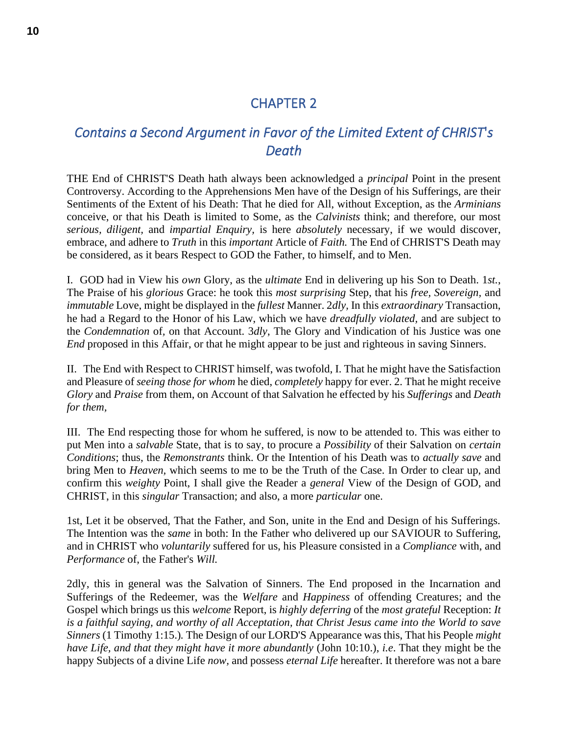# CHAPTER 2

# <span id="page-9-1"></span><span id="page-9-0"></span>*Contains a Second Argument in Favor of the Limited Extent of CHRIST*'*s Death*

THE End of CHRIST'S Death hath always been acknowledged a *principal* Point in the present Controversy. According to the Apprehensions Men have of the Design of his Sufferings, are their Sentiments of the Extent of his Death: That he died for All, without Exception, as the *Arminians* conceive, or that his Death is limited to Some, as the *Calvinists* think; and therefore, our most *serious, diligent,* and *impartial Enquiry,* is here *absolutely* necessary, if we would discover, embrace, and adhere to *Truth* in this *important* Article of *Faith.* The End of CHRIST'S Death may be considered, as it bears Respect to GOD the Father, to himself, and to Men.

I. GOD had in View his *own* Glory, as the *ultimate* End in delivering up his Son to Death. 1*st.*, The Praise of his *glorious* Grace: he took this *most surprising* Step, that his *free, Sovereign,* and *immutable* Love, might be displayed in the *fullest* Manner. 2*dly,* In this *extraordinary* Transaction, he had a Regard to the Honor of his Law, which we have *dreadfully violated,* and are subject to the *Condemnation* of*,* on that Account. 3*dly*, The Glory and Vindication of his Justice was one *End* proposed in this Affair, or that he might appear to be just and righteous in saving Sinners.

II. The End with Respect to CHRIST himself, was twofold, I. That he might have the Satisfaction and Pleasure of *seeing those for whom* he died, *completely* happy for ever. 2. That he might receive *Glory* and *Praise* from them, on Account of that Salvation he effected by his *Sufferings* and *Death for them,*

III. The End respecting those for whom he suffered, is now to be attended to. This was either to put Men into a *salvable* State, that is to say, to procure a *Possibility* of their Salvation on *certain Conditions*; thus, the *Remonstrants* think. Or the Intention of his Death was to *actually save* and bring Men to *Heaven,* which seems to me to be the Truth of the Case. In Order to clear up, and confirm this *weighty* Point, I shall give the Reader a *general* View of the Design of GOD, and CHRIST, in this *singular* Transaction; and also, a more *particular* one.

1st, Let it be observed, That the Father, and Son, unite in the End and Design of his Sufferings. The Intention was the *same* in both: In the Father who delivered up our SAVIOUR to Suffering, and in CHRIST who *voluntarily* suffered for us, his Pleasure consisted in a *Compliance* with, and *Performance* of, the Father's *Will.*

2dly, this in general was the Salvation of Sinners. The End proposed in the Incarnation and Sufferings of the Redeemer, was the *Welfare* and *Happiness* of offending Creatures; and the Gospel which brings us this *welcome* Report, is *highly deferring* of the *most grateful* Reception: *It is a faithful saying, and worthy of all Acceptation, that Christ Jesus came into the World to save Sinners* (1 Timothy 1:15.)*.* The Design of our LORD'S Appearance was this, That his People *might have Life, and that they might have it more abundantly* (John 10:10.), *i.e*. That they might be the happy Subjects of a divine Life *now,* and possess *eternal Life* hereafter. It therefore was not a bare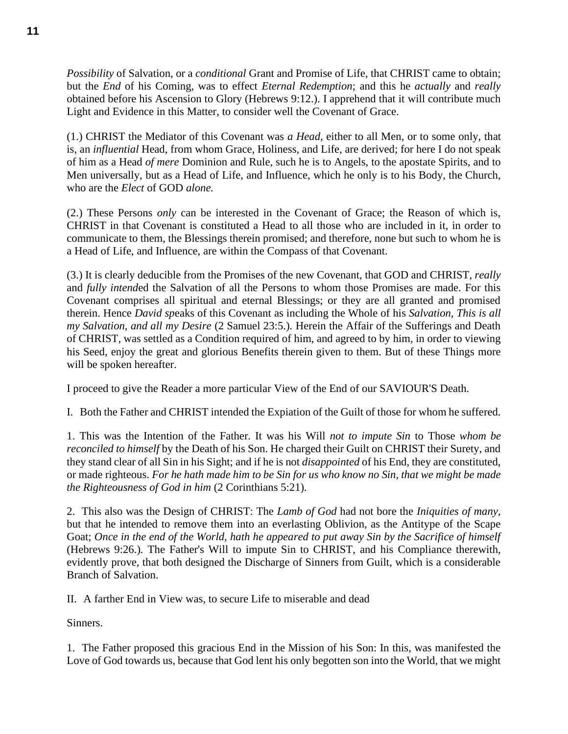*Possibility* of Salvation, or a *conditional* Grant and Promise of Life, that CHRIST came to obtain; but the *End* of his Coming, was to effect *Eternal Redemption*; and this he *actually* and *really* obtained before his Ascension to Glory (Hebrews 9:12.). I apprehend that it will contribute much Light and Evidence in this Matter, to consider well the Covenant of Grace.

(1.) CHRIST the Mediator of this Covenant was *a Head,* either to all Men, or to some only, that is, an *influential* Head, from whom Grace, Holiness, and Life, are derived; for here I do not speak of him as a Head *of mere* Dominion and Rule, such he is to Angels, to the apostate Spirits, and to Men universally, but as a Head of Life, and Influence, which he only is to his Body, the Church, who are the *Elect* of GOD *alone.*

(2.) These Persons *only* can be interested in the Covenant of Grace; the Reason of which is, CHRIST in that Covenant is constituted a Head to all those who are included in it, in order to communicate to them, the Blessings therein promised; and therefore, none but such to whom he is a Head of Life, and Influence, are within the Compass of that Covenant.

(3.) It is clearly deducible from the Promises of the new Covenant, that GOD and CHRIST, *really* and *fully intend*ed the Salvation of all the Persons to whom those Promises are made. For this Covenant comprises all spiritual and eternal Blessings; or they are all granted and promised therein. Hence *David sp*eaks of this Covenant as including the Whole of his *Salvation, This is all my Salvation, and all my Desire* (2 Samuel 23:5.)*.* Herein the Affair of the Sufferings and Death of CHRIST, was settled as a Condition required of him, and agreed to by him, in order to viewing his Seed, enjoy the great and glorious Benefits therein given to them. But of these Things more will be spoken hereafter.

I proceed to give the Reader a more particular View of the End of our SAVIOUR'S Death.

I. Both the Father and CHRIST intended the Expiation of the Guilt of those for whom he suffered.

1. This was the Intention of the Father. It was his Will *not to impute Sin* to Those *whom be reconciled to himself* by the Death of his Son. He charged their Guilt on CHRIST their Surety, and they stand clear of all Sin in his Sight; and if he is not *disappointed* of his End, they are constituted, or made righteous. *For he hath made him to be Sin for us who know no Sin, that we might be made the Righteousness of God in him* (2 Corinthians 5:21)*.*

2. This also was the Design of CHRIST: The *Lamb of God* had not bore the *Iniquities of many,* but that he intended to remove them into an everlasting Oblivion, as the Antitype of the Scape Goat; *Once in the end of the World, hath he appeared to put away Sin by the Sacrifice of himself* (Hebrews 9:26.)*.* The Father's Will to impute Sin to CHRIST, and his Compliance therewith, evidently prove, that both designed the Discharge of Sinners from Guilt, which is a considerable Branch of Salvation.

II. A farther End in View was, to secure Life to miserable and dead

Sinners.

1. The Father proposed this gracious End in the Mission of his Son: In this, was manifested the Love of God towards us, because that God lent his only begotten son into the World, that we might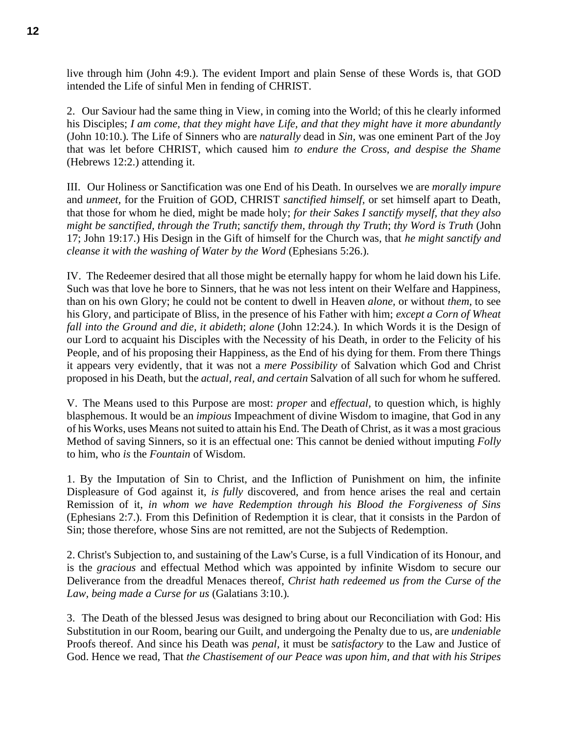live through him (John 4:9.). The evident Import and plain Sense of these Words is, that GOD intended the Life of sinful Men in fending of CHRIST.

2. Our Saviour had the same thing in View, in coming into the World; of this he clearly informed his Disciples; *I am come, that they might have Life, and that they might have it more abundantly*  (John 10:10.)*.* The Life of Sinners who are *naturally* dead in *Sin,* was one eminent Part of the Joy that was let before CHRIST, which caused him *to endure the Cross, and despise the Shame* (Hebrews 12:2.) attending it.

III. Our Holiness or Sanctification was one End of his Death. In ourselves we are *morally impure* and *unmeet,* for the Fruition of GOD, CHRIST *sanctified himself,* or set himself apart to Death, that those for whom he died, might be made holy; *for their Sakes I sanctify myself, that they also might be sanctified, through the Truth*; *sanctify them, through thy Truth*; *thy Word is Truth* (John 17; John 19:17.) His Design in the Gift of himself for the Church was, that *he might sanctify and cleanse it with the washing of Water by the Word* (Ephesians 5:26.)*.*

IV. The Redeemer desired that all those might be eternally happy for whom he laid down his Life. Such was that love he bore to Sinners, that he was not less intent on their Welfare and Happiness, than on his own Glory; he could not be content to dwell in Heaven *alone,* or without *them,* to see his Glory, and participate of Bliss, in the presence of his Father with him; *except a Corn of Wheat fall into the Ground and die, it abideth*; *alone* (John 12:24.)*.* In which Words it is the Design of our Lord to acquaint his Disciples with the Necessity of his Death, in order to the Felicity of his People, and of his proposing their Happiness, as the End of his dying for them. From there Things it appears very evidently, that it was not a *mere Possibility* of Salvation which God and Christ proposed in his Death, but the *actual, real, and certain* Salvation of all such for whom he suffered.

V. The Means used to this Purpose are most: *proper* and *effectual,* to question which, is highly blasphemous. It would be an *impious* Impeachment of divine Wisdom to imagine, that God in any of his Works, uses Means not suited to attain his End. The Death of Christ, as it was a most gracious Method of saving Sinners, so it is an effectual one: This cannot be denied without imputing *Folly* to him, who *is* the *Fountain* of Wisdom.

1. By the Imputation of Sin to Christ, and the Infliction of Punishment on him, the infinite Displeasure of God against it, *is fully* discovered, and from hence arises the real and certain Remission of it, *in whom we have Redemption through his Blood the Forgiveness of Sins* (Ephesians 2:7.)*.* From this Definition of Redemption it is clear, that it consists in the Pardon of Sin; those therefore, whose Sins are not remitted, are not the Subjects of Redemption.

2. Christ's Subjection to, and sustaining of the Law's Curse, is a full Vindication of its Honour, and is the *gracious* and effectual Method which was appointed by infinite Wisdom to secure our Deliverance from the dreadful Menaces thereof, *Christ hath redeemed us from the Curse of the Law, being made a Curse for us* (Galatians 3:10.)*.*

3. The Death of the blessed Jesus was designed to bring about our Reconciliation with God: His Substitution in our Room, bearing our Guilt, and undergoing the Penalty due to us, are *undeniable* Proofs thereof. And since his Death was *penal,* it must be *satisfactory* to the Law and Justice of God. Hence we read, That *the Chastisement of our Peace was upon him, and that with his Stripes*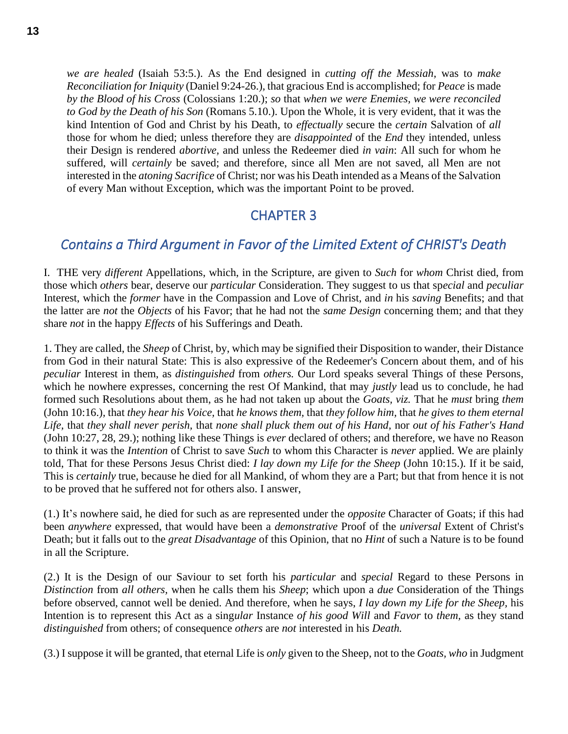*we are healed* (Isaiah 53:5.). As the End designed in *cutting off the Messiah,* was to *make Reconciliation for Iniquity* (Daniel 9:24-26.)*,* that gracious End is accomplished; for *Peace* is made *by the Blood of his Cross* (Colossians 1:20.); *so* that *when we were Enemies, we were reconciled to God by the Death of his Son* (Romans 5.10.). Upon the Whole, it is very evident, that it was the kind Intention of God and Christ by his Death, to *effectually* secure the *certain* Salvation of *all*  those for whom he died; unless therefore they are *disappointed* of the *End* they intended, unless their Design is rendered *abortive,* and unless the Redeemer died *in vain*: All such for whom he suffered, will *certainly* be saved; and therefore, since all Men are not saved, all Men are not interested in the *atoning Sacrifice* of Christ; nor was his Death intended as a Means of the Salvation of every Man without Exception, which was the important Point to be proved.

## CHAPTER 3

#### <span id="page-12-1"></span><span id="page-12-0"></span>*Contains a Third Argument in Favor of the Limited Extent of CHRIST's Death*

I. THE very *different* Appellations, which, in the Scripture, are given to *Such* for *whom* Christ died, from those which *others* bear, deserve our *particular* Consideration. They suggest to us that sp*ecial* and *peculiar* Interest, which the *former* have in the Compassion and Love of Christ, and *in* his *saving* Benefits; and that the latter are *not* the *Objects* of his Favor; that he had not the *same Design* concerning them; and that they share *not* in the happy *Effects* of his Sufferings and Death.

1. They are called, the *Sheep* of Christ, by, which may be signified their Disposition to wander, their Distance from God in their natural State: This is also expressive of the Redeemer's Concern about them, and of his *peculiar* Interest in them, as *distinguished* from *others.* Our Lord speaks several Things of these Persons, which he nowhere expresses, concerning the rest Of Mankind, that may *justly* lead us to conclude, he had formed such Resolutions about them, as he had not taken up about the *Goats, viz.* That he *must* bring *them*  (John 10:16.)*,* that *they hear his Voice,* that *he knows them,* that *they follow him,* that *he gives to them eternal Life,* that *they shall never perish,* that *none shall pluck them out of his Hand,* nor *out of his Father's Hand* (John 10:27, 28, 29.); nothing like these Things is *ever* declared of others; and therefore, we have no Reason to think it was the *Intention* of Christ to save *Such* to whom this Character is *never* applied. We are plainly told, That for these Persons Jesus Christ died: *I lay down my Life for the Sheep* (John 10:15.)*.* If it be said, This is *certainly* true, because he died for all Mankind, of whom they are a Part; but that from hence it is not to be proved that he suffered not for others also. I answer,

(1.) It's nowhere said, he died for such as are represented under the *opposite* Character of Goats; if this had been *anywhere* expressed, that would have been a *demonstrative* Proof of the *universal* Extent of Christ's Death; but it falls out to the *great Disadvantage* of this Opinion, that no *Hint* of such a Nature is to be found in all the Scripture.

(2.) It is the Design of our Saviour to set forth his *particular* and *special* Regard to these Persons in *Distinction* from *all others,* when he calls them his *Sheep*; which upon a *due* Consideration of the Things before observed, cannot well be denied. And therefore, when he says, *I lay down my Life for the Sheep,* his Intention is to represent this Act as a sing*ular* Instance *of his good Will* and *Favor* to *them,* as they stand *distinguished* from others; of consequence *others* are *not* interested in his *Death.*

(3.) Isuppose it will be granted, that eternal Life is *only* given to the Sheep, not to the *Goats, who* in Judgment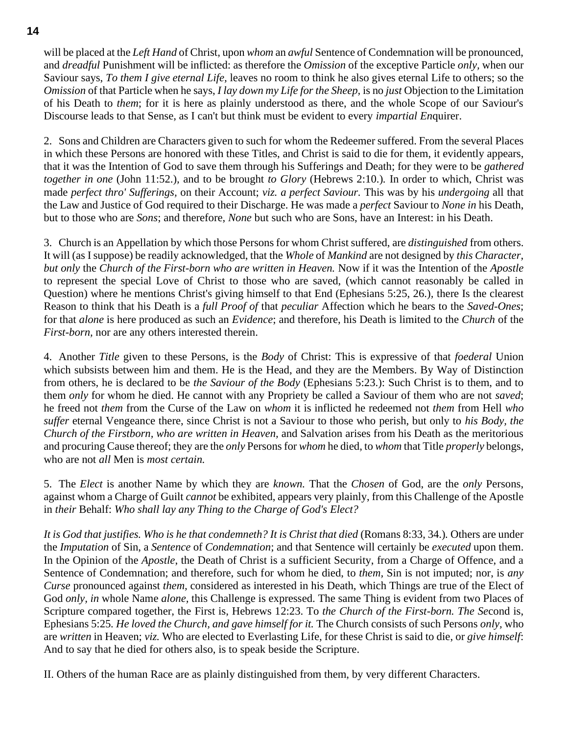will be placed at the *Left Hand* of Christ, upon *whom* an *awful* Sentence of Condemnation will be pronounced, and *dreadful* Punishment will be inflicted: as therefore the *Omission* of the exceptive Particle *only,* when our Saviour says, *To them I give eternal Life,* leaves no room to think he also gives eternal Life to others; so the *Omission* of that Particle when he says, *I lay down my Life for the Sheep,* is no *just* Objection to the Limitation of his Death to *them*; for it is here as plainly understood as there, and the whole Scope of our Saviour's Discourse leads to that Sense, as I can't but think must be evident to every *impartial En*quirer.

2. Sons and Children are Characters given to such for whom the Redeemer suffered. From the several Places in which these Persons are honored with these Titles, and Christ is said to die for them, it evidently appears, that it was the Intention of God to save them through his Sufferings and Death; for they were to be *gathered together in one* (John 11:52.)*,* and to be brought *to Glory* (Hebrews 2:10.)*.* In order to which, Christ was made *perfect thro' Sufferings,* on their Account; *viz. a perfect Saviour.* This was by his *undergoing* all that the Law and Justice of God required to their Discharge. He was made a *perfect* Saviour to *None in* his Death, but to those who are *Sons*; and therefore, *None* but such who are Sons, have an Interest: in his Death.

3. Church is an Appellation by which those Persons for whom Christ suffered, are *distinguished* from others. It will (as I suppose) be readily acknowledged, that the *Whole* of *Mankind* are not designed by *this Character, but only* the *Church of the First-born who are written in Heaven.* Now if it was the Intention of the *Apostle* to represent the special Love of Christ to those who are saved, (which cannot reasonably be called in Question) where he mentions Christ's giving himself to that End (Ephesians 5:25, 26.)*,* there Is the clearest Reason to think that his Death is a *full Proof of* that *peculiar* Affection which he bears to the *Saved-Ones*; for that *alone* is here produced as such an *Evidence*; and therefore, his Death is limited to the *Church* of the *First-born,* nor are any others interested therein.

4. Another *Title* given to these Persons, is the *Body* of Christ: This is expressive of that *foederal* Union which subsists between him and them. He is the Head, and they are the Members. By Way of Distinction from others, he is declared to be *the Saviour of the Body* (Ephesians 5:23.): Such Christ is to them, and to them *only* for whom he died. He cannot with any Propriety be called a Saviour of them who are not *saved*; he freed not *them* from the Curse of the Law on *whom* it is inflicted he redeemed not *them* from Hell *who suffer* eternal Vengeance there, since Christ is not a Saviour to those who perish, but only to *his Body, the Church of the Firstborn, who are written in Heaven,* and Salvation arises from his Death as the meritorious and procuring Cause thereof; they are the *only* Persons for *whom* he died, to *whom* that Title *properly* belongs, who are not *all* Men is *most certain.*

5. The *Elect* is another Name by which they are *known.* That the *Chosen* of God, are the *only* Persons, against whom a Charge of Guilt *cannot* be exhibited, appears very plainly, from this Challenge of the Apostle in *their* Behalf: *Who shall lay any Thing to the Charge of God's Elect?*

*It is God that justifies. Who is he that condemneth? It is Christ that died* (Romans 8:33, 34.)*.* Others are under the *Imputation* of Sin, a *Sentence* of *Condemnation*; and that Sentence will certainly be *executed* upon them. In the Opinion of the *Apostle*, the Death of Christ is a sufficient Security, from a Charge of Offence, and a Sentence of Condemnation; and therefore, such for whom he died, to *them,* Sin is not imputed; nor, is *any Curse* pronounced against *them,* considered as interested in his Death, which Things are true of the Elect of God *only, in* whole Name *alone,* this Challenge is expressed. The same Thing is evident from two Places of Scripture compared together, the First is, Hebrews 12:23. To *the Church of the First-born. The Se*cond is, Ephesians 5:25*. He loved the Church, and gave himself for it.* The Church consists of such Persons *only,* who are *written* in Heaven; *viz.* Who are elected to Everlasting Life, for these Christ is said to die, or *give himself*: And to say that he died for others also, is to speak beside the Scripture.

II. Others of the human Race are as plainly distinguished from them, by very different Characters.

**14**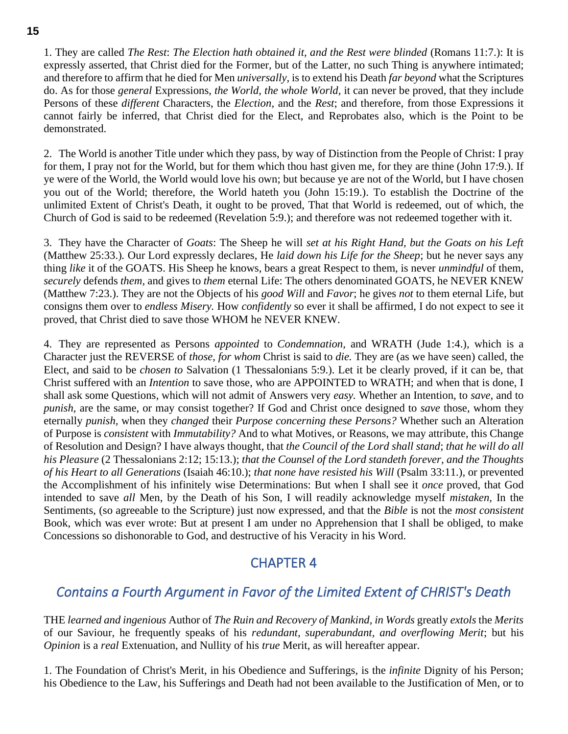1. They are called *The Rest*: *The Election hath obtained it, and the Rest were blinded* (Romans 11:7.): It is expressly asserted, that Christ died for the Former, but of the Latter, no such Thing is anywhere intimated; and therefore to affirm that he died for Men *universally,* is to extend his Death *far beyond* what the Scriptures do. As for those *general* Expressions, *the World, the whole World,* it can never be proved, that they include Persons of these *different* Characters, the *Election,* and the *Rest*; and therefore, from those Expressions it cannot fairly be inferred, that Christ died for the Elect, and Reprobates also, which is the Point to be demonstrated.

2. The World is another Title under which they pass, by way of Distinction from the People of Christ: I pray for them, I pray not for the World, but for them which thou hast given me, for they are thine (John 17:9.). If ye were of the World, the World would love his own; but because ye are not of the World, but I have chosen you out of the World; therefore, the World hateth you (John 15:19.). To establish the Doctrine of the unlimited Extent of Christ's Death, it ought to be proved, That that World is redeemed, out of which, the Church of God is said to be redeemed (Revelation 5:9.); and therefore was not redeemed together with it.

3. They have the Character of *Goats*: The Sheep he will *set at his Right Hand, but the Goats on his Left* (Matthew 25:33.)*.* Our Lord expressly declares, He *laid down his Life for the Sheep*; but he never says any thing *like* it of the GOATS. His Sheep he knows, bears a great Respect to them, is never *unmindful* of them, *securely* defends *them,* and gives to *them* eternal Life: The others denominated GOATS, he NEVER KNEW (Matthew 7:23.). They are not the Objects of his *good Will* and *Favor*; he gives *not* to them eternal Life, but consigns them over to *endless Misery.* How *confidently* so ever it shall be affirmed, I do not expect to see it proved, that Christ died to save those WHOM he NEVER KNEW.

4. They are represented as Persons *appointed* to *Condemnation,* and WRATH (Jude 1:4.)*,* which is a Character just the REVERSE of *those, for whom* Christ is said to *die.* They are (as we have seen) called, the Elect, and said to be *chosen to* Salvation (1 Thessalonians 5:9.). Let it be clearly proved, if it can be, that Christ suffered with an *Intention* to save those, who are APPOINTED to WRATH; and when that is done, I shall ask some Questions, which will not admit of Answers very *easy.* Whether an Intention, to *save,* and to *punish,* are the same, or may consist together? If God and Christ once designed to *save* those, whom they eternally *punish,* when they *changed* their *Purpose concerning these Persons?* Whether such an Alteration of Purpose is *consistent* with *Immutability?* And to what Motives, or Reasons, we may attribute, this Change of Resolution and Design? I have always thought, that *the Council of the Lord shall stand*; *that he will do all his Pleasure* (2 Thessalonians 2:12; 15:13.); *that the Counsel of the Lord standeth forever, and the Thoughts of his Heart to all Generations* (Isaiah 46:10.); *that none have resisted his Will* (Psalm 33:11.)*,* or prevented the Accomplishment of his infinitely wise Determinations: But when I shall see it *once* proved, that God intended to save *all* Men, by the Death of his Son, I will readily acknowledge myself *mistaken,* In the Sentiments, (so agreeable to the Scripture) just now expressed, and that the *Bible* is not the *most consistent* Book, which was ever wrote: But at present I am under no Apprehension that I shall be obliged, to make Concessions so dishonorable to God, and destructive of his Veracity in his Word.

# CHAPTER 4

# <span id="page-14-1"></span><span id="page-14-0"></span>*Contains a Fourth Argument in Favor of the Limited Extent of CHRIST's Death*

THE *learned and ingenious* Author of *The Ruin and Recovery of Mankind, in Words* greatly *extols* the *Merits* of our Saviour, he frequently speaks of his *redundant, superabundant, and overflowing Merit*; but his *Opinion* is a *real* Extenuation, and Nullity of his *true* Merit, as will hereafter appear.

1. The Foundation of Christ's Merit, in his Obedience and Sufferings, is the *infinite* Dignity of his Person; his Obedience to the Law, his Sufferings and Death had not been available to the Justification of Men, or to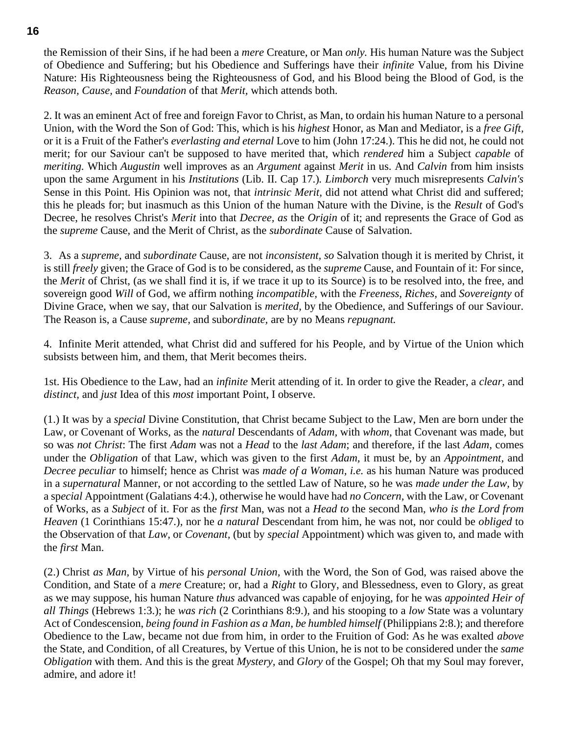the Remission of their Sins, if he had been a *mere* Creature, or Man *only.* His human Nature was the Subject of Obedience and Suffering; but his Obedience and Sufferings have their *infinite* Value, from his Divine Nature: His Righteousness being the Righteousness of God, and his Blood being the Blood of God, is the *Reason, Cause,* and *Foundation* of that *Merit,* which attends both.

2. It was an eminent Act of free and foreign Favor to Christ, as Man, to ordain his human Nature to a personal Union, with the Word the Son of God: This, which is his *highest* Honor, as Man and Mediator, is a *free Gift,* or it is a Fruit of the Father's *everlasting and eternal* Love to him (John 17:24.). This he did not, he could not merit; for our Saviour can't be supposed to have merited that, which *rendered* him a Subject *capable* of *meriting.* Which *Augustin* well improves as an *Argument* against *Merit* in us. And *Calvin* from him insists upon the same Argument in his *Institutions* (Lib. II. Cap 17.)*. Limborch* very much misrepresents *Calvin's* Sense in this Point*.* His Opinion was not, that *intrinsic Merit,* did not attend what Christ did and suffered; this he pleads for; but inasmuch as this Union of the human Nature with the Divine, is the *Result* of God's Decree, he resolves Christ's *Merit* into that *Decree, as* the *Origin* of it; and represents the Grace of God as the *supreme* Cause, and the Merit of Christ, as the *subordinate* Cause of Salvation.

3. As a *supreme,* and *subordinate* Cause, are not *inconsistent, so* Salvation though it is merited by Christ, it is still *freely* given; the Grace of God is to be considered, as the *supreme* Cause, and Fountain of it: For since, the *Merit* of Christ, (as we shall find it is, if we trace it up to its Source) is to be resolved into, the free, and sovereign good *Will* of God, we affirm nothing *incompatible,* with the *Freeness, Riches,* and *Sovereignty* of Divine Grace, when we say, that our Salvation is *merited,* by the Obedience, and Sufferings of our Saviour. The Reason is, a Cause *supreme,* and sub*ordinate,* are by no Means *repugnant.*

4. Infinite Merit attended, what Christ did and suffered for his People, and by Virtue of the Union which subsists between him, and them, that Merit becomes theirs.

1st. His Obedience to the Law, had an *infinite* Merit attending of it. In order to give the Reader, a *clear,* and *distinct,* and *just* Idea of this *most* important Point, I observe.

(1.) It was by a *special* Divine Constitution, that Christ became Subject to the Law, Men are born under the Law, or Covenant of Works, as the *natural* Descendants of *Adam,* with *whom,* that Covenant was made, but so was *not Christ*: The first *Adam* was not a *Head* to the *last Adam*; and therefore, if the last *Adam,* comes under the *Obligation* of that Law, which was given to the first *Adam,* it must be, by an *Appointment,* and *Decree peculiar* to himself; hence as Christ was *made of a Woman, i.e.* as his human Nature was produced in a *supernatural* Manner, or not according to the settled Law of Nature, so he was *made under the Law,* by a sp*ecial* Appointment (Galatians 4:4.)*,* otherwise he would have had *no Concern,* with the Law, or Covenant of Works, as a *Subject* of it. For as the *first* Man, was not a *Head to* the second Man, *who is the Lord from Heaven* (1 Corinthians 15:47.)*,* nor he *a natural* Descendant from him, he was not, nor could be *obliged* to the Observation of that *Law,* or *Covenant,* (but by *special* Appointment) which was given to, and made with the *first* Man.

(2.) Christ *as Man,* by Virtue of his *personal Union,* with the Word, the Son of God, was raised above the Condition, and State of a *mere* Creature; or, had a *Right* to Glory, and Blessedness, even to Glory, as great as we may suppose, his human Nature *thus* advanced was capable of enjoying, for he was *appointed Heir of all Things* (Hebrews 1:3.); he *was rich* (2 Corinthians 8:9.)*,* and his stooping to a *low* State was a voluntary Act of Condescension, *being found in Fashion as a Man, be humbled himself* (Philippians 2:8.); and therefore Obedience to the Law, became not due from him, in order to the Fruition of God: As he was exalted *above* the State, and Condition, of all Creatures, by Vertue of this Union, he is not to be considered under the *same Obligation* with them. And this is the great *Mystery,* and *Glory* of the Gospel; Oh that my Soul may forever, admire, and adore it!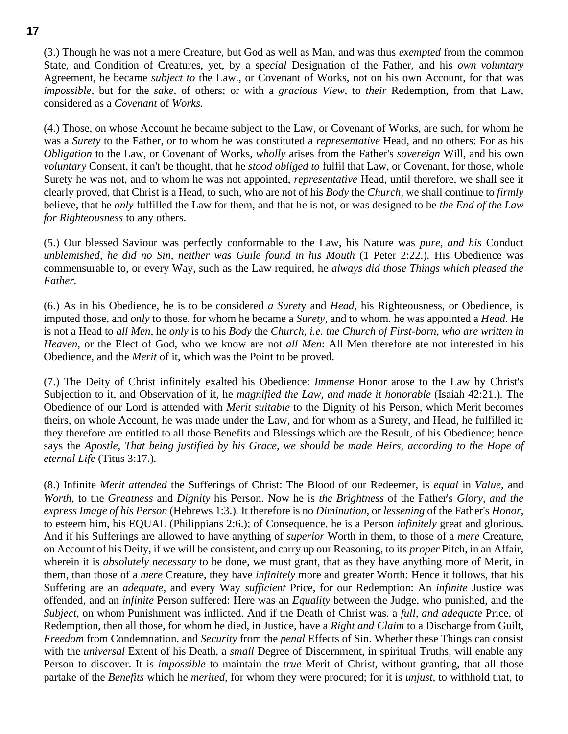(3.) Though he was not a mere Creature, but God as well as Man, and was thus *exempted* from the common State, and Condition of Creatures, yet, by a sp*ecial* Designation of the Father, and his *own voluntary* Agreement, he became *subject to* the Law., or Covenant of Works, not on his own Account, for that was *impossible,* but for the *sake,* of others; or with a *gracious View,* to *their* Redemption, from that Law, considered as a *Covenant* of *Works.*

(4.) Those, on whose Account he became subject to the Law, or Covenant of Works, are such, for whom he was a *Surety* to the Father, or to whom he was constituted a *representative* Head, and no others: For as his *Obligation* to the Law, or Covenant of Works, *wholly* arises from the Father's *sovereign* Will, and his own *voluntary* Consent, it can't be thought, that he *stood obliged to* fulfil that Law, or Covenant, for those, whole Surety he was not, and to whom he was not appointed, *representative* Head, until therefore, we shall see it clearly proved, that Christ is a Head, to such, who are not of his *Body* the *Church,* we shall continue to *firmly* believe, that he *only* fulfilled the Law for them, and that he is not, or was designed to be *the End of the Law for Righteousness* to any others.

(5.) Our blessed Saviour was perfectly conformable to the Law, his Nature was *pure, and his* Conduct *unblemished, he did no Sin, neither was Guile found in his Mouth* (1 Peter 2:22.)*.* His Obedience was commensurable to, or every Way, such as the Law required, he *always did those Things which pleased the Father.*

(6.) As in his Obedience, he is to be considered *a Suret*y and *Head,* his Righteousness, or Obedience, is imputed those, and *only* to those, for whom he became a *Surety,* and to whom. he was appointed a *Head.* He is not a Head to *all Men,* he *only* is to his *Body* the *Church, i.e. the Church of First-born, who are written in Heaven,* or the Elect of God, who we know are not *all Men*: All Men therefore ate not interested in his Obedience, and the *Merit* of it, which was the Point to be proved.

(7.) The Deity of Christ infinitely exalted his Obedience: *Immense* Honor arose to the Law by Christ's Subjection to it, and Observation of it, he *magnified the Law, and made it honorable* (Isaiah 42:21.)*.* The Obedience of our Lord is attended with *Merit suitable* to the Dignity of his Person, which Merit becomes theirs, on whole Account, he was made under the Law, and for whom as a Surety, and Head, he fulfilled it; they therefore are entitled to all those Benefits and Blessings which are the Result, of his Obedience; hence says the *Apostle, That being justified by his Grace, we should be made Heirs, according to the Hope of eternal Life* (Titus 3:17.)*.*

(8.) Infinite *Merit attended* the Sufferings of Christ: The Blood of our Redeemer, is *equal* in *Value,* and *Worth,* to the *Greatness* and *Dignity* his Person. Now he is *the Brightness* of the Father's *Glory, and the express Image of his Person* (Hebrews 1:3.)*.* It therefore is no *Diminution,* or *lessening* of the Father's *Honor,* to esteem him, his EQUAL (Philippians 2:6.); of Consequence, he is a Person *infinitely* great and glorious. And if his Sufferings are allowed to have anything of *superior* Worth in them, to those of a *mere* Creature, on Account of his Deity, if we will be consistent, and carry up our Reasoning, to its *proper* Pitch, in an Affair, wherein it is *absolutely necessary* to be done, we must grant, that as they have anything more of Merit, in them, than those of a *mere* Creature, they have *infinitely* more and greater Worth: Hence it follows, that his Suffering are an *adequate,* and every Way *sufficient* Price, for our Redemption: An *infinite* Justice was offended, and an *infinite* Person suffered: Here was an *Equality* between the Judge, who punished, and the *Subject,* on whom Punishment was inflicted. And if the Death of Christ was. a *full, and adequate* Price, of Redemption, then all those, for whom he died, in Justice, have a *Right and Claim* to a Discharge from Guilt, *Freedom* from Condemnation, and *Security* from the *penal* Effects of Sin. Whether these Things can consist with the *universal* Extent of his Death, a *small* Degree of Discernment, in spiritual Truths, will enable any Person to discover. It is *impossible* to maintain the *true* Merit of Christ, without granting, that all those partake of the *Benefits* which he *merited,* for whom they were procured; for it is *unjust,* to withhold that, to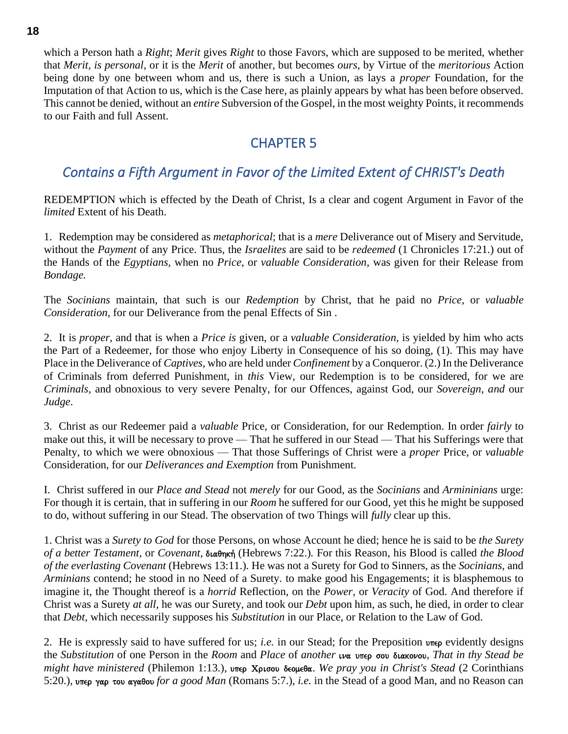which a Person hath a *Right*; *Merit* gives *Right* to those Favors, which are supposed to be merited, whether that *Merit, is personal,* or it is the *Merit* of another, but becomes *ours,* by Virtue of the *meritorious* Action being done by one between whom and us, there is such a Union, as lays a *proper* Foundation, for the Imputation of that Action to us, which is the Case here, as plainly appears by what has been before observed. This cannot be denied, without an *entire* Subversion of the Gospel, in the most weighty Points, it recommends to our Faith and full Assent.

## CHAPTER 5

# <span id="page-17-1"></span><span id="page-17-0"></span>*Contains a Fifth Argument in Favor of the Limited Extent of CHRIST's Death*

REDEMPTION which is effected by the Death of Christ, Is a clear and cogent Argument in Favor of the *limited* Extent of his Death.

1. Redemption may be considered as *metaphorical*; that is a *mere* Deliverance out of Misery and Servitude, without the *Payment* of any Price. Thus, the *Israelites* are said to be *redeemed* (1 Chronicles 17:21.) out of the Hands of the *Egyptians,* when no *Price,* or *valuable Consideration,* was given for their Release from *Bondage.*

The *Socinians* maintain, that such is our *Redemption* by Christ, that he paid no *Price,* or *valuable Consideration,* for our Deliverance from the penal Effects of Sin .

2. It is *proper,* and that is when a *Price is* given, or a *valuable Consideration,* is yielded by him who acts the Part of a Redeemer, for those who enjoy Liberty in Consequence of his so doing, (1). This may have Place in the Deliverance of *Captives,* who are held under *Confinement* by a Conqueror. (2.) In the Deliverance of Criminals from deferred Punishment, in *this* View, our Redemption is to be considered, for we are *Criminals,* and obnoxious to very severe Penalty, for our Offences, against God, our *Sovereign, and* our *Judge*.

3. Christ as our Redeemer paid a *valuable* Price, or Consideration, for our Redemption. In order *fairly* to make out this, it will be necessary to prove — That he suffered in our Stead — That his Sufferings were that Penalty, to which we were obnoxious — That those Sufferings of Christ were a *proper* Price, or *valuable*  Consideration, for our *Deliverances and Exemption* from Punishment.

I. Christ suffered in our *Place and Stead* not *merely* for our Good, as the *Socinians* and *Armininians* urge: For though it is certain, that in suffering in our *Room* he suffered for our Good, yet this he might be supposed to do, without suffering in our Stead. The observation of two Things will *fully* clear up this.

1. Christ was a *Surety to God* for those Persons, on whose Account he died; hence he is said to be *the Surety*  of a better Testament, or *Covenant*, διαθηκή (Hebrews 7:22.). For this Reason, his Blood is called the Blood *of the everlasting Covenant* (Hebrews 13:11.)*.* He was not a Surety for God to Sinners, as the *Socinians,* and *Arminians* contend; he stood in no Need of a Surety. to make good his Engagements; it is blasphemous to imagine it, the Thought thereof is a *horrid* Reflection, on the *Power,* or *Veracity* of God. And therefore if Christ was a Surety *at all,* he was our Surety, and took our *Debt* upon him, as such, he died, in order to clear that *Debt,* which necessarily supposes his *Substitution* in our Place, or Relation to the Law of God.

2. He is expressly said to have suffered for us; *i.e.* in our Stead; for the Preposition une evidently designs the *Substitution* of one Person in the *Room* and *Place* of *another u***α** υπερ σου διακονου, *That in thy Stead be might have ministered* (Philemon 1:13.), υπερ Χρισου δεομεθα. *We pray you in Christ's Stead* (2 Corinthians 5:20.), υπερ γαρ του αγαθου *for a good Man* (Romans 5:7.), *i.e.* in the Stead of a good Man, and no Reason can

**18**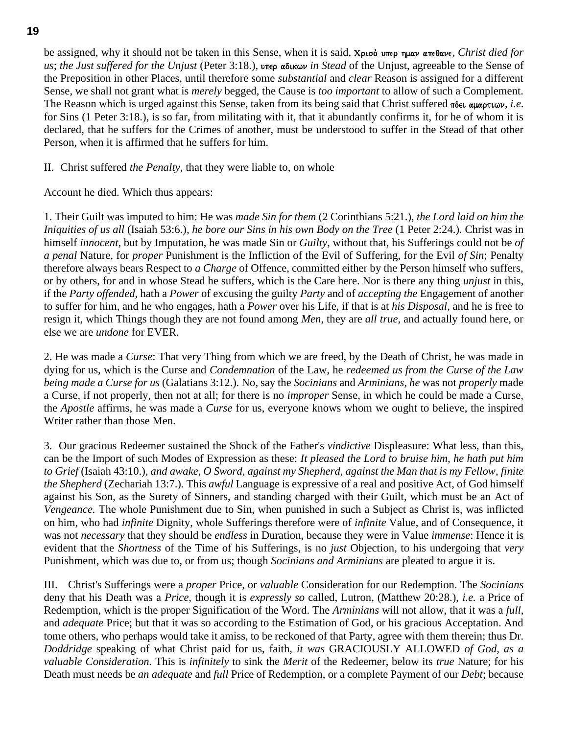be assigned, why it should not be taken in this Sense, when it is said, X<sub>ploo</sub> unter  $\eta$ uav ante bave, *Christ died for us*; *the Just suffered for the Unjust* (Peter 3:18.), υπερ αδικων *in Stead* of the Unjust, agreeable to the Sense of the Preposition in other Places, until therefore some *substantial* and *clear* Reason is assigned for a different Sense, we shall not grant what is *merely* begged, the Cause is *too important* to allow of such a Complement. The Reason which is urged against this Sense, taken from its being said that Christ suffered  $\pi \delta \epsilon \iota \alpha \mu \alpha \rho \tau \iota \omega \nu$ , *i.e.* for Sins (1 Peter 3:18.), is so far, from militating with it, that it abundantly confirms it, for he of whom it is declared, that he suffers for the Crimes of another, must be understood to suffer in the Stead of that other Person, when it is affirmed that he suffers for him.

II. Christ suffered *the Penalty,* that they were liable to, on whole

Account he died. Which thus appears:

1. Their Guilt was imputed to him: He was *made Sin for them* (2 Corinthians 5:21.)*, the Lord laid on him the Iniquities of us all* (Isaiah 53:6.)*, he bore our Sins in his own Body on the Tree* (1 Peter 2:24.)*.* Christ was in himself *innocent,* but by Imputation, he was made Sin or *Guilty,* without that, his Sufferings could not be *of a penal* Nature, for *proper* Punishment is the Infliction of the Evil of Suffering, for the Evil *of Sin*; Penalty therefore always bears Respect to *a Charge* of Offence, committed either by the Person himself who suffers, or by others, for and in whose Stead he suffers, which is the Care here. Nor is there any thing *unjust* in this, if the *Party offended,* hath a *Power* of excusing the guilty *Party* and of *accepting the* Engagement of another to suffer for him, and he who engages, hath a *Power* over his Life, if that is at *his Disposal,* and he is free to resign it, which Things though they are not found among *Men,* they are *all true,* and actually found here, or else we are *undone* for EVER.

2. He was made a *Curse*: That very Thing from which we are freed, by the Death of Christ, he was made in dying for us, which is the Curse and *Condemnation* of the Law, he *redeemed us from the Curse of the Law being made a Curse for us* (Galatians 3:12.)*.* No, say the *Socinians* and *Arminians, he* was not *properly* made a Curse, if not properly, then not at all; for there is no *improper* Sense, in which he could be made a Curse, the *Apostle* affirms, he was made a *Curse* for us, everyone knows whom we ought to believe, the inspired Writer rather than those Men.

3. Our gracious Redeemer sustained the Shock of the Father's *vindictive* Displeasure: What less, than this, can be the Import of such Modes of Expression as these: *It pleased the Lord to bruise him, he hath put him to Grief* (Isaiah 43:10.)*, and awake, O Sword, against my Shepherd, against the Man that is my Fellow, finite the Shepherd* (Zechariah 13:7.)*.* This *awful* Language is expressive of a real and positive Act, of God himself against his Son, as the Surety of Sinners, and standing charged with their Guilt, which must be an Act of *Vengeance.* The whole Punishment due to Sin, when punished in such a Subject as Christ is, was inflicted on him, who had *infinite* Dignity, whole Sufferings therefore were of *infinite* Value, and of Consequence, it was not *necessary* that they should be *endless* in Duration, because they were in Value *immense*: Hence it is evident that the *Shortness* of the Time of his Sufferings, is no *just* Objection, to his undergoing that *very* Punishment, which was due to, or from us; though *Socinians and Arminians* are pleated to argue it is.

III. Christ's Sufferings were a *proper* Price, or *valuable* Consideration for our Redemption. The *Socinians* deny that his Death was a *Price,* though it is *expressly so* called, Lutron, (Matthew 20:28.), *i.e.* a Price of Redemption, which is the proper Signification of the Word. The *Arminians* will not allow, that it was a *full,* and *adequate* Price; but that it was so according to the Estimation of God, or his gracious Acceptation. And tome others, who perhaps would take it amiss, to be reckoned of that Party, agree with them therein; thus Dr. *Doddridge* speaking of what Christ paid for us, faith, *it was* GRACIOUSLY ALLOWED *of God, as a valuable Consideration.* This is *infinitely* to sink the *Merit* of the Redeemer, below its *true* Nature; for his Death must needs be *an adequate* and *full* Price of Redemption, or a complete Payment of our *Debt*; because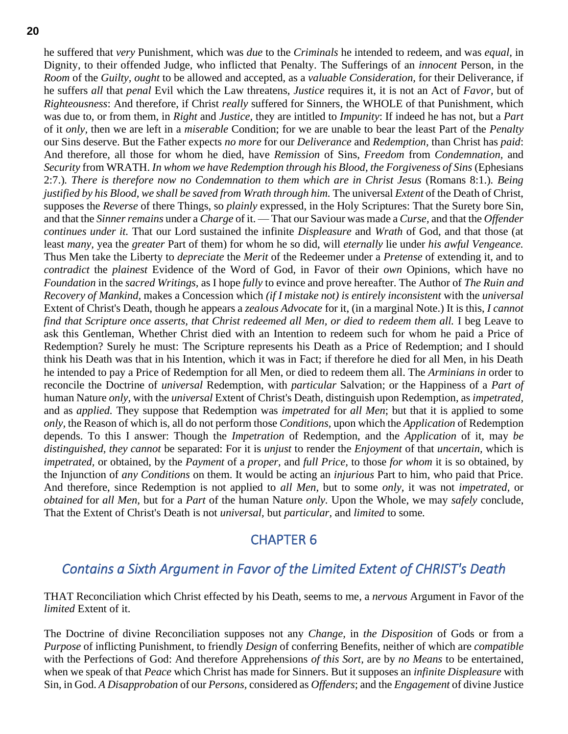he suffered that *very* Punishment, which was *due* to the *Criminals* he intended to redeem, and was *equal,* in Dignity, to their offended Judge, who inflicted that Penalty. The Sufferings of an *innocent* Person, in the *Room* of the *Guilty, ought* to be allowed and accepted, as a *valuable Consideration,* for their Deliverance, if he suffers *all* that *penal* Evil which the Law threatens, *Justice* requires it, it is not an Act of *Favor,* but of *Righteousness*: And therefore, if Christ *really* suffered for Sinners, the WHOLE of that Punishment, which was due to, or from them, in *Right* and *Justice,* they are intitled to *Impunity*: If indeed he has not, but a *Part* of it *only,* then we are left in a *miserable* Condition; for we are unable to bear the least Part of the *Penalty* our Sins deserve. But the Father expects *no more* for our *Deliverance* and *Redemption,* than Christ has *paid*: And therefore, all those for whom he died, have *Remission* of Sins, *Freedom* from *Condemnation,* and *Security* from WRATH. *In whom we have Redemption through his Blood, the Forgiveness of Sins* (Ephesians 2:7.)*. There is therefore now no Condemnation to them which are in Christ Jesus* (Romans 8:1.)*. Being justified by his Blood, we shall be saved from Wrath through him.* The universal *Extent* of the Death of Christ, supposes the *Reverse* of there Things, so *plainly* expressed, in the Holy Scriptures: That the Surety bore Sin, and that the *Sinner remains* under a *Charge* of it. — That our Saviour was made a *Curse,* and that the *Offender continues under it.* That our Lord sustained the infinite *Displeasure* and *Wrath* of God, and that those (at least *many,* yea the *greater* Part of them) for whom he so did, will *eternally* lie under *his awful Vengeance.* Thus Men take the Liberty to *depreciate* the *Merit* of the Redeemer under a *Pretense* of extending it, and to *contradict* the *plainest* Evidence of the Word of God, in Favor of their *own* Opinions, which have no *Foundation* in the *sacred Writings,* as I hope *fully* to evince and prove hereafter. The Author of *The Ruin and Recovery of Mankind,* makes a Concession which *(if I mistake not) is entirely inconsistent* with the *universal* Extent of Christ's Death, though he appears a *zealous Advocate* for it, (in a marginal Note.) It is this, *I cannot find that Scripture once asserts, that Christ redeemed all Men, or died to redeem them all.* I beg Leave to ask this Gentleman, Whether Christ died with an Intention to redeem such for whom he paid a Price of Redemption? Surely he must: The Scripture represents his Death as a Price of Redemption; and I should think his Death was that in his Intention, which it was in Fact; if therefore he died for all Men, in his Death he intended to pay a Price of Redemption for all Men, or died to redeem them all. The *Arminians in* order to reconcile the Doctrine of *universal* Redemption, with *particular* Salvation; or the Happiness of a *Part of* human Nature *only,* with the *universal* Extent of Christ's Death, distinguish upon Redemption, as *impetrated,* and as *applied.* They suppose that Redemption was *impetrated* for *all Men*; but that it is applied to some *only,* the Reason of which is, all do not perform those *Conditions,* upon which the *Application* of Redemption depends. To this I answer: Though the *Impetration* of Redemption, and the *Application* of it, may *be distinguished, they cannot* be separated: For it is *unjust* to render the *Enjoyment* of that *uncertain,* which is *impetrated,* or obtained, by the *Payment* of a *proper,* and *full Price,* to those *for whom* it is so obtained, by the Injunction of *any Conditions* on them. It would be acting an *injurious* Part to him, who paid that Price. And therefore, since Redemption is not applied to *all Men,* but to some *only,* it was not *impetrated,* or *obtained* for *all Men,* but for a *Part* of the human Nature *only.* Upon the Whole, we may *safely* conclude, That the Extent of Christ's Death is not *universal,* but *particular,* and *limited* to some*.*

## CHAPTER 6

# <span id="page-19-1"></span><span id="page-19-0"></span>*Contains a Sixth Argument in Favor of the Limited Extent of CHRIST's Death*

THAT Reconciliation which Christ effected by his Death, seems to me, a *nervous* Argument in Favor of the *limited* Extent of it.

The Doctrine of divine Reconciliation supposes not any *Change,* in *the Disposition* of Gods or from a *Purpose* of inflicting Punishment, to friendly *Design* of conferring Benefits, neither of which are *compatible* with the Perfections of God: And therefore Apprehensions *of this Sort,* are by *no Means* to be entertained, when we speak of that *Peace* which Christ has made for Sinners. But it supposes an *infinite Displeasure* with Sin, in God. *A Disapprobation* of our *Persons,* considered as *Offenders*; and the *Engagement* of divine Justice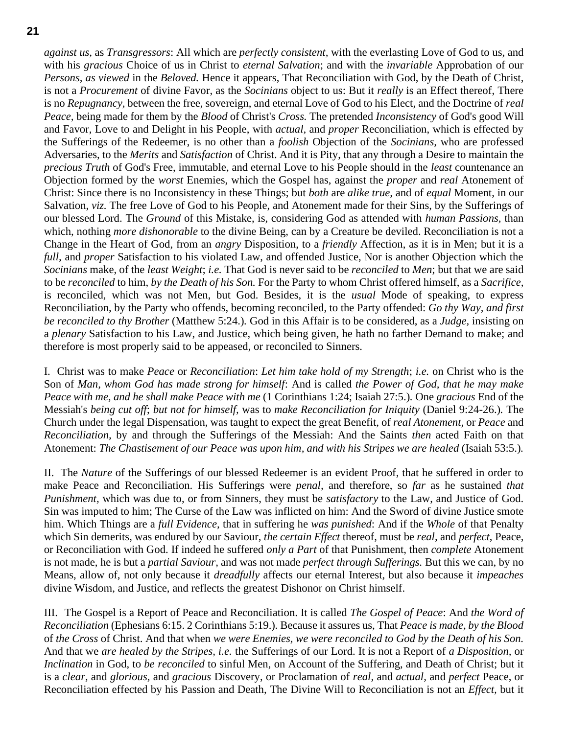*against us,* as *Transgressors*: All which are *perfectly consistent,* with the everlasting Love of God to us, and with his *gracious* Choice of us in Christ to *eternal Salvation*; and with the *invariable* Approbation of our *Persons, as viewed* in the *Beloved.* Hence it appears, That Reconciliation with God, by the Death of Christ, is not a *Procurement* of divine Favor, as the *Socinians* object to us: But it *really* is an Effect thereof, There is no *Repugnancy,* between the free, sovereign, and eternal Love of God to his Elect, and the Doctrine of *real Peace,* being made for them by the *Blood* of Christ's *Cross.* The pretended *Inconsistency* of God's good Will and Favor, Love to and Delight in his People, with *actual,* and *proper* Reconciliation, which is effected by the Sufferings of the Redeemer, is no other than a *foolish* Objection of the *Socinians,* who are professed Adversaries, to the *Merits* and *Satisfaction* of Christ. And it is Pity, that any through a Desire to maintain the *precious Truth* of God's Free, immutable, and eternal Love to his People should in the *least* countenance an Objection formed by the *worst* Enemies, which the Gospel has, against the *proper* and *real* Atonement of Christ: Since there is no Inconsistency in these Things; but *both* are *alike true,* and of *equal* Moment, in our Salvation, *viz.* The free Love of God to his People, and Atonement made for their Sins, by the Sufferings of our blessed Lord. The *Ground* of this Mistake, is, considering God as attended with *human Passions,* than which, nothing *more dishonorable* to the divine Being, can by a Creature be deviled. Reconciliation is not a Change in the Heart of God, from an *angry* Disposition, to a *friendly* Affection, as it is in Men; but it is a *full,* and *proper* Satisfaction to his violated Law, and offended Justice, Nor is another Objection which the *Socinians* make, of the *least Weight*; *i.e.* That God is never said to be *reconciled* to *Men*; but that we are said to be *reconciled* to him, *by the Death of his Son.* For the Party to whom Christ offered himself, as a *Sacrifice,* is reconciled, which was not Men, but God. Besides, it is the *usual* Mode of speaking, to express Reconciliation, by the Party who offends, becoming reconciled, to the Party offended: *Go thy Way, and first be reconciled to thy Brother* (Matthew 5:24.)*.* God in this Affair is to be considered, as a *Judge,* insisting on a *plenary* Satisfaction to his Law, and Justice, which being given, he hath no farther Demand to make; and therefore is most properly said to be appeased, or reconciled to Sinners.

I. Christ was to make *Peace* or *Reconciliation*: *Let him take hold of my Strength*; *i.e.* on Christ who is the Son of *Man, whom God has made strong for himself*: And is called *the Power of God, that he may make Peace with me, and he shall make Peace with me* (1 Corinthians 1:24; Isaiah 27:5.)*.* One *gracious* End of the Messiah's *being cut off*; *but not for himself,* was to *make Reconciliation for Iniquity* (Daniel 9:24-26.)*.* The Church under the legal Dispensation, was taught to expect the great Benefit, of *real Atonement,* or *Peace* and *Reconciliation,* by and through the Sufferings of the Messiah: And the Saints *then* acted Faith on that Atonement: *The Chastisement of our Peace was upon him, and with his Stripes we are healed* (Isaiah 53:5.)*.*

II. The *Nature* of the Sufferings of our blessed Redeemer is an evident Proof, that he suffered in order to make Peace and Reconciliation. His Sufferings were *penal,* and therefore, so *far* as he sustained *that Punishment,* which was due to, or from Sinners, they must be *satisfactory* to the Law, and Justice of God. Sin was imputed to him; The Curse of the Law was inflicted on him: And the Sword of divine Justice smote him. Which Things are a *full Evidence,* that in suffering he *was punished*: And if the *Whole* of that Penalty which Sin demerits, was endured by our Saviour, *the certain Effect* thereof, must be *real,* and *perfect*, Peace, or Reconciliation with God. If indeed he suffered *only a Part* of that Punishment, then *complete* Atonement is not made, he is but a *partial Saviour,* and was not made *perfect through Sufferings.* But this we can, by no Means, allow of, not only because it *dreadfully* affects our eternal Interest, but also because it *impeaches* divine Wisdom, and Justice, and reflects the greatest Dishonor on Christ himself.

III. The Gospel is a Report of Peace and Reconciliation. It is called *The Gospel of Peace*: And *the Word of Reconciliation* (Ephesians 6:15. 2 Corinthians 5:19.)*.* Because it assures us, That *Peace is made, by the Blood* of *the Cross* of Christ. And that when *we were Enemies, we were reconciled to God by the Death of his Son.* And that we *are healed by the Stripes, i.e.* the Sufferings of our Lord. It is not a Report of *a Disposition,* or *Inclination* in God, to *be reconciled* to sinful Men, on Account of the Suffering, and Death of Christ; but it is a *clear,* and *glorious,* and *gracious* Discovery, or Proclamation of *real,* and *actual,* and *perfect* Peace, or Reconciliation effected by his Passion and Death, The Divine Will to Reconciliation is not an *Effect,* but it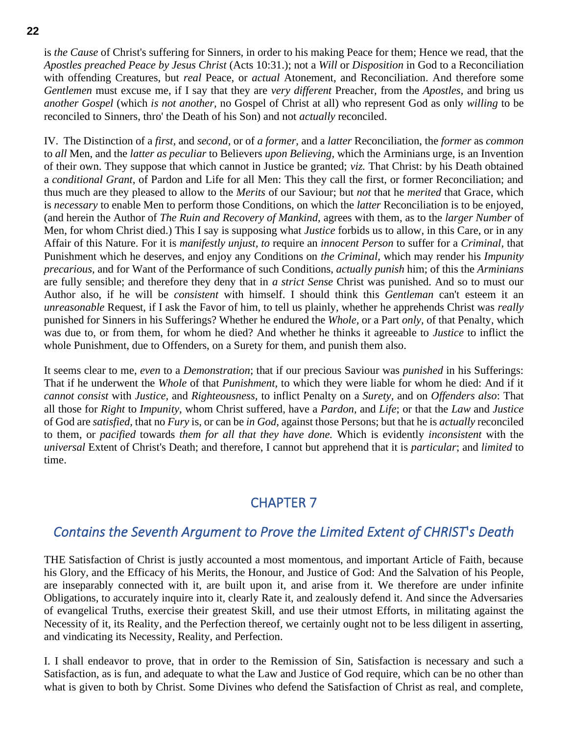is *the Cause* of Christ's suffering for Sinners, in order to his making Peace for them; Hence we read, that the *Apostles preached Peace by Jesus Christ* (Acts 10:31.); not a *Will* or *Disposition* in God to a Reconciliation with offending Creatures, but *real* Peace, or *actual* Atonement, and Reconciliation. And therefore some *Gentlemen* must excuse me, if I say that they are *very different* Preacher, from the *Apostles,* and bring us *another Gospel* (which *is not another,* no Gospel of Christ at all) who represent God as only *willing* to be reconciled to Sinners, thro' the Death of his Son) and not *actually* reconciled.

IV. The Distinction of a *first,* and *second,* or of *a former,* and a *latter* Reconciliation, the *former* as *common* to *all* Men, and the *latter as peculiar* to Believers *upon Believing,* which the Arminians urge, is an Invention of their own. They suppose that which cannot in Justice be granted; *viz.* That Christ: by his Death obtained a *conditional Grant,* of Pardon and Life for all Men: This they call the first, or former Reconciliation; and thus much are they pleased to allow to the *Merits* of our Saviour; but *not* that he *merited* that Grace, which is *necessary* to enable Men to perform those Conditions, on which the *latter* Reconciliation is to be enjoyed, (and herein the Author of *The Ruin and Recovery of Mankind,* agrees with them, as to the *larger Number* of Men, for whom Christ died.) This I say is supposing what *Justice* forbids us to allow, in this Care, or in any Affair of this Nature. For it is *manifestly unjust, to* require an *innocent Person* to suffer for a *Criminal,* that Punishment which he deserves, and enjoy any Conditions on *the Criminal,* which may render his *Impunity precarious,* and for Want of the Performance of such Conditions, *actually punish* him; of this the *Arminians* are fully sensible; and therefore they deny that in *a strict Sense* Christ was punished. And so to must our Author also, if he will be *consistent* with himself. I should think this *Gentleman* can't esteem it an *unreasonable* Request, if I ask the Favor of him, to tell us plainly, whether he apprehends Christ was *really* punished for Sinners in his Sufferings? Whether he endured the *Whole,* or a Part *only,* of that Penalty, which was due to, or from them, for whom he died? And whether he thinks it agreeable to *Justice* to inflict the whole Punishment, due to Offenders, on a Surety for them, and punish them also.

It seems clear to me, *even* to a *Demonstration*; that if our precious Saviour was *punished* in his Sufferings: That if he underwent the *Whole* of that *Punishment,* to which they were liable for whom he died: And if it *cannot consist* with *Justice,* and *Righteousness,* to inflict Penalty on a *Surety,* and on *Offenders also*: That all those for *Right* to *Impunity,* whom Christ suffered, have a *Pardon,* and *Life*; or that the *Law* and *Justice* of God are *satisfied,* that no *Fury* is, or can be *in God,* against those Persons; but that he is *actually* reconciled to them, or *pacified* towards *them for all that they have done.* Which is evidently *inconsistent* with the *universal* Extent of Christ's Death; and therefore, I cannot but apprehend that it is *particular*; and *limited* to time.

# CHAPTER 7

# <span id="page-21-1"></span><span id="page-21-0"></span>*Contains the Seventh Argument to Prove the Limited Extent of CHRIST*'*s Death*

THE Satisfaction of Christ is justly accounted a most momentous, and important Article of Faith, because his Glory, and the Efficacy of his Merits, the Honour, and Justice of God: And the Salvation of his People, are inseparably connected with it, are built upon it, and arise from it. We therefore are under infinite Obligations, to accurately inquire into it, clearly Rate it, and zealously defend it. And since the Adversaries of evangelical Truths, exercise their greatest Skill, and use their utmost Efforts, in militating against the Necessity of it, its Reality, and the Perfection thereof, we certainly ought not to be less diligent in asserting, and vindicating its Necessity, Reality, and Perfection.

I. I shall endeavor to prove, that in order to the Remission of Sin, Satisfaction is necessary and such a Satisfaction, as is fun, and adequate to what the Law and Justice of God require, which can be no other than what is given to both by Christ. Some Divines who defend the Satisfaction of Christ as real, and complete,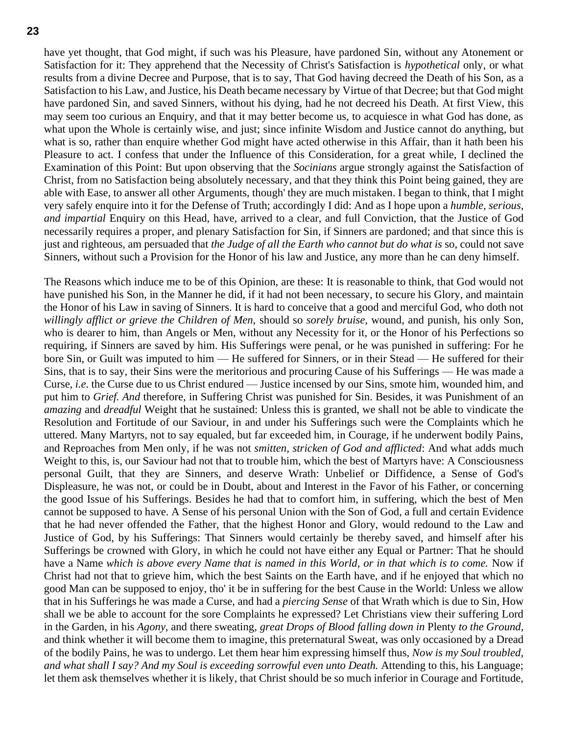have yet thought, that God might, if such was his Pleasure, have pardoned Sin, without any Atonement or Satisfaction for it: They apprehend that the Necessity of Christ's Satisfaction is *hypothetical* only, or what results from a divine Decree and Purpose, that is to say, That God having decreed the Death of his Son, as a Satisfaction to his Law, and Justice, his Death became necessary by Virtue of that Decree; but that God might have pardoned Sin, and saved Sinners, without his dying, had he not decreed his Death. At first View, this may seem too curious an Enquiry, and that it may better become us, to acquiesce in what God has done, as what upon the Whole is certainly wise, and just; since infinite Wisdom and Justice cannot do anything, but what is so, rather than enquire whether God might have acted otherwise in this Affair, than it hath been his Pleasure to act. I confess that under the Influence of this Consideration, for a great while, I declined the Examination of this Point: But upon observing that the *Socinians* argue strongly against the Satisfaction of Christ, from no Satisfaction being absolutely necessary, and that they think this Point being gained, they are able with Ease, to answer all other Arguments, though' they are much mistaken. I began to think, that I might very safely enquire into it for the Defense of Truth; accordingly I did: And as I hope upon a *humble, serious, and impartial* Enquiry on this Head, have, arrived to a clear, and full Conviction, that the Justice of God necessarily requires a proper, and plenary Satisfaction for Sin, if Sinners are pardoned; and that since this is just and righteous, am persuaded that *the Judge of all the Earth who cannot but do what is* so, could not save Sinners, without such a Provision for the Honor of his law and Justice, any more than he can deny himself.

The Reasons which induce me to be of this Opinion, are these: It is reasonable to think, that God would not have punished his Son, in the Manner he did, if it had not been necessary, to secure his Glory, and maintain the Honor of his Law in saving of Sinners. It is hard to conceive that a good and merciful God, who doth not *willingly afflict or grieve the Children of Men,* should so *sorely bruise,* wound, and punish, his only Son, who is dearer to him, than Angels or Men, without any Necessity for it, or the Honor of his Perfections so requiring, if Sinners are saved by him. His Sufferings were penal, or he was punished in suffering: For he bore Sin, or Guilt was imputed to him — He suffered for Sinners, or in their Stead — He suffered for their Sins, that is to say, their Sins were the meritorious and procuring Cause of his Sufferings — He was made a Curse, *i.e*. the Curse due to us Christ endured — Justice incensed by our Sins, smote him, wounded him, and put him to *Grief. And* therefore, in Suffering Christ was punished for Sin. Besides, it was Punishment of an *amazing* and *dreadful* Weight that he sustained: Unless this is granted, we shall not be able to vindicate the Resolution and Fortitude of our Saviour, in and under his Sufferings such were the Complaints which he uttered. Many Martyrs, not to say equaled, but far exceeded him, in Courage, if he underwent bodily Pains, and Reproaches from Men only, if he was not *smitten, stricken of God and afflicted*: And what adds much Weight to this, is, our Saviour had not that to trouble him, which the best of Martyrs have: A Consciousness personal Guilt, that they are Sinners, and deserve Wrath: Unbelief or Diffidence, a Sense of God's Displeasure, he was not, or could be in Doubt, about and Interest in the Favor of his Father, or concerning the good Issue of his Sufferings. Besides he had that to comfort him, in suffering, which the best of Men cannot be supposed to have. A Sense of his personal Union with the Son of God, a full and certain Evidence that he had never offended the Father, that the highest Honor and Glory, would redound to the Law and Justice of God, by his Sufferings: That Sinners would certainly be thereby saved, and himself after his Sufferings be crowned with Glory, in which he could not have either any Equal or Partner: That he should have a Name *which is above every Name that is named in this World, or in that which is to come.* Now if Christ had not that to grieve him, which the best Saints on the Earth have, and if he enjoyed that which no good Man can be supposed to enjoy, tho' it be in suffering for the best Cause in the World: Unless we allow that in his Sufferings he was made a Curse, and had a *piercing Sense* of that Wrath which is due to Sin, How shall we be able to account for the sore Complaints he expressed? Let Christians view their suffering Lord in the Garden, in his *Agony,* and there sweating, *great Drops of Blood falling down in* Plenty *to the Ground,* and think whether it will become them to imagine, this preternatural Sweat, was only occasioned by a Dread of the bodily Pains, he was to undergo. Let them hear him expressing himself thus, *Now is my Soul troubled, and what shall I say? And my Soul is exceeding sorrowful even unto Death.* Attending to this, his Language; let them ask themselves whether it is likely, that Christ should be so much inferior in Courage and Fortitude,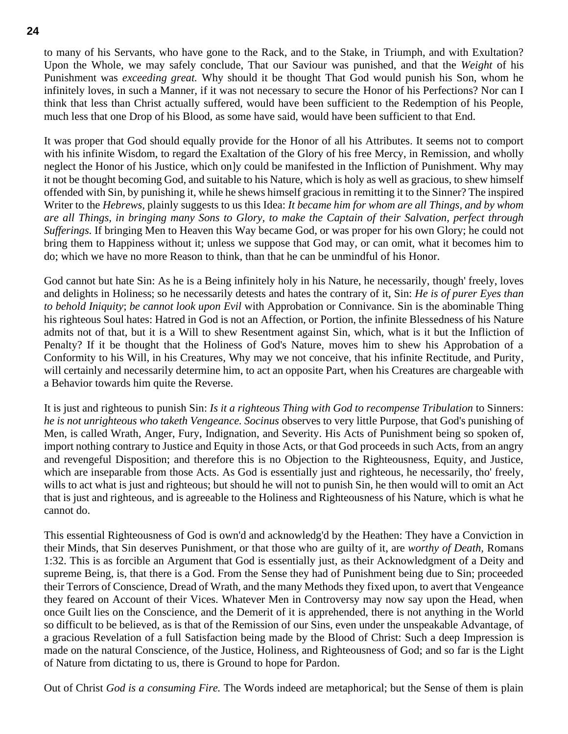to many of his Servants, who have gone to the Rack, and to the Stake, in Triumph, and with Exultation? Upon the Whole, we may safely conclude, That our Saviour was punished, and that the *Weight* of his Punishment was *exceeding great.* Why should it be thought That God would punish his Son, whom he infinitely loves, in such a Manner, if it was not necessary to secure the Honor of his Perfections? Nor can I think that less than Christ actually suffered, would have been sufficient to the Redemption of his People, much less that one Drop of his Blood, as some have said, would have been sufficient to that End.

It was proper that God should equally provide for the Honor of all his Attributes. It seems not to comport with his infinite Wisdom, to regard the Exaltation of the Glory of his free Mercy, in Remission, and wholly neglect the Honor of his Justice, which on]y could be manifested in the Infliction of Punishment. Why may it not be thought becoming God, and suitable to his Nature, which is holy as well as gracious, to shew himself offended with Sin, by punishing it, while he shews himself gracious in remitting it to the Sinner? The inspired Writer to the *Hebrews,* plainly suggests to us this Idea: *It became him for whom are all Things, and by whom are all Things, in bringing many Sons to Glory, to make the Captain of their Salvation, perfect through Sufferings.* If bringing Men to Heaven this Way became God, or was proper for his own Glory; he could not bring them to Happiness without it; unless we suppose that God may, or can omit, what it becomes him to do; which we have no more Reason to think, than that he can be unmindful of his Honor.

God cannot but hate Sin: As he is a Being infinitely holy in his Nature, he necessarily, though' freely, loves and delights in Holiness; so he necessarily detests and hates the contrary of it, Sin: *He is of purer Eyes than to behold Iniquity*; *be cannot look upon Evil* with Approbation or Connivance. Sin is the abominable Thing his righteous Soul hates: Hatred in God is not an Affection, or Portion, the infinite Blessedness of his Nature admits not of that, but it is a Will to shew Resentment against Sin, which, what is it but the Infliction of Penalty? If it be thought that the Holiness of God's Nature, moves him to shew his Approbation of a Conformity to his Will, in his Creatures, Why may we not conceive, that his infinite Rectitude, and Purity, will certainly and necessarily determine him, to act an opposite Part, when his Creatures are chargeable with a Behavior towards him quite the Reverse.

It is just and righteous to punish Sin: *Is it a righteous Thing with God to recompense Tribulation* to Sinners: *he is not unrighteous who taketh Vengeance. Socinus* observes to very little Purpose, that God's punishing of Men, is called Wrath, Anger, Fury, Indignation, and Severity. His Acts of Punishment being so spoken of, import nothing contrary to Justice and Equity in those Acts, or that God proceeds in such Acts, from an angry and revengeful Disposition; and therefore this is no Objection to the Righteousness, Equity, and Justice, which are inseparable from those Acts. As God is essentially just and righteous, he necessarily, tho' freely, wills to act what is just and righteous; but should he will not to punish Sin, he then would will to omit an Act that is just and righteous, and is agreeable to the Holiness and Righteousness of his Nature, which is what he cannot do.

This essential Righteousness of God is own'd and acknowledg'd by the Heathen: They have a Conviction in their Minds, that Sin deserves Punishment, or that those who are guilty of it, are *worthy of Death,* Romans 1:32. This is as forcible an Argument that God is essentially just, as their Acknowledgment of a Deity and supreme Being, is, that there is a God. From the Sense they had of Punishment being due to Sin; proceeded their Terrors of Conscience, Dread of Wrath, and the many Methods they fixed upon, to avert that Vengeance they feared on Account of their Vices. Whatever Men in Controversy may now say upon the Head, when once Guilt lies on the Conscience, and the Demerit of it is apprehended, there is not anything in the World so difficult to be believed, as is that of the Remission of our Sins, even under the unspeakable Advantage, of a gracious Revelation of a full Satisfaction being made by the Blood of Christ: Such a deep Impression is made on the natural Conscience, of the Justice, Holiness, and Righteousness of God; and so far is the Light of Nature from dictating to us, there is Ground to hope for Pardon.

Out of Christ *God is a consuming Fire.* The Words indeed are metaphorical; but the Sense of them is plain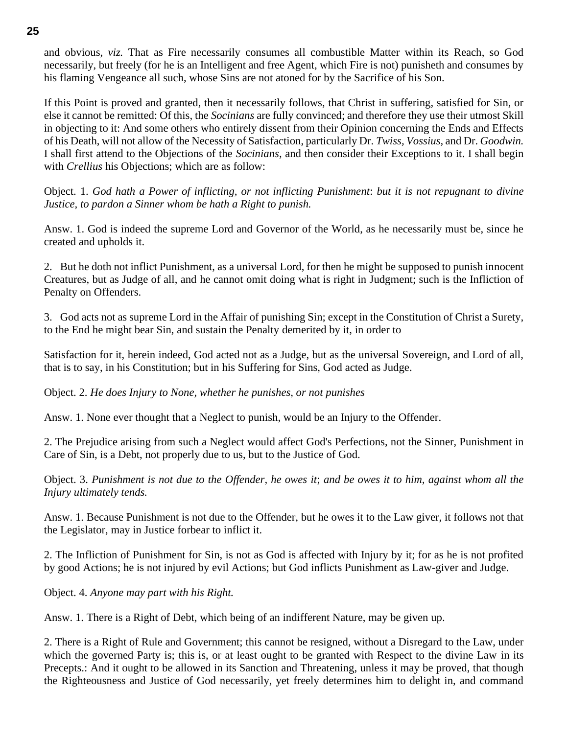and obvious, *viz.* That as Fire necessarily consumes all combustible Matter within its Reach, so God necessarily, but freely (for he is an Intelligent and free Agent, which Fire is not) punisheth and consumes by his flaming Vengeance all such, whose Sins are not atoned for by the Sacrifice of his Son.

If this Point is proved and granted, then it necessarily follows, that Christ in suffering, satisfied for Sin, or else it cannot be remitted: Of this, the *Socinians* are fully convinced; and therefore they use their utmost Skill in objecting to it: And some others who entirely dissent from their Opinion concerning the Ends and Effects of his Death, will not allow of the Necessity of Satisfaction, particularly Dr. *Twiss, Vossius,* and Dr. *Goodwin.* I shall first attend to the Objections of the *Socinians,* and then consider their Exceptions to it. I shall begin with *Crellius* his Objections; which are as follow:

Object. 1. *God hath a Power of inflicting, or not inflicting Punishment*: *but it is not repugnant to divine Justice, to pardon a Sinner whom be hath a Right to punish.*

Answ. 1. God is indeed the supreme Lord and Governor of the World, as he necessarily must be, since he created and upholds it.

2. But he doth not inflict Punishment, as a universal Lord, for then he might be supposed to punish innocent Creatures, but as Judge of all, and he cannot omit doing what is right in Judgment; such is the Infliction of Penalty on Offenders.

3. God acts not as supreme Lord in the Affair of punishing Sin; except in the Constitution of Christ a Surety, to the End he might bear Sin, and sustain the Penalty demerited by it, in order to

Satisfaction for it, herein indeed, God acted not as a Judge, but as the universal Sovereign, and Lord of all, that is to say, in his Constitution; but in his Suffering for Sins, God acted as Judge.

Object. 2. *He does Injury to None, whether he punishes, or not punishes*

Answ. 1. None ever thought that a Neglect to punish, would be an Injury to the Offender.

2. The Prejudice arising from such a Neglect would affect God's Perfections, not the Sinner, Punishment in Care of Sin, is a Debt, not properly due to us, but to the Justice of God.

Object. 3. *Punishment is not due to the Offender, he owes it*; *and be owes it to him, against whom all the Injury ultimately tends.*

Answ. 1. Because Punishment is not due to the Offender, but he owes it to the Law giver, it follows not that the Legislator, may in Justice forbear to inflict it.

2. The Infliction of Punishment for Sin, is not as God is affected with Injury by it; for as he is not profited by good Actions; he is not injured by evil Actions; but God inflicts Punishment as Law-giver and Judge.

Object. 4. *Anyone may part with his Right.*

Answ. 1. There is a Right of Debt, which being of an indifferent Nature, may be given up.

2. There is a Right of Rule and Government; this cannot be resigned, without a Disregard to the Law, under which the governed Party is; this is, or at least ought to be granted with Respect to the divine Law in its Precepts.: And it ought to be allowed in its Sanction and Threatening, unless it may be proved, that though the Righteousness and Justice of God necessarily, yet freely determines him to delight in, and command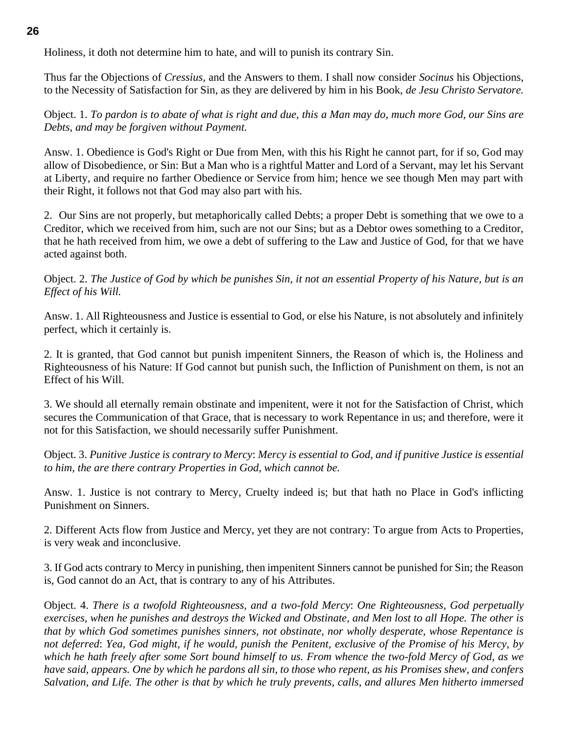Holiness, it doth not determine him to hate, and will to punish its contrary Sin.

Thus far the Objections of *Cressius,* and the Answers to them. I shall now consider *Socinus* his Objections, to the Necessity of Satisfaction for Sin, as they are delivered by him in his Book, *de Jesu Christo Servatore.*

Object. 1. *To pardon is to abate of what is right and due, this a Man may do, much more God, our Sins are Debts, and may be forgiven without Payment.*

Answ. 1. Obedience is God's Right or Due from Men, with this his Right he cannot part, for if so, God may allow of Disobedience, or Sin: But a Man who is a rightful Matter and Lord of a Servant, may let his Servant at Liberty, and require no farther Obedience or Service from him; hence we see though Men may part with their Right, it follows not that God may also part with his.

2. Our Sins are not properly, but metaphorically called Debts; a proper Debt is something that we owe to a Creditor, which we received from him, such are not our Sins; but as a Debtor owes something to a Creditor, that he hath received from him, we owe a debt of suffering to the Law and Justice of God, for that we have acted against both.

Object. 2. *The Justice of God by which be punishes Sin, it not an essential Property of his Nature, but is an Effect of his Will.*

Answ. 1. All Righteousness and Justice is essential to God, or else his Nature, is not absolutely and infinitely perfect, which it certainly is.

2. It is granted, that God cannot but punish impenitent Sinners, the Reason of which is, the Holiness and Righteousness of his Nature: If God cannot but punish such, the Infliction of Punishment on them, is not an Effect of his Will.

3. We should all eternally remain obstinate and impenitent, were it not for the Satisfaction of Christ, which secures the Communication of that Grace, that is necessary to work Repentance in us; and therefore, were it not for this Satisfaction, we should necessarily suffer Punishment.

Object. 3. *Punitive Justice is contrary to Mercy*: *Mercy is essential to God, and if punitive Justice is essential to him, the are there contrary Properties in God, which cannot be.*

Answ. 1. Justice is not contrary to Mercy, Cruelty indeed is; but that hath no Place in God's inflicting Punishment on Sinners.

2. Different Acts flow from Justice and Mercy, yet they are not contrary: To argue from Acts to Properties, is very weak and inconclusive.

3. If God acts contrary to Mercy in punishing, then impenitent Sinners cannot be punished for Sin; the Reason is, God cannot do an Act, that is contrary to any of his Attributes.

Object. 4. *There is a twofold Righteousness, and a two-fold Mercy*: *One Righteousness, God perpetually exercises, when he punishes and destroys the Wicked and Obstinate, and Men lost to all Hope. The other is that by which God sometimes punishes sinners, not obstinate, nor wholly desperate, whose Repentance is not deferred*: *Yea, God might, if he would, punish the Penitent, exclusive of the Promise of his Mercy, by which he hath freely after some Sort bound himself to us. From whence the two-fold Mercy of God, as we have said, appears. One by which he pardons all sin, to those who repent, as his Promises shew, and confers Salvation, and Life. The other is that by which he truly prevents, calls, and allures Men hitherto immersed*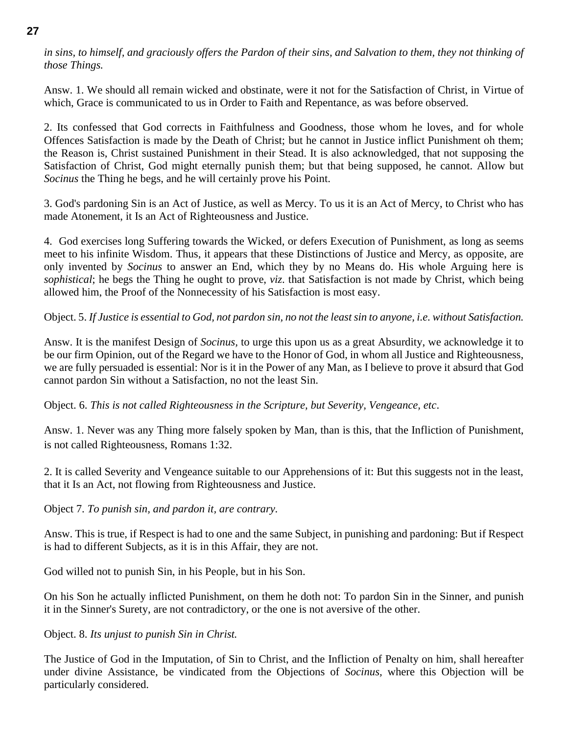#### *in sins, to himself, and graciously offers the Pardon of their sins, and Salvation to them, they not thinking of those Things.*

Answ. 1. We should all remain wicked and obstinate, were it not for the Satisfaction of Christ, in Virtue of which, Grace is communicated to us in Order to Faith and Repentance, as was before observed.

2. Its confessed that God corrects in Faithfulness and Goodness, those whom he loves, and for whole Offences Satisfaction is made by the Death of Christ; but he cannot in Justice inflict Punishment oh them; the Reason is, Christ sustained Punishment in their Stead. It is also acknowledged, that not supposing the Satisfaction of Christ, God might eternally punish them; but that being supposed, he cannot. Allow but *Socinus* the Thing he begs, and he will certainly prove his Point.

3. God's pardoning Sin is an Act of Justice, as well as Mercy. To us it is an Act of Mercy, to Christ who has made Atonement, it Is an Act of Righteousness and Justice.

4. God exercises long Suffering towards the Wicked, or defers Execution of Punishment, as long as seems meet to his infinite Wisdom. Thus, it appears that these Distinctions of Justice and Mercy, as opposite, are only invented by *Socinus* to answer an End, which they by no Means do. His whole Arguing here is *sophistical*; he begs the Thing he ought to prove, *viz*. that Satisfaction is not made by Christ, which being allowed him, the Proof of the Nonnecessity of his Satisfaction is most easy.

Object. 5. *If Justice is essential to God, not pardon sin, no not the least sin to anyone, i.e. without Satisfaction.*

Answ. It is the manifest Design of *Socinus,* to urge this upon us as a great Absurdity, we acknowledge it to be our firm Opinion, out of the Regard we have to the Honor of God, in whom all Justice and Righteousness, we are fully persuaded is essential: Nor is it in the Power of any Man, as I believe to prove it absurd that God cannot pardon Sin without a Satisfaction, no not the least Sin.

Object. 6. *This is not called Righteousness in the Scripture, but Severity, Vengeance, etc*.

Answ. 1. Never was any Thing more falsely spoken by Man, than is this, that the Infliction of Punishment, is not called Righteousness, Romans 1:32.

2. It is called Severity and Vengeance suitable to our Apprehensions of it: But this suggests not in the least, that it Is an Act, not flowing from Righteousness and Justice.

Object 7. *To punish sin, and pardon it, are contrary.*

Answ. This is true, if Respect is had to one and the same Subject, in punishing and pardoning: But if Respect is had to different Subjects, as it is in this Affair, they are not.

God willed not to punish Sin, in his People, but in his Son.

On his Son he actually inflicted Punishment, on them he doth not: To pardon Sin in the Sinner, and punish it in the Sinner's Surety, are not contradictory, or the one is not aversive of the other.

Object. 8. *Its unjust to punish Sin in Christ.*

The Justice of God in the Imputation, of Sin to Christ, and the Infliction of Penalty on him, shall hereafter under divine Assistance, be vindicated from the Objections of *Socinus,* where this Objection will be particularly considered.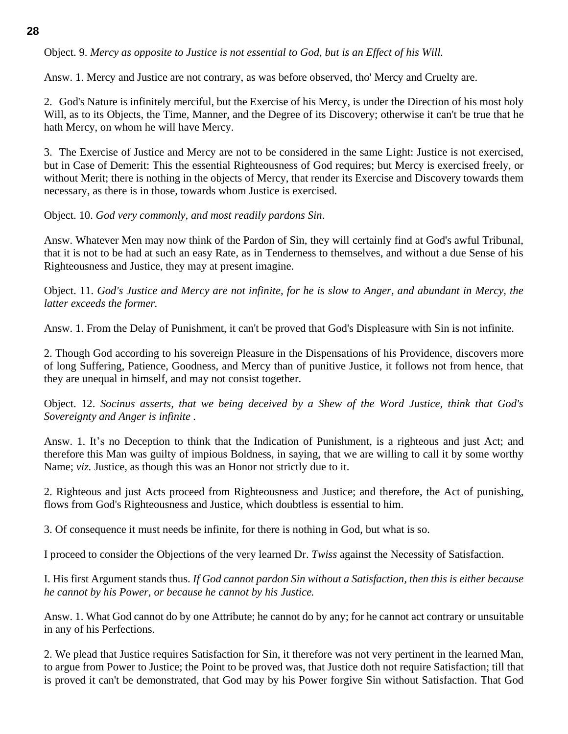#### **28**

Object. 9. *Mercy as opposite to Justice is not essential to God, but is an Effect of his Will.*

Answ. 1. Mercy and Justice are not contrary, as was before observed, tho' Mercy and Cruelty are.

2. God's Nature is infinitely merciful, but the Exercise of his Mercy, is under the Direction of his most holy Will, as to its Objects, the Time, Manner, and the Degree of its Discovery; otherwise it can't be true that he hath Mercy, on whom he will have Mercy.

3. The Exercise of Justice and Mercy are not to be considered in the same Light: Justice is not exercised, but in Case of Demerit: This the essential Righteousness of God requires; but Mercy is exercised freely, or without Merit; there is nothing in the objects of Mercy, that render its Exercise and Discovery towards them necessary, as there is in those, towards whom Justice is exercised.

Object. 10. *God very commonly, and most readily pardons Sin*.

Answ. Whatever Men may now think of the Pardon of Sin, they will certainly find at God's awful Tribunal, that it is not to be had at such an easy Rate, as in Tenderness to themselves, and without a due Sense of his Righteousness and Justice, they may at present imagine.

Object. 11. *God's Justice and Mercy are not infinite, for he is slow to Anger, and abundant in Mercy, the latter exceeds the former.*

Answ. 1. From the Delay of Punishment, it can't be proved that God's Displeasure with Sin is not infinite.

2. Though God according to his sovereign Pleasure in the Dispensations of his Providence, discovers more of long Suffering, Patience, Goodness, and Mercy than of punitive Justice, it follows not from hence, that they are unequal in himself, and may not consist together.

Object. 12. *Socinus asserts, that we being deceived by a Shew of the Word Justice, think that God's Sovereignty and Anger is infinite .*

Answ. 1. It's no Deception to think that the Indication of Punishment, is a righteous and just Act; and therefore this Man was guilty of impious Boldness, in saying, that we are willing to call it by some worthy Name; *viz.* Justice, as though this was an Honor not strictly due to it.

2. Righteous and just Acts proceed from Righteousness and Justice; and therefore, the Act of punishing, flows from God's Righteousness and Justice, which doubtless is essential to him.

3. Of consequence it must needs be infinite, for there is nothing in God, but what is so.

I proceed to consider the Objections of the very learned Dr. *Twiss* against the Necessity of Satisfaction.

I. His first Argument stands thus. *If God cannot pardon Sin without a Satisfaction, then this is either because he cannot by his Power, or because he cannot by his Justice.*

Answ. 1. What God cannot do by one Attribute; he cannot do by any; for he cannot act contrary or unsuitable in any of his Perfections.

2. We plead that Justice requires Satisfaction for Sin, it therefore was not very pertinent in the learned Man, to argue from Power to Justice; the Point to be proved was, that Justice doth not require Satisfaction; till that is proved it can't be demonstrated, that God may by his Power forgive Sin without Satisfaction. That God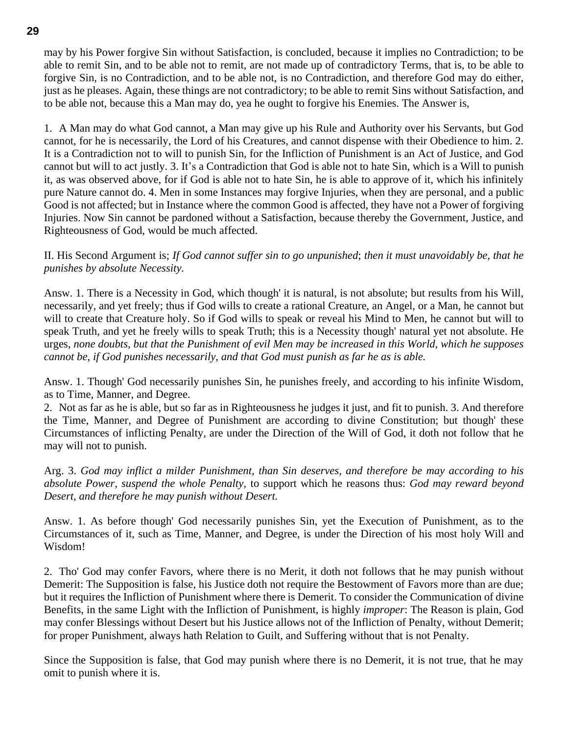may by his Power forgive Sin without Satisfaction, is concluded, because it implies no Contradiction; to be able to remit Sin, and to be able not to remit, are not made up of contradictory Terms, that is, to be able to forgive Sin, is no Contradiction, and to be able not, is no Contradiction, and therefore God may do either, just as he pleases. Again, these things are not contradictory; to be able to remit Sins without Satisfaction, and to be able not, because this a Man may do, yea he ought to forgive his Enemies. The Answer is,

1. A Man may do what God cannot, a Man may give up his Rule and Authority over his Servants, but God cannot, for he is necessarily, the Lord of his Creatures, and cannot dispense with their Obedience to him. 2. It is a Contradiction not to will to punish Sin, for the Infliction of Punishment is an Act of Justice, and God cannot but will to act justly. 3. It's a Contradiction that God is able not to hate Sin, which is a Will to punish it, as was observed above, for if God is able not to hate Sin, he is able to approve of it, which his infinitely pure Nature cannot do. 4. Men in some Instances may forgive Injuries, when they are personal, and a public Good is not affected; but in Instance where the common Good is affected, they have not a Power of forgiving Injuries. Now Sin cannot be pardoned without a Satisfaction, because thereby the Government, Justice, and Righteousness of God, would be much affected.

II. His Second Argument is; *If God cannot suffer sin to go unpunished*; *then it must unavoidably be, that he punishes by absolute Necessity.*

Answ. 1. There is a Necessity in God, which though' it is natural, is not absolute; but results from his Will, necessarily, and yet freely; thus if God wills to create a rational Creature, an Angel, or a Man, he cannot but will to create that Creature holy. So if God wills to speak or reveal his Mind to Men, he cannot but will to speak Truth, and yet he freely wills to speak Truth; this is a Necessity though' natural yet not absolute. He urges, *none doubts, but that the Punishment of evil Men may be increased in this World, which he supposes cannot be, if God punishes necessarily, and that God must punish as far he as is able.*

Answ. 1. Though' God necessarily punishes Sin, he punishes freely, and according to his infinite Wisdom, as to Time, Manner, and Degree.

2. Not as far as he is able, but so far as in Righteousness he judges it just, and fit to punish. 3. And therefore the Time, Manner, and Degree of Punishment are according to divine Constitution; but though' these Circumstances of inflicting Penalty, are under the Direction of the Will of God, it doth not follow that he may will not to punish.

Arg. 3. *God may inflict a milder Punishment, than Sin deserves, and therefore be may according to his absolute Power, suspend the whole Penalty,* to support which he reasons thus: *God may reward beyond Desert, and therefore he may punish without Desert.*

Answ. 1. As before though' God necessarily punishes Sin, yet the Execution of Punishment, as to the Circumstances of it, such as Time, Manner, and Degree, is under the Direction of his most holy Will and Wisdom!

2. Tho' God may confer Favors, where there is no Merit, it doth not follows that he may punish without Demerit: The Supposition is false, his Justice doth not require the Bestowment of Favors more than are due; but it requires the Infliction of Punishment where there is Demerit. To consider the Communication of divine Benefits, in the same Light with the Infliction of Punishment, is highly *improper*: The Reason is plain, God may confer Blessings without Desert but his Justice allows not of the Infliction of Penalty, without Demerit; for proper Punishment, always hath Relation to Guilt, and Suffering without that is not Penalty.

Since the Supposition is false, that God may punish where there is no Demerit, it is not true, that he may omit to punish where it is.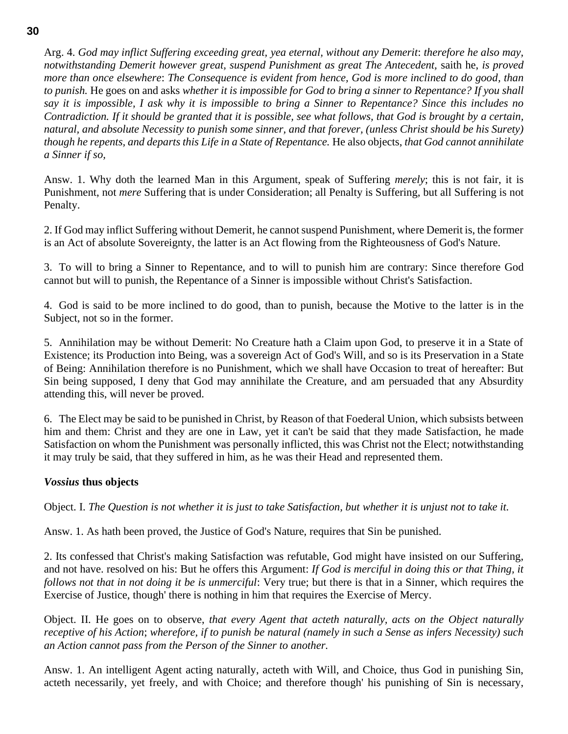Arg. 4. *God may inflict Suffering exceeding great, yea eternal, without any Demerit*: *therefore he also may, notwithstanding Demerit however great, suspend Punishment as great The Antecedent,* saith he, *is proved more than once elsewhere*: *The Consequence is evident from hence, God is more inclined to do good, than to punish.* He goes on and asks *whether it is impossible for God to bring a sinner to Repentance? If you shall say it is impossible, I ask why it is impossible to bring a Sinner to Repentance? Since this includes no Contradiction. If it should be granted that it is possible, see what follows, that God is brought by a certain, natural, and absolute Necessity to punish some sinner, and that forever, (unless Christ should be his Surety) though he repents, and departs this Life in a State of Repentance.* He also objects, *that God cannot annihilate a Sinner if so,*

Answ. 1. Why doth the learned Man in this Argument, speak of Suffering *merely*; this is not fair, it is Punishment, not *mere* Suffering that is under Consideration; all Penalty is Suffering, but all Suffering is not Penalty.

2. If God may inflict Suffering without Demerit, he cannot suspend Punishment, where Demerit is, the former is an Act of absolute Sovereignty, the latter is an Act flowing from the Righteousness of God's Nature.

3. To will to bring a Sinner to Repentance, and to will to punish him are contrary: Since therefore God cannot but will to punish, the Repentance of a Sinner is impossible without Christ's Satisfaction.

4. God is said to be more inclined to do good, than to punish, because the Motive to the latter is in the Subject, not so in the former.

5. Annihilation may be without Demerit: No Creature hath a Claim upon God, to preserve it in a State of Existence; its Production into Being, was a sovereign Act of God's Will, and so is its Preservation in a State of Being: Annihilation therefore is no Punishment, which we shall have Occasion to treat of hereafter: But Sin being supposed, I deny that God may annihilate the Creature, and am persuaded that any Absurdity attending this, will never be proved.

6. The Elect may be said to be punished in Christ, by Reason of that Foederal Union, which subsists between him and them: Christ and they are one in Law, yet it can't be said that they made Satisfaction, he made Satisfaction on whom the Punishment was personally inflicted, this was Christ not the Elect; notwithstanding it may truly be said, that they suffered in him, as he was their Head and represented them.

#### *Vossius* **thus objects**

Object. I. *The Question is not whether it is just to take Satisfaction, but whether it is unjust not to take it.*

Answ. 1. As hath been proved, the Justice of God's Nature, requires that Sin be punished.

2. Its confessed that Christ's making Satisfaction was refutable, God might have insisted on our Suffering, and not have. resolved on his: But he offers this Argument: *If God is merciful in doing this or that Thing, it follows not that in not doing it be is unmerciful*: Very true; but there is that in a Sinner, which requires the Exercise of Justice, though' there is nothing in him that requires the Exercise of Mercy.

Object. II. He goes on to observe, *that every Agent that acteth naturally, acts on the Object naturally receptive of his Action*; *wherefore, if to punish be natural (namely in such a Sense as infers Necessity) such an Action cannot pass from the Person of the Sinner to another.*

Answ. 1. An intelligent Agent acting naturally, acteth with Will, and Choice, thus God in punishing Sin, acteth necessarily, yet freely, and with Choice; and therefore though' his punishing of Sin is necessary,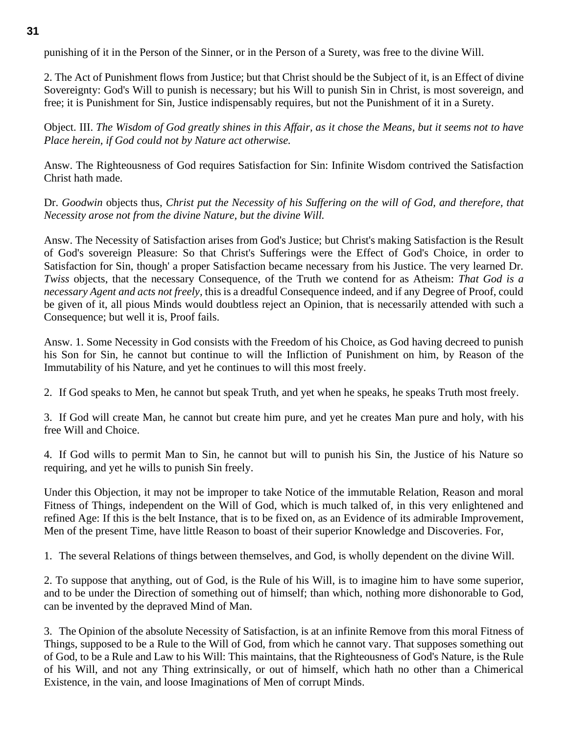punishing of it in the Person of the Sinner, or in the Person of a Surety, was free to the divine Will.

2. The Act of Punishment flows from Justice; but that Christ should be the Subject of it, is an Effect of divine Sovereignty: God's Will to punish is necessary; but his Will to punish Sin in Christ, is most sovereign, and free; it is Punishment for Sin, Justice indispensably requires, but not the Punishment of it in a Surety.

Object. III. *The Wisdom of God greatly shines in this Affair, as it chose the Means, but it seems not to have Place herein, if God could not by Nature act otherwise.*

Answ. The Righteousness of God requires Satisfaction for Sin: Infinite Wisdom contrived the Satisfaction Christ hath made.

Dr. *Goodwin* objects thus, *Christ put the Necessity of his Suffering on the will of God, and therefore, that Necessity arose not from the divine Nature, but the divine Will.*

Answ. The Necessity of Satisfaction arises from God's Justice; but Christ's making Satisfaction is the Result of God's sovereign Pleasure: So that Christ's Sufferings were the Effect of God's Choice, in order to Satisfaction for Sin, though' a proper Satisfaction became necessary from his Justice. The very learned Dr. *Twiss* objects, that the necessary Consequence, of the Truth we contend for as Atheism: *That God is a necessary Agent and acts not freely,* this is a dreadful Consequence indeed, and if any Degree of Proof, could be given of it, all pious Minds would doubtless reject an Opinion, that is necessarily attended with such a Consequence; but well it is, Proof fails.

Answ. 1. Some Necessity in God consists with the Freedom of his Choice, as God having decreed to punish his Son for Sin, he cannot but continue to will the Infliction of Punishment on him, by Reason of the Immutability of his Nature, and yet he continues to will this most freely.

2. If God speaks to Men, he cannot but speak Truth, and yet when he speaks, he speaks Truth most freely.

3. If God will create Man, he cannot but create him pure, and yet he creates Man pure and holy, with his free Will and Choice.

4. If God wills to permit Man to Sin, he cannot but will to punish his Sin, the Justice of his Nature so requiring, and yet he wills to punish Sin freely.

Under this Objection, it may not be improper to take Notice of the immutable Relation, Reason and moral Fitness of Things, independent on the Will of God, which is much talked of, in this very enlightened and refined Age: If this is the belt Instance, that is to be fixed on, as an Evidence of its admirable Improvement, Men of the present Time, have little Reason to boast of their superior Knowledge and Discoveries. For,

1. The several Relations of things between themselves, and God, is wholly dependent on the divine Will.

2. To suppose that anything, out of God, is the Rule of his Will, is to imagine him to have some superior, and to be under the Direction of something out of himself; than which, nothing more dishonorable to God, can be invented by the depraved Mind of Man.

3. The Opinion of the absolute Necessity of Satisfaction, is at an infinite Remove from this moral Fitness of Things, supposed to be a Rule to the Will of God, from which he cannot vary. That supposes something out of God, to be a Rule and Law to his Will: This maintains, that the Righteousness of God's Nature, is the Rule of his Will, and not any Thing extrinsically, or out of himself, which hath no other than a Chimerical Existence, in the vain, and loose Imaginations of Men of corrupt Minds.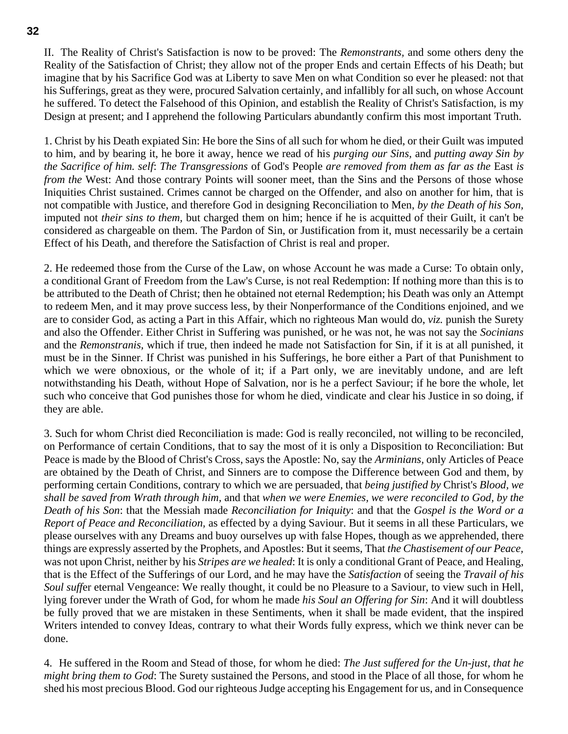II. The Reality of Christ's Satisfaction is now to be proved: The *Remonstrants,* and some others deny the Reality of the Satisfaction of Christ; they allow not of the proper Ends and certain Effects of his Death; but imagine that by his Sacrifice God was at Liberty to save Men on what Condition so ever he pleased: not that his Sufferings, great as they were, procured Salvation certainly, and infallibly for all such, on whose Account he suffered. To detect the Falsehood of this Opinion, and establish the Reality of Christ's Satisfaction, is my Design at present; and I apprehend the following Particulars abundantly confirm this most important Truth.

1. Christ by his Death expiated Sin: He bore the Sins of all such for whom he died, or their Guilt was imputed to him, and by bearing it, he bore it away, hence we read of his *purging our Sins,* and *putting away Sin by the Sacrifice of him. self*: *The Transgressions* of God's People *are removed from them as far as the* East *is from the* West: And those contrary Points will sooner meet, than the Sins and the Persons of those whose Iniquities Christ sustained. Crimes cannot be charged on the Offender, and also on another for him, that is not compatible with Justice, and therefore God in designing Reconciliation to Men, *by the Death of his Son,* imputed not *their sins to them,* but charged them on him; hence if he is acquitted of their Guilt, it can't be considered as chargeable on them. The Pardon of Sin, or Justification from it, must necessarily be a certain Effect of his Death, and therefore the Satisfaction of Christ is real and proper.

2. He redeemed those from the Curse of the Law, on whose Account he was made a Curse: To obtain only, a conditional Grant of Freedom from the Law's Curse, is not real Redemption: If nothing more than this is to be attributed to the Death of Christ; then he obtained not eternal Redemption; his Death was only an Attempt to redeem Men, and it may prove success less, by their Nonperformance of the Conditions enjoined, and we are to consider God, as acting a Part in this Affair, which no righteous Man would do, *viz.* punish the Surety and also the Offender. Either Christ in Suffering was punished, or he was not, he was not say the *Socinians*  and the *Remonstranis,* which if true, then indeed he made not Satisfaction for Sin, if it is at all punished, it must be in the Sinner. If Christ was punished in his Sufferings, he bore either a Part of that Punishment to which we were obnoxious, or the whole of it; if a Part only, we are inevitably undone, and are left notwithstanding his Death, without Hope of Salvation, nor is he a perfect Saviour; if he bore the whole, let such who conceive that God punishes those for whom he died, vindicate and clear his Justice in so doing, if they are able.

3. Such for whom Christ died Reconciliation is made: God is really reconciled, not willing to be reconciled, on Performance of certain Conditions, that to say the most of it is only a Disposition to Reconciliation: But Peace is made by the Blood of Christ's Cross, says the Apostle: No, say the *Arminians,* only Articles of Peace are obtained by the Death of Christ, and Sinners are to compose the Difference between God and them, by performing certain Conditions, contrary to which we are persuaded, that *being justified by* Christ's *Blood, we shall be saved from Wrath through him,* and that *when we were Enemies, we were reconciled to God, by the Death of his Son*: that the Messiah made *Reconciliation for Iniquity*: and that the *Gospel is the Word or a Report of Peace and Reconciliation,* as effected by a dying Saviour. But it seems in all these Particulars, we please ourselves with any Dreams and buoy ourselves up with false Hopes, though as we apprehended, there things are expressly asserted by the Prophets, and Apostles: But it seems, That *the Chastisement of our Peace,* was not upon Christ, neither by his *Stripes are we healed*: It is only a conditional Grant of Peace, and Healing, that is the Effect of the Sufferings of our Lord, and he may have the *Satisfaction* of seeing the *Travail of his Soul suff*er eternal Vengeance: We really thought, it could be no Pleasure to a Saviour, to view such in Hell, lying forever under the Wrath of God, for whom he made *his Soul an Offering for Sin*: And it will doubtless be fully proved that we are mistaken in these Sentiments, when it shall be made evident, that the inspired Writers intended to convey Ideas, contrary to what their Words fully express, which we think never can be done.

4. He suffered in the Room and Stead of those, for whom he died: *The Just suffered for the Un-just, that he might bring them to God*: The Surety sustained the Persons, and stood in the Place of all those, for whom he shed his most precious Blood. God our righteous Judge accepting his Engagement for us, and in Consequence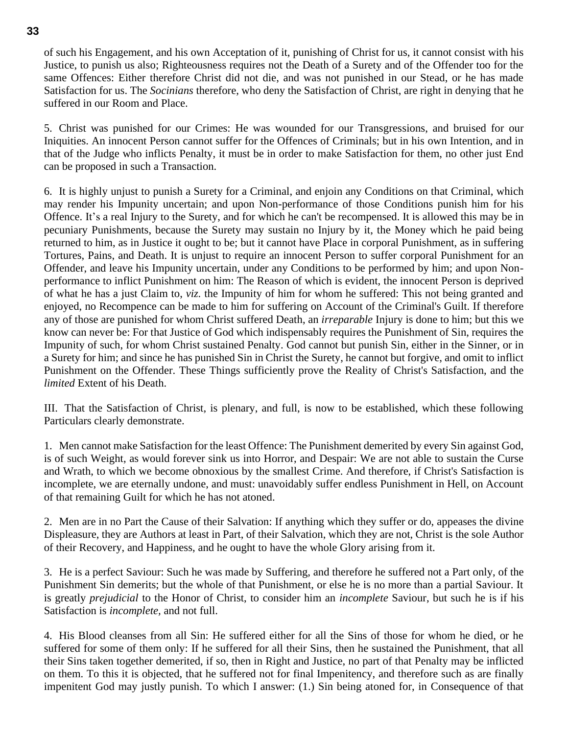of such his Engagement, and his own Acceptation of it, punishing of Christ for us, it cannot consist with his Justice, to punish us also; Righteousness requires not the Death of a Surety and of the Offender too for the same Offences: Either therefore Christ did not die, and was not punished in our Stead, or he has made Satisfaction for us. The *Socinians* therefore, who deny the Satisfaction of Christ, are right in denying that he suffered in our Room and Place.

5. Christ was punished for our Crimes: He was wounded for our Transgressions, and bruised for our Iniquities. An innocent Person cannot suffer for the Offences of Criminals; but in his own Intention, and in that of the Judge who inflicts Penalty, it must be in order to make Satisfaction for them, no other just End can be proposed in such a Transaction.

6. It is highly unjust to punish a Surety for a Criminal, and enjoin any Conditions on that Criminal, which may render his Impunity uncertain; and upon Non-performance of those Conditions punish him for his Offence. It's a real Injury to the Surety, and for which he can't be recompensed. It is allowed this may be in pecuniary Punishments, because the Surety may sustain no Injury by it, the Money which he paid being returned to him, as in Justice it ought to be; but it cannot have Place in corporal Punishment, as in suffering Tortures, Pains, and Death. It is unjust to require an innocent Person to suffer corporal Punishment for an Offender, and leave his Impunity uncertain, under any Conditions to be performed by him; and upon Nonperformance to inflict Punishment on him: The Reason of which is evident, the innocent Person is deprived of what he has a just Claim to, *viz.* the Impunity of him for whom he suffered: This not being granted and enjoyed, no Recompence can be made to him for suffering on Account of the Criminal's Guilt. If therefore any of those are punished for whom Christ suffered Death, an *irreparable* Injury is done to him; but this we know can never be: For that Justice of God which indispensably requires the Punishment of Sin, requires the Impunity of such, for whom Christ sustained Penalty. God cannot but punish Sin, either in the Sinner, or in a Surety for him; and since he has punished Sin in Christ the Surety, he cannot but forgive, and omit to inflict Punishment on the Offender. These Things sufficiently prove the Reality of Christ's Satisfaction, and the *limited* Extent of his Death.

III. That the Satisfaction of Christ, is plenary, and full, is now to be established, which these following Particulars clearly demonstrate.

1. Men cannot make Satisfaction for the least Offence: The Punishment demerited by every Sin against God, is of such Weight, as would forever sink us into Horror, and Despair: We are not able to sustain the Curse and Wrath, to which we become obnoxious by the smallest Crime. And therefore, if Christ's Satisfaction is incomplete, we are eternally undone, and must: unavoidably suffer endless Punishment in Hell, on Account of that remaining Guilt for which he has not atoned.

2. Men are in no Part the Cause of their Salvation: If anything which they suffer or do, appeases the divine Displeasure, they are Authors at least in Part, of their Salvation, which they are not, Christ is the sole Author of their Recovery, and Happiness, and he ought to have the whole Glory arising from it.

3. He is a perfect Saviour: Such he was made by Suffering, and therefore he suffered not a Part only, of the Punishment Sin demerits; but the whole of that Punishment, or else he is no more than a partial Saviour. It is greatly *prejudicial* to the Honor of Christ, to consider him an *incomplete* Saviour, but such he is if his Satisfaction is *incomplete,* and not full.

4. His Blood cleanses from all Sin: He suffered either for all the Sins of those for whom he died, or he suffered for some of them only: If he suffered for all their Sins, then he sustained the Punishment, that all their Sins taken together demerited, if so, then in Right and Justice, no part of that Penalty may be inflicted on them. To this it is objected, that he suffered not for final Impenitency, and therefore such as are finally impenitent God may justly punish. To which I answer: (1.) Sin being atoned for, in Consequence of that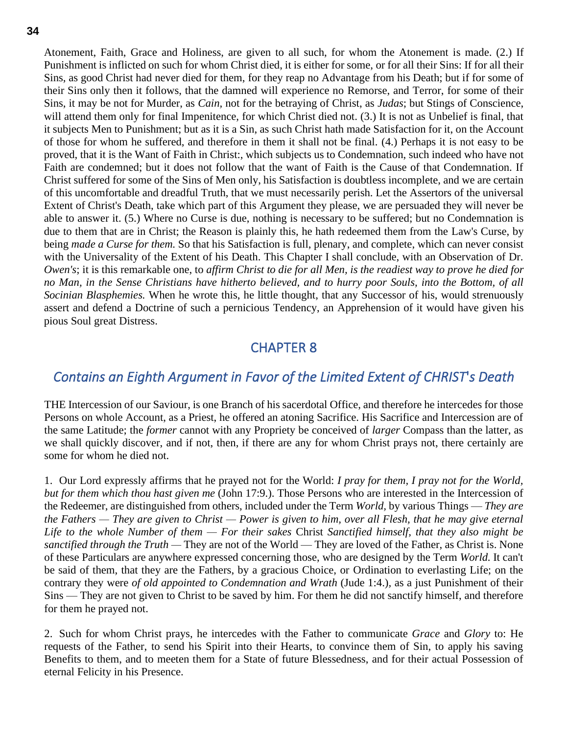Atonement, Faith, Grace and Holiness, are given to all such, for whom the Atonement is made. (2.) If Punishment is inflicted on such for whom Christ died, it is either for some, or for all their Sins: If for all their Sins, as good Christ had never died for them, for they reap no Advantage from his Death; but if for some of their Sins only then it follows, that the damned will experience no Remorse, and Terror, for some of their Sins, it may be not for Murder, as *Cain,* not for the betraying of Christ, as *Judas*; but Stings of Conscience, will attend them only for final Impenitence, for which Christ died not. (3.) It is not as Unbelief is final, that it subjects Men to Punishment; but as it is a Sin, as such Christ hath made Satisfaction for it, on the Account of those for whom he suffered, and therefore in them it shall not be final*.* (4.) Perhaps it is not easy to be proved, that it is the Want of Faith in Christ:, which subjects us to Condemnation, such indeed who have not Faith are condemned; but it does not follow that the want of Faith is the Cause of that Condemnation. If Christ suffered for some of the Sins of Men only, his Satisfaction is doubtless incomplete, and we are certain of this uncomfortable and dreadful Truth, that we must necessarily perish. Let the Assertors of the universal Extent of Christ's Death, take which part of this Argument they please, we are persuaded they will never be able to answer it. (5.) Where no Curse is due, nothing is necessary to be suffered; but no Condemnation is due to them that are in Christ; the Reason is plainly this, he hath redeemed them from the Law's Curse, by being *made a Curse for them.* So that his Satisfaction is full, plenary, and complete, which can never consist with the Universality of the Extent of his Death. This Chapter I shall conclude, with an Observation of Dr. *Owen's*; it is this remarkable one, to *affirm Christ to die for all Men, is the readiest way to prove he died for no Man, in the Sense Christians have hitherto believed, and to hurry poor Souls, into the Bottom, of all Socinian Blasphemies.* When he wrote this, he little thought, that any Successor of his, would strenuously assert and defend a Doctrine of such a pernicious Tendency, an Apprehension of it would have given his pious Soul great Distress.

## CHAPTER 8

## <span id="page-33-1"></span><span id="page-33-0"></span>*Contains an Eighth Argument in Favor of the Limited Extent of CHRIST*'*s Death*

THE Intercession of our Saviour, is one Branch of his sacerdotal Office, and therefore he intercedes for those Persons on whole Account, as a Priest, he offered an atoning Sacrifice. His Sacrifice and Intercession are of the same Latitude; the *former* cannot with any Propriety be conceived of *larger* Compass than the latter, as we shall quickly discover, and if not, then, if there are any for whom Christ prays not, there certainly are some for whom he died not.

1. Our Lord expressly affirms that he prayed not for the World: *I pray for them, I pray not for the World, but for them which thou hast given me* (John 17:9.). Those Persons who are interested in the Intercession of the Redeemer, are distinguished from others, included under the Term *World,* by various Things — *They are the Fathers — They are given to Christ — Power is given to him, over all Flesh, that he may give eternal Life to the whole Number of them — For their sakes* Christ *Sanctified himself, that they also might be sanctified through the Truth —* They are not of the World — They are loved of the Father, as Christ is. None of these Particulars are anywhere expressed concerning those, who are designed by the Term *World.* It can't be said of them, that they are the Fathers, by a gracious Choice, or Ordination to everlasting Life; on the contrary they were *of old appointed to Condemnation and Wrath* (Jude 1:4.)*,* as a just Punishment of their Sins — They are not given to Christ to be saved by him. For them he did not sanctify himself, and therefore for them he prayed not.

2. Such for whom Christ prays, he intercedes with the Father to communicate *Grace* and *Glory* to: He requests of the Father, to send his Spirit into their Hearts, to convince them of Sin, to apply his saving Benefits to them, and to meeten them for a State of future Blessedness, and for their actual Possession of eternal Felicity in his Presence.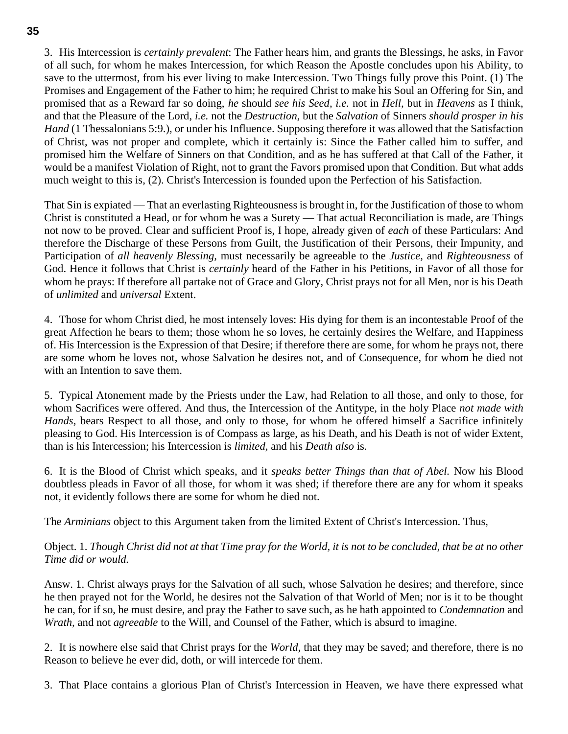3. His Intercession is *certainly prevalent*: The Father hears him, and grants the Blessings, he asks, in Favor of all such, for whom he makes Intercession, for which Reason the Apostle concludes upon his Ability, to save to the uttermost, from his ever living to make Intercession. Two Things fully prove this Point. (1) The Promises and Engagement of the Father to him; he required Christ to make his Soul an Offering for Sin, and promised that as a Reward far so doing, *he* should *see his Seed, i.e.* not in *Hell,* but in *Heavens* as I think, and that the Pleasure of the Lord, *i.e.* not the *Destruction,* but the *Salvation* of Sinners *should prosper in his Hand* (1 Thessalonians 5:9.)*,* or under his Influence. Supposing therefore it was allowed that the Satisfaction of Christ, was not proper and complete, which it certainly is: Since the Father called him to suffer, and promised him the Welfare of Sinners on that Condition, and as he has suffered at that Call of the Father, it would be a manifest Violation of Right, not to grant the Favors promised upon that Condition. But what adds much weight to this is, (2). Christ's Intercession is founded upon the Perfection of his Satisfaction.

That Sin is expiated — That an everlasting Righteousness is brought in, for the Justification of those to whom Christ is constituted a Head, or for whom he was a Surety — That actual Reconciliation is made, are Things not now to be proved. Clear and sufficient Proof is, I hope, already given of *each* of these Particulars: And therefore the Discharge of these Persons from Guilt, the Justification of their Persons, their Impunity, and Participation of *all heavenly Blessing,* must necessarily be agreeable to the *Justice,* and *Righteousness* of God. Hence it follows that Christ is *certainly* heard of the Father in his Petitions, in Favor of all those for whom he prays: If therefore all partake not of Grace and Glory, Christ prays not for all Men, nor is his Death of *unlimited* and *universal* Extent.

4. Those for whom Christ died, he most intensely loves: His dying for them is an incontestable Proof of the great Affection he bears to them; those whom he so loves, he certainly desires the Welfare, and Happiness of. His Intercession is the Expression of that Desire; if therefore there are some, for whom he prays not, there are some whom he loves not, whose Salvation he desires not, and of Consequence, for whom he died not with an Intention to save them.

5. Typical Atonement made by the Priests under the Law, had Relation to all those, and only to those, for whom Sacrifices were offered. And thus, the Intercession of the Antitype, in the holy Place *not made with Hands,* bears Respect to all those, and only to those, for whom he offered himself a Sacrifice infinitely pleasing to God. His Intercession is of Compass as large, as his Death, and his Death is not of wider Extent, than is his Intercession; his Intercession is *limited,* and his *Death also* is.

6. It is the Blood of Christ which speaks, and it *speaks better Things than that of Abel.* Now his Blood doubtless pleads in Favor of all those, for whom it was shed; if therefore there are any for whom it speaks not, it evidently follows there are some for whom he died not.

The *Arminians* object to this Argument taken from the limited Extent of Christ's Intercession. Thus,

Object. 1. *Though Christ did not at that Time pray for the World, it is not to be concluded, that be at no other Time did or would.*

Answ. 1. Christ always prays for the Salvation of all such, whose Salvation he desires; and therefore, since he then prayed not for the World, he desires not the Salvation of that World of Men; nor is it to be thought he can, for if so, he must desire, and pray the Father to save such, as he hath appointed to *Condemnation* and *Wrath,* and not *agreeable* to the Will, and Counsel of the Father, which is absurd to imagine.

2. It is nowhere else said that Christ prays for the *World,* that they may be saved; and therefore, there is no Reason to believe he ever did, doth, or will intercede for them.

3. That Place contains a glorious Plan of Christ's Intercession in Heaven, we have there expressed what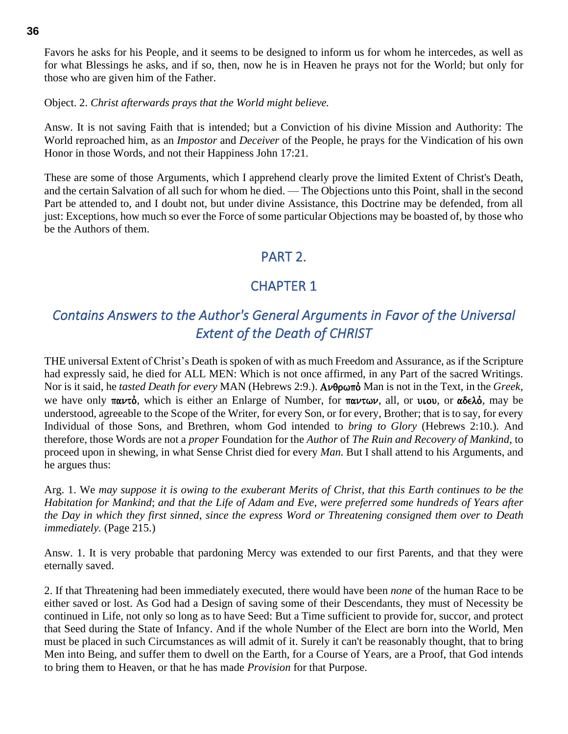Favors he asks for his People, and it seems to be designed to inform us for whom he intercedes, as well as for what Blessings he asks, and if so, then, now he is in Heaven he prays not for the World; but only for those who are given him of the Father.

Object. 2. *Christ afterwards prays that the World might believe.*

Answ. It is not saving Faith that is intended; but a Conviction of his divine Mission and Authority: The World reproached him, as an *Impostor* and *Deceiver* of the People, he prays for the Vindication of his own Honor in those Words, and not their Happiness John 17:21.

These are some of those Arguments, which I apprehend clearly prove the limited Extent of Christ's Death, and the certain Salvation of all such for whom he died. — The Objections unto this Point, shall in the second Part be attended to, and I doubt not, but under divine Assistance, this Doctrine may be defended, from all just: Exceptions, how much so ever the Force of some particular Objections may be boasted of, by those who be the Authors of them.

## PART 2.

## CHAPTER 1

# <span id="page-35-2"></span><span id="page-35-1"></span><span id="page-35-0"></span>*Contains Answers to the Author's General Arguments in Favor of the Universal Extent of the Death of CHRIST*

THE universal Extent of Christ's Death is spoken of with as much Freedom and Assurance, as if the Scripture had expressly said, he died for ALL MEN: Which is not once affirmed, in any Part of the sacred Writings. Nor is it said, he *tasted Death for every* MAN (Hebrews 2:9.). **Ανθρωπό** Man is not in the Text, in the *Greek*, we have only  $\pi \alpha \nu \tau \dot{\phi}$ , which is either an Enlarge of Number, for  $\pi \alpha \nu \tau \omega \nu$ , all, or uiou, or  $\alpha \delta \epsilon \lambda \dot{\phi}$ , may be understood, agreeable to the Scope of the Writer, for every Son, or for every, Brother; that is to say, for every Individual of those Sons, and Brethren, whom God intended to *bring to Glory* (Hebrews 2:10.)*.* And therefore, those Words are not a *proper* Foundation for the *Author* of *The Ruin and Recovery of Mankind*, to proceed upon in shewing, in what Sense Christ died for every *Man.* But I shall attend to his Arguments, and he argues thus:

Arg. 1. We *may suppose it is owing to the exuberant Merits of Christ*, *that this Earth continues to be the Habitation for Mankind*; *and that the Life of Adam and Eve*, *were preferred some hundreds of Years after the Day in which they first sinned*, *since the express Word or Threatening consigned them over to Death immediately.* (Page 215.)

Answ. 1. It is very probable that pardoning Mercy was extended to our first Parents, and that they were eternally saved.

2. If that Threatening had been immediately executed, there would have been *none* of the human Race to be either saved or lost. As God had a Design of saving some of their Descendants, they must of Necessity be continued in Life, not only so long as to have Seed: But a Time sufficient to provide for, succor, and protect that Seed during the State of Infancy. And if the whole Number of the Elect are born into the World, Men must be placed in such Circumstances as will admit of it. Surely it can't be reasonably thought, that to bring Men into Being, and suffer them to dwell on the Earth, for a Course of Years, are a Proof, that God intends to bring them to Heaven, or that he has made *Provision* for that Purpose.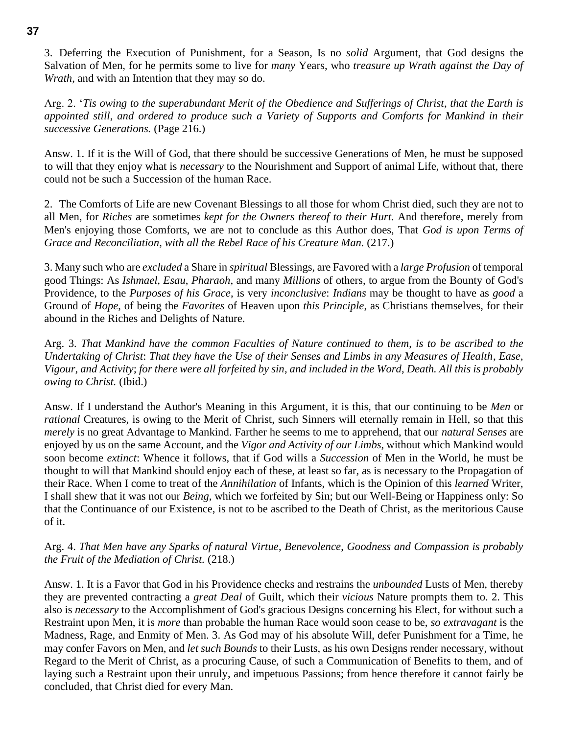3. Deferring the Execution of Punishment, for a Season, Is no *solid* Argument, that God designs the Salvation of Men, for he permits some to live for *many* Years, who *treasure up Wrath against the Day of Wrath*, and with an Intention that they may so do.

Arg. 2. '*Tis owing to the superabundant Merit of the Obedience and Sufferings of Christ*, *that the Earth is appointed still*, *and ordered to produce such a Variety of Supports and Comforts for Mankind in their successive Generations.* (Page 216.)

Answ. 1. If it is the Will of God, that there should be successive Generations of Men, he must be supposed to will that they enjoy what is *necessary* to the Nourishment and Support of animal Life, without that, there could not be such a Succession of the human Race.

2. The Comforts of Life are new Covenant Blessings to all those for whom Christ died, such they are not to all Men, for *Riches* are sometimes *kept for the Owners thereof to their Hurt.* And therefore, merely from Men's enjoying those Comforts, we are not to conclude as this Author does, That *God is upon Terms of Grace and Reconciliation*, *with all the Rebel Race of his Creature Man.* (217.)

3. Many such who are *excluded* a Share in *spiritual* Blessings, are Favored with a *large Profusion* of temporal good Things: As *Ishmael*, *Esau*, *Pharaoh*, and many *Millions* of others, to argue from the Bounty of God's Providence, to the *Purposes of his Grace*, is very *inconclusive*: *Indians* may be thought to have as *good* a Ground of *Hope*, of being the *Favorites* of Heaven upon *this Principle*, as Christians themselves, for their abound in the Riches and Delights of Nature.

Arg. 3. *That Mankind have the common Faculties of Nature continued to them*, *is to be ascribed to the Undertaking of Christ*: *That they have the Use of their Senses and Limbs in any Measures of Health*, *Ease*, *Vigour*, *and Activity*; *for there were all forfeited by sin*, *and included in the Word*, *Death. All this is probably owing to Christ.* (Ibid.)

Answ. If I understand the Author's Meaning in this Argument, it is this, that our continuing to be *Men* or *rational* Creatures, is owing to the Merit of Christ, such Sinners will eternally remain in Hell, so that this *merely* is no great Advantage to Mankind. Farther he seems to me to apprehend, that our *natural Senses* are enjoyed by us on the same Account, and the *Vigor and Activity of our Limbs*, without which Mankind would soon become *extinct*: Whence it follows, that if God wills a *Succession* of Men in the World, he must be thought to will that Mankind should enjoy each of these, at least so far, as is necessary to the Propagation of their Race. When I come to treat of the *Annihilation* of Infants, which is the Opinion of this *learned* Writer, I shall shew that it was not our *Being*, which we forfeited by Sin; but our Well-Being or Happiness only: So that the Continuance of our Existence, is not to be ascribed to the Death of Christ, as the meritorious Cause of it.

#### Arg. 4. *That Men have any Sparks of natural Virtue*, *Benevolence*, *Goodness and Compassion is probably the Fruit of the Mediation of Christ.* (218.)

Answ. 1. It is a Favor that God in his Providence checks and restrains the *unbounded* Lusts of Men, thereby they are prevented contracting a *great Deal* of Guilt, which their *vicious* Nature prompts them to. 2. This also is *necessary* to the Accomplishment of God's gracious Designs concerning his Elect, for without such a Restraint upon Men, it is *more* than probable the human Race would soon cease to be, *so extravagant* is the Madness, Rage, and Enmity of Men. 3. As God may of his absolute Will, defer Punishment for a Time, he may confer Favors on Men, and *let such Bounds* to their Lusts, as his own Designs render necessary, without Regard to the Merit of Christ, as a procuring Cause, of such a Communication of Benefits to them, and of laying such a Restraint upon their unruly, and impetuous Passions; from hence therefore it cannot fairly be concluded, that Christ died for every Man.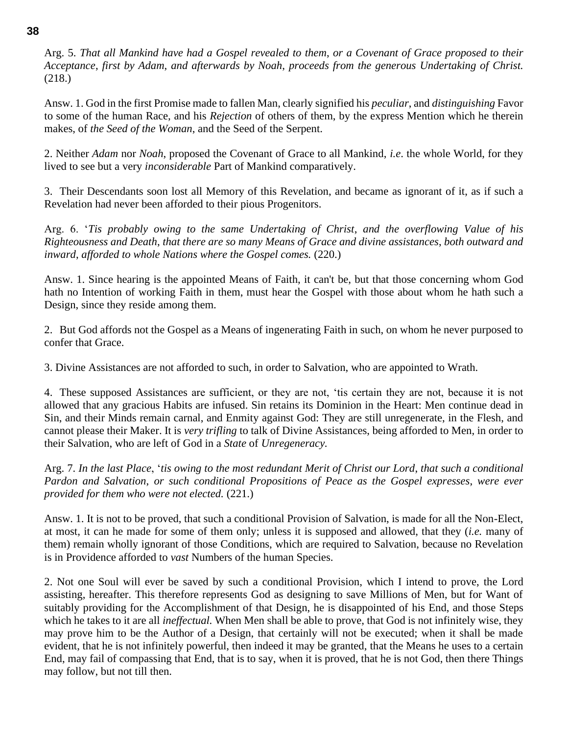Arg. 5. *That all Mankind have had a Gospel revealed to them*, *or a Covenant of Grace proposed to their Acceptance*, *first by Adam*, *and afterwards by Noah*, *proceeds from the generous Undertaking of Christ.* (218.)

Answ. 1. God in the first Promise made to fallen Man, clearly signified his *peculiar*, and *distinguishing* Favor to some of the human Race, and his *Rejection* of others of them, by the express Mention which he therein makes, of *the Seed of the Woman*, and the Seed of the Serpent.

2. Neither *Adam* nor *Noah*, proposed the Covenant of Grace to all Mankind, *i.e*. the whole World, for they lived to see but a very *inconsiderable* Part of Mankind comparatively.

3. Their Descendants soon lost all Memory of this Revelation, and became as ignorant of it, as if such a Revelation had never been afforded to their pious Progenitors.

Arg. 6. '*Tis probably owing to the same Undertaking of Christ*, *and the overflowing Value of his Righteousness and Death*, *that there are so many Means of Grace and divine assistances*, *both outward and inward*, *afforded to whole Nations where the Gospel comes.* (220.)

Answ. 1. Since hearing is the appointed Means of Faith, it can't be, but that those concerning whom God hath no Intention of working Faith in them, must hear the Gospel with those about whom he hath such a Design, since they reside among them.

2. But God affords not the Gospel as a Means of ingenerating Faith in such, on whom he never purposed to confer that Grace.

3. Divine Assistances are not afforded to such, in order to Salvation, who are appointed to Wrath.

4. These supposed Assistances are sufficient, or they are not, 'tis certain they are not, because it is not allowed that any gracious Habits are infused. Sin retains its Dominion in the Heart: Men continue dead in Sin, and their Minds remain carnal, and Enmity against God: They are still unregenerate, in the Flesh, and cannot please their Maker. It is *very trifling* to talk of Divine Assistances, being afforded to Men, in order to their Salvation, who are left of God in a *State* of *Unregeneracy.*

Arg. 7. *In the last Place*, '*tis owing to the most redundant Merit of Christ our Lord*, *that such a conditional Pardon and Salvation*, *or such conditional Propositions of Peace as the Gospel expresses*, *were ever provided for them who were not elected.* (221.)

Answ. 1. It is not to be proved, that such a conditional Provision of Salvation, is made for all the Non-Elect, at most, it can he made for some of them only; unless it is supposed and allowed, that they (*i.e.* many of them) remain wholly ignorant of those Conditions, which are required to Salvation, because no Revelation is in Providence afforded to *vast* Numbers of the human Species.

2. Not one Soul will ever be saved by such a conditional Provision, which I intend to prove, the Lord assisting, hereafter. This therefore represents God as designing to save Millions of Men, but for Want of suitably providing for the Accomplishment of that Design, he is disappointed of his End, and those Steps which he takes to it are all *ineffectual*. When Men shall be able to prove, that God is not infinitely wise, they may prove him to be the Author of a Design, that certainly will not be executed; when it shall be made evident, that he is not infinitely powerful, then indeed it may be granted, that the Means he uses to a certain End, may fail of compassing that End, that is to say, when it is proved, that he is not God, then there Things may follow, but not till then.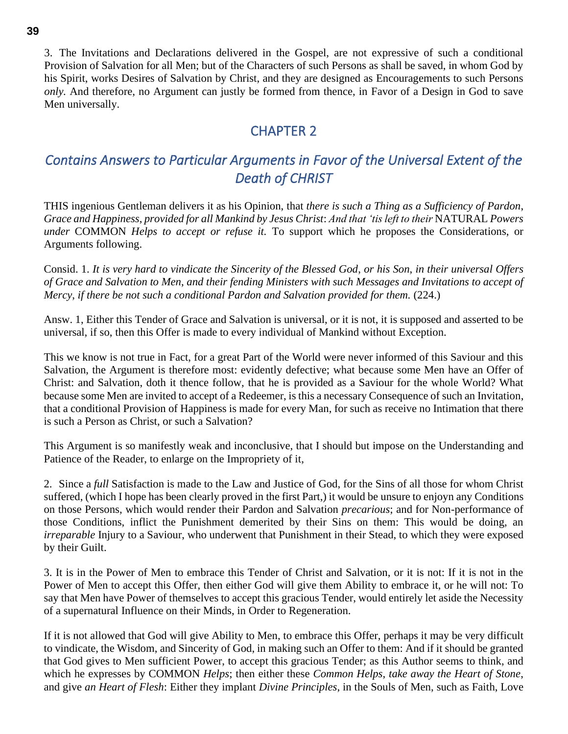3. The Invitations and Declarations delivered in the Gospel, are not expressive of such a conditional Provision of Salvation for all Men; but of the Characters of such Persons as shall be saved, in whom God by his Spirit, works Desires of Salvation by Christ, and they are designed as Encouragements to such Persons *only.* And therefore, no Argument can justly be formed from thence, in Favor of a Design in God to save Men universally.

## CHAPTER 2

# *Contains Answers to Particular Arguments in Favor of the Universal Extent of the Death of CHRIST*

THIS ingenious Gentleman delivers it as his Opinion, that *there is such a Thing as a Sufficiency of Pardon*, *Grace and Happiness*, *provided for all Mankind by Jesus Christ*: *And that 'tis left to their* NATURAL *Powers under* COMMON *Helps to accept or refuse it.* To support which he proposes the Considerations, or Arguments following.

Consid. 1. *It is very hard to vindicate the Sincerity of the Blessed God*, *or his Son*, *in their universal Offers of Grace and Salvation to Men*, *and their fending Ministers with such Messages and Invitations to accept of Mercy*, *if there be not such a conditional Pardon and Salvation provided for them.* (224.)

Answ. 1, Either this Tender of Grace and Salvation is universal, or it is not, it is supposed and asserted to be universal, if so, then this Offer is made to every individual of Mankind without Exception.

This we know is not true in Fact, for a great Part of the World were never informed of this Saviour and this Salvation, the Argument is therefore most: evidently defective; what because some Men have an Offer of Christ: and Salvation, doth it thence follow, that he is provided as a Saviour for the whole World? What because some Men are invited to accept of a Redeemer, is this a necessary Consequence of such an Invitation, that a conditional Provision of Happiness is made for every Man, for such as receive no Intimation that there is such a Person as Christ, or such a Salvation?

This Argument is so manifestly weak and inconclusive, that I should but impose on the Understanding and Patience of the Reader, to enlarge on the Impropriety of it,

2. Since a *full* Satisfaction is made to the Law and Justice of God, for the Sins of all those for whom Christ suffered, (which I hope has been clearly proved in the first Part,) it would be unsure to enjoyn any Conditions on those Persons, which would render their Pardon and Salvation *precarious*; and for Non-performance of those Conditions, inflict the Punishment demerited by their Sins on them: This would be doing, an *irreparable* Injury to a Saviour, who underwent that Punishment in their Stead, to which they were exposed by their Guilt.

3. It is in the Power of Men to embrace this Tender of Christ and Salvation, or it is not: If it is not in the Power of Men to accept this Offer, then either God will give them Ability to embrace it, or he will not: To say that Men have Power of themselves to accept this gracious Tender, would entirely let aside the Necessity of a supernatural Influence on their Minds, in Order to Regeneration.

If it is not allowed that God will give Ability to Men, to embrace this Offer, perhaps it may be very difficult to vindicate, the Wisdom, and Sincerity of God, in making such an Offer to them: And if it should be granted that God gives to Men sufficient Power, to accept this gracious Tender; as this Author seems to think, and which he expresses by COMMON *Helps*; then either these *Common Helps*, *take away the Heart of Stone*, and give *an Heart of Flesh*: Either they implant *Divine Principles*, in the Souls of Men, such as Faith, Love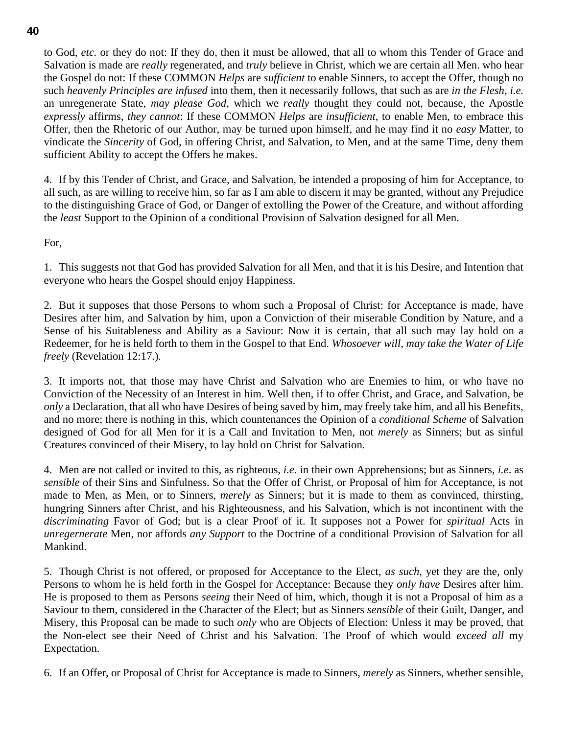to God, *etc.* or they do not: If they do, then it must be allowed, that all to whom this Tender of Grace and Salvation is made are *really* regenerated, and *truly* believe in Christ, which we are certain all Men. who hear the Gospel do not: If these COMMON *Helps* are *sufficient* to enable Sinners, to accept the Offer, though no such *heavenly Principles are infused* into them, then it necessarily follows, that such as are *in the Flesh*, *i.e.* an unregenerate State, *may please God*, which we *really* thought they could not, because, the Apostle *expressly* affirms, *they cannot*: If these COMMON *Helps* are *insufficient*, to enable Men, to embrace this Offer, then the Rhetoric of our Author, may be turned upon himself, and he may find it no *easy* Matter, to vindicate the *Sincerity* of God, in offering Christ, and Salvation, to Men, and at the same Time, deny them sufficient Ability to accept the Offers he makes.

4. If by this Tender of Christ, and Grace, and Salvation, be intended a proposing of him for Acceptance, to all such, as are willing to receive him, so far as I am able to discern it may be granted, without any Prejudice to the distinguishing Grace of God, or Danger of extolling the Power of the Creature, and without affording the *least* Support to the Opinion of a conditional Provision of Salvation designed for all Men.

For,

1. This suggests not that God has provided Salvation for all Men, and that it is his Desire, and Intention that everyone who hears the Gospel should enjoy Happiness.

2. But it supposes that those Persons to whom such a Proposal of Christ: for Acceptance is made, have Desires after him, and Salvation by him, upon a Conviction of their miserable Condition by Nature, and a Sense of his Suitableness and Ability as a Saviour: Now it is certain, that all such may lay hold on a Redeemer, for he is held forth to them in the Gospel to that End. *Whosoever will*, *may take the Water of Life freely* (Revelation 12:17.)*.*

3. It imports not, that those may have Christ and Salvation who are Enemies to him, or who have no Conviction of the Necessity of an Interest in him. Well then, if to offer Christ, and Grace, and Salvation, be *only* a Declaration, that all who have Desires of being saved by him, may freely take him, and all his Benefits, and no more; there is nothing in this, which countenances the Opinion of a *conditional Scheme* of Salvation designed of God for all Men for it is a Call and Invitation to Men, not *merely* as Sinners; but as sinful Creatures convinced of their Misery, to lay hold on Christ for Salvation.

4. Men are not called or invited to this, as righteous, *i.e.* in their own Apprehensions; but as Sinners, *i.e*. as *sensible* of their Sins and Sinfulness. So that the Offer of Christ, or Proposal of him for Acceptance, is not made to Men, as Men, or to Sinners, *merely* as Sinners; but it is made to them as convinced, thirsting, hungring Sinners after Christ, and his Righteousness, and his Salvation, which is not incontinent with the *discriminating* Favor of God; but is a clear Proof of it. It supposes not a Power for *spiritual* Acts in *unregernerate* Men, nor affords *any Support* to the Doctrine of a conditional Provision of Salvation for all Mankind.

5. Though Christ is not offered, or proposed for Acceptance to the Elect, *as such*, yet they are the, only Persons to whom he is held forth in the Gospel for Acceptance: Because they *only have* Desires after him. He is proposed to them as Persons *seeing* their Need of him, which, though it is not a Proposal of him as a Saviour to them, considered in the Character of the Elect; but as Sinners *sensible* of their Guilt, Danger, and Misery, this Proposal can be made to such *only* who are Objects of Election: Unless it may be proved, that the Non-elect see their Need of Christ and his Salvation. The Proof of which would *exceed all* my Expectation.

6. If an Offer, or Proposal of Christ for Acceptance is made to Sinners, *merely* as Sinners, whether sensible,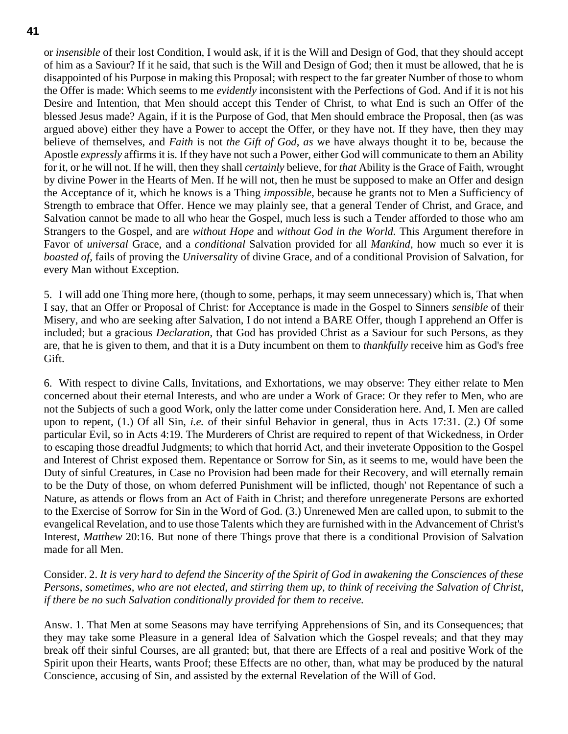or *insensible* of their lost Condition, I would ask, if it is the Will and Design of God, that they should accept of him as a Saviour? If it he said, that such is the Will and Design of God; then it must be allowed, that he is disappointed of his Purpose in making this Proposal; with respect to the far greater Number of those to whom the Offer is made: Which seems to me *evidently* inconsistent with the Perfections of God. And if it is not his Desire and Intention, that Men should accept this Tender of Christ, to what End is such an Offer of the blessed Jesus made? Again, if it is the Purpose of God, that Men should embrace the Proposal, then (as was argued above) either they have a Power to accept the Offer, or they have not. If they have, then they may believe of themselves, and *Faith* is not *the Gift of God*, *as* we have always thought it to be, because the Apostle *expressly* affirms it is. If they have not such a Power, either God will communicate to them an Ability for it, or he will not. If he will, then they shall *certainly* believe, for *that* Ability is the Grace of Faith, wrought by divine Power in the Hearts of Men. If he will not, then he must be supposed to make an Offer and design the Acceptance of it, which he knows is a Thing *impossible*, because he grants not to Men a Sufficiency of Strength to embrace that Offer. Hence we may plainly see, that a general Tender of Christ, and Grace, and Salvation cannot be made to all who hear the Gospel, much less is such a Tender afforded to those who am Strangers to the Gospel, and are *without Hope* and *without God in the World.* This Argument therefore in Favor of *universal* Grace, and a *conditional* Salvation provided for all *Mankind*, how much so ever it is *boasted of*, fails of proving the *Universalit*y of divine Grace, and of a conditional Provision of Salvation, for every Man without Exception.

5. I will add one Thing more here, (though to some, perhaps, it may seem unnecessary) which is, That when I say, that an Offer or Proposal of Christ: for Acceptance is made in the Gospel to Sinners *sensible* of their Misery, and who are seeking after Salvation, I do not intend a BARE Offer, though I apprehend an Offer is included; but a gracious *Declaration*, that God has provided Christ as a Saviour for such Persons, as they are, that he is given to them, and that it is a Duty incumbent on them to *thankfully* receive him as God's free Gift.

6. With respect to divine Calls, Invitations, and Exhortations, we may observe: They either relate to Men concerned about their eternal Interests, and who are under a Work of Grace: Or they refer to Men, who are not the Subjects of such a good Work, only the latter come under Consideration here. And, I. Men are called upon to repent, (1.) Of all Sin, *i.e.* of their sinful Behavior in general, thus in Acts 17:31. (2.) Of some particular Evil, so in Acts 4:19. The Murderers of Christ are required to repent of that Wickedness, in Order to escaping those dreadful Judgments; to which that horrid Act, and their inveterate Opposition to the Gospel and Interest of Christ exposed them. Repentance or Sorrow for Sin, as it seems to me, would have been the Duty of sinful Creatures, in Case no Provision had been made for their Recovery, and will eternally remain to be the Duty of those, on whom deferred Punishment will be inflicted, though' not Repentance of such a Nature, as attends or flows from an Act of Faith in Christ; and therefore unregenerate Persons are exhorted to the Exercise of Sorrow for Sin in the Word of God. (3.) Unrenewed Men are called upon, to submit to the evangelical Revelation, and to use those Talents which they are furnished with in the Advancement of Christ's Interest, *Matthew* 20:16. But none of there Things prove that there is a conditional Provision of Salvation made for all Men.

Consider. 2. *It is very hard to defend the Sincerity of the Spirit of God in awakening the Consciences of these Persons*, *sometimes*, *who are not elected*, *and stirring them up*, *to think of receiving the Salvation of Christ*, *if there be no such Salvation conditionally provided for them to receive.*

Answ. 1. That Men at some Seasons may have terrifying Apprehensions of Sin, and its Consequences; that they may take some Pleasure in a general Idea of Salvation which the Gospel reveals; and that they may break off their sinful Courses, are all granted; but, that there are Effects of a real and positive Work of the Spirit upon their Hearts, wants Proof; these Effects are no other, than, what may be produced by the natural Conscience, accusing of Sin, and assisted by the external Revelation of the Will of God.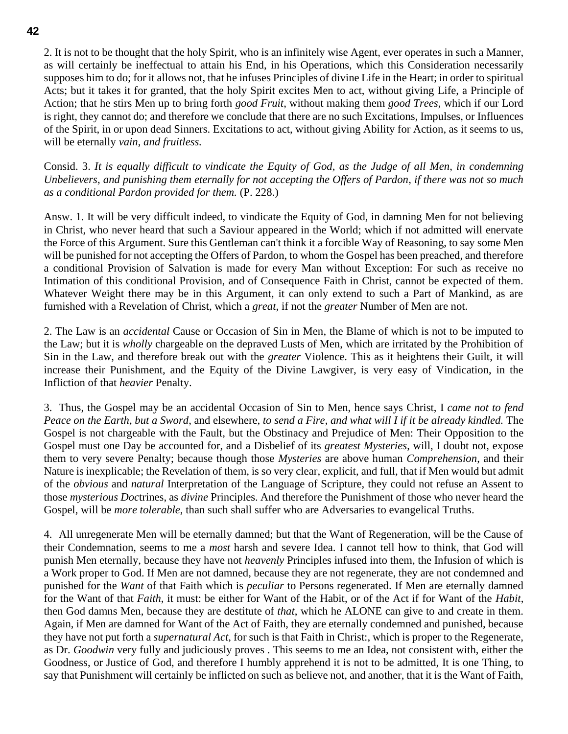**42**

2. It is not to be thought that the holy Spirit, who is an infinitely wise Agent, ever operates in such a Manner, as will certainly be ineffectual to attain his End, in his Operations, which this Consideration necessarily supposes him to do; for it allows not, that he infuses Principles of divine Life in the Heart; in order to spiritual Acts; but it takes it for granted, that the holy Spirit excites Men to act, without giving Life, a Principle of Action; that he stirs Men up to bring forth *good Fruit*, without making them *good Trees*, which if our Lord is right, they cannot do; and therefore we conclude that there are no such Excitations, Impulses, or Influences of the Spirit, in or upon dead Sinners. Excitations to act, without giving Ability for Action, as it seems to us, will be eternally *vain*, *and fruitless.*

Consid. 3. *It is equally difficult to vindicate the Equity of God*, *as the Judge of all Men*, *in condemning Unbelievers*, *and punishing them eternally for not accepting the Offers of Pardon*, *if there was not so much as a conditional Pardon provided for them.* (P. 228.)

Answ. 1. It will be very difficult indeed, to vindicate the Equity of God, in damning Men for not believing in Christ, who never heard that such a Saviour appeared in the World; which if not admitted will enervate the Force of this Argument. Sure this Gentleman can't think it a forcible Way of Reasoning, to say some Men will be punished for not accepting the Offers of Pardon, to whom the Gospel has been preached, and therefore a conditional Provision of Salvation is made for every Man without Exception: For such as receive no Intimation of this conditional Provision, and of Consequence Faith in Christ, cannot be expected of them. Whatever Weight there may be in this Argument, it can only extend to such a Part of Mankind, as are furnished with a Revelation of Christ, which a *great*, if not the *greater* Number of Men are not.

2. The Law is an *accidental* Cause or Occasion of Sin in Men, the Blame of which is not to be imputed to the Law; but it is *wholly* chargeable on the depraved Lusts of Men, which are irritated by the Prohibition of Sin in the Law, and therefore break out with the *greater* Violence. This as it heightens their Guilt, it will increase their Punishment, and the Equity of the Divine Lawgiver, is very easy of Vindication, in the Infliction of that *heavier* Penalty.

3. Thus, the Gospel may be an accidental Occasion of Sin to Men, hence says Christ, I *came not to fend Peace on the Earth*, *but a Sword*, and elsewhere, *to send a Fire*, *and what will I if it be already kindled.* The Gospel is not chargeable with the Fault, but the Obstinacy and Prejudice of Men: Their Opposition to the Gospel must one Day be accounted for, and a Disbelief of its *greatest Mysteries*, will, I doubt not, expose them to very severe Penalty; because though those *Mysteries* are above human *Comprehension*, and their Nature is inexplicable; the Revelation of them, is so very clear, explicit, and full, that if Men would but admit of the *obvious* and *natural* Interpretation of the Language of Scripture, they could not refuse an Assent to those *mysterious Doc*trines, as *divine* Principles. And therefore the Punishment of those who never heard the Gospel, will be *more tolerable*, than such shall suffer who are Adversaries to evangelical Truths.

4. All unregenerate Men will be eternally damned; but that the Want of Regeneration, will be the Cause of their Condemnation, seems to me a *most* harsh and severe Idea. I cannot tell how to think, that God will punish Men eternally, because they have not *heavenly* Principles infused into them, the Infusion of which is a Work proper to God. If Men are not damned, because they are not regenerate, they are not condemned and punished for the *Want* of that Faith which is *peculiar* to Persons regenerated. If Men are eternally damned for the Want of that *Faith*, it must: be either for Want of the Habit, or of the Act if for Want of the *Habit*, then God damns Men, because they are destitute of *that*, which he ALONE can give to and create in them. Again, if Men are damned for Want of the Act of Faith, they are eternally condemned and punished, because they have not put forth a *supernatural Act*, for such is that Faith in Christ:, which is proper to the Regenerate, as Dr. *Goodwin* very fully and judiciously proves . This seems to me an Idea, not consistent with, either the Goodness, or Justice of God, and therefore I humbly apprehend it is not to be admitted, It is one Thing, to say that Punishment will certainly be inflicted on such as believe not, and another, that it is the Want of Faith,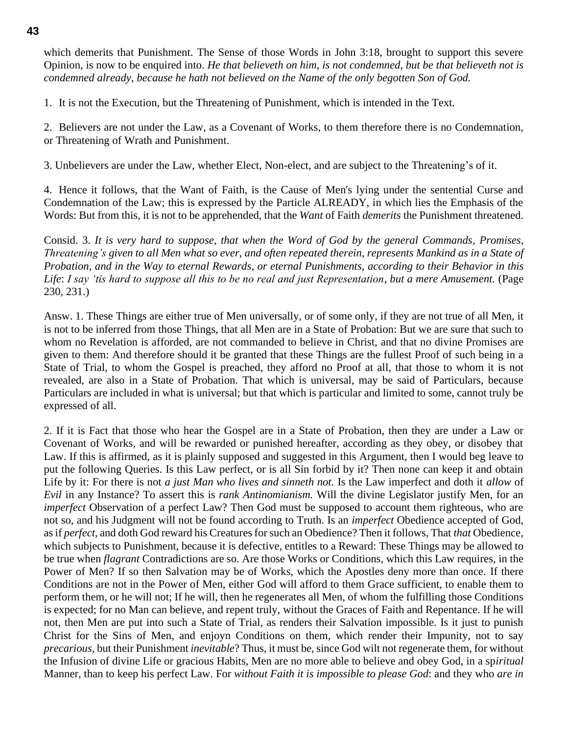which demerits that Punishment. The Sense of those Words in John 3:18, brought to support this severe Opinion, is now to be enquired into. *He that believeth on him*, *is not condemned*, *but be that believeth not is condemned already*, *because he hath not believed on the Name of the only begotten Son of God.*

1. It is not the Execution, but the Threatening of Punishment, which is intended in the Text.

2. Believers are not under the Law, as a Covenant of Works, to them therefore there is no Condemnation, or Threatening of Wrath and Punishment.

3. Unbelievers are under the Law, whether Elect, Non-elect, and are subject to the Threatening's of it.

4. Hence it follows, that the Want of Faith, is the Cause of Men's lying under the sentential Curse and Condemnation of the Law; this is expressed by the Particle ALREADY, in which lies the Emphasis of the Words: But from this, it is not to be apprehended, that the *Want* of Faith *demerits* the Punishment threatened.

Consid. 3. *It is very hard to suppose*, *that when the Word of God by the general Commands*, *Promises*, *Threatening's given to all Men what so ever*, *and often repeated therein*, *represents Mankind as in a State of Probation*, *and in the Way to eternal Rewards*, *or eternal Punishments*, *according to their Behavior in this Life*: *I say 'tis hard to suppose all this to be no real and just Representation*, *but a mere Amusement.* (Page 230, 231.)

Answ. 1. These Things are either true of Men universally, or of some only, if they are not true of all Men, it is not to be inferred from those Things, that all Men are in a State of Probation: But we are sure that such to whom no Revelation is afforded, are not commanded to believe in Christ, and that no divine Promises are given to them: And therefore should it be granted that these Things are the fullest Proof of such being in a State of Trial, to whom the Gospel is preached, they afford no Proof at all, that those to whom it is not revealed, are also in a State of Probation. That which is universal, may be said of Particulars, because Particulars are included in what is universal; but that which is particular and limited to some, cannot truly be expressed of all.

2. If it is Fact that those who hear the Gospel are in a State of Probation, then they are under a Law or Covenant of Works, and will be rewarded or punished hereafter, according as they obey, or disobey that Law. If this is affirmed, as it is plainly supposed and suggested in this Argument, then I would beg leave to put the following Queries. Is this Law perfect, or is all Sin forbid by it? Then none can keep it and obtain Life by it: For there is not *a just Man who lives and sinneth not.* Is the Law imperfect and doth it *allow* of *Evil* in any Instance? To assert this is *rank Antinomianism.* Will the divine Legislator justify Men, for an *imperfect* Observation of a perfect Law? Then God must be supposed to account them righteous, who are not so, and his Judgment will not be found according to Truth. Is an *imperfect* Obedience accepted of God, as if *perfect*, and doth God reward his Creatures for such an Obedience? Then it follows, That *that* Obedience, which subjects to Punishment, because it is defective, entitles to a Reward: These Things may be allowed to be true when *flagrant* Contradictions are so. Are those Works or Conditions, which this Law requires, in the Power of Men? If so then Salvation may be of Works, which the Apostles deny more than once. If there Conditions are not in the Power of Men, either God will afford to them Grace sufficient, to enable them to perform them, or he will not; If he will, then he regenerates all Men, of whom the fulfilling those Conditions is expected; for no Man can believe, and repent truly, without the Graces of Faith and Repentance. If he will not, then Men are put into such a State of Trial, as renders their Salvation impossible. Is it just to punish Christ for the Sins of Men, and enjoyn Conditions on them, which render their Impunity, not to say *precarious*, but their Punishment *inevitable*? Thus, it must be, since God wilt not regenerate them, for without the Infusion of divine Life or gracious Habits, Men are no more able to believe and obey God, in a sp*iritual* Manner, than to keep his perfect Law. For *without Faith it is impossible to please God*: and they who *are in*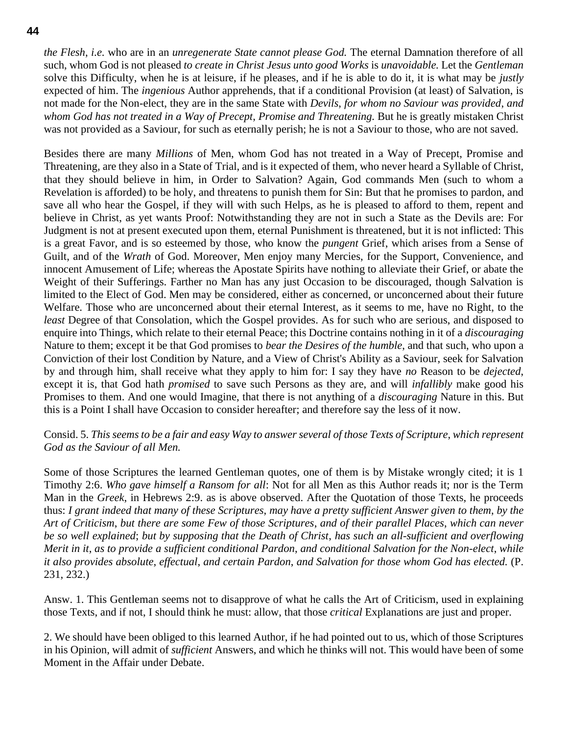*the Flesh*, *i.e.* who are in an *unregenerate State cannot please God.* The eternal Damnation therefore of all such, whom God is not pleased *to create in Christ Jesus unto good Works* is *unavoidable.* Let the *Gentleman* solve this Difficulty, when he is at leisure, if he pleases, and if he is able to do it, it is what may be *justly* expected of him. The *ingenious* Author apprehends, that if a conditional Provision (at least) of Salvation, is not made for the Non-elect, they are in the same State with *Devils*, *for whom no Saviour was provided*, *and whom God has not treated in a Way of Precept*, *Promise and Threatening.* But he is greatly mistaken Christ was not provided as a Saviour, for such as eternally perish; he is not a Saviour to those, who are not saved.

Besides there are many *Millions* of Men, whom God has not treated in a Way of Precept, Promise and Threatening, are they also in a State of Trial, and is it expected of them, who never heard a Syllable of Christ, that they should believe in him, in Order to Salvation? Again, God commands Men (such to whom a Revelation is afforded) to be holy, and threatens to punish them for Sin: But that he promises to pardon, and save all who hear the Gospel, if they will with such Helps, as he is pleased to afford to them, repent and believe in Christ, as yet wants Proof: Notwithstanding they are not in such a State as the Devils are: For Judgment is not at present executed upon them, eternal Punishment is threatened, but it is not inflicted: This is a great Favor, and is so esteemed by those, who know the *pungent* Grief, which arises from a Sense of Guilt, and of the *Wrath* of God. Moreover, Men enjoy many Mercies, for the Support, Convenience, and innocent Amusement of Life; whereas the Apostate Spirits have nothing to alleviate their Grief, or abate the Weight of their Sufferings. Farther no Man has any just Occasion to be discouraged, though Salvation is limited to the Elect of God. Men may be considered, either as concerned, or unconcerned about their future Welfare. Those who are unconcerned about their eternal Interest, as it seems to me, have no Right, to the *least* Degree of that Consolation, which the Gospel provides. As for such who are serious, and disposed to enquire into Things, which relate to their eternal Peace; this Doctrine contains nothing in it of a *discouraging*  Nature to them; except it be that God promises to *bear the Desires of the humble*, and that such, who upon a Conviction of their lost Condition by Nature, and a View of Christ's Ability as a Saviour, seek for Salvation by and through him, shall receive what they apply to him for: I say they have *no* Reason to be *dejected*, except it is, that God hath *promised* to save such Persons as they are, and will *infallibly* make good his Promises to them. And one would Imagine, that there is not anything of a *discouraging* Nature in this. But this is a Point I shall have Occasion to consider hereafter; and therefore say the less of it now.

Consid. 5. *This seems to be a fair and easy Way to answer several of those Texts of Scripture*, *which represent God as the Saviour of all Men.*

Some of those Scriptures the learned Gentleman quotes, one of them is by Mistake wrongly cited; it is 1 Timothy 2:6. *Who gave himself a Ransom for all*: Not for all Men as this Author reads it; nor is the Term Man in the *Greek*, in Hebrews 2:9. as is above observed. After the Quotation of those Texts, he proceeds thus: *I grant indeed that many of these Scriptures*, *may have a pretty sufficient Answer given to them*, *by the Art of Criticism*, *but there are some Few of those Scriptures*, *and of their parallel Places*, *which can never be so well explained*; *but by supposing that the Death of Christ*, *has such an all-sufficient and overflowing Merit in it*, *as to provide a sufficient conditional Pardon*, *and conditional Salvation for the Non-elect*, *while it also provides absolute*, *effectual*, *and certain Pardon*, *and Salvation for those whom God has elected.* (P. 231, 232.)

Answ. 1. This Gentleman seems not to disapprove of what he calls the Art of Criticism, used in explaining those Texts, and if not, I should think he must: allow, that those *critical* Explanations are just and proper.

2. We should have been obliged to this learned Author, if he had pointed out to us, which of those Scriptures in his Opinion, will admit of *sufficient* Answers, and which he thinks will not. This would have been of some Moment in the Affair under Debate.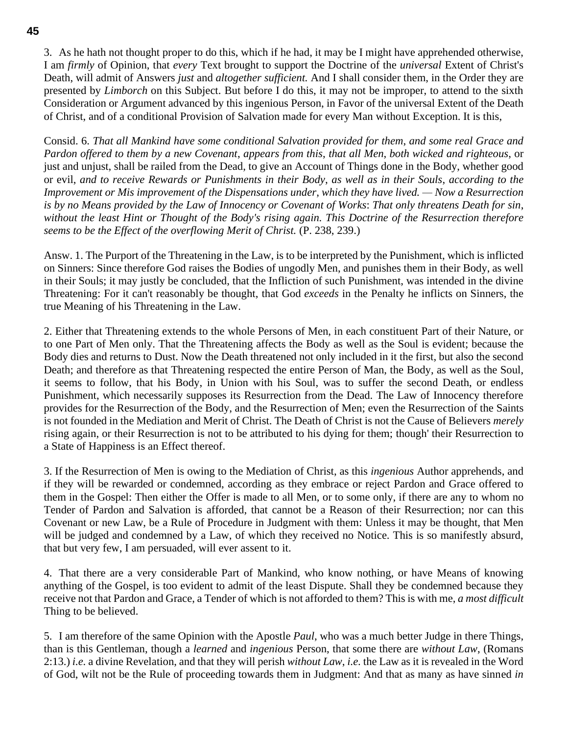3. As he hath not thought proper to do this, which if he had, it may be I might have apprehended otherwise, I am *firmly* of Opinion, that *every* Text brought to support the Doctrine of the *universal* Extent of Christ's Death, will admit of Answers *just* and *altogether sufficient.* And I shall consider them, in the Order they are presented by *Limborch* on this Subject. But before I do this, it may not be improper, to attend to the sixth Consideration or Argument advanced by this ingenious Person, in Favor of the universal Extent of the Death of Christ, and of a conditional Provision of Salvation made for every Man without Exception. It is this,

Consid. 6. *That all Mankind have some conditional Salvation provided for them*, *and some real Grace and Pardon offered to them by a new Covenant*, *appears from this*, *that all Men*, *both wicked and righteous*, or just and unjust, shall be railed from the Dead, to give an Account of Things done in the Body, whether good or evil, *and to receive Rewards or Punishments in their Body*, *as well as in their Souls*, *according to the Improvement or Mis improvement of the Dispensations under*, *which they have lived. — Now a Resurrection is by no Means provided by the Law of Innocency or Covenant of Works*: *That only threatens Death for sin*, *without the least Hint or Thought of the Body's rising again. This Doctrine of the Resurrection therefore seems to be the Effect of the overflowing Merit of Christ.* (P. 238, 239.)

Answ. 1. The Purport of the Threatening in the Law, is to be interpreted by the Punishment, which is inflicted on Sinners: Since therefore God raises the Bodies of ungodly Men, and punishes them in their Body, as well in their Souls; it may justly be concluded, that the Infliction of such Punishment, was intended in the divine Threatening: For it can't reasonably be thought, that God *exceeds* in the Penalty he inflicts on Sinners, the true Meaning of his Threatening in the Law.

2. Either that Threatening extends to the whole Persons of Men, in each constituent Part of their Nature, or to one Part of Men only. That the Threatening affects the Body as well as the Soul is evident; because the Body dies and returns to Dust. Now the Death threatened not only included in it the first, but also the second Death; and therefore as that Threatening respected the entire Person of Man, the Body, as well as the Soul, it seems to follow, that his Body, in Union with his Soul, was to suffer the second Death, or endless Punishment, which necessarily supposes its Resurrection from the Dead. The Law of Innocency therefore provides for the Resurrection of the Body, and the Resurrection of Men; even the Resurrection of the Saints is not founded in the Mediation and Merit of Christ. The Death of Christ is not the Cause of Believers *merely*  rising again, or their Resurrection is not to be attributed to his dying for them; though' their Resurrection to a State of Happiness is an Effect thereof.

3. If the Resurrection of Men is owing to the Mediation of Christ, as this *ingenious* Author apprehends, and if they will be rewarded or condemned, according as they embrace or reject Pardon and Grace offered to them in the Gospel: Then either the Offer is made to all Men, or to some only, if there are any to whom no Tender of Pardon and Salvation is afforded, that cannot be a Reason of their Resurrection; nor can this Covenant or new Law, be a Rule of Procedure in Judgment with them: Unless it may be thought, that Men will be judged and condemned by a Law, of which they received no Notice. This is so manifestly absurd, that but very few, I am persuaded, will ever assent to it.

4. That there are a very considerable Part of Mankind, who know nothing, or have Means of knowing anything of the Gospel, is too evident to admit of the least Dispute. Shall they be condemned because they receive not that Pardon and Grace, a Tender of which is not afforded to them? This is with me, *a most difficult* Thing to be believed.

5. I am therefore of the same Opinion with the Apostle *Paul*, who was a much better Judge in there Things, than is this Gentleman, though a *learned* and *ingenious* Person, that some there are *without Law*, (Romans 2:13.) *i.e.* a divine Revelation, and that they will perish *without Law*, *i.e.* the Law as it is revealed in the Word of God, wilt not be the Rule of proceeding towards them in Judgment: And that as many as have sinned *in*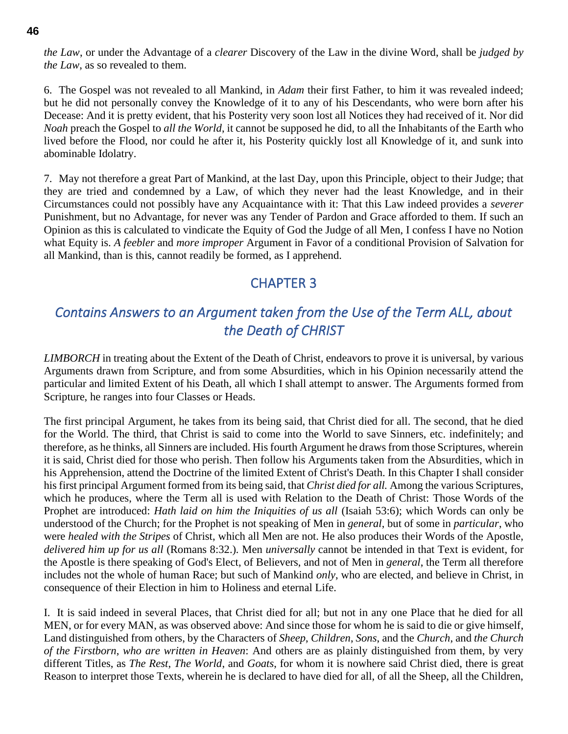*the Law*, or under the Advantage of a *clearer* Discovery of the Law in the divine Word, shall be *judged by the Law*, as so revealed to them.

6. The Gospel was not revealed to all Mankind, in *Adam* their first Father, to him it was revealed indeed; but he did not personally convey the Knowledge of it to any of his Descendants, who were born after his Decease: And it is pretty evident, that his Posterity very soon lost all Notices they had received of it. Nor did *Noah* preach the Gospel to *all the World*, it cannot be supposed he did, to all the Inhabitants of the Earth who lived before the Flood, nor could he after it, his Posterity quickly lost all Knowledge of it, and sunk into abominable Idolatry.

7. May not therefore a great Part of Mankind, at the last Day, upon this Principle, object to their Judge; that they are tried and condemned by a Law, of which they never had the least Knowledge, and in their Circumstances could not possibly have any Acquaintance with it: That this Law indeed provides a *severer*  Punishment, but no Advantage, for never was any Tender of Pardon and Grace afforded to them. If such an Opinion as this is calculated to vindicate the Equity of God the Judge of all Men, I confess I have no Notion what Equity is. *A feebler* and *more improper* Argument in Favor of a conditional Provision of Salvation for all Mankind, than is this, cannot readily be formed, as I apprehend.

## CHAPTER 3

# *Contains Answers to an Argument taken from the Use of the Term ALL, about the Death of CHRIST*

*LIMBORCH* in treating about the Extent of the Death of Christ, endeavors to prove it is universal, by various Arguments drawn from Scripture, and from some Absurdities, which in his Opinion necessarily attend the particular and limited Extent of his Death, all which I shall attempt to answer. The Arguments formed from Scripture, he ranges into four Classes or Heads.

The first principal Argument, he takes from its being said, that Christ died for all. The second, that he died for the World. The third, that Christ is said to come into the World to save Sinners, etc. indefinitely; and therefore, as he thinks, all Sinners are included. His fourth Argument he draws from those Scriptures, wherein it is said, Christ died for those who perish. Then follow his Arguments taken from the Absurdities, which in his Apprehension, attend the Doctrine of the limited Extent of Christ's Death. In this Chapter I shall consider his first principal Argument formed from its being said, that *Christ died for all.* Among the various Scriptures, which he produces, where the Term all is used with Relation to the Death of Christ: Those Words of the Prophet are introduced: *Hath laid on him the Iniquities of us all* (Isaiah 53:6); which Words can only be understood of the Church; for the Prophet is not speaking of Men in *general*, but of some in *particular*, who were *healed with the Stripes* of Christ, which all Men are not. He also produces their Words of the Apostle, *delivered him up for us all* (Romans 8:32.)*.* Men *universally* cannot be intended in that Text is evident, for the Apostle is there speaking of God's Elect, of Believers, and not of Men in *general*, the Term all therefore includes not the whole of human Race; but such of Mankind *only*, who are elected, and believe in Christ, in consequence of their Election in him to Holiness and eternal Life.

I. It is said indeed in several Places, that Christ died for all; but not in any one Place that he died for all MEN, or for every MAN, as was observed above: And since those for whom he is said to die or give himself, Land distinguished from others, by the Characters of *Sheep*, *Children*, *Sons*, and the *Church*, and *the Church of the Firstborn*, *who are written in Heaven*: And others are as plainly distinguished from them, by very different Titles, as *The Rest*, *The World*, and *Goats*, for whom it is nowhere said Christ died, there is great Reason to interpret those Texts, wherein he is declared to have died for all, of all the Sheep, all the Children,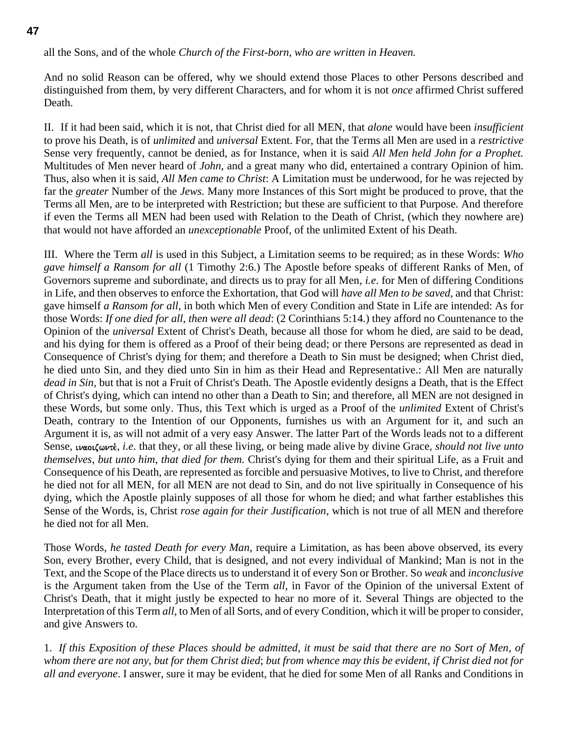#### **47**

all the Sons, and of the whole *Church of the First-born*, *who are written in Heaven.*

And no solid Reason can be offered, why we should extend those Places to other Persons described and distinguished from them, by very different Characters, and for whom it is not *once* affirmed Christ suffered Death.

II. If it had been said, which it is not, that Christ died for all MEN, that *alone* would have been *insufficient* to prove his Death, is of *unlimited* and *universal* Extent. For, that the Terms all Men are used in a *restrictive* Sense very frequently, cannot be denied, as for Instance, when it is said *All Men held John for a Prophet.*  Multitudes of Men never heard of *John*, and a great many who did, entertained a contrary Opinion of him. Thus, also when it is said, *All Men came to Christ*: A Limitation must be underwood, for he was rejected by far the *greater* Number of the *Jews.* Many more Instances of this Sort might be produced to prove, that the Terms all Men, are to be interpreted with Restriction; but these are sufficient to that Purpose. And therefore if even the Terms all MEN had been used with Relation to the Death of Christ, (which they nowhere are) that would not have afforded an *unexceptionable* Proof, of the unlimited Extent of his Death.

III. Where the Term *all* is used in this Subject, a Limitation seems to be required; as in these Words: *Who gave himself a Ransom for all* (1 Timothy 2:6.) The Apostle before speaks of different Ranks of Men, of Governors supreme and subordinate, and directs us to pray for all Men, *i.e*. for Men of differing Conditions in Life, and then observes to enforce the Exhortation, that God will *have all Men to be saved*, and that Christ: gave himself *a Ransom for all*, in both which Men of every Condition and State in Life are intended: As for those Words: *If one died for all*, *then were all dead*: (2 Corinthians 5:14.) they afford no Countenance to the Opinion of the *universal* Extent of Christ's Death, because all those for whom he died, are said to be dead, and his dying for them is offered as a Proof of their being dead; or there Persons are represented as dead in Consequence of Christ's dying for them; and therefore a Death to Sin must be designed; when Christ died, he died unto Sin, and they died unto Sin in him as their Head and Representative.: All Men are naturally *dead in Sin*, but that is not a Fruit of Christ's Death. The Apostle evidently designs a Death, that is the Effect of Christ's dying, which can intend no other than a Death to Sin; and therefore, all MEN are not designed in these Words, but some only. Thus, this Text which is urged as a Proof of the *unlimited* Extent of Christ's Death, contrary to the Intention of our Opponents, furnishes us with an Argument for it, and such an Argument it is, as will not admit of a very easy Answer. The latter Part of the Words leads not to a different Sense, *μαοιζωντέ*, *i.e.* that they, or all these living, or being made alive by divine Grace, *should not live unto themselves*, *but unto him*, *that died for them.* Christ's dying for them and their spiritual Life, as a Fruit and Consequence of his Death, are represented as forcible and persuasive Motives, to live to Christ, and therefore he died not for all MEN, for all MEN are not dead to Sin, and do not live spiritually in Consequence of his dying, which the Apostle plainly supposes of all those for whom he died; and what farther establishes this Sense of the Words, is, Christ *rose again for their Justification*, which is not true of all MEN and therefore he died not for all Men.

Those Words, *he tasted Death for every Man*, require a Limitation, as has been above observed, its every Son, every Brother, every Child, that is designed, and not every individual of Mankind; Man is not in the Text, and the Scope of the Place directs us to understand it of every Son or Brother. So *weak* and *inconclusive* is the Argument taken from the Use of the Term *all*, in Favor of the Opinion of the universal Extent of Christ's Death, that it might justly be expected to hear no more of it. Several Things are objected to the Interpretation of this Term *all*, to Men of all Sorts, and of every Condition, which it will be proper to consider, and give Answers to.

1. *If this Exposition of these Places should be admitted*, *it must be said that there are no Sort of Men*, *of whom there are not any*, *but for them Christ died*; *but from whence may this be evident*, *if Christ died not for all and everyone*. I answer, sure it may be evident, that he died for some Men of all Ranks and Conditions in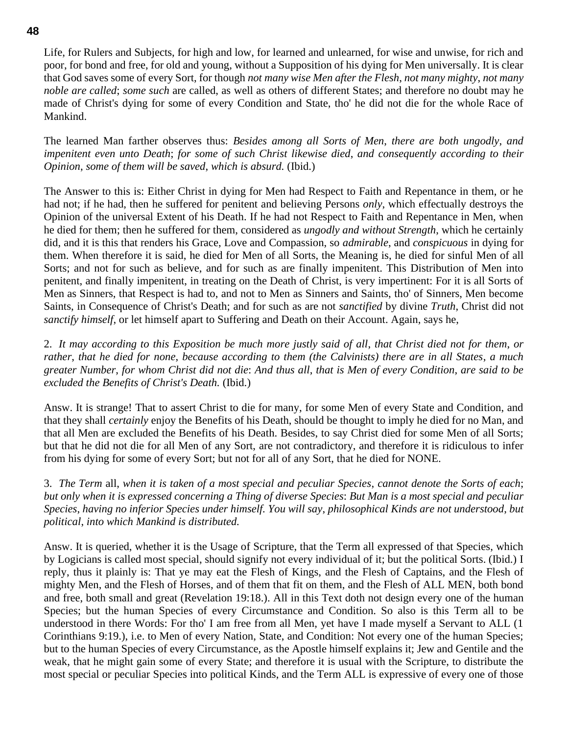Life, for Rulers and Subjects, for high and low, for learned and unlearned, for wise and unwise, for rich and poor, for bond and free, for old and young, without a Supposition of his dying for Men universally. It is clear that God saves some of every Sort, for though *not many wise Men after the Flesh*, *not many mighty*, *not many noble are called*; *some such* are called, as well as others of different States; and therefore no doubt may he made of Christ's dying for some of every Condition and State, tho' he did not die for the whole Race of Mankind.

The learned Man farther observes thus: *Besides among all Sorts of Men*, *there are both ungodly*, *and impenitent even unto Death*; *for some of such Christ likewise died*, *and consequently according to their Opinion*, *some of them will be saved*, *which is absurd.* (Ibid.)

The Answer to this is: Either Christ in dying for Men had Respect to Faith and Repentance in them, or he had not; if he had, then he suffered for penitent and believing Persons *only*, which effectually destroys the Opinion of the universal Extent of his Death. If he had not Respect to Faith and Repentance in Men, when he died for them; then he suffered for them, considered as *ungodly and without Strength*, which he certainly did, and it is this that renders his Grace, Love and Compassion, so *admirable*, and *conspicuous* in dying for them. When therefore it is said, he died for Men of all Sorts, the Meaning is, he died for sinful Men of all Sorts; and not for such as believe, and for such as are finally impenitent. This Distribution of Men into penitent, and finally impenitent, in treating on the Death of Christ, is very impertinent: For it is all Sorts of Men as Sinners, that Respect is had to, and not to Men as Sinners and Saints, tho' of Sinners, Men become Saints, in Consequence of Christ's Death; and for such as are not *sanctified* by divine *Truth*, Christ did not *sanctify himself*, or let himself apart to Suffering and Death on their Account. Again, says he,

2. *It may according to this Exposition be much more justly said of all*, *that Christ died not for them*, *or rather*, *that he died for none*, *because according to them (the Calvinists) there are in all States*, *a much greater Number*, *for whom Christ did not die*: *And thus all*, *that is Men of every Condition*, *are said to be excluded the Benefits of Christ's Death.* (Ibid.)

Answ. It is strange! That to assert Christ to die for many, for some Men of every State and Condition, and that they shall *certainly* enjoy the Benefits of his Death, should be thought to imply he died for no Man, and that all Men are excluded the Benefits of his Death. Besides, to say Christ died for some Men of all Sorts; but that he did not die for all Men of any Sort, are not contradictory, and therefore it is ridiculous to infer from his dying for some of every Sort; but not for all of any Sort, that he died for NONE.

3. *The Term* all, *when it is taken of a most special and peculiar Species*, *cannot denote the Sorts of each*; *but only when it is expressed concerning a Thing of diverse Species*: *But Man is a most special and peculiar Species*, *having no inferior Species under himself. You will say*, *philosophical Kinds are not understood*, *but political*, *into which Mankind is distributed.*

Answ. It is queried, whether it is the Usage of Scripture, that the Term all expressed of that Species, which by Logicians is called most special, should signify not every individual of it; but the political Sorts. (Ibid.) I reply, thus it plainly is: That ye may eat the Flesh of Kings, and the Flesh of Captains, and the Flesh of mighty Men, and the Flesh of Horses, and of them that fit on them, and the Flesh of ALL MEN, both bond and free, both small and great (Revelation 19:18.). All in this Text doth not design every one of the human Species; but the human Species of every Circumstance and Condition. So also is this Term all to be understood in there Words: For tho' I am free from all Men, yet have I made myself a Servant to ALL (1 Corinthians 9:19.), i.e. to Men of every Nation, State, and Condition: Not every one of the human Species; but to the human Species of every Circumstance, as the Apostle himself explains it; Jew and Gentile and the weak, that he might gain some of every State; and therefore it is usual with the Scripture, to distribute the most special or peculiar Species into political Kinds, and the Term ALL is expressive of every one of those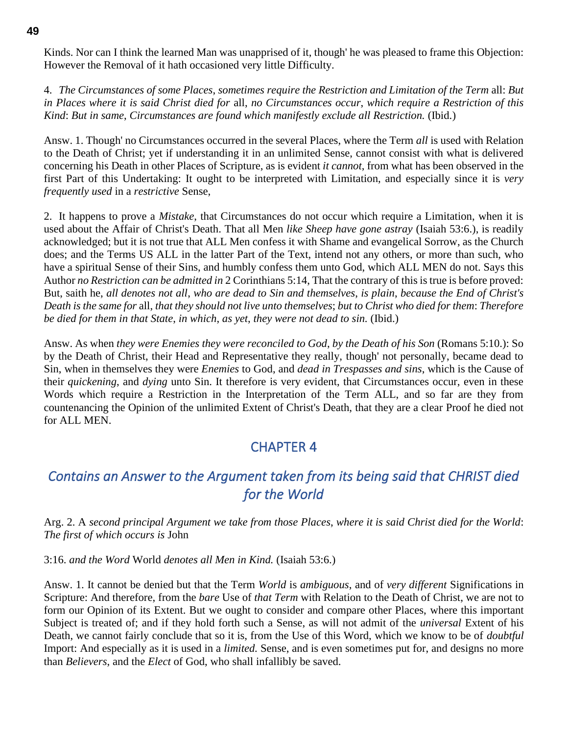Kinds. Nor can I think the learned Man was unapprised of it, though' he was pleased to frame this Objection: However the Removal of it hath occasioned very little Difficulty.

4. *The Circumstances of some Places*, *sometimes require the Restriction and Limitation of the Term* all: *But in Places where it is said Christ died for* all, *no Circumstances occur*, *which require a Restriction of this Kind*: *But in same*, *Circumstances are found which manifestly exclude all Restriction.* (Ibid.)

Answ. 1. Though' no Circumstances occurred in the several Places, where the Term *all* is used with Relation to the Death of Christ; yet if understanding it in an unlimited Sense, cannot consist with what is delivered concerning his Death in other Places of Scripture, as is evident *it cannot*, from what has been observed in the first Part of this Undertaking: It ought to be interpreted with Limitation, and especially since it is *very frequently used* in a *restrictive* Sense,

2. It happens to prove a *Mistake*, that Circumstances do not occur which require a Limitation, when it is used about the Affair of Christ's Death. That all Men *like Sheep have gone astray* (Isaiah 53:6.), is readily acknowledged; but it is not true that ALL Men confess it with Shame and evangelical Sorrow, as the Church does; and the Terms US ALL in the latter Part of the Text, intend not any others, or more than such, who have a spiritual Sense of their Sins, and humbly confess them unto God, which ALL MEN do not. Says this Author *no Restriction can be admitted in* 2 Corinthians 5:14, That the contrary of this is true is before proved: But, saith he, *all denotes not all*, *who are dead to Sin and themselves*, *is plain*, *because the End of Christ's Death is the same for* all, *that they should not live unto themselves*; *but to Christ who died for them*: *Therefore be died for them in that State*, *in which*, *as yet*, *they were not dead to sin.* (Ibid.)

Answ. As when *they were Enemies they were reconciled to God*, *by the Death of his Son* (Romans 5:10.): So by the Death of Christ, their Head and Representative they really, though' not personally, became dead to Sin, when in themselves they were *Enemies* to God, and *dead in Trespasses and sins*, which is the Cause of their *quickening*, and *dying* unto Sin. It therefore is very evident, that Circumstances occur, even in these Words which require a Restriction in the Interpretation of the Term ALL, and so far are they from countenancing the Opinion of the unlimited Extent of Christ's Death, that they are a clear Proof he died not for ALL MEN.

# CHAPTER 4

# *Contains an Answer to the Argument taken from its being said that CHRIST died for the World*

Arg. 2. A *second principal Argument we take from those Places*, *where it is said Christ died for the World*: *The first of which occurs is* John

3:16. *and the Word* World *denotes all Men in Kind.* (Isaiah 53:6.)

Answ. 1. It cannot be denied but that the Term *World* is *ambiguous*, and of *very different* Significations in Scripture: And therefore, from the *bare* Use of *that Term* with Relation to the Death of Christ, we are not to form our Opinion of its Extent. But we ought to consider and compare other Places, where this important Subject is treated of; and if they hold forth such a Sense, as will not admit of the *universal* Extent of his Death, we cannot fairly conclude that so it is, from the Use of this Word, which we know to be of *doubtful* Import: And especially as it is used in a *limited.* Sense, and is even sometimes put for, and designs no more than *Believers*, and the *Elect* of God, who shall infallibly be saved.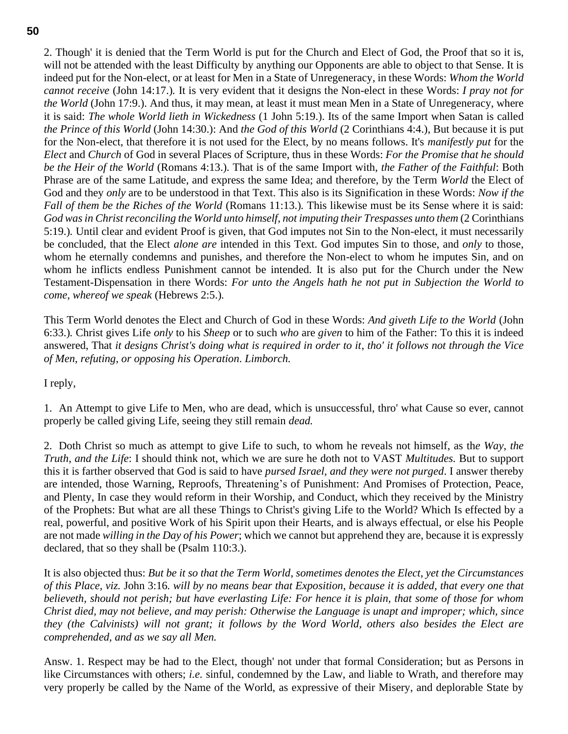2. Though' it is denied that the Term World is put for the Church and Elect of God, the Proof that so it is, will not be attended with the least Difficulty by anything our Opponents are able to object to that Sense. It is indeed put for the Non-elect, or at least for Men in a State of Unregeneracy, in these Words: *Whom the World cannot receive* (John 14:17.)*.* It is very evident that it designs the Non-elect in these Words: *I pray not for the World* (John 17:9.). And thus, it may mean, at least it must mean Men in a State of Unregeneracy, where it is said: *The whole World lieth in Wickedness* (1 John 5:19.). Its of the same Import when Satan is called *the Prince of this World* (John 14:30.): And *the God of this World* (2 Corinthians 4:4.), But because it is put for the Non-elect, that therefore it is not used for the Elect, by no means follows. It's *manifestly put* for the *Elect* and *Church* of God in several Places of Scripture, thus in these Words: *For the Promise that he should be the Heir of the World* (Romans 4:13.)*.* That is of the same Import with, *the Father of the Faithful*: Both Phrase are of the same Latitude, and express the same Idea; and therefore, by the Term *World* the Elect of God and they *only* are to be understood in that Text. This also is its Signification in these Words: *Now if the Fall of them be the Riches of the World* (Romans 11:13.)*.* This likewise must be its Sense where it is said: *God was in Christ reconciling the World unto himself*, *not imputing their Trespasses unto them* (2 Corinthians 5:19.)*.* Until clear and evident Proof is given, that God imputes not Sin to the Non-elect, it must necessarily be concluded, that the Elect *alone are* intended in this Text. God imputes Sin to those, and *only* to those, whom he eternally condemns and punishes, and therefore the Non-elect to whom he imputes Sin, and on whom he inflicts endless Punishment cannot be intended. It is also put for the Church under the New Testament-Dispensation in there Words: *For unto the Angels hath he not put in Subjection the World to come*, *whereof we speak* (Hebrews 2:5.)*.*

This Term World denotes the Elect and Church of God in these Words: *And giveth Life to the World* (John 6:33.)*.* Christ gives Life *only* to his *Sheep* or to such *who* are *given* to him of the Father: To this it is indeed answered, That *it designs Christ's doing what is required in order to it, tho' it follows not through the Vice of Men*, *refuting*, *or opposing his Operation*. *Limborch.*

I reply,

1. An Attempt to give Life to Men, who are dead, which is unsuccessful, thro' what Cause so ever, cannot properly be called giving Life, seeing they still remain *dead.*

2. Doth Christ so much as attempt to give Life to such, to whom he reveals not himself, as th*e Way*, *the Truth*, *and the Life*: I should think not, which we are sure he doth not to VAST *Multitudes.* But to support this it is farther observed that God is said to have *pursed Israel*, *and they were not purged*. I answer thereby are intended, those Warning, Reproofs, Threatening's of Punishment: And Promises of Protection, Peace, and Plenty, In case they would reform in their Worship, and Conduct, which they received by the Ministry of the Prophets: But what are all these Things to Christ's giving Life to the World? Which Is effected by a real, powerful, and positive Work of his Spirit upon their Hearts, and is always effectual, or else his People are not made *willing in the Day of his Power*; which we cannot but apprehend they are, because it is expressly declared, that so they shall be (Psalm 110:3.).

It is also objected thus: *But be it so that the Term World*, *sometimes denotes the Elect*, *yet the Circumstances of this Place*, *viz.* John 3:16*. will by no means bear that Exposition*, *because it is added*, *that every one that believeth, should not perish; but have everlasting Life: For hence it is plain, that some of those for whom Christ died, may not believe, and may perish: Otherwise the Language is unapt and improper; which, since they (the Calvinists) will not grant; it follows by the Word World, others also besides the Elect are comprehended, and as we say all Men.*

Answ. 1. Respect may be had to the Elect, though' not under that formal Consideration; but as Persons in like Circumstances with others; *i.e.* sinful, condemned by the Law, and liable to Wrath, and therefore may very properly be called by the Name of the World, as expressive of their Misery, and deplorable State by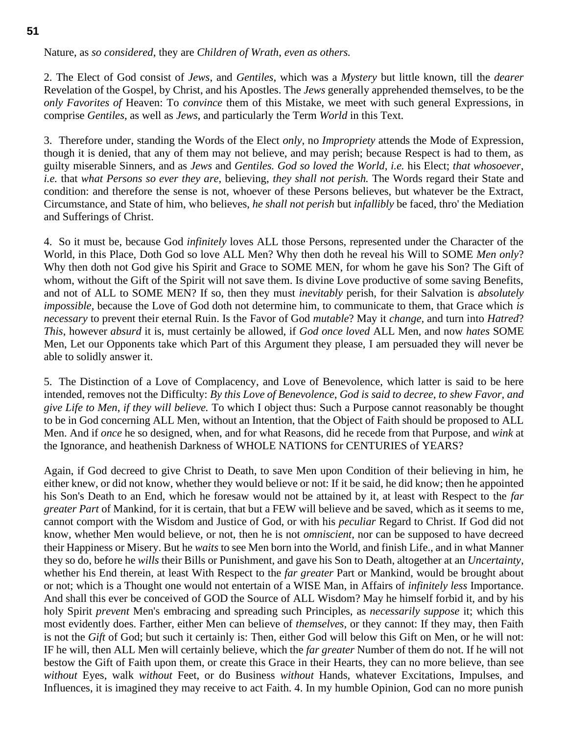Nature, as *so considered*, they are *Children of Wrath*, *even as others.*

2. The Elect of God consist of *Jews*, and *Gentiles*, which was a *Mystery* but little known, till the *dearer* Revelation of the Gospel, by Christ, and his Apostles. The *Jews* generally apprehended themselves, to be the *only Favorites of* Heaven: To *convince* them of this Mistake, we meet with such general Expressions, in comprise *Gentiles*, as well as *Jews*, and particularly the Term *World* in this Text.

3. Therefore under, standing the Words of the Elect *only*, no *Impropriety* attends the Mode of Expression, though it is denied, that any of them may not believe, and may perish; because Respect is had to them, as guilty miserable Sinners, and as *Jews* and *Gentiles. God so loved the World*, *i.e.* his Elect; *that whosoever*, *i.e.* that *what Persons so ever they are*, believing, *they shall not perish.* The Words regard their State and condition: and therefore the sense is not, whoever of these Persons believes, but whatever be the Extract, Circumstance, and State of him, who believes, *he shall not perish* but *infallibly* be faced, thro' the Mediation and Sufferings of Christ.

4. So it must be, because God *infinitely* loves ALL those Persons, represented under the Character of the World, in this Place, Doth God so love ALL Men? Why then doth he reveal his Will to SOME *Men only*? Why then doth not God give his Spirit and Grace to SOME MEN, for whom he gave his Son? The Gift of whom, without the Gift of the Spirit will not save them. Is divine Love productive of some saving Benefits, and not of ALL to SOME MEN? If so, then they must *inevitably* perish, for their Salvation is *absolutely impossible*, because the Love of God doth not determine him, to communicate to them, that Grace which *is necessary* to prevent their eternal Ruin. Is the Favor of God *mutable*? May it *change*, and turn into *Hatred*? *This*, however *absurd* it is, must certainly be allowed, if *God once loved* ALL Men, and now *hates* SOME Men, Let our Opponents take which Part of this Argument they please, I am persuaded they will never be able to solidly answer it.

5. The Distinction of a Love of Complacency, and Love of Benevolence, which latter is said to be here intended, removes not the Difficulty: *By this Love of Benevolence*, *God is said to decree*, *to shew Favor*, *and give Life to Men*, *if they will believe.* To which I object thus: Such a Purpose cannot reasonably be thought to be in God concerning ALL Men, without an Intention, that the Object of Faith should be proposed to ALL Men. And if *once* he so designed, when, and for what Reasons, did he recede from that Purpose, and *wink* at the Ignorance, and heathenish Darkness of WHOLE NATIONS for CENTURIES of YEARS?

Again, if God decreed to give Christ to Death, to save Men upon Condition of their believing in him, he either knew, or did not know, whether they would believe or not: If it be said, he did know; then he appointed his Son's Death to an End, which he foresaw would not be attained by it, at least with Respect to the *far greater Part* of Mankind, for it is certain, that but a FEW will believe and be saved, which as it seems to me, cannot comport with the Wisdom and Justice of God, or with his *peculiar* Regard to Christ. If God did not know, whether Men would believe, or not, then he is not *omniscient*, nor can be supposed to have decreed their Happiness or Misery. But he *waits* to see Men born into the World, and finish Life., and in what Manner they so do, before he *wills* their Bills or Punishment, and gave his Son to Death, altogether at an *Uncertainty*, whether his End therein, at least With Respect to the *far greater* Part or Mankind, would be brought about or not; which is a Thought one would not entertain of a WISE Man, in Affairs of *infinitely less* Importance. And shall this ever be conceived of GOD the Source of ALL Wisdom? May he himself forbid it, and by his holy Spirit *prevent* Men's embracing and spreading such Principles, as *necessarily suppose* it; which this most evidently does. Farther, either Men can believe of *themselves*, or they cannot: If they may, then Faith is not the *Gift* of God; but such it certainly is: Then, either God will below this Gift on Men, or he will not: IF he will, then ALL Men will certainly believe, which the *far greater* Number of them do not. If he will not bestow the Gift of Faith upon them, or create this Grace in their Hearts, they can no more believe, than see *without* Eyes, walk *without* Feet, or do Business *without* Hands, whatever Excitations, Impulses, and Influences, it is imagined they may receive to act Faith. 4. In my humble Opinion, God can no more punish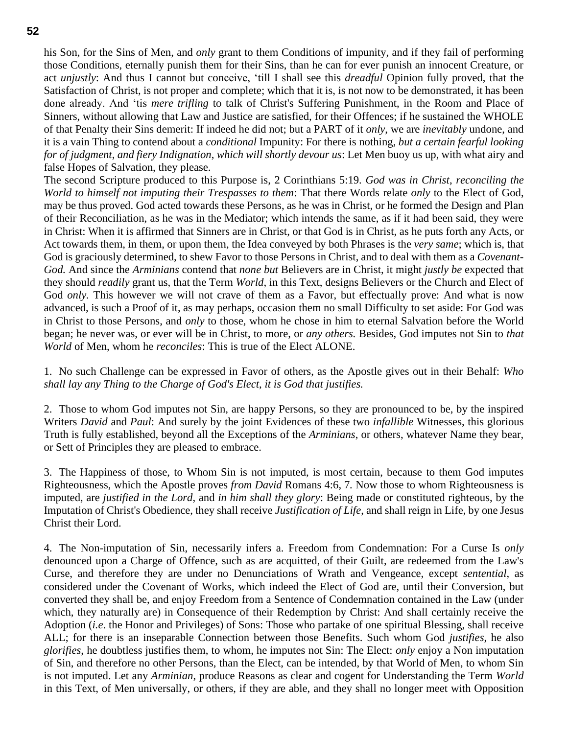his Son, for the Sins of Men, and *only* grant to them Conditions of impunity, and if they fail of performing those Conditions, eternally punish them for their Sins, than he can for ever punish an innocent Creature, or act *unjustly*: And thus I cannot but conceive, 'till I shall see this *dreadful* Opinion fully proved, that the Satisfaction of Christ, is not proper and complete; which that it is, is not now to be demonstrated, it has been done already. And 'tis *mere trifling* to talk of Christ's Suffering Punishment, in the Room and Place of Sinners, without allowing that Law and Justice are satisfied, for their Offences; if he sustained the WHOLE of that Penalty their Sins demerit: If indeed he did not; but a PART of it *only*, we are *inevitably* undone, and it is a vain Thing to contend about a *conditional* Impunity: For there is nothing, *but a certain fearful looking for of judgment*, *and fiery Indignation*, *which will shortly devour us*: Let Men buoy us up, with what airy and false Hopes of Salvation, they please.

The second Scripture produced to this Purpose is, 2 Corinthians 5:19*. God was in Christ*, *reconciling the World to himself not imputing their Trespasses to them*: That there Words relate *only* to the Elect of God, may be thus proved. God acted towards these Persons, as he was in Christ, or he formed the Design and Plan of their Reconciliation, as he was in the Mediator; which intends the same, as if it had been said, they were in Christ: When it is affirmed that Sinners are in Christ, or that God is in Christ, as he puts forth any Acts, or Act towards them, in them, or upon them, the Idea conveyed by both Phrases is the *very same*; which is, that God is graciously determined, to shew Favor to those Persons in Christ, and to deal with them as a *Covenant-God.* And since the *Arminians* contend that *none but* Believers are in Christ, it might *justly be* expected that they should *readily* grant us, that the Term *World*, in this Text, designs Believers or the Church and Elect of God *only*. This however we will not crave of them as a Favor, but effectually prove: And what is now advanced, is such a Proof of it, as may perhaps, occasion them no small Difficulty to set aside: For God was in Christ to those Persons, and *only* to those, whom he chose in him to eternal Salvation before the World began; he never was, or ever will be in Christ, to more, or *any others.* Besides, God imputes not Sin to *that World* of Men, whom he *reconciles*: This is true of the Elect ALONE.

1. No such Challenge can be expressed in Favor of others, as the Apostle gives out in their Behalf: *Who shall lay any Thing to the Charge of God's Elect*, *it is God that justifies.*

2. Those to whom God imputes not Sin, are happy Persons, so they are pronounced to be, by the inspired Writers *David* and *Paul*: And surely by the joint Evidences of these two *infallible* Witnesses, this glorious Truth is fully established, beyond all the Exceptions of the *Arminians*, or others, whatever Name they bear, or Sett of Principles they are pleased to embrace.

3. The Happiness of those, to Whom Sin is not imputed, is most certain, because to them God imputes Righteousness, which the Apostle proves *from David* Romans 4:6, 7*.* Now those to whom Righteousness is imputed, are *justified in the Lord*, and *in him shall they glory*: Being made or constituted righteous, by the Imputation of Christ's Obedience, they shall receive *Justification of Life*, and shall reign in Life, by one Jesus Christ their Lord.

4. The Non-imputation of Sin, necessarily infers a. Freedom from Condemnation: For a Curse Is *only* denounced upon a Charge of Offence, such as are acquitted, of their Guilt, are redeemed from the Law's Curse, and therefore they are under no Denunciations of Wrath and Vengeance, except *sentential*, as considered under the Covenant of Works, which indeed the Elect of God are, until their Conversion, but converted they shall be, and enjoy Freedom from a Sentence of Condemnation contained in the Law (under which, they naturally are) in Consequence of their Redemption by Christ: And shall certainly receive the Adoption (*i.e*. the Honor and Privileges) of Sons: Those who partake of one spiritual Blessing, shall receive ALL; for there is an inseparable Connection between those Benefits. Such whom God *justifies*, he also *glorifies*, he doubtless justifies them, to whom, he imputes not Sin: The Elect: *only* enjoy a Non imputation of Sin, and therefore no other Persons, than the Elect, can be intended, by that World of Men, to whom Sin is not imputed. Let any *Arminian*, produce Reasons as clear and cogent for Understanding the Term *World* in this Text, of Men universally, or others, if they are able, and they shall no longer meet with Opposition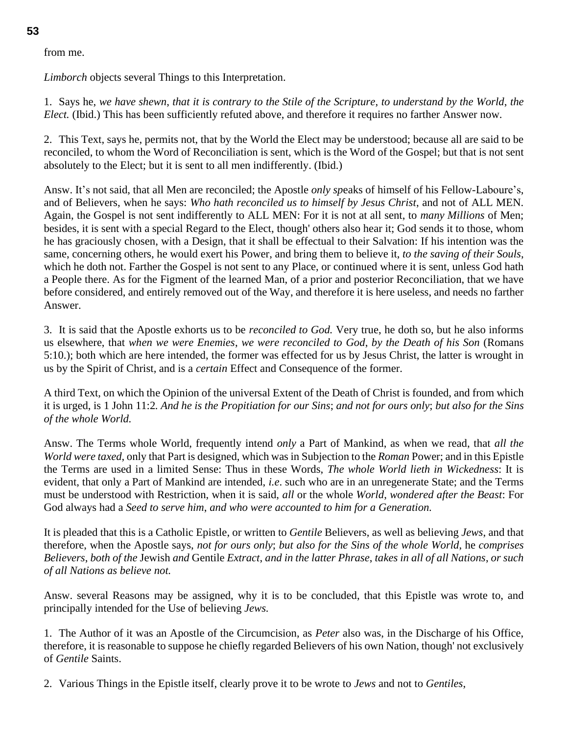#### from me.

*Limborch* objects several Things to this Interpretation.

1. Says he, *we have shewn*, *that it is contrary to the Stile of the Scripture*, *to understand by the World*, *the Elect.* (Ibid.) This has been sufficiently refuted above, and therefore it requires no farther Answer now.

2. This Text, says he, permits not, that by the World the Elect may be understood; because all are said to be reconciled, to whom the Word of Reconciliation is sent, which is the Word of the Gospel; but that is not sent absolutely to the Elect; but it is sent to all men indifferently. (Ibid.)

Answ. It's not said, that all Men are reconciled; the Apostle *only sp*eaks of himself of his Fellow-Laboure's, and of Believers, when he says: *Who hath reconciled us to himself by Jesus Christ*, and not of ALL MEN. Again, the Gospel is not sent indifferently to ALL MEN: For it is not at all sent, to *many Millions* of Men; besides, it is sent with a special Regard to the Elect, though' others also hear it; God sends it to those, whom he has graciously chosen, with a Design, that it shall be effectual to their Salvation: If his intention was the same, concerning others, he would exert his Power, and bring them to believe it, *to the saving of their Souls*, which he doth not. Farther the Gospel is not sent to any Place, or continued where it is sent, unless God hath a People there. As for the Figment of the learned Man, of a prior and posterior Reconciliation, that we have before considered, and entirely removed out of the Way, and therefore it is here useless, and needs no farther Answer.

3. It is said that the Apostle exhorts us to be *reconciled to God.* Very true, he doth so, but he also informs us elsewhere, that *when we were Enemies*, *we were reconciled to God*, *by the Death of his Son* (Romans 5:10.); both which are here intended, the former was effected for us by Jesus Christ, the latter is wrought in us by the Spirit of Christ, and is a *certain* Effect and Consequence of the former.

A third Text, on which the Opinion of the universal Extent of the Death of Christ is founded, and from which it is urged, is 1 John 11:2*. And he is the Propitiation for our Sins*; *and not for ours only*; *but also for the Sins of the whole World.*

Answ. The Terms whole World, frequently intend *only* a Part of Mankind, as when we read, that *all the World were taxed*, only that Part is designed, which was in Subjection to the *Roman* Power; and in this Epistle the Terms are used in a limited Sense: Thus in these Words, *The whole World lieth in Wickedness*: It is evident, that only a Part of Mankind are intended, *i.e*. such who are in an unregenerate State; and the Terms must be understood with Restriction, when it is said, *all* or the whole *World*, *wondered after the Beast*: For God always had a *Seed to serve him*, *and who were accounted to him for a Generation.*

It is pleaded that this is a Catholic Epistle, or written to *Gentile* Believers, as well as believing *Jews*, and that therefore, when the Apostle says, *not for ours only*; *but also for the Sins of the whole World*, he *comprises Believers*, *both of the* Jewish *and* Gentile *Extract*, *and in the latter Phrase*, *takes in all of all Nations*, *or such of all Nations as believe not.*

Answ. several Reasons may be assigned, why it is to be concluded, that this Epistle was wrote to, and principally intended for the Use of believing *Jews.*

1. The Author of it was an Apostle of the Circumcision, as *Peter* also was, in the Discharge of his Office, therefore, it is reasonable to suppose he chiefly regarded Believers of his own Nation, though' not exclusively of *Gentile* Saints.

2. Various Things in the Epistle itself, clearly prove it to be wrote to *Jews* and not to *Gentiles*,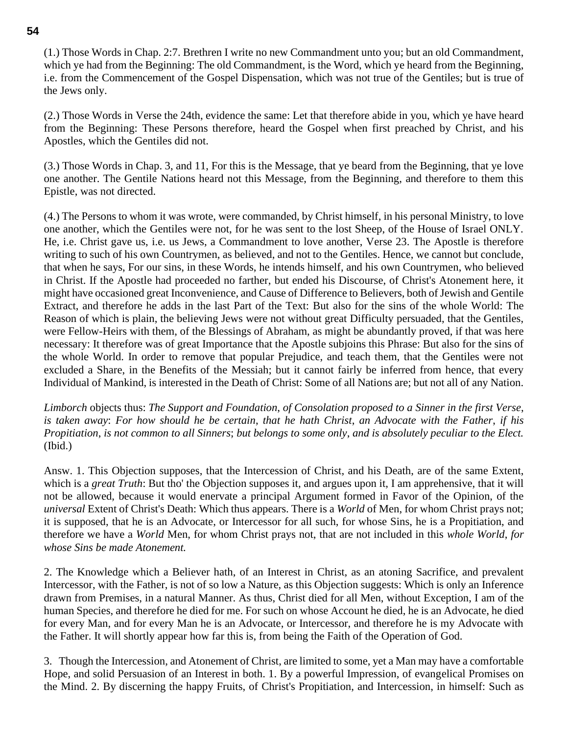(1.) Those Words in Chap. 2:7. Brethren I write no new Commandment unto you; but an old Commandment, which ye had from the Beginning: The old Commandment, is the Word, which ye heard from the Beginning, i.e. from the Commencement of the Gospel Dispensation, which was not true of the Gentiles; but is true of the Jews only.

(2.) Those Words in Verse the 24th, evidence the same: Let that therefore abide in you, which ye have heard from the Beginning: These Persons therefore, heard the Gospel when first preached by Christ, and his Apostles, which the Gentiles did not.

(3.) Those Words in Chap. 3, and 11, For this is the Message, that ye beard from the Beginning, that ye love one another. The Gentile Nations heard not this Message, from the Beginning, and therefore to them this Epistle, was not directed.

(4.) The Persons to whom it was wrote, were commanded, by Christ himself, in his personal Ministry, to love one another, which the Gentiles were not, for he was sent to the lost Sheep, of the House of Israel ONLY. He, i.e. Christ gave us, i.e. us Jews, a Commandment to love another, Verse 23. The Apostle is therefore writing to such of his own Countrymen, as believed, and not to the Gentiles. Hence, we cannot but conclude, that when he says, For our sins, in these Words, he intends himself, and his own Countrymen, who believed in Christ. If the Apostle had proceeded no farther, but ended his Discourse, of Christ's Atonement here, it might have occasioned great Inconvenience, and Cause of Difference to Believers, both of Jewish and Gentile Extract, and therefore he adds in the last Part of the Text: But also for the sins of the whole World: The Reason of which is plain, the believing Jews were not without great Difficulty persuaded, that the Gentiles, were Fellow-Heirs with them, of the Blessings of Abraham, as might be abundantly proved, if that was here necessary: It therefore was of great Importance that the Apostle subjoins this Phrase: But also for the sins of the whole World. In order to remove that popular Prejudice, and teach them, that the Gentiles were not excluded a Share, in the Benefits of the Messiah; but it cannot fairly be inferred from hence, that every Individual of Mankind, is interested in the Death of Christ: Some of all Nations are; but not all of any Nation.

*Limborch* objects thus: *The Support and Foundation*, *of Consolation proposed to a Sinner in the first Verse*, *is taken away*: *For how should he be certain*, *that he hath Christ*, *an Advocate with the Father*, *if his Propitiation*, *is not common to all Sinners*; *but belongs to some only*, *and is absolutely peculiar to the Elect.* (Ibid.)

Answ. 1. This Objection supposes, that the Intercession of Christ, and his Death, are of the same Extent, which is a *great Truth*: But tho' the Objection supposes it, and argues upon it, I am apprehensive, that it will not be allowed, because it would enervate a principal Argument formed in Favor of the Opinion, of the *universal* Extent of Christ's Death: Which thus appears. There is a *World* of Men, for whom Christ prays not; it is supposed, that he is an Advocate, or Intercessor for all such, for whose Sins, he is a Propitiation, and therefore we have a *World* Men, for whom Christ prays not, that are not included in this *whole World*, *for whose Sins be made Atonement.*

2. The Knowledge which a Believer hath, of an Interest in Christ, as an atoning Sacrifice, and prevalent Intercessor, with the Father, is not of so low a Nature, as this Objection suggests: Which is only an Inference drawn from Premises, in a natural Manner. As thus, Christ died for all Men, without Exception, I am of the human Species, and therefore he died for me. For such on whose Account he died, he is an Advocate, he died for every Man, and for every Man he is an Advocate, or Intercessor, and therefore he is my Advocate with the Father. It will shortly appear how far this is, from being the Faith of the Operation of God.

3. Though the Intercession, and Atonement of Christ, are limited to some, yet a Man may have a comfortable Hope, and solid Persuasion of an Interest in both. 1. By a powerful Impression, of evangelical Promises on the Mind. 2. By discerning the happy Fruits, of Christ's Propitiation, and Intercession, in himself: Such as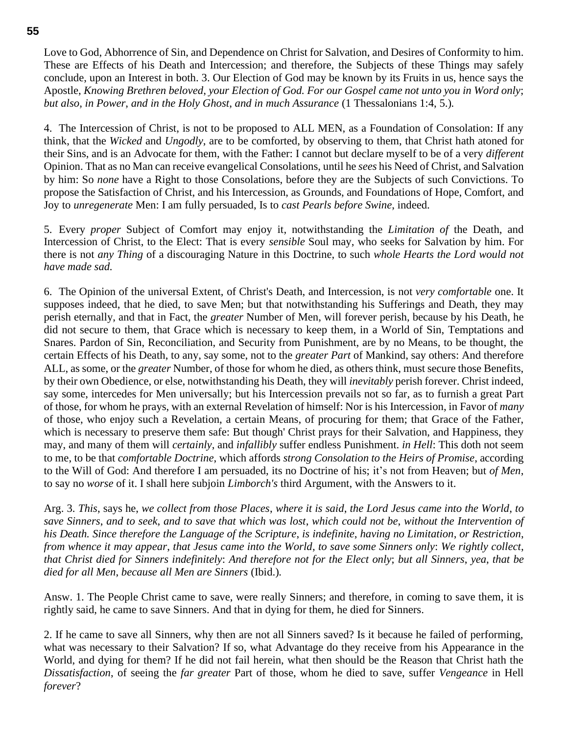Love to God, Abhorrence of Sin, and Dependence on Christ for Salvation, and Desires of Conformity to him. These are Effects of his Death and Intercession; and therefore, the Subjects of these Things may safely conclude, upon an Interest in both. 3. Our Election of God may be known by its Fruits in us, hence says the Apostle, *Knowing Brethren beloved*, *your Election of God. For our Gospel came not unto you in Word only*; *but also, in Power*, *and in the Holy Ghost*, *and in much Assurance* (1 Thessalonians 1:4, 5.)*.*

4. The Intercession of Christ, is not to be proposed to ALL MEN, as a Foundation of Consolation: If any think, that the *Wicked* and *Ungodly*, are to be comforted, by observing to them, that Christ hath atoned for their Sins, and is an Advocate for them, with the Father: I cannot but declare myself to be of a very *different* Opinion. That as no Man can receive evangelical Consolations, until he *sees* his Need of Christ, and Salvation by him: So *none* have a Right to those Consolations, before they are the Subjects of such Convictions. To propose the Satisfaction of Christ, and his Intercession, as Grounds, and Foundations of Hope, Comfort, and Joy to *unregenerate* Men: I am fully persuaded, Is to *cast Pearls before Swine*, indeed.

5. Every *proper* Subject of Comfort may enjoy it, notwithstanding the *Limitation of* the Death, and Intercession of Christ, to the Elect: That is every *sensible* Soul may, who seeks for Salvation by him. For there is not *any Thing* of a discouraging Nature in this Doctrine, to such *whole Hearts the Lord would not have made sad.*

6. The Opinion of the universal Extent, of Christ's Death, and Intercession, is not *very comfortable* one. It supposes indeed, that he died, to save Men; but that notwithstanding his Sufferings and Death, they may perish eternally, and that in Fact, the *greater* Number of Men, will forever perish, because by his Death, he did not secure to them, that Grace which is necessary to keep them, in a World of Sin, Temptations and Snares. Pardon of Sin, Reconciliation, and Security from Punishment, are by no Means, to be thought, the certain Effects of his Death, to any, say some, not to the *greater Part* of Mankind, say others: And therefore ALL, as some, or the *greater* Number, of those for whom he died, as others think, must secure those Benefits, by their own Obedience, or else, notwithstanding his Death, they will *inevitably* perish forever. Christ indeed, say some, intercedes for Men universally; but his Intercession prevails not so far, as to furnish a great Part of those, for whom he prays, with an external Revelation of himself: Nor is his Intercession, in Favor of *many* of those, who enjoy such a Revelation, a certain Means, of procuring for them; that Grace of the Father, which is necessary to preserve them safe: But though' Christ prays for their Salvation, and Happiness, they may, and many of them will *certainly*, and *infallibly* suffer endless Punishment. *in Hell*: This doth not seem to me, to be that *comfortable Doctrine*, which affords *strong Consolation to the Heirs of Promise*, according to the Will of God: And therefore I am persuaded, its no Doctrine of his; it's not from Heaven; but *of Men*, to say no *worse* of it. I shall here subjoin *Limborch's* third Argument, with the Answers to it.

Arg. 3. *This*, says he, *we collect from those Places*, *where it is said*, *the Lord Jesus came into the World*, *to save Sinners*, *and to seek*, *and to save that which was lost*, *which could not be*, *without the Intervention of his Death. Since therefore the Language of the Scripture*, *is indefinite*, *having no Limitation*, *or Restriction*, *from whence it may appear*, *that Jesus came into the World*, *to save some Sinners only*: *We rightly collect*, *that Christ died for Sinners indefinitely*: *And therefore not for the Elect only*; *but all Sinners*, *yea*, *that be died for all Men*, *because all Men are Sinners* (Ibid.)*.*

Answ. 1. The People Christ came to save, were really Sinners; and therefore, in coming to save them, it is rightly said, he came to save Sinners. And that in dying for them, he died for Sinners.

2. If he came to save all Sinners, why then are not all Sinners saved? Is it because he failed of performing, what was necessary to their Salvation? If so, what Advantage do they receive from his Appearance in the World, and dying for them? If he did not fail herein, what then should be the Reason that Christ hath the *Dissatisfaction*, of seeing the *far greater* Part of those, whom he died to save, suffer *Vengeance* in Hell *forever*?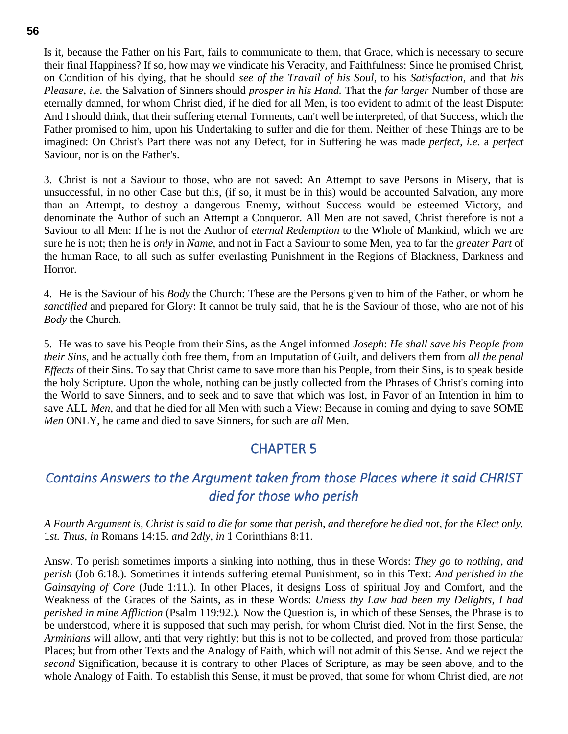Is it, because the Father on his Part, fails to communicate to them, that Grace, which is necessary to secure their final Happiness? If so, how may we vindicate his Veracity, and Faithfulness: Since he promised Christ, on Condition of his dying, that he should *see of the Travail of his Soul*, to his *Satisfaction*, and that *his Pleasure*, *i.e.* the Salvation of Sinners should *prosper in his Hand.* That the *far larger* Number of those are eternally damned, for whom Christ died, if he died for all Men, is too evident to admit of the least Dispute: And I should think, that their suffering eternal Torments, can't well be interpreted, of that Success, which the Father promised to him, upon his Undertaking to suffer and die for them. Neither of these Things are to be imagined: On Christ's Part there was not any Defect, for in Suffering he was made *perfect*, *i.e.* a *perfect* Saviour, nor is on the Father's.

3. Christ is not a Saviour to those, who are not saved: An Attempt to save Persons in Misery, that is unsuccessful, in no other Case but this, (if so, it must be in this) would be accounted Salvation, any more than an Attempt, to destroy a dangerous Enemy, without Success would be esteemed Victory, and denominate the Author of such an Attempt a Conqueror. All Men are not saved, Christ therefore is not a Saviour to all Men: If he is not the Author of *eternal Redemption* to the Whole of Mankind, which we are sure he is not; then he is *only* in *Name*, and not in Fact a Saviour to some Men, yea to far the *greater Part* of the human Race, to all such as suffer everlasting Punishment in the Regions of Blackness, Darkness and Horror.

4. He is the Saviour of his *Body* the Church: These are the Persons given to him of the Father, or whom he *sanctified* and prepared for Glory: It cannot be truly said, that he is the Saviour of those, who are not of his *Body* the Church.

5. He was to save his People from their Sins, as the Angel informed *Joseph*: *He shall save his People from their Sins*, and he actually doth free them, from an Imputation of Guilt, and delivers them from *all the penal Effects* of their Sins. To say that Christ came to save more than his People, from their Sins, is to speak beside the holy Scripture. Upon the whole, nothing can be justly collected from the Phrases of Christ's coming into the World to save Sinners, and to seek and to save that which was lost, in Favor of an Intention in him to save ALL *Men*, and that he died for all Men with such a View: Because in coming and dying to save SOME *Men* ONLY, he came and died to save Sinners, for such are *all* Men.

### CHAPTER 5

# *Contains Answers to the Argument taken from those Places where it said CHRIST died for those who perish*

#### *A Fourth Argument is*, *Christ is said to die for some that perish*, *and therefore he died not*, *for the Elect only.* 1*st. Thus, in* Romans 14:15. *and* 2*dly*, *in* 1 Corinthians 8:11.

Answ. To perish sometimes imports a sinking into nothing, thus in these Words: *They go to nothing*, *and perish* (Job 6:18.)*.* Sometimes it intends suffering eternal Punishment, so in this Text: *And perished in the Gainsaying of Core* (Jude 1:11.)*.* In other Places, it designs Loss of spiritual Joy and Comfort, and the Weakness of the Graces of the Saints, as in these Words: *Unless thy Law had been my Delights*, *I had perished in mine Affliction* (Psalm 119:92.)*.* Now the Question is, in which of these Senses, the Phrase is to be understood, where it is supposed that such may perish, for whom Christ died. Not in the first Sense, the *Arminians* will allow, anti that very rightly; but this is not to be collected, and proved from those particular Places; but from other Texts and the Analogy of Faith, which will not admit of this Sense. And we reject the *second* Signification, because it is contrary to other Places of Scripture, as may be seen above, and to the whole Analogy of Faith. To establish this Sense, it must be proved, that some for whom Christ died, are *not*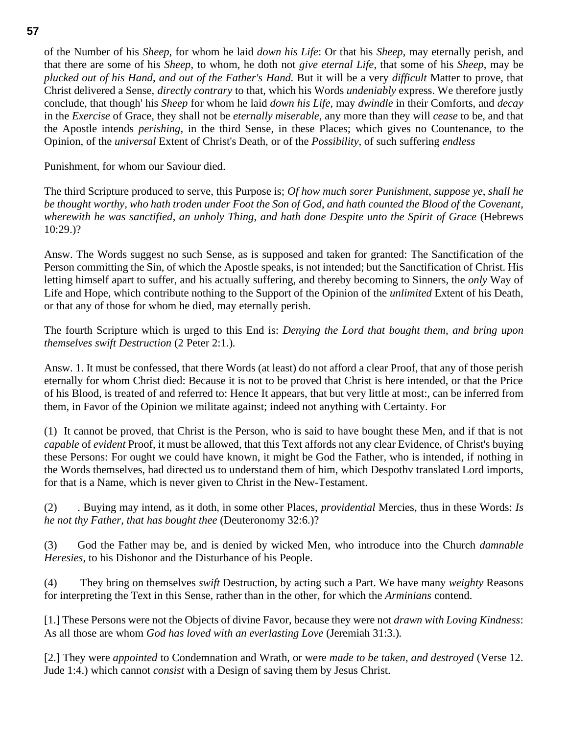of the Number of his *Sheep*, for whom he laid *down his Life*: Or that his *Sheep*, may eternally perish, and that there are some of his *Sheep*, to whom, he doth not *give eternal Life*, that some of his *Sheep*, may be *plucked out of his Hand*, *and out of the Father's Hand.* But it will be a very *difficult* Matter to prove, that Christ delivered a Sense, *directly contrary* to that, which his Words *undeniably* express. We therefore justly conclude, that though' his *Sheep* for whom he laid *down his Life*, may *dwindle* in their Comforts, and *decay* in the *Exercise* of Grace, they shall not be *eternally miserable*, any more than they will *cease* to be, and that the Apostle intends *perishing*, in the third Sense, in these Places; which gives no Countenance, to the Opinion, of the *universal* Extent of Christ's Death, or of the *Possibility*, of such suffering *endless*

Punishment, for whom our Saviour died.

The third Scripture produced to serve, this Purpose is; *Of how much sorer Punishment*, *suppose ye*, *shall he be thought worthy*, *who hath troden under Foot the Son of God*, *and hath counted the Blood of the Covenant*, *wherewith he was sanctified*, *an unholy Thing*, *and hath done Despite unto the Spirit of Grace* (Hebrews 10:29.)?

Answ. The Words suggest no such Sense, as is supposed and taken for granted: The Sanctification of the Person committing the Sin, of which the Apostle speaks, is not intended; but the Sanctification of Christ. His letting himself apart to suffer, and his actually suffering, and thereby becoming to Sinners, the *only* Way of Life and Hope, which contribute nothing to the Support of the Opinion of the *unlimited* Extent of his Death, or that any of those for whom he died, may eternally perish.

The fourth Scripture which is urged to this End is: *Denying the Lord that bought them*, *and bring upon themselves swift Destruction* (2 Peter 2:1.)*.*

Answ. 1. It must be confessed, that there Words (at least) do not afford a clear Proof, that any of those perish eternally for whom Christ died: Because it is not to be proved that Christ is here intended, or that the Price of his Blood, is treated of and referred to: Hence It appears, that but very little at most:, can be inferred from them, in Favor of the Opinion we militate against; indeed not anything with Certainty. For

(1) It cannot be proved, that Christ is the Person, who is said to have bought these Men, and if that is not *capable* of *evident* Proof, it must be allowed, that this Text affords not any clear Evidence, of Christ's buying these Persons: For ought we could have known, it might be God the Father, who is intended, if nothing in the Words themselves, had directed us to understand them of him, which Despothv translated Lord imports, for that is a Name, which is never given to Christ in the New-Testament.

(2) . Buying may intend, as it doth, in some other Places, *providential* Mercies, thus in these Words: *Is he not thy Father*, *that has bought thee* (Deuteronomy 32:6.)?

(3) God the Father may be, and is denied by wicked Men, who introduce into the Church *damnable Heresies*, to his Dishonor and the Disturbance of his People.

(4) They bring on themselves *swift* Destruction, by acting such a Part. We have many *weighty* Reasons for interpreting the Text in this Sense, rather than in the other, for which the *Arminians* contend.

[1.] These Persons were not the Objects of divine Favor, because they were not *drawn with Loving Kindness*: As all those are whom *God has loved with an everlasting Love* (Jeremiah 31:3.)*.*

[2.] They were *appointed* to Condemnation and Wrath, or were *made to be taken*, *and destroyed* (Verse 12. Jude 1:4.) which cannot *consist* with a Design of saving them by Jesus Christ.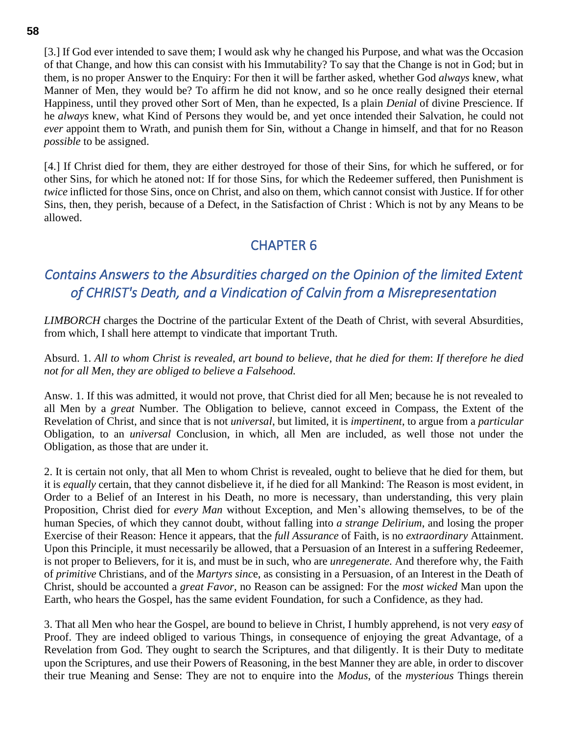[3.] If God ever intended to save them; I would ask why he changed his Purpose, and what was the Occasion of that Change, and how this can consist with his Immutability? To say that the Change is not in God; but in them, is no proper Answer to the Enquiry: For then it will be farther asked, whether God *always* knew, what Manner of Men, they would be? To affirm he did not know, and so he once really designed their eternal Happiness, until they proved other Sort of Men, than he expected, Is a plain *Denial* of divine Prescience. If he *always* knew, what Kind of Persons they would be, and yet once intended their Salvation, he could not *ever* appoint them to Wrath, and punish them for Sin, without a Change in himself, and that for no Reason *possible* to be assigned.

[4.] If Christ died for them, they are either destroyed for those of their Sins, for which he suffered, or for other Sins, for which he atoned not: If for those Sins, for which the Redeemer suffered, then Punishment is *twice* inflicted for those Sins, once on Christ, and also on them, which cannot consist with Justice. If for other Sins, then, they perish, because of a Defect, in the Satisfaction of Christ : Which is not by any Means to be allowed.

## CHAPTER 6

# *Contains Answers to the Absurdities charged on the Opinion of the limited Extent of CHRIST's Death, and a Vindication of Calvin from a Misrepresentation*

*LIMBORCH* charges the Doctrine of the particular Extent of the Death of Christ, with several Absurdities, from which, I shall here attempt to vindicate that important Truth.

Absurd. 1. *All to whom Christ is revealed*, *art bound to believe*, *that he died for them*: *If therefore he died not for all Men*, *they are obliged to believe a Falsehood.*

Answ. 1. If this was admitted, it would not prove, that Christ died for all Men; because he is not revealed to all Men by a *great* Number. The Obligation to believe, cannot exceed in Compass, the Extent of the Revelation of Christ, and since that is not *universal*, but limited, it is *impertinent*, to argue from a *particular* Obligation, to an *universal* Conclusion, in which, all Men are included, as well those not under the Obligation, as those that are under it.

2. It is certain not only, that all Men to whom Christ is revealed, ought to believe that he died for them, but it is *equally* certain, that they cannot disbelieve it, if he died for all Mankind: The Reason is most evident, in Order to a Belief of an Interest in his Death, no more is necessary, than understanding, this very plain Proposition, Christ died for *every Man* without Exception, and Men's allowing themselves, to be of the human Species, of which they cannot doubt, without falling into *a strange Delirium*, and losing the proper Exercise of their Reason: Hence it appears, that the *full Assurance* of Faith, is no *extraordinary* Attainment. Upon this Principle, it must necessarily be allowed, that a Persuasion of an Interest in a suffering Redeemer, is not proper to Believers, for it is, and must be in such, who are *unregenerate.* And therefore why, the Faith of *primitive* Christians, and of the *Martyrs sinc*e, as consisting in a Persuasion, of an Interest in the Death of Christ, should be accounted a *great Favor*, no Reason can be assigned: For the *most wicked* Man upon the Earth, who hears the Gospel, has the same evident Foundation, for such a Confidence, as they had.

3. That all Men who hear the Gospel, are bound to believe in Christ, I humbly apprehend, is not very *easy* of Proof. They are indeed obliged to various Things, in consequence of enjoying the great Advantage, of a Revelation from God. They ought to search the Scriptures, and that diligently. It is their Duty to meditate upon the Scriptures, and use their Powers of Reasoning, in the best Manner they are able, in order to discover their true Meaning and Sense: They are not to enquire into the *Modus*, of the *mysterious* Things therein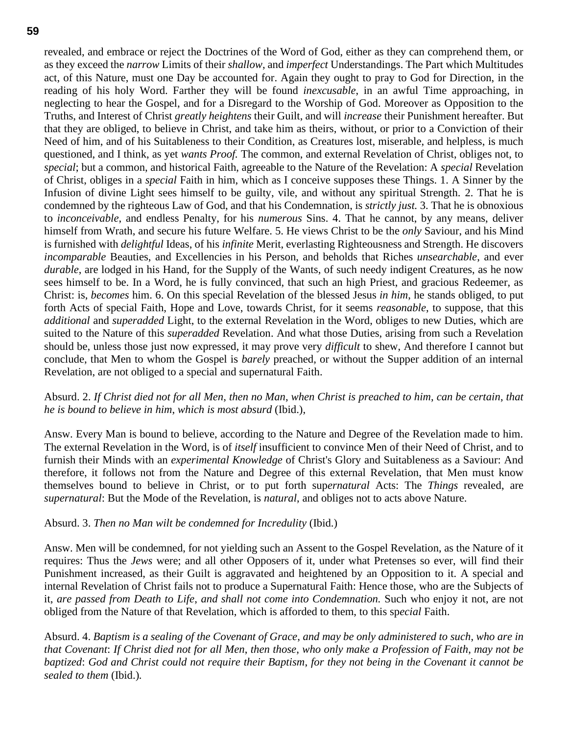revealed, and embrace or reject the Doctrines of the Word of God, either as they can comprehend them, or as they exceed the *narrow* Limits of their *shallow*, and *imperfect* Understandings. The Part which Multitudes act, of this Nature, must one Day be accounted for. Again they ought to pray to God for Direction, in the reading of his holy Word. Farther they will be found *inexcusable*, in an awful Time approaching, in neglecting to hear the Gospel, and for a Disregard to the Worship of God. Moreover as Opposition to the Truths, and Interest of Christ *greatly heightens* their Guilt, and will *increase* their Punishment hereafter. But that they are obliged, to believe in Christ, and take him as theirs, without, or prior to a Conviction of their Need of him, and of his Suitableness to their Condition, as Creatures lost, miserable, and helpless, is much questioned, and I think, as yet *wants Proof.* The common, and external Revelation of Christ, obliges not, to *special*; but a common, and historical Faith, agreeable to the Nature of the Revelation: A *special* Revelation of Christ, obliges in a *special* Faith in him, which as I conceive supposes these Things. 1. A Sinner by the Infusion of divine Light sees himself to be guilty, vile, and without any spiritual Strength. 2. That he is condemned by the righteous Law of God, and that his Condemnation, is *strictly just.* 3. That he is obnoxious to *inconceivable*, and endless Penalty, for his *numerous* Sins. 4. That he cannot, by any means, deliver himself from Wrath, and secure his future Welfare. 5. He views Christ to be the *only* Saviour, and his Mind is furnished with *delightful* Ideas, of his *infinite* Merit, everlasting Righteousness and Strength. He discovers *incomparable* Beauties, and Excellencies in his Person, and beholds that Riches *unsearchable*, and ever *durable*, are lodged in his Hand, for the Supply of the Wants, of such needy indigent Creatures, as he now sees himself to be. In a Word, he is fully convinced, that such an high Priest, and gracious Redeemer, as Christ: is, *becomes* him. 6. On this special Revelation of the blessed Jesus *in him*, he stands obliged, to put forth Acts of special Faith, Hope and Love, towards Christ, for it seems *reasonable*, to suppose, that this *additional* and *superadded* Light, to the external Revelation in the Word, obliges to new Duties, which are suited to the Nature of this *superadded* Revelation. And what those Duties, arising from such a Revelation should be, unless those just now expressed, it may prove very *difficult* to shew, And therefore I cannot but conclude, that Men to whom the Gospel is *barely* preached, or without the Supper addition of an internal Revelation, are not obliged to a special and supernatural Faith.

#### Absurd. 2. *If Christ died not for all Men*, *then no Man*, *when Christ is preached to him*, *can be certain*, *that he is bound to believe in him*, *which is most absurd* (Ibid.),

Answ. Every Man is bound to believe, according to the Nature and Degree of the Revelation made to him. The external Revelation in the Word, is of *itself* insufficient to convince Men of their Need of Christ, and to furnish their Minds with an *experimental Knowledge* of Christ's Glory and Suitableness as a Saviour: And therefore, it follows not from the Nature and Degree of this external Revelation, that Men must know themselves bound to believe in Christ, or to put forth sup*ernatural* Acts: The *Things* revealed, are *supernatural*: But the Mode of the Revelation, is *natural*, and obliges not to acts above Nature.

#### Absurd. 3. *Then no Man wilt be condemned for Incredulity* (Ibid.)

Answ. Men will be condemned, for not yielding such an Assent to the Gospel Revelation, as the Nature of it requires: Thus the *Jews* were; and all other Opposers of it, under what Pretenses so ever, will find their Punishment increased, as their Guilt is aggravated and heightened by an Opposition to it. A special and internal Revelation of Christ fails not to produce a Supernatural Faith: Hence those, who are the Subjects of it, *are passed from Death to Life*, *and shall not come into Condemnation.* Such who enjoy it not, are not obliged from the Nature of that Revelation, which is afforded to them, to this sp*ecial* Faith.

Absurd. 4. *Baptism is a sealing of the Covenant of Grace*, *and may be only administered to such*, *who are in that Covenant*: *If Christ died not for all Men*, *then those*, *who only make a Profession of Faith*, *may not be baptized*: *God and Christ could not require their Baptism*, *for they not being in the Covenant it cannot be sealed to them* (Ibid.)*.*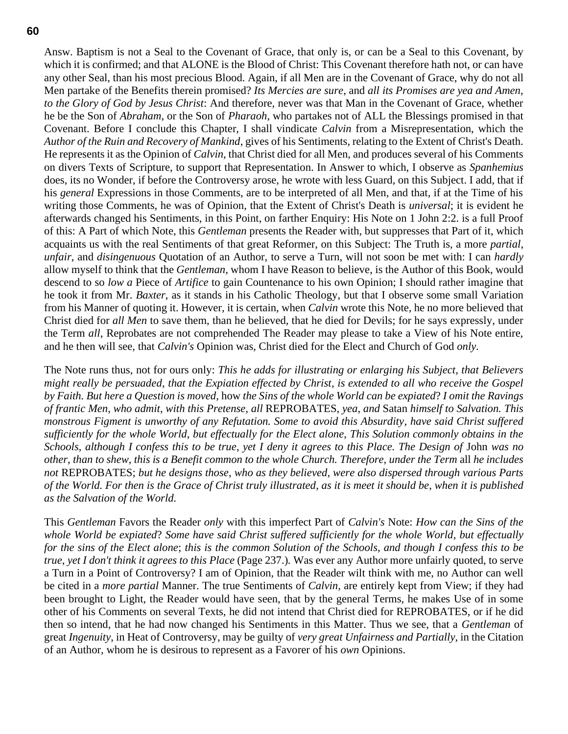Answ. Baptism is not a Seal to the Covenant of Grace, that only is, or can be a Seal to this Covenant, by which it is confirmed; and that ALONE is the Blood of Christ: This Covenant therefore hath not, or can have any other Seal, than his most precious Blood. Again, if all Men are in the Covenant of Grace, why do not all Men partake of the Benefits therein promised? *Its Mercies are sure*, and *all its Promises are yea and Amen*, *to the Glory of God by Jesus Christ*: And therefore, never was that Man in the Covenant of Grace, whether he be the Son of *Abraham*, or the Son of *Pharaoh*, who partakes not of ALL the Blessings promised in that Covenant. Before I conclude this Chapter, I shall vindicate *Calvin* from a Misrepresentation, which the *Author of the Ruin and Recovery of Mankind*, gives of his Sentiments, relating to the Extent of Christ's Death. He represents it as the Opinion of *Calvin*, that Christ died for all Men, and produces several of his Comments on divers Texts of Scripture, to support that Representation. In Answer to which, I observe as *Spanhemius* does, its no Wonder, if before the Controversy arose, he wrote with less Guard, on this Subject. I add, that if his *general* Expressions in those Comments, are to be interpreted of all Men, and that, if at the Time of his writing those Comments, he was of Opinion, that the Extent of Christ's Death is *universal*; it is evident he afterwards changed his Sentiments, in this Point, on farther Enquiry: His Note on 1 John 2:2. is a full Proof of this: A Part of which Note, this *Gentleman* presents the Reader with, but suppresses that Part of it, which acquaints us with the real Sentiments of that great Reformer, on this Subject: The Truth is, a more *partial*, *unfair*, and *disingenuous* Quotation of an Author, to serve a Turn, will not soon be met with: I can *hardly* allow myself to think that the *Gentleman*, whom I have Reason to believe, is the Author of this Book, would descend to so *low a* Piece of *Artifice* to gain Countenance to his own Opinion; I should rather imagine that he took it from Mr. *Baxter*, as it stands in his Catholic Theology, but that I observe some small Variation from his Manner of quoting it. However, it is certain, when *Calvin* wrote this Note, he no more believed that Christ died for *all Men* to save them, than he believed, that he died for Devils; for he says expressly, under the Term *all*, Reprobates are not comprehended The Reader may please to take a View of his Note entire, and he then will see, that *Calvin's* Opinion was, Christ died for the Elect and Church of God *only.*

The Note runs thus, not for ours only: *This he adds for illustrating or enlarging his Subject*, *that Believers might really be persuaded*, *that the Expiation effected by Christ*, *is extended to all who receive the Gospel by Faith. But here a Question is moved*, how *the Sins of the whole World can be expiated*? *I omit the Ravings of frantic Men*, *who admit*, *with this Pretense*, *all* REPROBATES, *yea*, *and* Satan *himself to Salvation. This monstrous Figment is unworthy of any Refutation. Some to avoid this Absurdity*, *have said Christ suffered sufficiently for the whole World*, *but effectually for the Elect alone*, *This Solution commonly obtains in the Schools*, *although I confess this to be true*, *yet I deny it agrees to this Place. The Design of* John *was no other*, *than to shew*, *this is a Benefit common to the whole Church. Therefore, under the Term* all *he includes not* REPROBATES; *but he designs those*, *who as they believed*, *were also dispersed through various Parts of the World. For then is the Grace of Christ truly illustrated*, *as it is meet it should be*, *when it is published as the Salvation of the World.*

This *Gentleman* Favors the Reader *only* with this imperfect Part of *Calvin's* Note: *How can the Sins of the whole World be expiated*? *Some have said Christ suffered sufficiently for the whole World*, *but effectually for the sins of the Elect alone*; *this is the common Solution of the Schools*, *and though I confess this to be true*, *yet I don't think it agrees to this Place* (Page 237.)*.* Was ever any Author more unfairly quoted, to serve a Turn in a Point of Controversy? I am of Opinion, that the Reader wilt think with me, no Author can well be cited in a *more partial* Manner. The true Sentiments of *Calvin*, are entirely kept from View; if they had been brought to Light, the Reader would have seen, that by the general Terms, he makes Use of in some other of his Comments on several Texts, he did not intend that Christ died for REPROBATES, or if he did then so intend, that he had now changed his Sentiments in this Matter. Thus we see, that a *Gentleman* of great *Ingenuity*, in Heat of Controversy, may be guilty of *very great Unfairness and Partially*, in the Citation of an Author, whom he is desirous to represent as a Favorer of his *own* Opinions.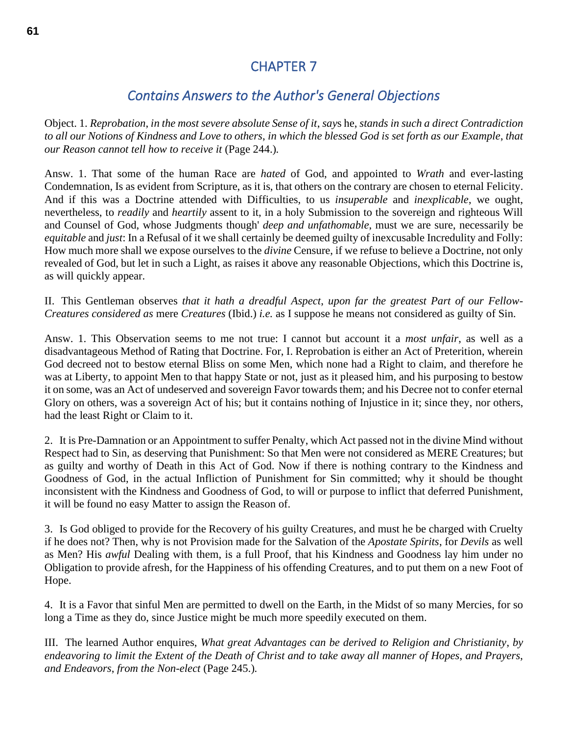## CHAPTER 7

### *Contains Answers to the Author's General Objections*

Object. 1. *Reprobation*, *in the most severe absolute Sense of it*, *say*s he, *stands in such a direct Contradiction to all our Notions of Kindness and Love to others*, *in which the blessed God is set forth as our Example*, *that our Reason cannot tell how to receive it* (Page 244.)*.*

Answ. 1. That some of the human Race are *hated* of God, and appointed to *Wrath* and ever-lasting Condemnation, Is as evident from Scripture, as it is, that others on the contrary are chosen to eternal Felicity. And if this was a Doctrine attended with Difficulties, to us *insuperable* and *inexplicable*, we ought, nevertheless, to *readily* and *heartily* assent to it, in a holy Submission to the sovereign and righteous Will and Counsel of God, whose Judgments though' *deep and unfathomable*, must we are sure, necessarily be *equitable* and *just*: In a Refusal of it we shall certainly be deemed guilty of inexcusable Incredulity and Folly: How much more shall we expose ourselves to the *divine* Censure, if we refuse to believe a Doctrine, not only revealed of God, but let in such a Light, as raises it above any reasonable Objections, which this Doctrine is, as will quickly appear.

II. This Gentleman observes *that it hath a dreadful Aspect*, *upon far the greatest Part of our Fellow-Creatures considered as* mere *Creatures* (Ibid.) *i.e.* as I suppose he means not considered as guilty of Sin.

Answ. 1. This Observation seems to me not true: I cannot but account it a *most unfair*, as well as a disadvantageous Method of Rating that Doctrine. For, I. Reprobation is either an Act of Preterition, wherein God decreed not to bestow eternal Bliss on some Men, which none had a Right to claim, and therefore he was at Liberty, to appoint Men to that happy State or not, just as it pleased him, and his purposing to bestow it on some, was an Act of undeserved and sovereign Favor towards them; and his Decree not to confer eternal Glory on others, was a sovereign Act of his; but it contains nothing of Injustice in it; since they, nor others, had the least Right or Claim to it.

2. It is Pre-Damnation or an Appointment to suffer Penalty, which Act passed not in the divine Mind without Respect had to Sin, as deserving that Punishment: So that Men were not considered as MERE Creatures; but as guilty and worthy of Death in this Act of God. Now if there is nothing contrary to the Kindness and Goodness of God, in the actual Infliction of Punishment for Sin committed; why it should be thought inconsistent with the Kindness and Goodness of God, to will or purpose to inflict that deferred Punishment, it will be found no easy Matter to assign the Reason of.

3. Is God obliged to provide for the Recovery of his guilty Creatures, and must he be charged with Cruelty if he does not? Then, why is not Provision made for the Salvation of the *Apostate Spirits*, for *Devils* as well as Men? His *awful* Dealing with them, is a full Proof, that his Kindness and Goodness lay him under no Obligation to provide afresh, for the Happiness of his offending Creatures, and to put them on a new Foot of Hope.

4. It is a Favor that sinful Men are permitted to dwell on the Earth, in the Midst of so many Mercies, for so long a Time as they do, since Justice might be much more speedily executed on them.

III. The learned Author enquires, *What great Advantages can be derived to Religion and Christianity*, *by endeavoring to limit the Extent of the Death of Christ and to take away all manner of Hopes*, *and Prayers*, *and Endeavors*, *from the Non-elect* (Page 245.)*.*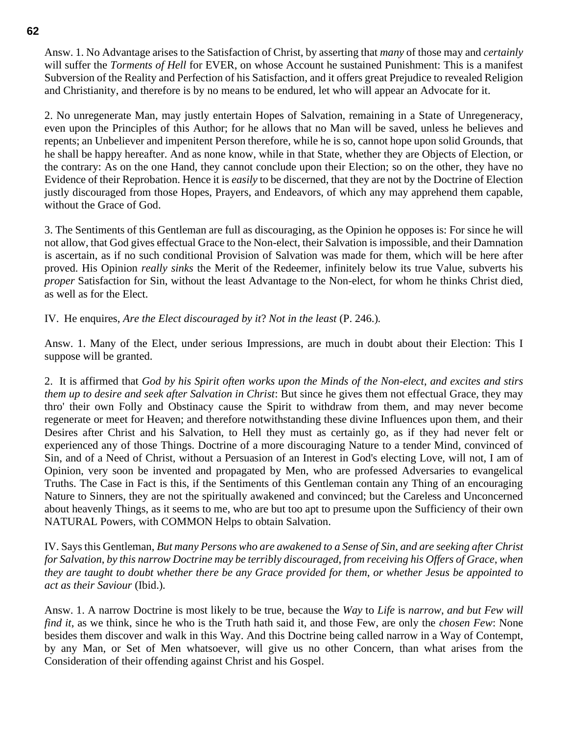Answ. 1. No Advantage arises to the Satisfaction of Christ, by asserting that *many* of those may and *certainly* will suffer the *Torments of Hell* for EVER, on whose Account he sustained Punishment: This is a manifest Subversion of the Reality and Perfection of his Satisfaction, and it offers great Prejudice to revealed Religion and Christianity, and therefore is by no means to be endured, let who will appear an Advocate for it.

2. No unregenerate Man, may justly entertain Hopes of Salvation, remaining in a State of Unregeneracy, even upon the Principles of this Author; for he allows that no Man will be saved, unless he believes and repents; an Unbeliever and impenitent Person therefore, while he is so, cannot hope upon solid Grounds, that he shall be happy hereafter. And as none know, while in that State, whether they are Objects of Election, or the contrary: As on the one Hand, they cannot conclude upon their Election; so on the other, they have no Evidence of their Reprobation. Hence it is *easily* to be discerned, that they are not by the Doctrine of Election justly discouraged from those Hopes, Prayers, and Endeavors, of which any may apprehend them capable, without the Grace of God.

3. The Sentiments of this Gentleman are full as discouraging, as the Opinion he opposes is: For since he will not allow, that God gives effectual Grace to the Non-elect, their Salvation is impossible, and their Damnation is ascertain, as if no such conditional Provision of Salvation was made for them, which will be here after proved. His Opinion *really sinks* the Merit of the Redeemer, infinitely below its true Value, subverts his *proper* Satisfaction for Sin, without the least Advantage to the Non-elect, for whom he thinks Christ died, as well as for the Elect.

IV. He enquires, *Are the Elect discouraged by it*? *Not in the least* (P. 246.)*.*

Answ. 1. Many of the Elect, under serious Impressions, are much in doubt about their Election: This I suppose will be granted.

2. It is affirmed that *God by his Spirit often works upon the Minds of the Non-elect*, *and excites and stirs them up to desire and seek after Salvation in Christ*: But since he gives them not effectual Grace, they may thro' their own Folly and Obstinacy cause the Spirit to withdraw from them, and may never become regenerate or meet for Heaven; and therefore notwithstanding these divine Influences upon them, and their Desires after Christ and his Salvation, to Hell they must as certainly go, as if they had never felt or experienced any of those Things. Doctrine of a more discouraging Nature to a tender Mind, convinced of Sin, and of a Need of Christ, without a Persuasion of an Interest in God's electing Love, will not, I am of Opinion, very soon be invented and propagated by Men, who are professed Adversaries to evangelical Truths. The Case in Fact is this, if the Sentiments of this Gentleman contain any Thing of an encouraging Nature to Sinners, they are not the spiritually awakened and convinced; but the Careless and Unconcerned about heavenly Things, as it seems to me, who are but too apt to presume upon the Sufficiency of their own NATURAL Powers, with COMMON Helps to obtain Salvation.

IV. Says this Gentleman, *But many Persons who are awakened to a Sense of Sin*, *and are seeking after Christ for Salvation*, *by this narrow Doctrine may be terribly discouraged*, *from receiving his Offers of Grace*, *when they are taught to doubt whether there be any Grace provided for them*, *or whether Jesus be appointed to act as their Saviour* (Ibid.)*.*

Answ. 1. A narrow Doctrine is most likely to be true, because the *Way* to *Life* is *narrow*, *and but Few will find it*, as we think, since he who is the Truth hath said it, and those Few, are only the *chosen Few*: None besides them discover and walk in this Way. And this Doctrine being called narrow in a Way of Contempt, by any Man, or Set of Men whatsoever, will give us no other Concern, than what arises from the Consideration of their offending against Christ and his Gospel.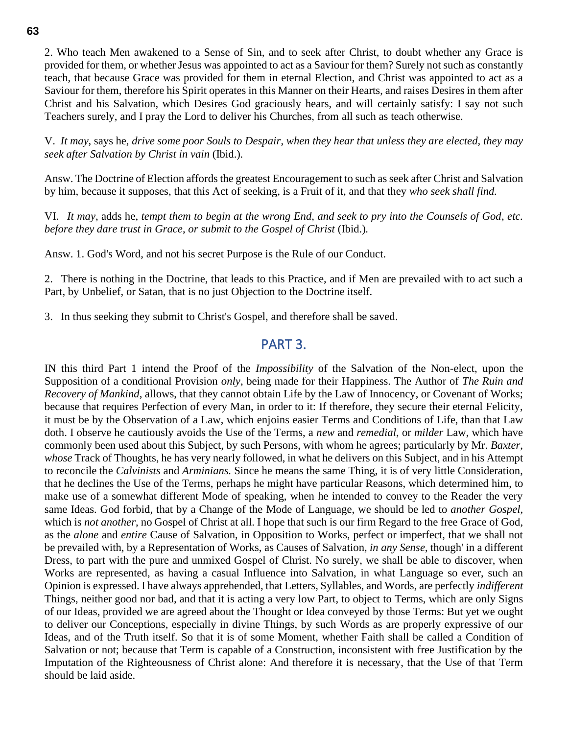2. Who teach Men awakened to a Sense of Sin, and to seek after Christ, to doubt whether any Grace is provided for them, or whether Jesus was appointed to act as a Saviour for them? Surely not such as constantly teach, that because Grace was provided for them in eternal Election, and Christ was appointed to act as a Saviour for them, therefore his Spirit operates in this Manner on their Hearts, and raises Desires in them after Christ and his Salvation, which Desires God graciously hears, and will certainly satisfy: I say not such

Teachers surely, and I pray the Lord to deliver his Churches, from all such as teach otherwise.

V. *It may*, says he, *drive some poor Souls to Despair*, *when they hear that unless they are elected, they may seek after Salvation by Christ in vain* (Ibid.)*.*

Answ. The Doctrine of Election affords the greatest Encouragement to such as seek after Christ and Salvation by him, because it supposes, that this Act of seeking, is a Fruit of it, and that they *who seek shall find.*

VI. *It may*, adds he, *tempt them to begin at the wrong End*, *and seek to pry into the Counsels of God*, *etc. before they dare trust in Grace*, *or submit to the Gospel of Christ* (Ibid.)*.*

Answ. 1. God's Word, and not his secret Purpose is the Rule of our Conduct.

2. There is nothing in the Doctrine, that leads to this Practice, and if Men are prevailed with to act such a Part, by Unbelief, or Satan, that is no just Objection to the Doctrine itself.

3. In thus seeking they submit to Christ's Gospel, and therefore shall be saved.

## PART 3.

IN this third Part 1 intend the Proof of the *Impossibility* of the Salvation of the Non-elect, upon the Supposition of a conditional Provision *only*, being made for their Happiness. The Author of *The Ruin and Recovery of Mankind*, allows, that they cannot obtain Life by the Law of Innocency, or Covenant of Works; because that requires Perfection of every Man, in order to it: If therefore, they secure their eternal Felicity, it must be by the Observation of a Law, which enjoins easier Terms and Conditions of Life, than that Law doth. I observe he cautiously avoids the Use of the Terms, a *new* and *remedial*, or *milder* Law, which have commonly been used about this Subject, by such Persons, with whom he agrees; particularly by Mr. *Baxter*, *whose* Track of Thoughts, he has very nearly followed, in what he delivers on this Subject, and in his Attempt to reconcile the *Calvinists* and *Arminians.* Since he means the same Thing, it is of very little Consideration, that he declines the Use of the Terms, perhaps he might have particular Reasons, which determined him, to make use of a somewhat different Mode of speaking, when he intended to convey to the Reader the very same Ideas. God forbid, that by a Change of the Mode of Language, we should be led to *another Gospel*, which is *not another*, no Gospel of Christ at all. I hope that such is our firm Regard to the free Grace of God, as the *alone* and *entire* Cause of Salvation, in Opposition to Works, perfect or imperfect, that we shall not be prevailed with, by a Representation of Works, as Causes of Salvation, *in any Sense*, though' in a different Dress, to part with the pure and unmixed Gospel of Christ. No surely, we shall be able to discover, when Works are represented, as having a casual Influence into Salvation, in what Language so ever, such an Opinion is expressed. I have always apprehended, that Letters, Syllables, and Words, are perfectly *indifferent* Things, neither good nor bad, and that it is acting a very low Part, to object to Terms, which are only Signs of our Ideas, provided we are agreed about the Thought or Idea conveyed by those Terms: But yet we ought to deliver our Conceptions, especially in divine Things, by such Words as are properly expressive of our Ideas, and of the Truth itself. So that it is of some Moment, whether Faith shall be called a Condition of Salvation or not; because that Term is capable of a Construction, inconsistent with free Justification by the Imputation of the Righteousness of Christ alone: And therefore it is necessary, that the Use of that Term should be laid aside.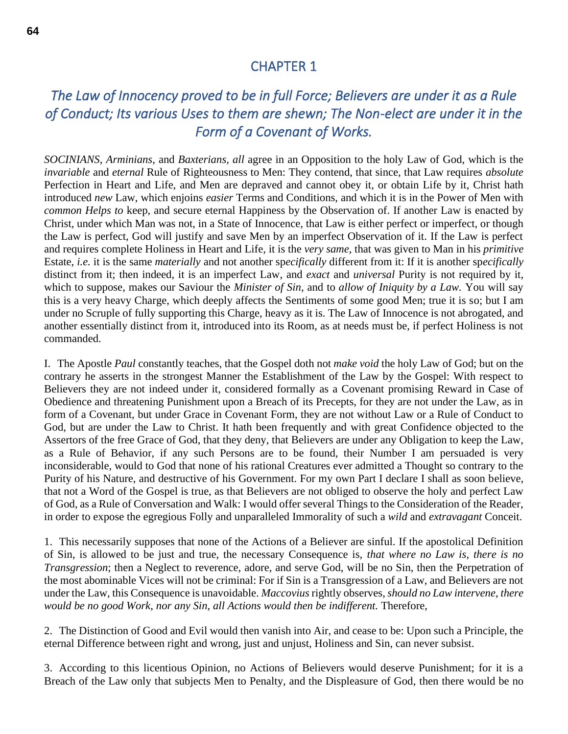### CHAPTER 1

# *The Law of Innocency proved to be in full Force; Believers are under it as a Rule of Conduct; Its various Uses to them are shewn; The Non-elect are under it in the Form of a Covenant of Works.*

*SOCINIANS*, *Arminians*, and *Baxterians*, *all* agree in an Opposition to the holy Law of God, which is the *invariable* and *eternal* Rule of Righteousness to Men: They contend, that since, that Law requires *absolute* Perfection in Heart and Life, and Men are depraved and cannot obey it, or obtain Life by it, Christ hath introduced *new* Law, which enjoins *easier* Terms and Conditions, and which it is in the Power of Men with *common Helps to* keep, and secure eternal Happiness by the Observation of. If another Law is enacted by Christ, under which Man was not, in a State of Innocence, that Law is either perfect or imperfect, or though the Law is perfect, God will justify and save Men by an imperfect Observation of it. If the Law is perfect and requires complete Holiness in Heart and Life, it is the *very same*, that was given to Man in his *primitive* Estate, *i.e.* it is the same *materially* and not another sp*ecifically* different from it: If it is another sp*ecifically* distinct from it; then indeed, it is an imperfect Law, and *exact* and *universal* Purity is not required by it, which to suppose, makes our Saviour the *Minister of Sin*, and to *allow of Iniquity by a Law.* You will say this is a very heavy Charge, which deeply affects the Sentiments of some good Men; true it is so; but I am under no Scruple of fully supporting this Charge, heavy as it is. The Law of Innocence is not abrogated, and another essentially distinct from it, introduced into its Room, as at needs must be, if perfect Holiness is not commanded.

I. The Apostle *Paul* constantly teaches, that the Gospel doth not *make void* the holy Law of God; but on the contrary he asserts in the strongest Manner the Establishment of the Law by the Gospel: With respect to Believers they are not indeed under it, considered formally as a Covenant promising Reward in Case of Obedience and threatening Punishment upon a Breach of its Precepts, for they are not under the Law, as in form of a Covenant, but under Grace in Covenant Form, they are not without Law or a Rule of Conduct to God, but are under the Law to Christ. It hath been frequently and with great Confidence objected to the Assertors of the free Grace of God, that they deny, that Believers are under any Obligation to keep the Law, as a Rule of Behavior, if any such Persons are to be found, their Number I am persuaded is very inconsiderable, would to God that none of his rational Creatures ever admitted a Thought so contrary to the Purity of his Nature, and destructive of his Government. For my own Part I declare I shall as soon believe, that not a Word of the Gospel is true, as that Believers are not obliged to observe the holy and perfect Law of God, as a Rule of Conversation and Walk: I would offer several Things to the Consideration of the Reader, in order to expose the egregious Folly and unparalleled Immorality of such a *wild* and *extravagant* Conceit.

1. This necessarily supposes that none of the Actions of a Believer are sinful. If the apostolical Definition of Sin, is allowed to be just and true, the necessary Consequence is, *that where no Law is*, *there is no Transgression*; then a Neglect to reverence, adore, and serve God, will be no Sin, then the Perpetration of the most abominable Vices will not be criminal: For if Sin is a Transgression of a Law, and Believers are not under the Law, this Consequence is unavoidable. *Maccovius* rightly observes, *should no Law intervene*, *there would be no good Work*, *nor any Sin*, *all Actions would then be indifferent.* Therefore,

2. The Distinction of Good and Evil would then vanish into Air, and cease to be: Upon such a Principle, the eternal Difference between right and wrong, just and unjust, Holiness and Sin, can never subsist.

3. According to this licentious Opinion, no Actions of Believers would deserve Punishment; for it is a Breach of the Law only that subjects Men to Penalty, and the Displeasure of God, then there would be no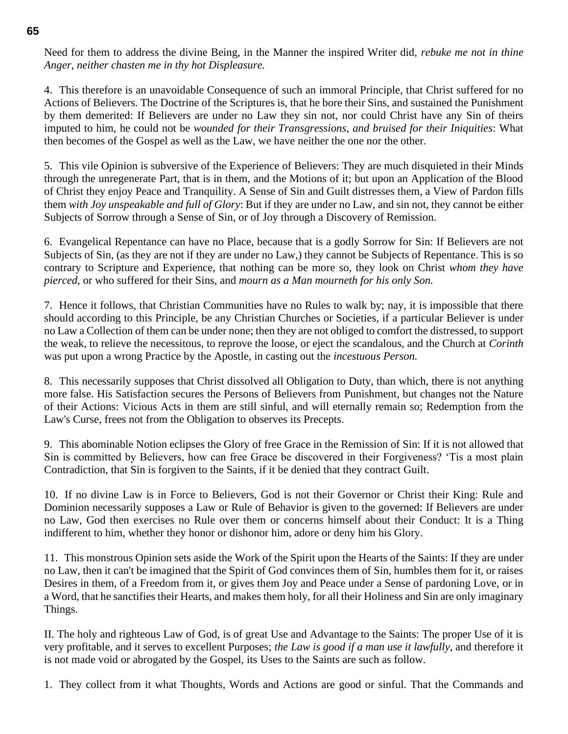Need for them to address the divine Being, in the Manner the inspired Writer did, *rebuke me not in thine Anger*, *neither chasten me in thy hot Displeasure.*

4. This therefore is an unavoidable Consequence of such an immoral Principle, that Christ suffered for no Actions of Believers. The Doctrine of the Scriptures is, that he bore their Sins, and sustained the Punishment by them demerited: If Believers are under no Law they sin not, nor could Christ have any Sin of theirs imputed to him, he could not be *wounded for their Transgressions*, *and bruised for their Iniquities*: What then becomes of the Gospel as well as the Law, we have neither the one nor the other.

5. This vile Opinion is subversive of the Experience of Believers: They are much disquieted in their Minds through the unregenerate Part, that is in them, and the Motions of it; but upon an Application of the Blood of Christ they enjoy Peace and Tranquility. A Sense of Sin and Guilt distresses them, a View of Pardon fills them *with Joy unspeakable and full of Glory*: But if they are under no Law, and sin not, they cannot be either Subjects of Sorrow through a Sense of Sin, or of Joy through a Discovery of Remission.

6. Evangelical Repentance can have no Place, because that is a godly Sorrow for Sin: If Believers are not Subjects of Sin, (as they are not if they are under no Law,) they cannot be Subjects of Repentance. This is so contrary to Scripture and Experience, that nothing can be more so, they look on Christ *whom they have pierced*, or who suffered for their Sins, and *mourn as a Man mourneth for his only Son.*

7. Hence it follows, that Christian Communities have no Rules to walk by; nay, it is impossible that there should according to this Principle, be any Christian Churches or Societies, if a particular Believer is under no Law a Collection of them can be under none; then they are not obliged to comfort the distressed, to support the weak, to relieve the necessitous, to reprove the loose, or eject the scandalous, and the Church at *Corinth* was put upon a wrong Practice by the Apostle, in casting out the *incestuous Person.*

8. This necessarily supposes that Christ dissolved all Obligation to Duty, than which, there is not anything more false. His Satisfaction secures the Persons of Believers from Punishment, but changes not the Nature of their Actions: Vicious Acts in them are still sinful, and will eternally remain so; Redemption from the Law's Curse, frees not from the Obligation to observes its Precepts.

9. This abominable Notion eclipses the Glory of free Grace in the Remission of Sin: If it is not allowed that Sin is committed by Believers, how can free Grace be discovered in their Forgiveness? 'Tis a most plain Contradiction, that Sin is forgiven to the Saints, if it be denied that they contract Guilt.

10. If no divine Law is in Force to Believers, God is not their Governor or Christ their King: Rule and Dominion necessarily supposes a Law or Rule of Behavior is given to the governed: If Believers are under no Law, God then exercises no Rule over them or concerns himself about their Conduct: It is a Thing indifferent to him, whether they honor or dishonor him, adore or deny him his Glory.

11. This monstrous Opinion sets aside the Work of the Spirit upon the Hearts of the Saints: If they are under no Law, then it can't be imagined that the Spirit of God convinces them of Sin, humbles them for it, or raises Desires in them, of a Freedom from it, or gives them Joy and Peace under a Sense of pardoning Love, or in a Word, that he sanctifies their Hearts, and makes them holy, for all their Holiness and Sin are only imaginary Things.

II. The holy and righteous Law of God, is of great Use and Advantage to the Saints: The proper Use of it is very profitable, and it serves to excellent Purposes; *the Law is good if a man use it lawfully*, and therefore it is not made void or abrogated by the Gospel, its Uses to the Saints are such as follow.

1. They collect from it what Thoughts, Words and Actions are good or sinful. That the Commands and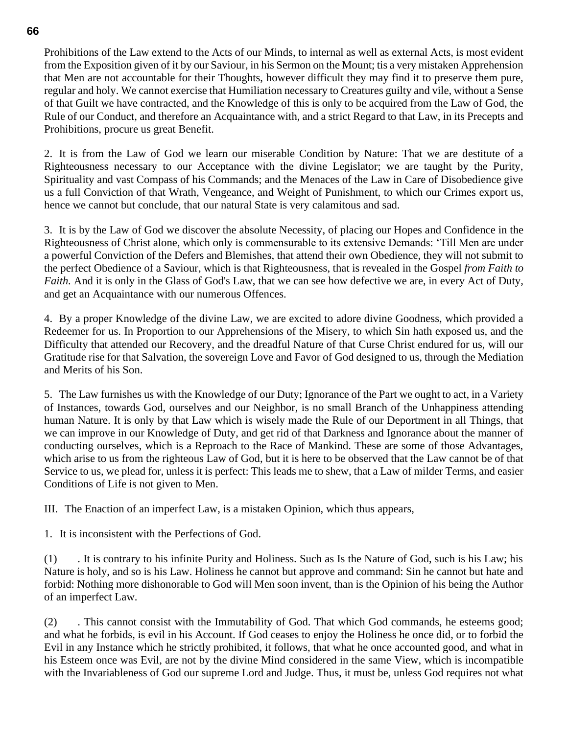Prohibitions of the Law extend to the Acts of our Minds, to internal as well as external Acts, is most evident from the Exposition given of it by our Saviour, in his Sermon on the Mount; tis a very mistaken Apprehension that Men are not accountable for their Thoughts, however difficult they may find it to preserve them pure, regular and holy. We cannot exercise that Humiliation necessary to Creatures guilty and vile, without a Sense of that Guilt we have contracted, and the Knowledge of this is only to be acquired from the Law of God, the Rule of our Conduct, and therefore an Acquaintance with, and a strict Regard to that Law, in its Precepts and Prohibitions, procure us great Benefit.

2. It is from the Law of God we learn our miserable Condition by Nature: That we are destitute of a Righteousness necessary to our Acceptance with the divine Legislator; we are taught by the Purity, Spirituality and vast Compass of his Commands; and the Menaces of the Law in Care of Disobedience give us a full Conviction of that Wrath, Vengeance, and Weight of Punishment, to which our Crimes export us, hence we cannot but conclude, that our natural State is very calamitous and sad.

3. It is by the Law of God we discover the absolute Necessity, of placing our Hopes and Confidence in the Righteousness of Christ alone, which only is commensurable to its extensive Demands: 'Till Men are under a powerful Conviction of the Defers and Blemishes, that attend their own Obedience, they will not submit to the perfect Obedience of a Saviour, which is that Righteousness, that is revealed in the Gospel *from Faith to Faith.* And it is only in the Glass of God's Law, that we can see how defective we are, in every Act of Duty, and get an Acquaintance with our numerous Offences.

4. By a proper Knowledge of the divine Law, we are excited to adore divine Goodness, which provided a Redeemer for us. In Proportion to our Apprehensions of the Misery, to which Sin hath exposed us, and the Difficulty that attended our Recovery, and the dreadful Nature of that Curse Christ endured for us, will our Gratitude rise for that Salvation, the sovereign Love and Favor of God designed to us, through the Mediation and Merits of his Son.

5. The Law furnishes us with the Knowledge of our Duty; Ignorance of the Part we ought to act, in a Variety of Instances, towards God, ourselves and our Neighbor, is no small Branch of the Unhappiness attending human Nature. It is only by that Law which is wisely made the Rule of our Deportment in all Things, that we can improve in our Knowledge of Duty, and get rid of that Darkness and Ignorance about the manner of conducting ourselves, which is a Reproach to the Race of Mankind. These are some of those Advantages, which arise to us from the righteous Law of God, but it is here to be observed that the Law cannot be of that Service to us, we plead for, unless it is perfect: This leads me to shew, that a Law of milder Terms, and easier Conditions of Life is not given to Men.

III. The Enaction of an imperfect Law, is a mistaken Opinion, which thus appears,

1. It is inconsistent with the Perfections of God.

(1) . It is contrary to his infinite Purity and Holiness. Such as Is the Nature of God, such is his Law; his Nature is holy, and so is his Law. Holiness he cannot but approve and command: Sin he cannot but hate and forbid: Nothing more dishonorable to God will Men soon invent, than is the Opinion of his being the Author of an imperfect Law.

(2) . This cannot consist with the Immutability of God. That which God commands, he esteems good; and what he forbids, is evil in his Account. If God ceases to enjoy the Holiness he once did, or to forbid the Evil in any Instance which he strictly prohibited, it follows, that what he once accounted good, and what in his Esteem once was Evil, are not by the divine Mind considered in the same View, which is incompatible with the Invariableness of God our supreme Lord and Judge. Thus, it must be, unless God requires not what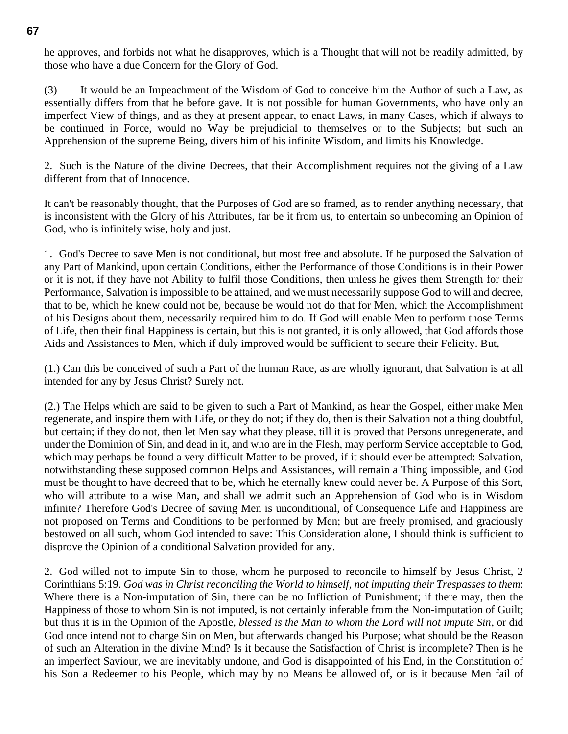he approves, and forbids not what he disapproves, which is a Thought that will not be readily admitted, by those who have a due Concern for the Glory of God.

(3) It would be an Impeachment of the Wisdom of God to conceive him the Author of such a Law, as essentially differs from that he before gave. It is not possible for human Governments, who have only an imperfect View of things, and as they at present appear, to enact Laws, in many Cases, which if always to be continued in Force, would no Way be prejudicial to themselves or to the Subjects; but such an Apprehension of the supreme Being, divers him of his infinite Wisdom, and limits his Knowledge.

2. Such is the Nature of the divine Decrees, that their Accomplishment requires not the giving of a Law different from that of Innocence.

It can't be reasonably thought, that the Purposes of God are so framed, as to render anything necessary, that is inconsistent with the Glory of his Attributes, far be it from us, to entertain so unbecoming an Opinion of God, who is infinitely wise, holy and just.

1. God's Decree to save Men is not conditional, but most free and absolute. If he purposed the Salvation of any Part of Mankind, upon certain Conditions, either the Performance of those Conditions is in their Power or it is not, if they have not Ability to fulfil those Conditions, then unless he gives them Strength for their Performance, Salvation is impossible to be attained, and we must necessarily suppose God to will and decree, that to be, which he knew could not be, because be would not do that for Men, which the Accomplishment of his Designs about them, necessarily required him to do. If God will enable Men to perform those Terms of Life, then their final Happiness is certain, but this is not granted, it is only allowed, that God affords those Aids and Assistances to Men, which if duly improved would be sufficient to secure their Felicity. But,

(1.) Can this be conceived of such a Part of the human Race, as are wholly ignorant, that Salvation is at all intended for any by Jesus Christ? Surely not.

(2.) The Helps which are said to be given to such a Part of Mankind, as hear the Gospel, either make Men regenerate, and inspire them with Life, or they do not; if they do, then is their Salvation not a thing doubtful, but certain; if they do not, then let Men say what they please, till it is proved that Persons unregenerate, and under the Dominion of Sin, and dead in it, and who are in the Flesh, may perform Service acceptable to God, which may perhaps be found a very difficult Matter to be proved, if it should ever be attempted: Salvation, notwithstanding these supposed common Helps and Assistances, will remain a Thing impossible, and God must be thought to have decreed that to be, which he eternally knew could never be. A Purpose of this Sort, who will attribute to a wise Man, and shall we admit such an Apprehension of God who is in Wisdom infinite? Therefore God's Decree of saving Men is unconditional, of Consequence Life and Happiness are not proposed on Terms and Conditions to be performed by Men; but are freely promised, and graciously bestowed on all such, whom God intended to save: This Consideration alone, I should think is sufficient to disprove the Opinion of a conditional Salvation provided for any.

2. God willed not to impute Sin to those, whom he purposed to reconcile to himself by Jesus Christ, 2 Corinthians 5:19. *God was in Christ reconciling the World to himself*, *not imputing their Trespasses to them*: Where there is a Non-imputation of Sin, there can be no Infliction of Punishment; if there may, then the Happiness of those to whom Sin is not imputed, is not certainly inferable from the Non-imputation of Guilt; but thus it is in the Opinion of the Apostle, *blessed is the Man to whom the Lord will not impute Sin*, or did God once intend not to charge Sin on Men, but afterwards changed his Purpose; what should be the Reason of such an Alteration in the divine Mind? Is it because the Satisfaction of Christ is incomplete? Then is he an imperfect Saviour, we are inevitably undone, and God is disappointed of his End, in the Constitution of his Son a Redeemer to his People, which may by no Means be allowed of, or is it because Men fail of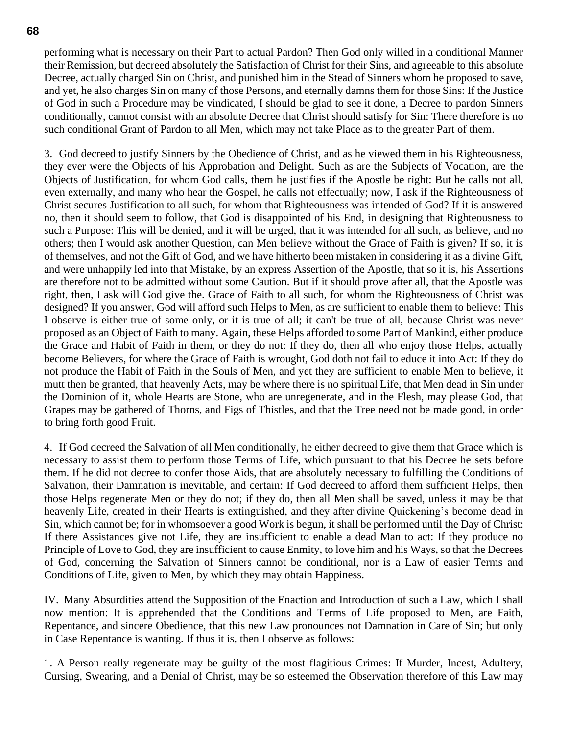performing what is necessary on their Part to actual Pardon? Then God only willed in a conditional Manner their Remission, but decreed absolutely the Satisfaction of Christ for their Sins, and agreeable to this absolute Decree, actually charged Sin on Christ, and punished him in the Stead of Sinners whom he proposed to save, and yet, he also charges Sin on many of those Persons, and eternally damns them for those Sins: If the Justice of God in such a Procedure may be vindicated, I should be glad to see it done, a Decree to pardon Sinners conditionally, cannot consist with an absolute Decree that Christ should satisfy for Sin: There therefore is no such conditional Grant of Pardon to all Men, which may not take Place as to the greater Part of them.

3. God decreed to justify Sinners by the Obedience of Christ, and as he viewed them in his Righteousness, they ever were the Objects of his Approbation and Delight. Such as are the Subjects of Vocation, are the Objects of Justification, for whom God calls, them he justifies if the Apostle be right: But he calls not all, even externally, and many who hear the Gospel, he calls not effectually; now, I ask if the Righteousness of Christ secures Justification to all such, for whom that Righteousness was intended of God? If it is answered no, then it should seem to follow, that God is disappointed of his End, in designing that Righteousness to such a Purpose: This will be denied, and it will be urged, that it was intended for all such, as believe, and no others; then I would ask another Question, can Men believe without the Grace of Faith is given? If so, it is of themselves, and not the Gift of God, and we have hitherto been mistaken in considering it as a divine Gift, and were unhappily led into that Mistake, by an express Assertion of the Apostle, that so it is, his Assertions are therefore not to be admitted without some Caution. But if it should prove after all, that the Apostle was right, then, I ask will God give the. Grace of Faith to all such, for whom the Righteousness of Christ was designed? If you answer, God will afford such Helps to Men, as are sufficient to enable them to believe: This I observe is either true of some only, or it is true of all; it can't be true of all, because Christ was never proposed as an Object of Faith to many. Again, these Helps afforded to some Part of Mankind, either produce the Grace and Habit of Faith in them, or they do not: If they do, then all who enjoy those Helps, actually become Believers, for where the Grace of Faith is wrought, God doth not fail to educe it into Act: If they do not produce the Habit of Faith in the Souls of Men, and yet they are sufficient to enable Men to believe, it mutt then be granted, that heavenly Acts, may be where there is no spiritual Life, that Men dead in Sin under the Dominion of it, whole Hearts are Stone, who are unregenerate, and in the Flesh, may please God, that Grapes may be gathered of Thorns, and Figs of Thistles, and that the Tree need not be made good, in order to bring forth good Fruit.

4. If God decreed the Salvation of all Men conditionally, he either decreed to give them that Grace which is necessary to assist them to perform those Terms of Life, which pursuant to that his Decree he sets before them. If he did not decree to confer those Aids, that are absolutely necessary to fulfilling the Conditions of Salvation, their Damnation is inevitable, and certain: If God decreed to afford them sufficient Helps, then those Helps regenerate Men or they do not; if they do, then all Men shall be saved, unless it may be that heavenly Life, created in their Hearts is extinguished, and they after divine Quickening's become dead in Sin, which cannot be; for in whomsoever a good Work is begun, it shall be performed until the Day of Christ: If there Assistances give not Life, they are insufficient to enable a dead Man to act: If they produce no Principle of Love to God, they are insufficient to cause Enmity, to love him and his Ways, so that the Decrees of God, concerning the Salvation of Sinners cannot be conditional, nor is a Law of easier Terms and Conditions of Life, given to Men, by which they may obtain Happiness.

IV. Many Absurdities attend the Supposition of the Enaction and Introduction of such a Law, which I shall now mention: It is apprehended that the Conditions and Terms of Life proposed to Men, are Faith, Repentance, and sincere Obedience, that this new Law pronounces not Damnation in Care of Sin; but only in Case Repentance is wanting. If thus it is, then I observe as follows:

1. A Person really regenerate may be guilty of the most flagitious Crimes: If Murder, Incest, Adultery, Cursing, Swearing, and a Denial of Christ, may be so esteemed the Observation therefore of this Law may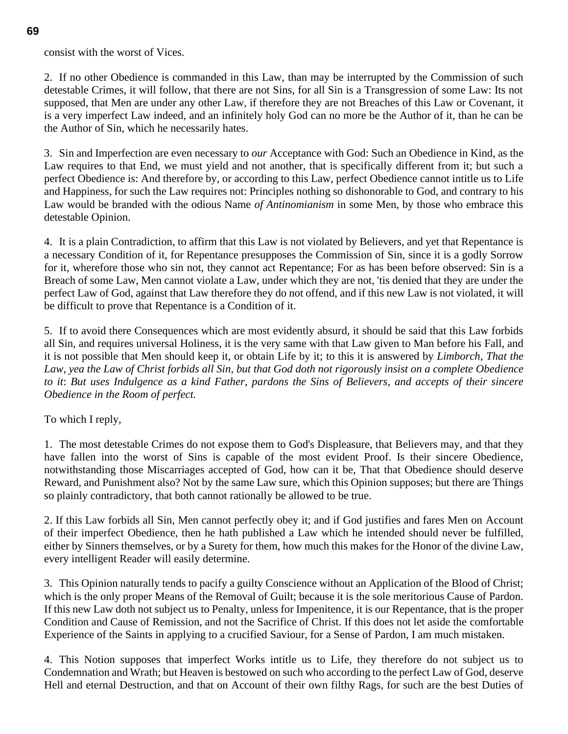consist with the worst of Vices.

2. If no other Obedience is commanded in this Law, than may be interrupted by the Commission of such detestable Crimes, it will follow, that there are not Sins, for all Sin is a Transgression of some Law: Its not supposed, that Men are under any other Law, if therefore they are not Breaches of this Law or Covenant, it is a very imperfect Law indeed, and an infinitely holy God can no more be the Author of it, than he can be the Author of Sin, which he necessarily hates.

3. Sin and Imperfection are even necessary to *our* Acceptance with God: Such an Obedience in Kind, as the Law requires to that End, we must yield and not another, that is specifically different from it; but such a perfect Obedience is: And therefore by, or according to this Law, perfect Obedience cannot intitle us to Life and Happiness, for such the Law requires not: Principles nothing so dishonorable to God, and contrary to his Law would be branded with the odious Name *of Antinomianism* in some Men, by those who embrace this detestable Opinion.

4. It is a plain Contradiction, to affirm that this Law is not violated by Believers, and yet that Repentance is a necessary Condition of it, for Repentance presupposes the Commission of Sin, since it is a godly Sorrow for it, wherefore those who sin not, they cannot act Repentance; For as has been before observed: Sin is a Breach of some Law, Men cannot violate a Law, under which they are not, 'tis denied that they are under the perfect Law of God, against that Law therefore they do not offend, and if this new Law is not violated, it will be difficult to prove that Repentance is a Condition of it.

5. If to avoid there Consequences which are most evidently absurd, it should be said that this Law forbids all Sin, and requires universal Holiness, it is the very same with that Law given to Man before his Fall, and it is not possible that Men should keep it, or obtain Life by it; to this it is answered by *Limborch*, *That the Law*, *yea the Law of Christ forbids all Sin*, *but that God doth not rigorously insist on a complete Obedience to it*: *But uses Indulgence as a kind Father*, *pardons the Sins of Believers*, *and accepts of their sincere Obedience in the Room of perfect.*

To which I reply,

1. The most detestable Crimes do not expose them to God's Displeasure, that Believers may, and that they have fallen into the worst of Sins is capable of the most evident Proof. Is their sincere Obedience, notwithstanding those Miscarriages accepted of God, how can it be, That that Obedience should deserve Reward, and Punishment also? Not by the same Law sure, which this Opinion supposes; but there are Things so plainly contradictory, that both cannot rationally be allowed to be true.

2. If this Law forbids all Sin, Men cannot perfectly obey it; and if God justifies and fares Men on Account of their imperfect Obedience, then he hath published a Law which he intended should never be fulfilled, either by Sinners themselves, or by a Surety for them, how much this makes for the Honor of the divine Law, every intelligent Reader will easily determine.

3. This Opinion naturally tends to pacify a guilty Conscience without an Application of the Blood of Christ; which is the only proper Means of the Removal of Guilt; because it is the sole meritorious Cause of Pardon. If this new Law doth not subject us to Penalty, unless for Impenitence, it is our Repentance, that is the proper Condition and Cause of Remission, and not the Sacrifice of Christ. If this does not let aside the comfortable Experience of the Saints in applying to a crucified Saviour, for a Sense of Pardon, I am much mistaken.

4. This Notion supposes that imperfect Works intitle us to Life, they therefore do not subject us to Condemnation and Wrath; but Heaven is bestowed on such who according to the perfect Law of God, deserve Hell and eternal Destruction, and that on Account of their own filthy Rags, for such are the best Duties of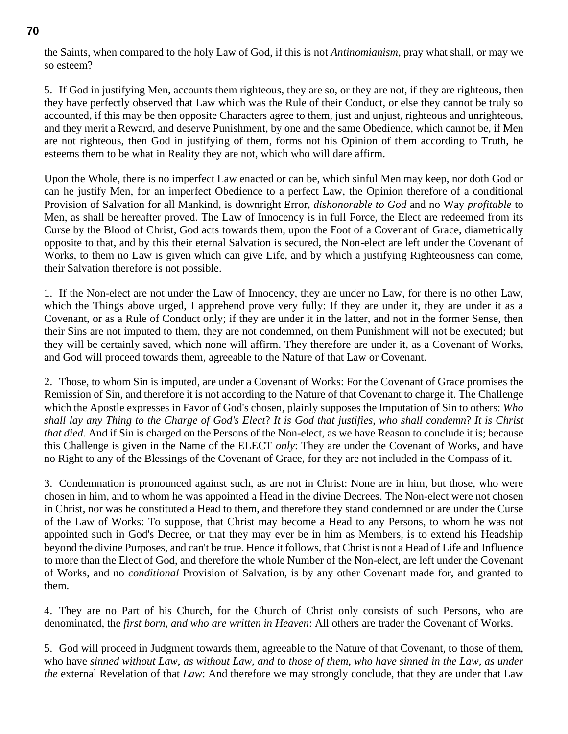the Saints, when compared to the holy Law of God, if this is not *Antinomianism*, pray what shall, or may we so esteem?

5. If God in justifying Men, accounts them righteous, they are so, or they are not, if they are righteous, then they have perfectly observed that Law which was the Rule of their Conduct, or else they cannot be truly so accounted, if this may be then opposite Characters agree to them, just and unjust, righteous and unrighteous, and they merit a Reward, and deserve Punishment, by one and the same Obedience, which cannot be, if Men are not righteous, then God in justifying of them, forms not his Opinion of them according to Truth, he esteems them to be what in Reality they are not, which who will dare affirm.

Upon the Whole, there is no imperfect Law enacted or can be, which sinful Men may keep, nor doth God or can he justify Men, for an imperfect Obedience to a perfect Law, the Opinion therefore of a conditional Provision of Salvation for all Mankind, is downright Error, *dishonorable to God* and no Way *profitable* to Men, as shall be hereafter proved. The Law of Innocency is in full Force, the Elect are redeemed from its Curse by the Blood of Christ, God acts towards them, upon the Foot of a Covenant of Grace, diametrically opposite to that, and by this their eternal Salvation is secured, the Non-elect are left under the Covenant of Works, to them no Law is given which can give Life, and by which a justifying Righteousness can come, their Salvation therefore is not possible.

1. If the Non-elect are not under the Law of Innocency, they are under no Law, for there is no other Law, which the Things above urged, I apprehend prove very fully: If they are under it, they are under it as a Covenant, or as a Rule of Conduct only; if they are under it in the latter, and not in the former Sense, then their Sins are not imputed to them, they are not condemned, on them Punishment will not be executed; but they will be certainly saved, which none will affirm. They therefore are under it, as a Covenant of Works, and God will proceed towards them, agreeable to the Nature of that Law or Covenant.

2. Those, to whom Sin is imputed, are under a Covenant of Works: For the Covenant of Grace promises the Remission of Sin, and therefore it is not according to the Nature of that Covenant to charge it. The Challenge which the Apostle expresses in Favor of God's chosen, plainly supposes the Imputation of Sin to others: *Who shall lay any Thing to the Charge of God's Elect*? *It is God that justifies*, *who shall condemn*? *It is Christ that died.* And if Sin is charged on the Persons of the Non-elect, as we have Reason to conclude it is; because this Challenge is given in the Name of the ELECT *only*: They are under the Covenant of Works, and have no Right to any of the Blessings of the Covenant of Grace, for they are not included in the Compass of it.

3. Condemnation is pronounced against such, as are not in Christ: None are in him, but those, who were chosen in him, and to whom he was appointed a Head in the divine Decrees. The Non-elect were not chosen in Christ, nor was he constituted a Head to them, and therefore they stand condemned or are under the Curse of the Law of Works: To suppose, that Christ may become a Head to any Persons, to whom he was not appointed such in God's Decree, or that they may ever be in him as Members, is to extend his Headship beyond the divine Purposes, and can't be true. Hence it follows, that Christ is not a Head of Life and Influence to more than the Elect of God, and therefore the whole Number of the Non-elect, are left under the Covenant of Works, and no *conditional* Provision of Salvation, is by any other Covenant made for, and granted to them.

4. They are no Part of his Church, for the Church of Christ only consists of such Persons, who are denominated, the *first born*, *and who are written in Heaven*: All others are trader the Covenant of Works.

5. God will proceed in Judgment towards them, agreeable to the Nature of that Covenant, to those of them, who have *sinned without Law*, *as without Law*, *and to those of them*, *who have sinned in the Law*, *as under the* external Revelation of that *Law*: And therefore we may strongly conclude, that they are under that Law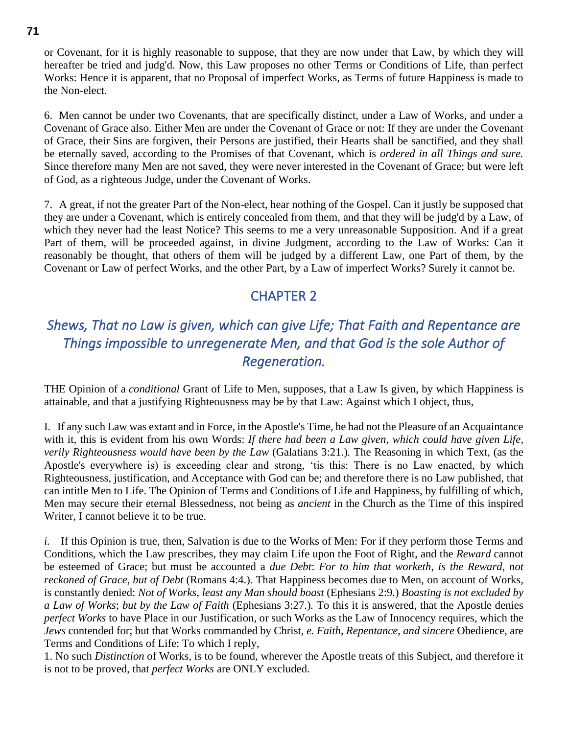or Covenant, for it is highly reasonable to suppose, that they are now under that Law, by which they will hereafter be tried and judg'd. Now, this Law proposes no other Terms or Conditions of Life, than perfect Works: Hence it is apparent, that no Proposal of imperfect Works, as Terms of future Happiness is made to the Non-elect.

6. Men cannot be under two Covenants, that are specifically distinct, under a Law of Works, and under a Covenant of Grace also. Either Men are under the Covenant of Grace or not: If they are under the Covenant of Grace, their Sins are forgiven, their Persons are justified, their Hearts shall be sanctified, and they shall be eternally saved, according to the Promises of that Covenant, which is *ordered in all Things and sure.* Since therefore many Men are not saved, they were never interested in the Covenant of Grace; but were left of God, as a righteous Judge, under the Covenant of Works.

7. A great, if not the greater Part of the Non-elect, hear nothing of the Gospel. Can it justly be supposed that they are under a Covenant, which is entirely concealed from them, and that they will be judg'd by a Law, of which they never had the least Notice? This seems to me a very unreasonable Supposition. And if a great Part of them, will be proceeded against, in divine Judgment, according to the Law of Works: Can it reasonably be thought, that others of them will be judged by a different Law, one Part of them, by the Covenant or Law of perfect Works, and the other Part, by a Law of imperfect Works? Surely it cannot be.

### CHAPTER 2

# *Shews, That no Law is given, which can give Life; That Faith and Repentance are Things impossible to unregenerate Men, and that God is the sole Author of Regeneration.*

THE Opinion of a *conditional* Grant of Life to Men, supposes, that a Law Is given, by which Happiness is attainable, and that a justifying Righteousness may be by that Law: Against which I object, thus,

I. If any such Law was extant and in Force, in the Apostle's Time, he had not the Pleasure of an Acquaintance with it, this is evident from his own Words: *If there had been a Law given*, *which could have given Life*, *verily Righteousness would have been by the Law (Galatians 3:21.). The Reasoning in which Text, (as the* Apostle's everywhere is) is exceeding clear and strong, 'tis this: There is no Law enacted, by which Righteousness, justification, and Acceptance with God can be; and therefore there is no Law published, that can intitle Men to Life. The Opinion of Terms and Conditions of Life and Happiness, by fulfilling of which, Men may secure their eternal Blessedness, not being as *ancient* in the Church as the Time of this inspired Writer, I cannot believe it to be true.

*i.* If this Opinion is true, then, Salvation is due to the Works of Men: For if they perform those Terms and Conditions, which the Law prescribes, they may claim Life upon the Foot of Right, and the *Reward* cannot be esteemed of Grace; but must be accounted a *due Debt*: *For to him that worketh*, *is the Reward*, *not reckoned of Grace*, *but of Debt* (Romans 4:4.)*.* That Happiness becomes due to Men, on account of Works, is constantly denied: *Not of Works*, *least any Man should boast* (Ephesians 2:9.) *Boasting is not excluded by a Law of Works*; *but by the Law of Faith* (Ephesians 3:27.)*.* To this it is answered, that the Apostle denies *perfect Works* to have Place in our Justification, or such Works as the Law of Innocency requires, which the *Jews* contended for; but that Works commanded by Christ, *e. Faith*, *Repentance*, *and sincere* Obedience, are Terms and Conditions of Life: To which I reply,

1. No such *Distinction* of Works, is to be found, wherever the Apostle treats of this Subject, and therefore it is not to be proved, that *perfect Works* are ONLY excluded.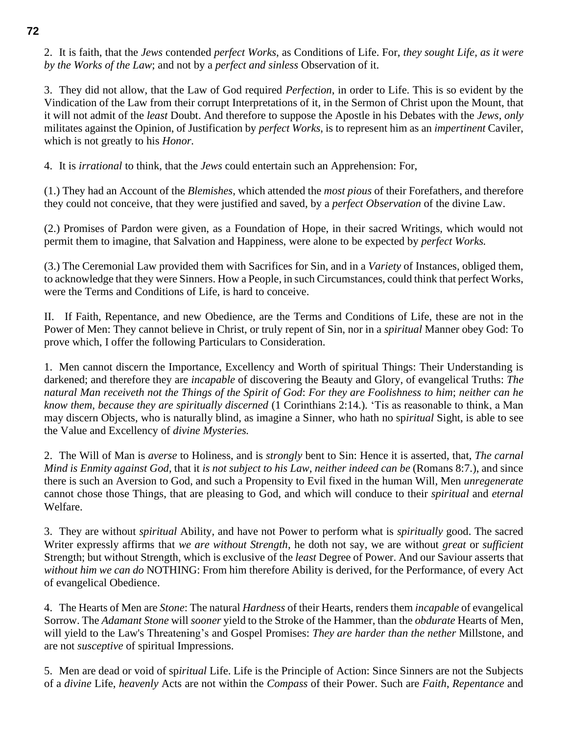2. It is faith, that the *Jews* contended *perfect Works*, as Conditions of Life. For, *they sought Life*, *as it were by the Works of the Law*; and not by a *perfect and sinless* Observation of it.

3. They did not allow, that the Law of God required *Perfection*, in order to Life. This is so evident by the Vindication of the Law from their corrupt Interpretations of it, in the Sermon of Christ upon the Mount, that it will not admit of the *least* Doubt. And therefore to suppose the Apostle in his Debates with the *Jews*, *only* militates against the Opinion, of Justification by *perfect Works*, is to represent him as an *impertinent* Caviler, which is not greatly to his *Honor.*

4. It is *irrational* to think, that the *Jews* could entertain such an Apprehension: For,

(1.) They had an Account of the *Blemishes*, which attended the *most pious* of their Forefathers, and therefore they could not conceive, that they were justified and saved, by a *perfect Observation* of the divine Law.

(2.) Promises of Pardon were given, as a Foundation of Hope, in their sacred Writings, which would not permit them to imagine, that Salvation and Happiness, were alone to be expected by *perfect Works.*

(3.) The Ceremonial Law provided them with Sacrifices for Sin, and in a *Variety* of Instances, obliged them, to acknowledge that they were Sinners. How a People, in such Circumstances, could think that perfect Works, were the Terms and Conditions of Life, is hard to conceive.

II. If Faith, Repentance, and new Obedience, are the Terms and Conditions of Life, these are not in the Power of Men: They cannot believe in Christ, or truly repent of Sin, nor in a *spiritual* Manner obey God: To prove which, I offer the following Particulars to Consideration.

1. Men cannot discern the Importance, Excellency and Worth of spiritual Things: Their Understanding is darkened; and therefore they are *incapable* of discovering the Beauty and Glory, of evangelical Truths: *The natural Man receiveth not the Things of the Spirit of God*: *For they are Foolishness to him*; *neither can he know them*, *because they are spiritually discerned* (1 Corinthians 2:14.)*.* 'Tis as reasonable to think, a Man may discern Objects, who is naturally blind, as imagine a Sinner, who hath no sp*iritual* Sight, is able to see the Value and Excellency of *divine Mysteries.*

2. The Will of Man is *averse* to Holiness, and is *strongly* bent to Sin: Hence it is asserted, that, *The carnal Mind is Enmity against God*, that it *is not subject to his Law*, *neither indeed can be* (Romans 8:7.), and since there is such an Aversion to God, and such a Propensity to Evil fixed in the human Will, Men *unregenerate*  cannot chose those Things, that are pleasing to God, and which will conduce to their *spiritual* and *eternal* Welfare.

3. They are without *spiritual* Ability, and have not Power to perform what is *spiritually* good. The sacred Writer expressly affirms that *we are without Strength*, he doth not say, we are without *great* or *sufficient* Strength; but without Strength, which is exclusive of the *least* Degree of Power. And our Saviour asserts that *without him we can do* NOTHING: From him therefore Ability is derived, for the Performance, of every Act of evangelical Obedience.

4. The Hearts of Men are *Stone*: The natural *Hardness* of their Hearts, renders them *incapable* of evangelical Sorrow. The *Adamant Stone* will *sooner* yield to the Stroke of the Hammer, than the *obdurate* Hearts of Men, will yield to the Law's Threatening's and Gospel Promises: *They are harder than the nether* Millstone, and are not *susceptive* of spiritual Impressions.

5. Men are dead or void of sp*iritual* Life. Life is the Principle of Action: Since Sinners are not the Subjects of a *divine* Life, *heavenly* Acts are not within the *Compass* of their Power. Such are *Faith*, *Repentance* and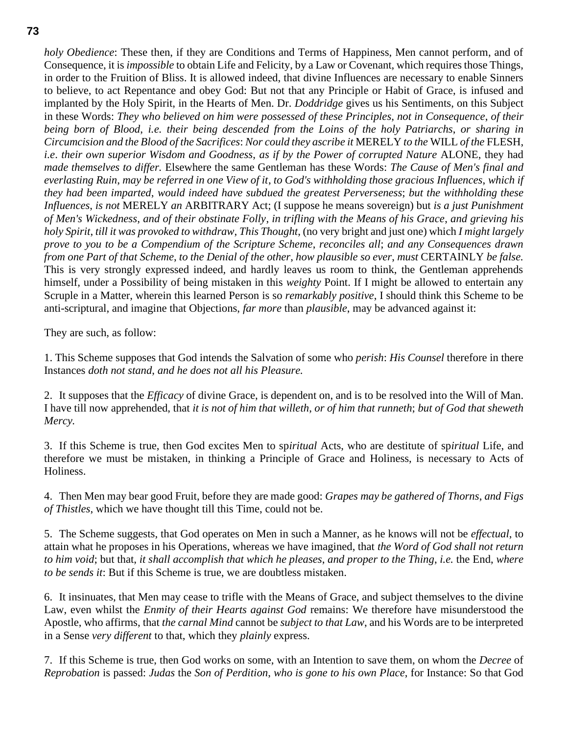*holy Obedience*: These then, if they are Conditions and Terms of Happiness, Men cannot perform, and of Consequence, it is *impossible* to obtain Life and Felicity, by a Law or Covenant, which requires those Things, in order to the Fruition of Bliss. It is allowed indeed, that divine Influences are necessary to enable Sinners to believe, to act Repentance and obey God: But not that any Principle or Habit of Grace, is infused and implanted by the Holy Spirit, in the Hearts of Men. Dr. *Doddridge* gives us his Sentiments, on this Subject in these Words: *They who believed on him were possessed of these Principles*, *not in Consequence*, *of their being born of Blood*, *i.e. their being descended from the Loins of the holy Patriarchs*, *or sharing in Circumcision and the Blood of the Sacrifices*: *Nor could they ascribe it* MERELY *to the* WILL *of the* FLESH, *i.e*. *their own superior Wisdom and Goodness*, *as if by the Power of corrupted Nature* ALONE, they had *made themselves to differ.* Elsewhere the same Gentleman has these Words: *The Cause of Men's final and everlasting Ruin*, *may be referred in one View of it*, *to God's withholding those gracious Influences*, *which if they had been imparted*, *would indeed have subdued the greatest Perverseness*; *but the withholding these Influences*, *is not* MERELY *an* ARBITRARY Act; (I suppose he means sovereign) but *is a just Punishment of Men's Wickedness*, *and of their obstinate Folly*, *in trifling with the Means of his Grace*, *and grieving his holy Spirit*, *till it was provoked to withdraw*, *This Thought*, (no very bright and just one) which *I might largely prove to you to be a Compendium of the Scripture Scheme*, *reconciles all*; *and any Consequences drawn from one Part of that Scheme*, *to the Denial of the other*, *how plausible so ever*, *must* CERTAINLY *be false.* This is very strongly expressed indeed, and hardly leaves us room to think, the Gentleman apprehends himself, under a Possibility of being mistaken in this *weighty* Point. If I might be allowed to entertain any Scruple in a Matter, wherein this learned Person is so *remarkably positive*, I should think this Scheme to be anti-scriptural, and imagine that Objections, *far more* than *plausible*, may be advanced against it:

They are such, as follow:

1. This Scheme supposes that God intends the Salvation of some who *perish*: *His Counsel* therefore in there Instances *doth not stand*, *and he does not all his Pleasure.*

2. It supposes that the *Efficacy* of divine Grace, is dependent on, and is to be resolved into the Will of Man. I have till now apprehended, that *it is not of him that willeth*, *or of him that runneth*; *but of God that sheweth Mercy.*

3. If this Scheme is true, then God excites Men to sp*iritual* Acts, who are destitute of sp*iritual* Life, and therefore we must be mistaken, in thinking a Principle of Grace and Holiness, is necessary to Acts of Holiness.

4. Then Men may bear good Fruit, before they are made good: *Grapes may be gathered of Thorns*, *and Figs of Thistles*, which we have thought till this Time, could not be.

5. The Scheme suggests, that God operates on Men in such a Manner, as he knows will not be *effectual*, to attain what he proposes in his Operations, whereas we have imagined, that *the Word of God shall not return to him void*; but that, *it shall accomplish that which he pleases*, *and proper to the Thing*, *i.e.* the End, *where to be sends it*: But if this Scheme is true, we are doubtless mistaken.

6. It insinuates, that Men may cease to trifle with the Means of Grace, and subject themselves to the divine Law, even whilst the *Enmity of their Hearts against God* remains: We therefore have misunderstood the Apostle, who affirms, that *the carnal Mind* cannot be *subject to that Law*, and his Words are to be interpreted in a Sense *very different* to that, which they *plainly* express.

7. If this Scheme is true, then God works on some, with an Intention to save them, on whom the *Decree* of *Reprobation* is passed: *Judas* the *Son of Perdition*, *who is gone to his own Place*, for Instance: So that God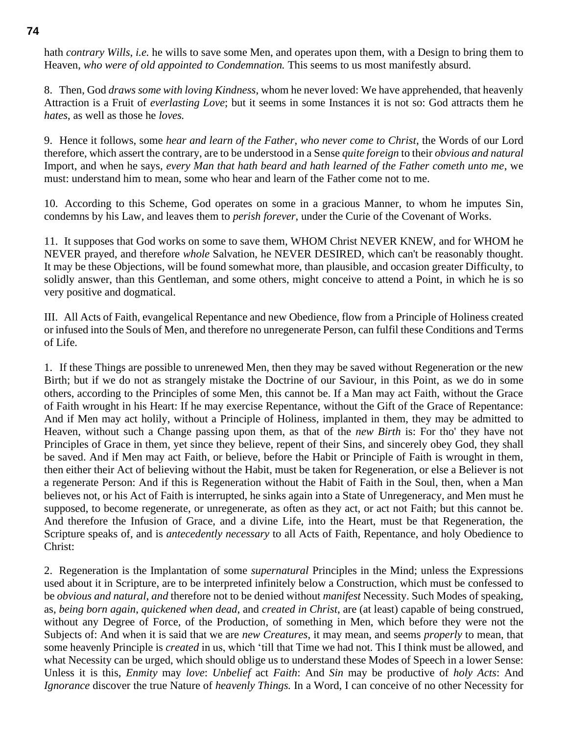hath *contrary Wills*, *i.e.* he wills to save some Men, and operates upon them, with a Design to bring them to Heaven, *who were of old appointed to Condemnation.* This seems to us most manifestly absurd.

8. Then, God *draws some with loving Kindness*, whom he never loved: We have apprehended, that heavenly Attraction is a Fruit of *everlasting Love*; but it seems in some Instances it is not so: God attracts them he *hates*, as well as those he *loves.*

9. Hence it follows, some *hear and learn of the Father*, *who never come to Christ*, the Words of our Lord therefore, which assert the contrary, are to be understood in a Sense *quite foreign* to their *obvious and natural* Import, and when he says, *every Man that hath beard and hath learned of the Father cometh unto me*, we must: understand him to mean, some who hear and learn of the Father come not to me.

10. According to this Scheme, God operates on some in a gracious Manner, to whom he imputes Sin, condemns by his Law, and leaves them to *perish forever*, under the Curie of the Covenant of Works.

11. It supposes that God works on some to save them, WHOM Christ NEVER KNEW, and for WHOM he NEVER prayed, and therefore *whole* Salvation, he NEVER DESIRED, which can't be reasonably thought. It may be these Objections, will be found somewhat more, than plausible, and occasion greater Difficulty, to solidly answer, than this Gentleman, and some others, might conceive to attend a Point, in which he is so very positive and dogmatical.

III. All Acts of Faith, evangelical Repentance and new Obedience, flow from a Principle of Holiness created or infused into the Souls of Men, and therefore no unregenerate Person, can fulfil these Conditions and Terms of Life.

1. If these Things are possible to unrenewed Men, then they may be saved without Regeneration or the new Birth; but if we do not as strangely mistake the Doctrine of our Saviour, in this Point, as we do in some others, according to the Principles of some Men, this cannot be. If a Man may act Faith, without the Grace of Faith wrought in his Heart: If he may exercise Repentance, without the Gift of the Grace of Repentance: And if Men may act holily, without a Principle of Holiness, implanted in them, they may be admitted to Heaven, without such a Change passing upon them, as that of the *new Birth* is: For tho' they have not Principles of Grace in them, yet since they believe, repent of their Sins, and sincerely obey God, they shall be saved. And if Men may act Faith, or believe, before the Habit or Principle of Faith is wrought in them, then either their Act of believing without the Habit, must be taken for Regeneration, or else a Believer is not a regenerate Person: And if this is Regeneration without the Habit of Faith in the Soul, then, when a Man believes not, or his Act of Faith is interrupted, he sinks again into a State of Unregeneracy, and Men must he supposed, to become regenerate, or unregenerate, as often as they act, or act not Faith; but this cannot be. And therefore the Infusion of Grace, and a divine Life, into the Heart, must be that Regeneration, the Scripture speaks of, and is *antecedently necessary* to all Acts of Faith, Repentance, and holy Obedience to Christ:

2. Regeneration is the Implantation of some *supernatural* Principles in the Mind; unless the Expressions used about it in Scripture, are to be interpreted infinitely below a Construction, which must be confessed to be *obvious and natural*, *and* therefore not to be denied without *manifest* Necessity. Such Modes of speaking, as, *being born again*, *quickened when dead*, and *created in Christ*, are (at least) capable of being construed, without any Degree of Force, of the Production, of something in Men, which before they were not the Subjects of: And when it is said that we are *new Creatures*, it may mean, and seems *properly* to mean, that some heavenly Principle is *created* in us, which 'till that Time we had not. This I think must be allowed, and what Necessity can be urged, which should oblige us to understand these Modes of Speech in a lower Sense: Unless it is this, *Enmity* may *love*: *Unbelief* act *Faith*: And *Sin* may be productive of *holy Acts*: And *Ignorance* discover the true Nature of *heavenly Things.* In a Word, I can conceive of no other Necessity for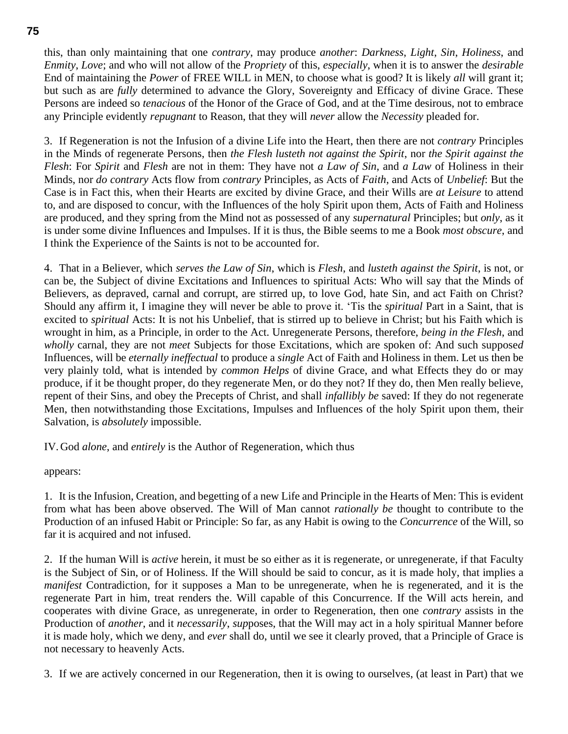this, than only maintaining that one *contrary*, may produce *another*: *Darkness*, *Light*, *Sin*, *Holiness*, and *Enmity*, *Love*; and who will not allow of the *Propriety* of this, *especially*, when it is to answer the *desirable* End of maintaining the *Power* of FREE WILL in MEN, to choose what is good? It is likely *all* will grant it; but such as are *fully* determined to advance the Glory, Sovereignty and Efficacy of divine Grace. These Persons are indeed so *tenacious* of the Honor of the Grace of God, and at the Time desirous, not to embrace any Principle evidently *repugnant* to Reason, that they will *never* allow the *Necessity* pleaded for.

3. If Regeneration is not the Infusion of a divine Life into the Heart, then there are not *contrary* Principles in the Minds of regenerate Persons, then *the Flesh lusteth not against the Spirit*, nor *the Spirit against the Flesh*: For *Spirit* and *Flesh* are not in them: They have not *a Law of Sin*, and *a Law* of Holiness in their Minds, nor *do contrary* Acts flow from *contrary* Principles, as Acts of *Faith*, and Acts of *Unbelief*: But the Case is in Fact this, when their Hearts are excited by divine Grace, and their Wills are *at Leisure* to attend to, and are disposed to concur, with the Influences of the holy Spirit upon them, Acts of Faith and Holiness are produced, and they spring from the Mind not as possessed of any *supernatural* Principles; but *only*, as it is under some divine Influences and Impulses. If it is thus, the Bible seems to me a Book *most obscure*, and I think the Experience of the Saints is not to be accounted for.

4. That in a Believer, which *serves the Law of Sin*, which is *Flesh*, and *lusteth against the Spirit*, is not, or can be, the Subject of divine Excitations and Influences to spiritual Acts: Who will say that the Minds of Believers, as depraved, carnal and corrupt, are stirred up, to love God, hate Sin, and act Faith on Christ? Should any affirm it, I imagine they will never be able to prove it. 'Tis the *spiritual* Part in a Saint, that is excited to *spiritual* Acts: It is not his Unbelief, that is stirred up to believe in Christ; but his Faith which is wrought in him, as a Principle, in order to the Act. Unregenerate Persons, therefore, *being in the Flesh*, and *wholly* carnal, they are not *meet* Subjects for those Excitations, which are spoken of: And such suppose*d* Influences, will be *eternally ineffectual* to produce a *single* Act of Faith and Holiness in them. Let us then be very plainly told, what is intended by *common Helps* of divine Grace, and what Effects they do or may produce, if it be thought proper, do they regenerate Men, or do they not? If they do, then Men really believe, repent of their Sins, and obey the Precepts of Christ, and shall *infallibly be* saved: If they do not regenerate Men, then notwithstanding those Excitations, Impulses and Influences of the holy Spirit upon them, their Salvation, is *absolutely* impossible.

IV.God *alone*, and *entirely* is the Author of Regeneration, which thus

appears:

1. It is the Infusion, Creation, and begetting of a new Life and Principle in the Hearts of Men: This is evident from what has been above observed. The Will of Man cannot *rationally be* thought to contribute to the Production of an infused Habit or Principle: So far, as any Habit is owing to the *Concurrence* of the Will, so far it is acquired and not infused.

2. If the human Will is *active* herein, it must be so either as it is regenerate, or unregenerate, if that Faculty is the Subject of Sin, or of Holiness. If the Will should be said to concur, as it is made holy, that implies a *manifest* Contradiction, for it supposes a Man to be unregenerate, when he is regenerated, and it is the regenerate Part in him, treat renders the. Will capable of this Concurrence. If the Will acts herein, and cooperates with divine Grace, as unregenerate, in order to Regeneration, then one *contrary* assists in the Production of *another*, and it *necessarily*, *sup*poses, that the Will may act in a holy spiritual Manner before it is made holy, which we deny, and *ever* shall do, until we see it clearly proved, that a Principle of Grace is not necessary to heavenly Acts.

3. If we are actively concerned in our Regeneration, then it is owing to ourselves, (at least in Part) that we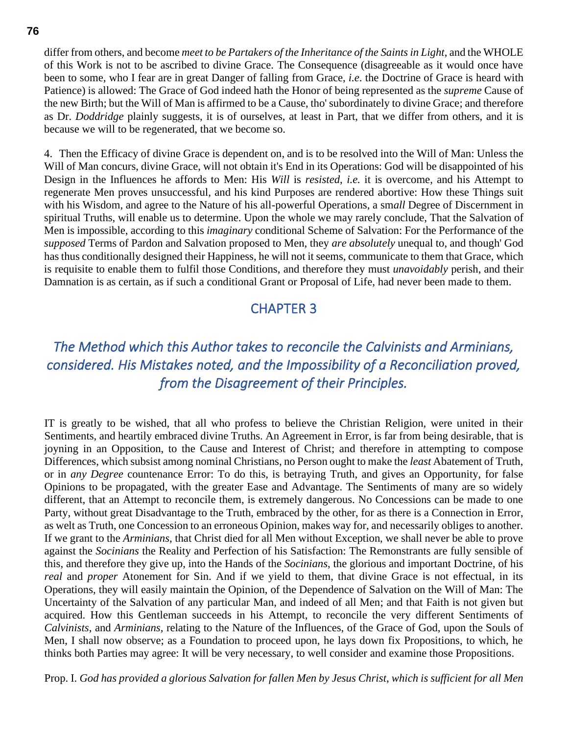differ from others, and become *meet to be Partakers of the Inheritance of the Saints in Light*, and the WHOLE of this Work is not to be ascribed to divine Grace. The Consequence (disagreeable as it would once have been to some, who I fear are in great Danger of falling from Grace, *i.e*. the Doctrine of Grace is heard with Patience) is allowed: The Grace of God indeed hath the Honor of being represented as the *supreme* Cause of the new Birth; but the Will of Man is affirmed to be a Cause, tho' subordinately to divine Grace; and therefore as Dr. *Doddridge* plainly suggests, it is of ourselves, at least in Part, that we differ from others, and it is because we will to be regenerated, that we become so.

4. Then the Efficacy of divine Grace is dependent on, and is to be resolved into the Will of Man: Unless the Will of Man concurs, divine Grace, will not obtain it's End in its Operations: God will be disappointed of his Design in the Influences he affords to Men: His *Will* is *resisted*, *i.e.* it is overcome, and his Attempt to regenerate Men proves unsuccessful, and his kind Purposes are rendered abortive: How these Things suit with his Wisdom, and agree to the Nature of his all-powerful Operations, a sm*all* Degree of Discernment in spiritual Truths, will enable us to determine. Upon the whole we may rarely conclude, That the Salvation of Men is impossible, according to this *imaginary* conditional Scheme of Salvation: For the Performance of the *supposed* Terms of Pardon and Salvation proposed to Men, they *are absolutely* unequal to, and though' God has thus conditionally designed their Happiness, he will not it seems, communicate to them that Grace, which is requisite to enable them to fulfil those Conditions, and therefore they must *unavoidably* perish, and their Damnation is as certain, as if such a conditional Grant or Proposal of Life, had never been made to them.

## CHAPTER 3

# *The Method which this Author takes to reconcile the Calvinists and Arminians, considered. His Mistakes noted, and the Impossibility of a Reconciliation proved, from the Disagreement of their Principles.*

IT is greatly to be wished, that all who profess to believe the Christian Religion, were united in their Sentiments, and heartily embraced divine Truths. An Agreement in Error, is far from being desirable, that is joyning in an Opposition, to the Cause and Interest of Christ; and therefore in attempting to compose Differences, which subsist among nominal Christians, no Person ought to make the *least* Abatement of Truth, or in *any Degree* countenance Error: To do this, is betraying Truth, and gives an Opportunity, for false Opinions to be propagated, with the greater Ease and Advantage. The Sentiments of many are so widely different, that an Attempt to reconcile them, is extremely dangerous. No Concessions can be made to one Party, without great Disadvantage to the Truth, embraced by the other, for as there is a Connection in Error, as welt as Truth, one Concession to an erroneous Opinion, makes way for, and necessarily obliges to another. If we grant to the *Arminians*, that Christ died for all Men without Exception, we shall never be able to prove against the *Socinians* the Reality and Perfection of his Satisfaction: The Remonstrants are fully sensible of this, and therefore they give up, into the Hands of the *Socinians*, the glorious and important Doctrine, of his *real* and *proper* Atonement for Sin. And if we yield to them, that divine Grace is not effectual, in its Operations, they will easily maintain the Opinion, of the Dependence of Salvation on the Will of Man: The Uncertainty of the Salvation of any particular Man, and indeed of all Men; and that Faith is not given but acquired. How this Gentleman succeeds in his Attempt, to reconcile the very different Sentiments of *Calvinists*, and *Arminians*, relating to the Nature of the Influences, of the Grace of God, upon the Souls of Men, I shall now observe; as a Foundation to proceed upon, he lays down fix Propositions, to which, he thinks both Parties may agree: It will be very necessary, to well consider and examine those Propositions.

Prop. I. *God has provided a glorious Salvation for fallen Men by Jesus Christ*, *which is sufficient for all Men*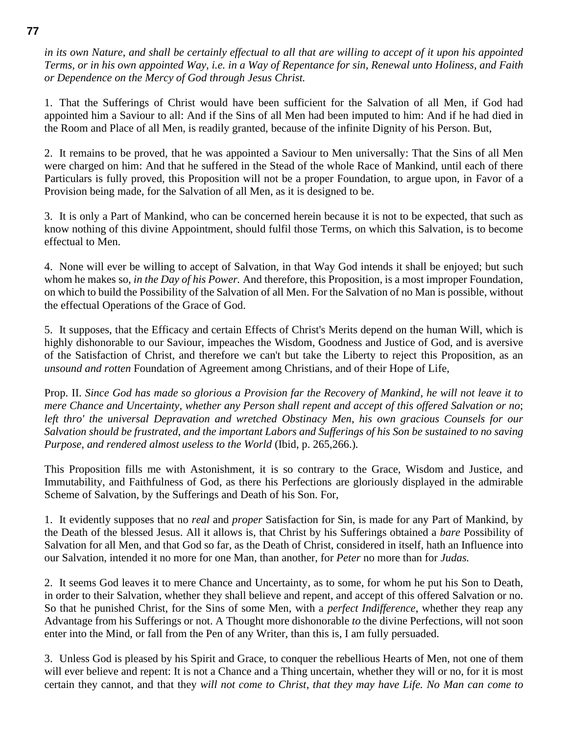*in its own Nature*, *and shall be certainly effectual to all that are willing to accept of it upon his appointed Terms, or in his own appointed Way, i.e. in a Way of Repentance for sin, Renewal unto Holiness, and Faith or Dependence on the Mercy of God through Jesus Christ.*

1. That the Sufferings of Christ would have been sufficient for the Salvation of all Men, if God had appointed him a Saviour to all: And if the Sins of all Men had been imputed to him: And if he had died in the Room and Place of all Men, is readily granted, because of the infinite Dignity of his Person. But,

2. It remains to be proved, that he was appointed a Saviour to Men universally: That the Sins of all Men were charged on him: And that he suffered in the Stead of the whole Race of Mankind, until each of there Particulars is fully proved, this Proposition will not be a proper Foundation, to argue upon, in Favor of a Provision being made, for the Salvation of all Men, as it is designed to be.

3. It is only a Part of Mankind, who can be concerned herein because it is not to be expected, that such as know nothing of this divine Appointment, should fulfil those Terms, on which this Salvation, is to become effectual to Men.

4. None will ever be willing to accept of Salvation, in that Way God intends it shall be enjoyed; but such whom he makes so, *in the Day of his Power.* And therefore, this Proposition, is a most improper Foundation, on which to build the Possibility of the Salvation of all Men. For the Salvation of no Man is possible, without the effectual Operations of the Grace of God.

5. It supposes, that the Efficacy and certain Effects of Christ's Merits depend on the human Will, which is highly dishonorable to our Saviour, impeaches the Wisdom, Goodness and Justice of God, and is aversive of the Satisfaction of Christ, and therefore we can't but take the Liberty to reject this Proposition, as an *unsound and rotten* Foundation of Agreement among Christians, and of their Hope of Life,

Prop. II. *Since God has made so glorious a Provision far the Recovery of Mankind*, *he will not leave it to mere Chance and Uncertainty*, *whether any Person shall repent and accept of this offered Salvation or no*; *left thro' the universal Depravation and wretched Obstinacy Men*, *his own gracious Counsels for our Salvation should be frustrated*, *and the important Labors and Sufferings of his Son be sustained to no saving Purpose*, *and rendered almost useless to the World* (Ibid, p. 265,266.)*.*

This Proposition fills me with Astonishment, it is so contrary to the Grace, Wisdom and Justice, and Immutability, and Faithfulness of God, as there his Perfections are gloriously displayed in the admirable Scheme of Salvation, by the Sufferings and Death of his Son. For,

1. It evidently supposes that no *real* and *proper* Satisfaction for Sin, is made for any Part of Mankind, by the Death of the blessed Jesus. All it allows is, that Christ by his Sufferings obtained a *bare* Possibility of Salvation for all Men, and that God so far, as the Death of Christ, considered in itself, hath an Influence into our Salvation, intended it no more for one Man, than another, for *Peter* no more than for *Judas.*

2. It seems God leaves it to mere Chance and Uncertainty, as to some, for whom he put his Son to Death, in order to their Salvation, whether they shall believe and repent, and accept of this offered Salvation or no. So that he punished Christ, for the Sins of some Men, with a *perfect Indifference*, whether they reap any Advantage from his Sufferings or not. A Thought more dishonorable *to* the divine Perfections, will not soon enter into the Mind, or fall from the Pen of any Writer, than this is, I am fully persuaded.

3. Unless God is pleased by his Spirit and Grace, to conquer the rebellious Hearts of Men, not one of them will ever believe and repent: It is not a Chance and a Thing uncertain, whether they will or no, for it is most certain they cannot, and that they *will not come to Christ*, *that they may have Life. No Man can come to* 

#### **77**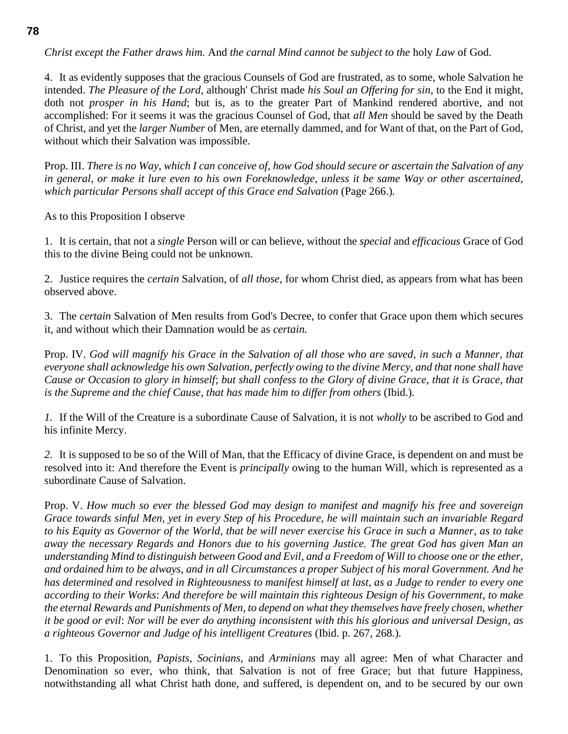*Christ except the Father draws him.* And *the carnal Mind cannot be subject to the* holy *Law* of God.

4. It as evidently supposes that the gracious Counsels of God are frustrated, as to some, whole Salvation he intended. *The Pleasure of the Lord*, although' Christ made *his Soul an Offering for sin*, to the End it might, doth not *prosper in his Hand*; but is, as to the greater Part of Mankind rendered abortive, and not accomplished: For it seems it was the gracious Counsel of God, that *all Men* should be saved by the Death of Christ, and yet the *larger Number* of Men, are eternally dammed, and for Want of that, on the Part of God, without which their Salvation was impossible.

Prop. III. *There is no Way*, *which I can conceive of*, *how God should secure or ascertain the Salvation of any in general*, *or make it lure even to his own Foreknowledge*, *unless it be same Way or other ascertained*, *which particular Persons shall accept of this Grace end Salvation* (Page 266.)*.*

As to this Proposition I observe

1. It is certain, that not a *single* Person will or can believe, without the *special* and *efficacious* Grace of God this to the divine Being could not be unknown.

2. Justice requires the *certain* Salvation, of *all those*, for whom Christ died, as appears from what has been observed above.

3. The *certain* Salvation of Men results from God's Decree, to confer that Grace upon them which secures it, and without which their Damnation would be as *certain.*

Prop. IV. *God will magnify his Grace in the Salvation of all those who are saved*, *in such a Manner*, *that everyone shall acknowledge his own Salvation*, *perfectly owing to the divine Mercy*, *and that none shall have Cause or Occasion to glory in himself*; *but shall confess to the Glory of divine Grace*, *that it is Grace*, *that is the Supreme and the chief Cause*, *that has made him to differ from others* (Ibid.)*.*

*1.* If the Will of the Creature is a subordinate Cause of Salvation, it is not *wholly* to be ascribed to God and his infinite Mercy.

*2.* It is supposed to be so of the Will of Man, that the Efficacy of divine Grace, is dependent on and must be resolved into it: And therefore the Event is *principally* owing to the human Will, which is represented as a subordinate Cause of Salvation.

Prop. V. *How much so ever the blessed God may design to manifest and magnify his free and sovereign Grace towards sinful Men*, *yet in every Step of his Procedure*, *he will maintain such an invariable Regard to his Equity as Governor of the World*, *that be will never exercise his Grace in such a Manner*, *as to take away the necessary Regards and Honors due to his governing Justice. The great God has given Man an understanding Mind to distinguish between Good and Evil*, *and a Freedom of Will to choose one or the ether*, *and ordained him to be always*, *and in all Circumstances a proper Subject of his moral Government. And he has determined and resolved in Righteousness to manifest himself at last*, *as a Judge to render to every one according to their Works*: *And therefore be will maintain this righteous Design of his Government*, *to make the eternal Rewards and Punishments of Men*, *to depend on what they themselves have freely chosen*, *whether it be good or evil*: *Nor will be ever do anything inconsistent with this his glorious and universal Design*, *as a righteous Governor and Judge of his intelligent Creatures* (Ibid. p. 267, 268.)*.*

1. To this Proposition, *Papists*, *Socinians*, and *Arminians* may all agree: Men of what Character and Denomination so ever, who think, that Salvation is not of free Grace; but that future Happiness, notwithstanding all what Christ hath done, and suffered, is dependent on, and to be secured by our own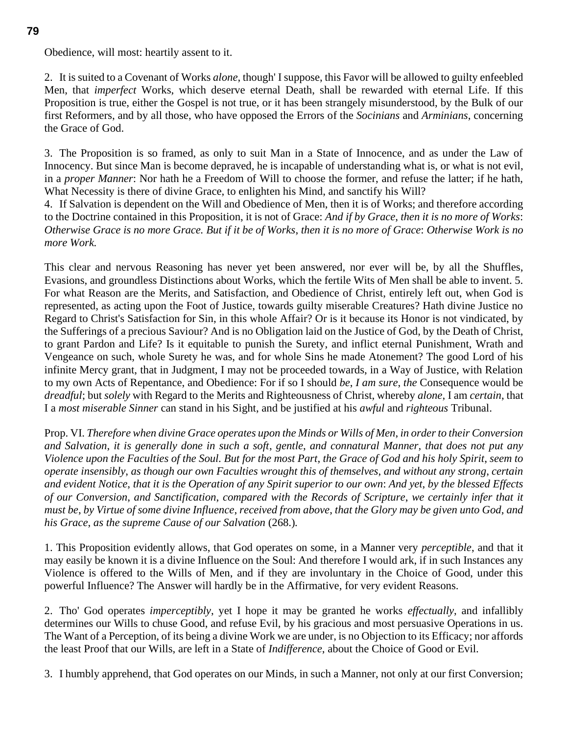Obedience, will most: heartily assent to it.

2. It is suited to a Covenant of Works *alone*, though' I suppose, this Favor will be allowed to guilty enfeebled Men, that *imperfect* Works, which deserve eternal Death, shall be rewarded with eternal Life. If this Proposition is true, either the Gospel is not true, or it has been strangely misunderstood, by the Bulk of our first Reformers, and by all those, who have opposed the Errors of the *Socinians* and *Arminians*, concerning the Grace of God.

3. The Proposition is so framed, as only to suit Man in a State of Innocence, and as under the Law of Innocency. But since Man is become depraved, he is incapable of understanding what is, or what is not evil, in a *proper Manner*: Nor hath he a Freedom of Will to choose the former, and refuse the latter; if he hath, What Necessity is there of divine Grace, to enlighten his Mind, and sanctify his Will?

4. If Salvation is dependent on the Will and Obedience of Men, then it is of Works; and therefore according to the Doctrine contained in this Proposition, it is not of Grace: *And if by Grace*, *then it is no more of Works*: *Otherwise Grace is no more Grace. But if it be of Works*, *then it is no more of Grace*: *Otherwise Work is no more Work.*

This clear and nervous Reasoning has never yet been answered, nor ever will be, by all the Shuffles, Evasions, and groundless Distinctions about Works, which the fertile Wits of Men shall be able to invent. 5. For what Reason are the Merits, and Satisfaction, and Obedience of Christ, entirely left out, when God is represented, as acting upon the Foot of Justice, towards guilty miserable Creatures? Hath divine Justice no Regard to Christ's Satisfaction for Sin, in this whole Affair? Or is it because its Honor is not vindicated, by the Sufferings of a precious Saviour? And is no Obligation laid on the Justice of God, by the Death of Christ, to grant Pardon and Life? Is it equitable to punish the Surety, and inflict eternal Punishment, Wrath and Vengeance on such, whole Surety he was, and for whole Sins he made Atonement? The good Lord of his infinite Mercy grant, that in Judgment, I may not be proceeded towards, in a Way of Justice, with Relation to my own Acts of Repentance, and Obedience: For if so I should *be*, *I am sure*, *the* Consequence would be *dreadful*; but *solely* with Regard to the Merits and Righteousness of Christ, whereby *alone*, I am *certain*, that I a *most miserable Sinner* can stand in his Sight, and be justified at his *awful* and *righteous* Tribunal.

Prop. VI. *Therefore when divine Grace operates upon the Minds or Wills of Men*, *in order to their Conversion and Salvation*, *it is generally done in such a soft*, *gentle*, *and connatural Manner*, *that does not put any Violence upon the Faculties of the Soul. But for the most Part*, *the Grace of God and his holy Spirit*, *seem to operate insensibly*, *as though our own Faculties wrought this of themselves*, *and without any strong*, *certain and evident Notice*, *that it is the Operation of any Spirit superior to our own*: *And yet*, *by the blessed Effects of our Conversion*, *and Sanctification*, *compared with the Records of Scripture*, *we certainly infer that it must be*, *by Virtue of some divine Influence*, *received from above*, *that the Glory may be given unto God*, *and his Grace*, *as the supreme Cause of our Salvation* (268.)*.*

1. This Proposition evidently allows, that God operates on some, in a Manner very *perceptible*, and that it may easily be known it is a divine Influence on the Soul: And therefore I would ark, if in such Instances any Violence is offered to the Wills of Men, and if they are involuntary in the Choice of Good, under this powerful Influence? The Answer will hardly be in the Affirmative, for very evident Reasons.

2. Tho' God operates *imperceptibly*, yet I hope it may be granted he works *effectually*, and infallibly determines our Wills to chuse Good, and refuse Evil, by his gracious and most persuasive Operations in us. The Want of a Perception, of its being a divine Work we are under, is no Objection to its Efficacy; nor affords the least Proof that our Wills, are left in a State of *Indifference*, about the Choice of Good or Evil.

3. I humbly apprehend, that God operates on our Minds, in such a Manner, not only at our first Conversion;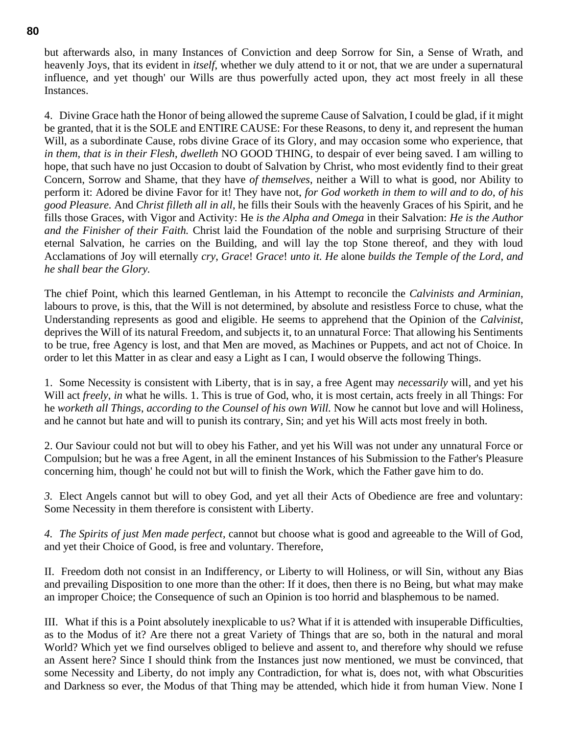but afterwards also, in many Instances of Conviction and deep Sorrow for Sin, a Sense of Wrath, and heavenly Joys, that its evident in *itself*, whether we duly attend to it or not, that we are under a supernatural influence, and yet though' our Wills are thus powerfully acted upon, they act most freely in all these Instances.

4. Divine Grace hath the Honor of being allowed the supreme Cause of Salvation, I could be glad, if it might be granted, that it is the SOLE and ENTIRE CAUSE: For these Reasons, to deny it, and represent the human Will, as a subordinate Cause, robs divine Grace of its Glory, and may occasion some who experience, that *in them*, *that is in their Flesh*, *dwelleth* NO GOOD THING, to despair of ever being saved. I am willing to hope, that such have no just Occasion to doubt of Salvation by Christ, who most evidently find to their great Concern, Sorrow and Shame, that they have *of themselves*, neither a Will to what is good, nor Ability to perform it: Adored be divine Favor for it! They have not, *for God worketh in them to will and to do*, *of his good Pleasure.* And *Christ filleth all in all*, he fills their Souls with the heavenly Graces of his Spirit, and he fills those Graces, with Vigor and Activity: He *is the Alpha and Omega* in their Salvation: *He is the Author and the Finisher of their Faith.* Christ laid the Foundation of the noble and surprising Structure of their eternal Salvation, he carries on the Building, and will lay the top Stone thereof, and they with loud Acclamations of Joy will eternally *cry*, *Grace*! *Grace*! *unto it. He* alone *builds the Temple of the Lord*, *and he shall bear the Glory.*

The chief Point, which this learned Gentleman, in his Attempt to reconcile the *Calvinists and Arminian*, labours to prove, is this, that the Will is not determined, by absolute and resistless Force to chuse, what the Understanding represents as good and eligible. He seems to apprehend that the Opinion of the *Calvinist*, deprives the Will of its natural Freedom, and subjects it, to an unnatural Force: That allowing his Sentiments to be true, free Agency is lost, and that Men are moved, as Machines or Puppets, and act not of Choice. In order to let this Matter in as clear and easy a Light as I can, I would observe the following Things.

1. Some Necessity is consistent with Liberty, that is in say, a free Agent may *necessarily* will, and yet his Will act *freely*, *in* what he wills. 1. This is true of God, who, it is most certain, acts freely in all Things: For he *worketh all Things*, *according to the Counsel of his own Will.* Now he cannot but love and will Holiness, and he cannot but hate and will to punish its contrary, Sin; and yet his Will acts most freely in both.

2. Our Saviour could not but will to obey his Father, and yet his Will was not under any unnatural Force or Compulsion; but he was a free Agent, in all the eminent Instances of his Submission to the Father's Pleasure concerning him, though' he could not but will to finish the Work, which the Father gave him to do.

*3.* Elect Angels cannot but will to obey God, and yet all their Acts of Obedience are free and voluntary: Some Necessity in them therefore is consistent with Liberty.

*4. The Spirits of just Men made perfect*, cannot but choose what is good and agreeable to the Will of God, and yet their Choice of Good, is free and voluntary. Therefore,

II. Freedom doth not consist in an Indifferency, or Liberty to will Holiness, or will Sin, without any Bias and prevailing Disposition to one more than the other: If it does, then there is no Being, but what may make an improper Choice; the Consequence of such an Opinion is too horrid and blasphemous to be named.

III. What if this is a Point absolutely inexplicable to us? What if it is attended with insuperable Difficulties, as to the Modus of it? Are there not a great Variety of Things that are so, both in the natural and moral World? Which yet we find ourselves obliged to believe and assent to, and therefore why should we refuse an Assent here? Since I should think from the Instances just now mentioned, we must be convinced, that some Necessity and Liberty, do not imply any Contradiction, for what is, does not, with what Obscurities and Darkness so ever, the Modus of that Thing may be attended, which hide it from human View. None I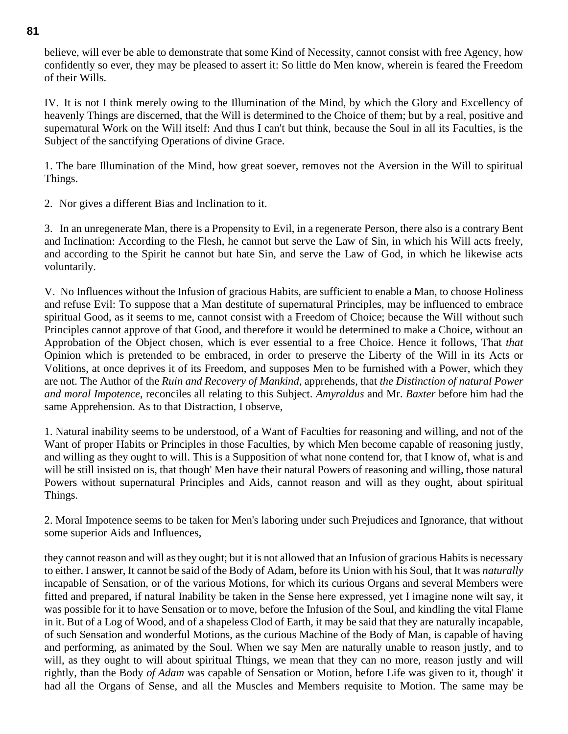believe, will ever be able to demonstrate that some Kind of Necessity, cannot consist with free Agency, how confidently so ever, they may be pleased to assert it: So little do Men know, wherein is feared the Freedom of their Wills.

IV. It is not I think merely owing to the Illumination of the Mind, by which the Glory and Excellency of heavenly Things are discerned, that the Will is determined to the Choice of them; but by a real, positive and supernatural Work on the Will itself: And thus I can't but think, because the Soul in all its Faculties, is the Subject of the sanctifying Operations of divine Grace.

1. The bare Illumination of the Mind, how great soever, removes not the Aversion in the Will to spiritual Things.

2. Nor gives a different Bias and Inclination to it.

3. In an unregenerate Man, there is a Propensity to Evil, in a regenerate Person, there also is a contrary Bent and Inclination: According to the Flesh, he cannot but serve the Law of Sin, in which his Will acts freely, and according to the Spirit he cannot but hate Sin, and serve the Law of God, in which he likewise acts voluntarily.

V. No Influences without the Infusion of gracious Habits, are sufficient to enable a Man, to choose Holiness and refuse Evil: To suppose that a Man destitute of supernatural Principles, may be influenced to embrace spiritual Good, as it seems to me, cannot consist with a Freedom of Choice; because the Will without such Principles cannot approve of that Good, and therefore it would be determined to make a Choice, without an Approbation of the Object chosen, which is ever essential to a free Choice. Hence it follows, That *that* Opinion which is pretended to be embraced, in order to preserve the Liberty of the Will in its Acts or Volitions, at once deprives it of its Freedom, and supposes Men to be furnished with a Power, which they are not. The Author of the *Ruin and Recovery of Mankind*, apprehends, that *the Distinction of natural Power and moral Impotence*, reconciles all relating to this Subject. *Amyraldus* and Mr. *Baxter* before him had the same Apprehension. As to that Distraction, I observe,

1. Natural inability seems to be understood, of a Want of Faculties for reasoning and willing, and not of the Want of proper Habits or Principles in those Faculties, by which Men become capable of reasoning justly, and willing as they ought to will. This is a Supposition of what none contend for, that I know of, what is and will be still insisted on is, that though' Men have their natural Powers of reasoning and willing, those natural Powers without supernatural Principles and Aids, cannot reason and will as they ought, about spiritual Things.

2. Moral Impotence seems to be taken for Men's laboring under such Prejudices and Ignorance, that without some superior Aids and Influences,

they cannot reason and will as they ought; but it is not allowed that an Infusion of gracious Habits is necessary to either. I answer, It cannot be said of the Body of Adam, before its Union with his Soul, that It was *naturally* incapable of Sensation, or of the various Motions, for which its curious Organs and several Members were fitted and prepared, if natural Inability be taken in the Sense here expressed, yet I imagine none wilt say, it was possible for it to have Sensation or to move, before the Infusion of the Soul, and kindling the vital Flame in it. But of a Log of Wood, and of a shapeless Clod of Earth, it may be said that they are naturally incapable, of such Sensation and wonderful Motions, as the curious Machine of the Body of Man, is capable of having and performing, as animated by the Soul. When we say Men are naturally unable to reason justly, and to will, as they ought to will about spiritual Things, we mean that they can no more, reason justly and will rightly, than the Body *of Adam* was capable of Sensation or Motion, before Life was given to it, though' it had all the Organs of Sense, and all the Muscles and Members requisite to Motion. The same may be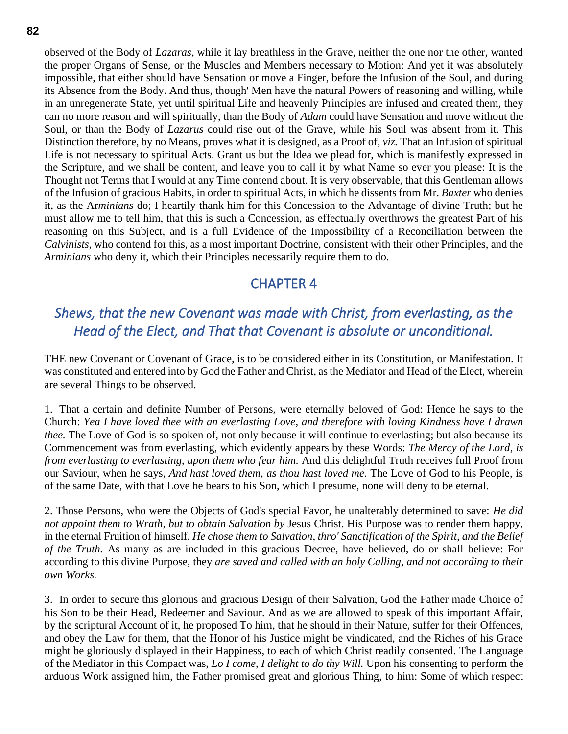observed of the Body of *Lazaras*, while it lay breathless in the Grave, neither the one nor the other, wanted the proper Organs of Sense, or the Muscles and Members necessary to Motion: And yet it was absolutely impossible, that either should have Sensation or move a Finger, before the Infusion of the Soul, and during its Absence from the Body. And thus, though' Men have the natural Powers of reasoning and willing, while in an unregenerate State, yet until spiritual Life and heavenly Principles are infused and created them, they can no more reason and will spiritually, than the Body of *Adam* could have Sensation and move without the Soul, or than the Body of *Lazarus* could rise out of the Grave, while his Soul was absent from it. This Distinction therefore, by no Means, proves what it is designed, as a Proof of, *viz.* That an Infusion of spiritual Life is not necessary to spiritual Acts. Grant us but the Idea we plead for, which is manifestly expressed in the Scripture, and we shall be content, and leave you to call it by what Name so ever you please: It is the Thought not Terms that I would at any Time contend about. It is very observable, that this Gentleman allows of the Infusion of gracious Habits, in order to spiritual Acts, in which he dissents from Mr. *Baxter* who denies it, as the Ar*minians* do; I heartily thank him for this Concession to the Advantage of divine Truth; but he must allow me to tell him, that this is such a Concession, as effectually overthrows the greatest Part of his reasoning on this Subject, and is a full Evidence of the Impossibility of a Reconciliation between the *Calvinists*, who contend for this, as a most important Doctrine, consistent with their other Principles, and the *Arminians* who deny it, which their Principles necessarily require them to do.

## CHAPTER 4

## *Shews, that the new Covenant was made with Christ, from everlasting, as the Head of the Elect, and That that Covenant is absolute or unconditional.*

THE new Covenant or Covenant of Grace, is to be considered either in its Constitution, or Manifestation. It was constituted and entered into by God the Father and Christ, as the Mediator and Head of the Elect, wherein are several Things to be observed.

1. That a certain and definite Number of Persons, were eternally beloved of God: Hence he says to the Church: *Yea I have loved thee with an everlasting Love*, *and therefore with loving Kindness have I drawn thee.* The Love of God is so spoken of, not only because it will continue to everlasting; but also because its Commencement was from everlasting, which evidently appears by these Words: *The Mercy of the Lord*, *is from everlasting to everlasting*, *upon them who fear him.* And this delightful Truth receives full Proof from our Saviour, when he says, *And hast loved them*, *as thou hast loved me.* The Love of God to his People, is of the same Date, with that Love he bears to his Son, which I presume, none will deny to be eternal.

2. Those Persons, who were the Objects of God's special Favor, he unalterably determined to save: *He did not appoint them to Wrath*, *but to obtain Salvation by* Jesus Christ. His Purpose was to render them happy, in the eternal Fruition of himself. *He chose them to Salvation*, *thro' Sanctification of the Spirit*, *and the Belief of the Truth.* As many as are included in this gracious Decree, have believed, do or shall believe: For according to this divine Purpose, they *are saved and called with an holy Calling*, *and not according to their own Works.*

3. In order to secure this glorious and gracious Design of their Salvation, God the Father made Choice of his Son to be their Head, Redeemer and Saviour. And as we are allowed to speak of this important Affair, by the scriptural Account of it, he proposed To him, that he should in their Nature, suffer for their Offences, and obey the Law for them, that the Honor of his Justice might be vindicated, and the Riches of his Grace might be gloriously displayed in their Happiness, to each of which Christ readily consented. The Language of the Mediator in this Compact was, *Lo I come*, *I delight to do thy Will.* Upon his consenting to perform the arduous Work assigned him, the Father promised great and glorious Thing, to him: Some of which respect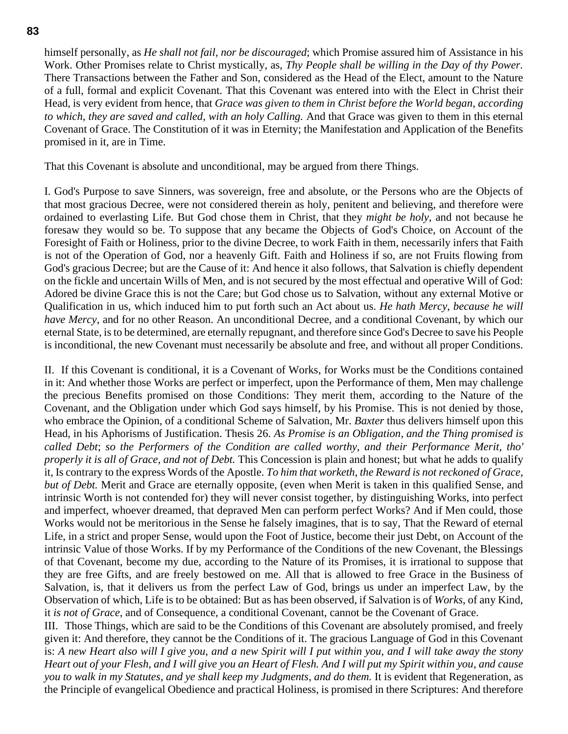himself personally, as *He shall not fail*, *nor be discouraged*; which Promise assured him of Assistance in his Work. Other Promises relate to Christ mystically, as, *Thy People shall be willing in the Day of thy Power.* There Transactions between the Father and Son, considered as the Head of the Elect, amount to the Nature of a full, formal and explicit Covenant. That this Covenant was entered into with the Elect in Christ their Head, is very evident from hence, that *Grace was given to them in Christ before the World began*, *according to which*, *they are saved and called*, *with an holy Calling.* And that Grace was given to them in this eternal Covenant of Grace. The Constitution of it was in Eternity; the Manifestation and Application of the Benefits promised in it, are in Time.

That this Covenant is absolute and unconditional, may be argued from there Things.

I. God's Purpose to save Sinners, was sovereign, free and absolute, or the Persons who are the Objects of that most gracious Decree, were not considered therein as holy, penitent and believing, and therefore were ordained to everlasting Life. But God chose them in Christ, that they *might be holy*, and not because he foresaw they would so be. To suppose that any became the Objects of God's Choice, on Account of the Foresight of Faith or Holiness, prior to the divine Decree, to work Faith in them, necessarily infers that Faith is not of the Operation of God, nor a heavenly Gift. Faith and Holiness if so, are not Fruits flowing from God's gracious Decree; but are the Cause of it: And hence it also follows, that Salvation is chiefly dependent on the fickle and uncertain Wills of Men, and is not secured by the most effectual and operative Will of God: Adored be divine Grace this is not the Care; but God chose us to Salvation, without any external Motive or Qualification in us, which induced him to put forth such an Act about us. *He hath Mercy*, *because he will have Mercy*, and for no other Reason. An unconditional Decree, and a conditional Covenant, by which our eternal State, is to be determined, are eternally repugnant, and therefore since God's Decree to save his People is inconditional, the new Covenant must necessarily be absolute and free, and without all proper Conditions.

II. If this Covenant is conditional, it is a Covenant of Works, for Works must be the Conditions contained in it: And whether those Works are perfect or imperfect, upon the Performance of them, Men may challenge the precious Benefits promised on those Conditions: They merit them, according to the Nature of the Covenant, and the Obligation under which God says himself, by his Promise. This is not denied by those, who embrace the Opinion, of a conditional Scheme of Salvation, Mr. *Baxter* thus delivers himself upon this Head, in his Aphorisms of Justification. Thesis 26*. As Promise is an Obligation*, *and the Thing promised is called Debt*; *so the Performers of the Condition are called worthy*, *and their Performance Merit*, *tho' properly it is all of Grace*, *and not of Debt.* This Concession is plain and honest; but what he adds to qualify it, Is contrary to the express Words of the Apostle. *To him that worketh*, *the Reward is not reckoned of Grace*, *but of Debt.* Merit and Grace are eternally opposite, (even when Merit is taken in this qualified Sense, and intrinsic Worth is not contended for) they will never consist together, by distinguishing Works, into perfect and imperfect, whoever dreamed, that depraved Men can perform perfect Works? And if Men could, those Works would not be meritorious in the Sense he falsely imagines, that is to say, That the Reward of eternal Life, in a strict and proper Sense, would upon the Foot of Justice, become their just Debt, on Account of the intrinsic Value of those Works. If by my Performance of the Conditions of the new Covenant, the Blessings of that Covenant, become my due, according to the Nature of its Promises, it is irrational to suppose that they are free Gifts, and are freely bestowed on me. All that is allowed to free Grace in the Business of Salvation, is, that it delivers us from the perfect Law of God, brings us under an imperfect Law, by the Observation of which, Life is to be obtained: But as has been observed, if Salvation is of *Works*, of any Kind, it *is not of Grace*, and of Consequence, a conditional Covenant, cannot be the Covenant of Grace.

III. Those Things, which are said to be the Conditions of this Covenant are absolutely promised, and freely given it: And therefore, they cannot be the Conditions of it. The gracious Language of God in this Covenant is: *A new Heart also will I give you*, *and a new Spirit will I put within you*, *and I will take away the stony Heart out of your Flesh*, *and I will give you an Heart of Flesh. And I will put my Spirit within you*, *and cause you to walk in my Statutes*, *and ye shall keep my Judgments*, *and do them.* It is evident that Regeneration, as the Principle of evangelical Obedience and practical Holiness, is promised in there Scriptures: And therefore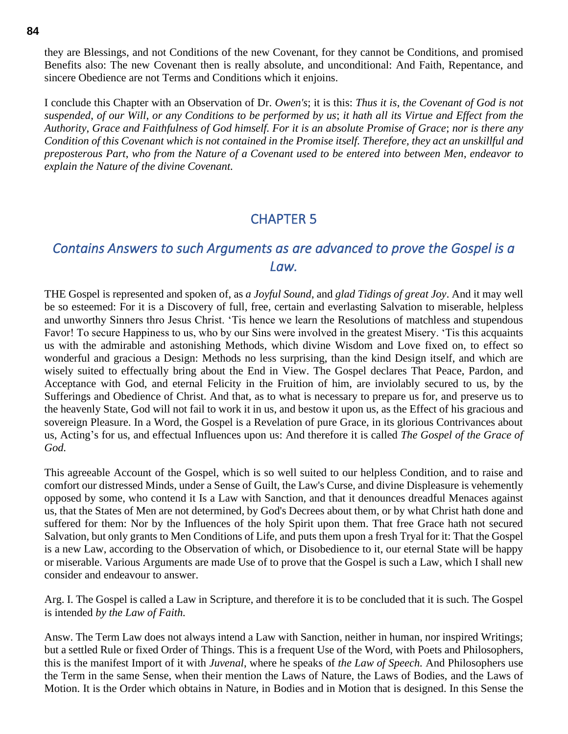they are Blessings, and not Conditions of the new Covenant, for they cannot be Conditions, and promised Benefits also: The new Covenant then is really absolute, and unconditional: And Faith, Repentance, and sincere Obedience are not Terms and Conditions which it enjoins.

I conclude this Chapter with an Observation of Dr. *Owen's*; it is this: *Thus it is*, *the Covenant of God is not suspended*, *of our Will*, *or any Conditions to be performed by us*; *it hath all its Virtue and Effect from the Authority*, *Grace and Faithfulness of God himself. For it is an absolute Promise of Grace*; *nor is there any Condition of this Covenant which is not contained in the Promise itself. Therefore, they act an unskillful and preposterous Part*, *who from the Nature of a Covenant used to be entered into between Men*, *endeavor to explain the Nature of the divine Covenant.*

### CHAPTER 5

## *Contains Answers to such Arguments as are advanced to prove the Gospel is a Law.*

THE Gospel is represented and spoken of, as *a Joyful Sound*, and *glad Tidings of great Joy*. And it may well be so esteemed: For it is a Discovery of full, free, certain and everlasting Salvation to miserable, helpless and unworthy Sinners thro Jesus Christ. 'Tis hence we learn the Resolutions of matchless and stupendous Favor! To secure Happiness to us, who by our Sins were involved in the greatest Misery. 'Tis this acquaints us with the admirable and astonishing Methods, which divine Wisdom and Love fixed on, to effect so wonderful and gracious a Design: Methods no less surprising, than the kind Design itself, and which are wisely suited to effectually bring about the End in View. The Gospel declares That Peace, Pardon, and Acceptance with God, and eternal Felicity in the Fruition of him, are inviolably secured to us, by the Sufferings and Obedience of Christ. And that, as to what is necessary to prepare us for, and preserve us to the heavenly State, God will not fail to work it in us, and bestow it upon us, as the Effect of his gracious and sovereign Pleasure. In a Word, the Gospel is a Revelation of pure Grace, in its glorious Contrivances about us, Acting's for us, and effectual Influences upon us: And therefore it is called *The Gospel of the Grace of God.*

This agreeable Account of the Gospel, which is so well suited to our helpless Condition, and to raise and comfort our distressed Minds, under a Sense of Guilt, the Law's Curse, and divine Displeasure is vehemently opposed by some, who contend it Is a Law with Sanction, and that it denounces dreadful Menaces against us, that the States of Men are not determined, by God's Decrees about them, or by what Christ hath done and suffered for them: Nor by the Influences of the holy Spirit upon them. That free Grace hath not secured Salvation, but only grants to Men Conditions of Life, and puts them upon a fresh Tryal for it: That the Gospel is a new Law, according to the Observation of which, or Disobedience to it, our eternal State will be happy or miserable. Various Arguments are made Use of to prove that the Gospel is such a Law, which I shall new consider and endeavour to answer.

Arg. I. The Gospel is called a Law in Scripture, and therefore it is to be concluded that it is such. The Gospel is intended *by the Law of Faith.*

Answ. The Term Law does not always intend a Law with Sanction, neither in human, nor inspired Writings; but a settled Rule or fixed Order of Things. This is a frequent Use of the Word, with Poets and Philosophers, this is the manifest Import of it with *Juvenal*, where he speaks of *the Law of Speech.* And Philosophers use the Term in the same Sense, when their mention the Laws of Nature, the Laws of Bodies, and the Laws of Motion. It is the Order which obtains in Nature, in Bodies and in Motion that is designed. In this Sense the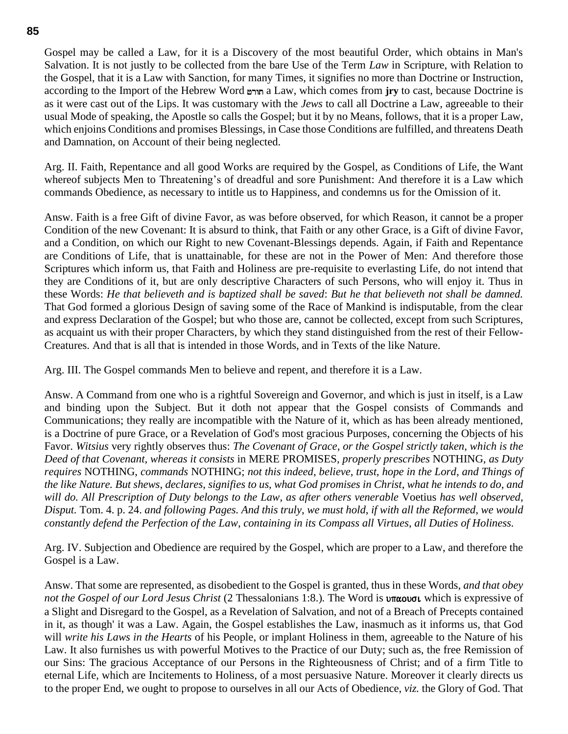Gospel may be called a Law, for it is a Discovery of the most beautiful Order, which obtains in Man's Salvation. It is not justly to be collected from the bare Use of the Term *Law* in Scripture, with Relation to the Gospel, that it is a Law with Sanction, for many Times, it signifies no more than Doctrine or Instruction, according to the Import of the Hebrew Word jrwt a Law, which comes from **jry** to cast, because Doctrine is as it were cast out of the Lips. It was customary with the *Jews* to call all Doctrine a Law, agreeable to their usual Mode of speaking, the Apostle so calls the Gospel; but it by no Means, follows, that it is a proper Law, which enjoins Conditions and promises Blessings, in Case those Conditions are fulfilled, and threatens Death and Damnation, on Account of their being neglected.

Arg. II. Faith, Repentance and all good Works are required by the Gospel, as Conditions of Life, the Want whereof subjects Men to Threatening's of dreadful and sore Punishment: And therefore it is a Law which commands Obedience, as necessary to intitle us to Happiness, and condemns us for the Omission of it.

Answ. Faith is a free Gift of divine Favor, as was before observed, for which Reason, it cannot be a proper Condition of the new Covenant: It is absurd to think, that Faith or any other Grace, is a Gift of divine Favor, and a Condition, on which our Right to new Covenant-Blessings depends. Again, if Faith and Repentance are Conditions of Life, that is unattainable, for these are not in the Power of Men: And therefore those Scriptures which inform us, that Faith and Holiness are pre-requisite to everlasting Life, do not intend that they are Conditions of it, but are only descriptive Characters of such Persons, who will enjoy it. Thus in these Words: *He that believeth and is baptized shall be saved*: *But he that believeth not shall be damned.* That God formed a glorious Design of saving some of the Race of Mankind is indisputable, from the clear and express Declaration of the Gospel; but who those are, cannot be collected, except from such Scriptures, as acquaint us with their proper Characters, by which they stand distinguished from the rest of their Fellow-Creatures. And that is all that is intended in those Words, and in Texts of the like Nature.

Arg. III. The Gospel commands Men to believe and repent, and therefore it is a Law.

Answ. A Command from one who is a rightful Sovereign and Governor, and which is just in itself, is a Law and binding upon the Subject. But it doth not appear that the Gospel consists of Commands and Communications; they really are incompatible with the Nature of it, which as has been already mentioned, is a Doctrine of pure Grace, or a Revelation of God's most gracious Purposes, concerning the Objects of his Favor. *Witsius* very rightly observes thus: *The Covenant of Grace*, *or the Gospel strictly taken*, *which is the Deed of that Covenant*, *whereas it consists* in MERE PROMISES, *properly prescribes* NOTHING, *as Duty requires* NOTHING, *commands* NOTHING; *not this indeed*, *believe*, *trust*, *hope in the Lord*, *and Things of the like Nature. But shews*, *declares*, *signifies to us*, *what God promises in Christ*, *what he intends to do*, *and will do. All Prescription of Duty belongs to the Law*, *as after others venerable* Voetius *has well observed*, *Disput.* Tom. 4. p. 24. *and following Pages. And this truly*, *we must hold*, *if with all the Reformed*, *we would constantly defend the Perfection of the Law*, *containing in its Compass all Virtues*, *all Duties of Holiness.*

Arg. IV. Subjection and Obedience are required by the Gospel, which are proper to a Law, and therefore the Gospel is a Law.

Answ. That some are represented, as disobedient to the Gospel is granted, thus in these Words, *and that obey not the Gospel of our Lord Jesus Christ* (2 Thessalonians 1:8.). The Word is **uncovol** which is expressive of a Slight and Disregard to the Gospel, as a Revelation of Salvation, and not of a Breach of Precepts contained in it, as though' it was a Law. Again, the Gospel establishes the Law, inasmuch as it informs us, that God will *write his Laws in the Hearts* of his People, or implant Holiness in them, agreeable to the Nature of his Law. It also furnishes us with powerful Motives to the Practice of our Duty; such as, the free Remission of our Sins: The gracious Acceptance of our Persons in the Righteousness of Christ; and of a firm Title to eternal Life, which are Incitements to Holiness, of a most persuasive Nature. Moreover it clearly directs us to the proper End, we ought to propose to ourselves in all our Acts of Obedience, *viz.* the Glory of God. That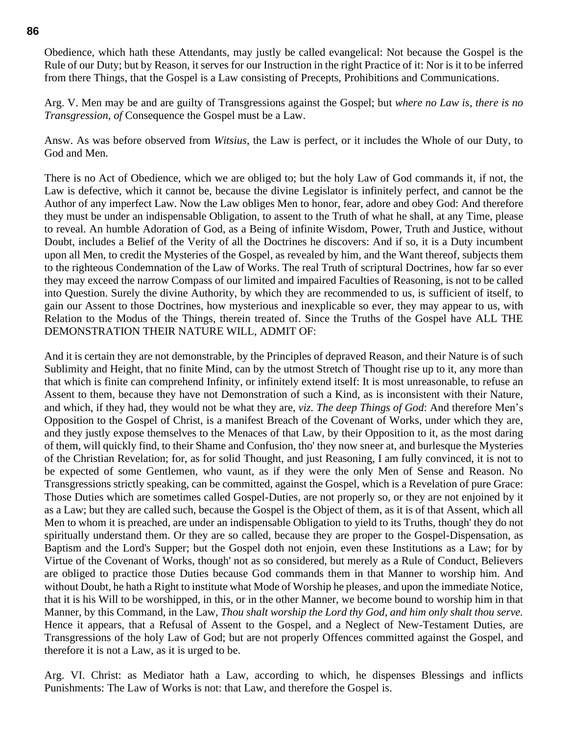Obedience, which hath these Attendants, may justly be called evangelical: Not because the Gospel is the Rule of our Duty; but by Reason, it serves for our Instruction in the right Practice of it: Nor is it to be inferred from there Things, that the Gospel is a Law consisting of Precepts, Prohibitions and Communications.

Arg. V. Men may be and are guilty of Transgressions against the Gospel; but *where no Law is*, *there is no Transgression*, *of* Consequence the Gospel must be a Law.

Answ. As was before observed from *Witsius*, the Law is perfect, or it includes the Whole of our Duty, to God and Men.

There is no Act of Obedience, which we are obliged to; but the holy Law of God commands it, if not, the Law is defective, which it cannot be, because the divine Legislator is infinitely perfect, and cannot be the Author of any imperfect Law. Now the Law obliges Men to honor, fear, adore and obey God: And therefore they must be under an indispensable Obligation, to assent to the Truth of what he shall, at any Time, please to reveal. An humble Adoration of God, as a Being of infinite Wisdom, Power, Truth and Justice, without Doubt, includes a Belief of the Verity of all the Doctrines he discovers: And if so, it is a Duty incumbent upon all Men, to credit the Mysteries of the Gospel, as revealed by him, and the Want thereof, subjects them to the righteous Condemnation of the Law of Works. The real Truth of scriptural Doctrines, how far so ever they may exceed the narrow Compass of our limited and impaired Faculties of Reasoning, is not to be called into Question. Surely the divine Authority, by which they are recommended to us, is sufficient of itself, to gain our Assent to those Doctrines, how mysterious and inexplicable so ever, they may appear to us, with Relation to the Modus of the Things, therein treated of. Since the Truths of the Gospel have ALL THE DEMONSTRATION THEIR NATURE WILL, ADMIT OF:

And it is certain they are not demonstrable, by the Principles of depraved Reason, and their Nature is of such Sublimity and Height, that no finite Mind, can by the utmost Stretch of Thought rise up to it, any more than that which is finite can comprehend Infinity, or infinitely extend itself: It is most unreasonable, to refuse an Assent to them, because they have not Demonstration of such a Kind, as is inconsistent with their Nature, and which, if they had, they would not be what they are, *viz. The deep Things of God*: And therefore Men's Opposition to the Gospel of Christ, is a manifest Breach of the Covenant of Works, under which they are, and they justly expose themselves to the Menaces of that Law, by their Opposition to it, as the most daring of them, will quickly find, to their Shame and Confusion, tho' they now sneer at, and burlesque the Mysteries of the Christian Revelation; for, as for solid Thought, and just Reasoning, I am fully convinced, it is not to be expected of some Gentlemen, who vaunt, as if they were the only Men of Sense and Reason. No Transgressions strictly speaking, can be committed, against the Gospel, which is a Revelation of pure Grace: Those Duties which are sometimes called Gospel-Duties, are not properly so, or they are not enjoined by it as a Law; but they are called such, because the Gospel is the Object of them, as it is of that Assent, which all Men to whom it is preached, are under an indispensable Obligation to yield to its Truths, though' they do not spiritually understand them. Or they are so called, because they are proper to the Gospel-Dispensation, as Baptism and the Lord's Supper; but the Gospel doth not enjoin, even these Institutions as a Law; for by Virtue of the Covenant of Works, though' not as so considered, but merely as a Rule of Conduct, Believers are obliged to practice those Duties because God commands them in that Manner to worship him. And without Doubt, he hath a Right to institute what Mode of Worship he pleases, and upon the immediate Notice, that it is his Will to be worshipped, in this, or in the other Manner, we become bound to worship him in that Manner, by this Command, in the Law, *Thou shalt worship the Lord thy God*, *and him only shalt thou serve.*  Hence it appears, that a Refusal of Assent to the Gospel, and a Neglect of New-Testament Duties, are Transgressions of the holy Law of God; but are not properly Offences committed against the Gospel, and therefore it is not a Law, as it is urged to be.

Arg. VI. Christ: as Mediator hath a Law, according to which, he dispenses Blessings and inflicts Punishments: The Law of Works is not: that Law, and therefore the Gospel is.

#### **86**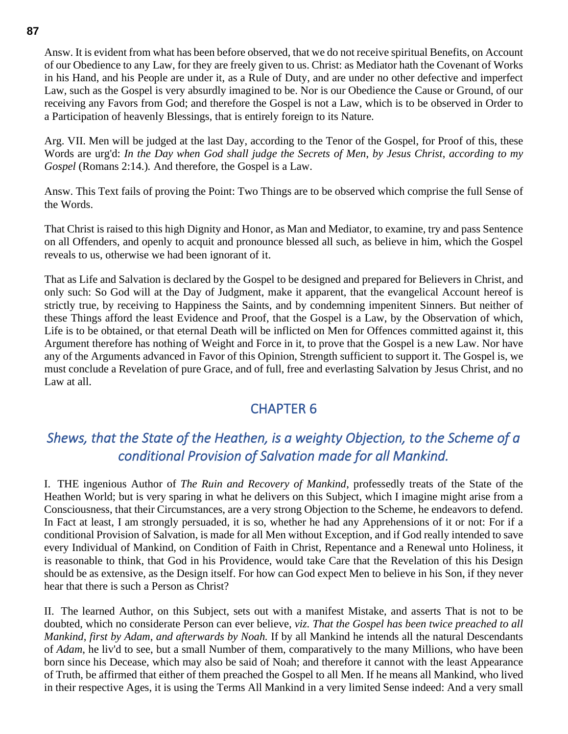Answ. It is evident from what has been before observed, that we do not receive spiritual Benefits, on Account of our Obedience to any Law, for they are freely given to us. Christ: as Mediator hath the Covenant of Works in his Hand, and his People are under it, as a Rule of Duty, and are under no other defective and imperfect Law, such as the Gospel is very absurdly imagined to be. Nor is our Obedience the Cause or Ground, of our receiving any Favors from God; and therefore the Gospel is not a Law, which is to be observed in Order to a Participation of heavenly Blessings, that is entirely foreign to its Nature.

Arg. VII. Men will be judged at the last Day, according to the Tenor of the Gospel, for Proof of this, these Words are urg'd: *In the Day when God shall judge the Secrets of Men*, *by Jesus Christ*, *according to my Gospel* (Romans 2:14.)*.* And therefore, the Gospel is a Law.

Answ. This Text fails of proving the Point: Two Things are to be observed which comprise the full Sense of the Words.

That Christ is raised to this high Dignity and Honor, as Man and Mediator, to examine, try and pass Sentence on all Offenders, and openly to acquit and pronounce blessed all such, as believe in him, which the Gospel reveals to us, otherwise we had been ignorant of it.

That as Life and Salvation is declared by the Gospel to be designed and prepared for Believers in Christ, and only such: So God will at the Day of Judgment, make it apparent, that the evangelical Account hereof is strictly true, by receiving to Happiness the Saints, and by condemning impenitent Sinners. But neither of these Things afford the least Evidence and Proof, that the Gospel is a Law, by the Observation of which, Life is to be obtained, or that eternal Death will be inflicted on Men for Offences committed against it, this Argument therefore has nothing of Weight and Force in it, to prove that the Gospel is a new Law. Nor have any of the Arguments advanced in Favor of this Opinion, Strength sufficient to support it. The Gospel is, we must conclude a Revelation of pure Grace, and of full, free and everlasting Salvation by Jesus Christ, and no Law at all.

## CHAPTER 6

# *Shews, that the State of the Heathen, is a weighty Objection, to the Scheme of a conditional Provision of Salvation made for all Mankind.*

I. THE ingenious Author of *The Ruin and Recovery of Mankind*, professedly treats of the State of the Heathen World; but is very sparing in what he delivers on this Subject, which I imagine might arise from a Consciousness, that their Circumstances, are a very strong Objection to the Scheme, he endeavors to defend. In Fact at least, I am strongly persuaded, it is so, whether he had any Apprehensions of it or not: For if a conditional Provision of Salvation, is made for all Men without Exception, and if God really intended to save every Individual of Mankind, on Condition of Faith in Christ, Repentance and a Renewal unto Holiness, it is reasonable to think, that God in his Providence, would take Care that the Revelation of this his Design should be as extensive, as the Design itself. For how can God expect Men to believe in his Son, if they never hear that there is such a Person as Christ?

II. The learned Author, on this Subject, sets out with a manifest Mistake, and asserts That is not to be doubted, which no considerate Person can ever believe, *viz. That the Gospel has been twice preached to all Mankind*, *first by Adam*, *and afterwards by Noah.* If by all Mankind he intends all the natural Descendants of *Adam*, he liv'd to see, but a small Number of them, comparatively to the many Millions, who have been born since his Decease, which may also be said of Noah; and therefore it cannot with the least Appearance of Truth, be affirmed that either of them preached the Gospel to all Men. If he means all Mankind, who lived in their respective Ages, it is using the Terms All Mankind in a very limited Sense indeed: And a very small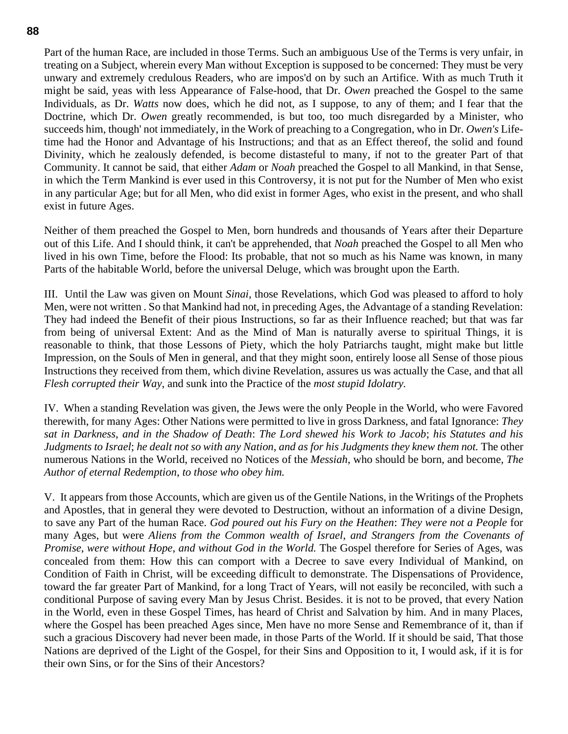Part of the human Race, are included in those Terms. Such an ambiguous Use of the Terms is very unfair, in treating on a Subject, wherein every Man without Exception is supposed to be concerned: They must be very unwary and extremely credulous Readers, who are impos'd on by such an Artifice. With as much Truth it might be said, yeas with less Appearance of False-hood, that Dr. *Owen* preached the Gospel to the same Individuals, as Dr. *Watts* now does, which he did not, as I suppose, to any of them; and I fear that the Doctrine, which Dr. *Owen* greatly recommended, is but too, too much disregarded by a Minister, who succeeds him, though' not immediately, in the Work of preaching to a Congregation, who in Dr. *Owen's* Lifetime had the Honor and Advantage of his Instructions; and that as an Effect thereof, the solid and found Divinity, which he zealously defended, is become distasteful to many, if not to the greater Part of that Community. It cannot be said, that either *Adam* or *Noah* preached the Gospel to all Mankind, in that Sense, in which the Term Mankind is ever used in this Controversy, it is not put for the Number of Men who exist in any particular Age; but for all Men, who did exist in former Ages, who exist in the present, and who shall exist in future Ages.

Neither of them preached the Gospel to Men, born hundreds and thousands of Years after their Departure out of this Life. And I should think, it can't be apprehended, that *Noah* preached the Gospel to all Men who lived in his own Time, before the Flood: Its probable, that not so much as his Name was known, in many Parts of the habitable World, before the universal Deluge, which was brought upon the Earth.

III. Until the Law was given on Mount *Sinai*, those Revelations, which God was pleased to afford to holy Men, were not written . So that Mankind had not, in preceding Ages, the Advantage of a standing Revelation: They had indeed the Benefit of their pious Instructions, so far as their Influence reached; but that was far from being of universal Extent: And as the Mind of Man is naturally averse to spiritual Things, it is reasonable to think, that those Lessons of Piety, which the holy Patriarchs taught, might make but little Impression, on the Souls of Men in general, and that they might soon, entirely loose all Sense of those pious Instructions they received from them, which divine Revelation, assures us was actually the Case, and that all *Flesh corrupted their Way*, and sunk into the Practice of the *most stupid Idolatry.*

IV. When a standing Revelation was given, the Jews were the only People in the World, who were Favored therewith, for many Ages: Other Nations were permitted to live in gross Darkness, and fatal Ignorance: *They sat in Darkness*, *and in the Shadow of Death*: *The Lord shewed his Work to Jacob*; *his Statutes and his Judgments to Israel*; *he dealt not so with any Nation*, *and as for his Judgments they knew them not.* The other numerous Nations in the World, received no Notices of the *Messiah*, who should be born, and become, *The Author of eternal Redemption*, *to those who obey him.*

V. It appears from those Accounts, which are given us of the Gentile Nations, in the Writings of the Prophets and Apostles, that in general they were devoted to Destruction, without an information of a divine Design, to save any Part of the human Race. *God poured out his Fury on the Heathen*: *They were not a People* for many Ages, but were *Aliens from the Common wealth of Israel*, *and Strangers from the Covenants of Promise*, *were without Hope*, *and without God in the World.* The Gospel therefore for Series of Ages, was concealed from them: How this can comport with a Decree to save every Individual of Mankind, on Condition of Faith in Christ, will be exceeding difficult to demonstrate. The Dispensations of Providence, toward the far greater Part of Mankind, for a long Tract of Years, will not easily be reconciled, with such a conditional Purpose of saving every Man by Jesus Christ. Besides. it is not to be proved, that every Nation in the World, even in these Gospel Times, has heard of Christ and Salvation by him. And in many Places, where the Gospel has been preached Ages since, Men have no more Sense and Remembrance of it, than if such a gracious Discovery had never been made, in those Parts of the World. If it should be said, That those Nations are deprived of the Light of the Gospel, for their Sins and Opposition to it, I would ask, if it is for their own Sins, or for the Sins of their Ancestors?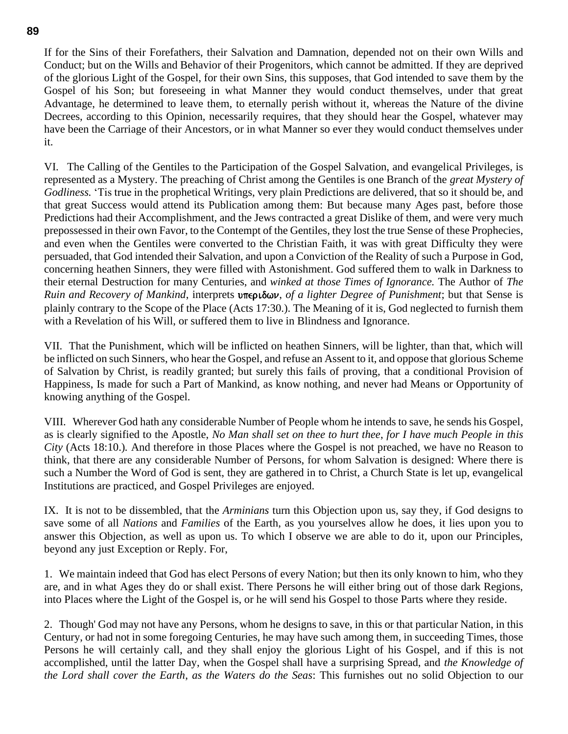If for the Sins of their Forefathers, their Salvation and Damnation, depended not on their own Wills and Conduct; but on the Wills and Behavior of their Progenitors, which cannot be admitted. If they are deprived of the glorious Light of the Gospel, for their own Sins, this supposes, that God intended to save them by the Gospel of his Son; but foreseeing in what Manner they would conduct themselves, under that great Advantage, he determined to leave them, to eternally perish without it, whereas the Nature of the divine Decrees, according to this Opinion, necessarily requires, that they should hear the Gospel, whatever may have been the Carriage of their Ancestors, or in what Manner so ever they would conduct themselves under it.

VI. The Calling of the Gentiles to the Participation of the Gospel Salvation, and evangelical Privileges, is represented as a Mystery. The preaching of Christ among the Gentiles is one Branch of the *great Mystery of Godliness.* 'Tis true in the prophetical Writings, very plain Predictions are delivered, that so it should be, and that great Success would attend its Publication among them: But because many Ages past, before those Predictions had their Accomplishment, and the Jews contracted a great Dislike of them, and were very much prepossessed in their own Favor, to the Contempt of the Gentiles, they lost the true Sense of these Prophecies, and even when the Gentiles were converted to the Christian Faith, it was with great Difficulty they were persuaded, that God intended their Salvation, and upon a Conviction of the Reality of such a Purpose in God, concerning heathen Sinners, they were filled with Astonishment. God suffered them to walk in Darkness to their eternal Destruction for many Centuries, and *winked at those Times of Ignorance.* The Author of *The Ruin and Recovery of Mankind*, interprets υπεριδων, *of a lighter Degree of Punishment*; but that Sense is plainly contrary to the Scope of the Place (Acts 17:30.). The Meaning of it is, God neglected to furnish them with a Revelation of his Will, or suffered them to live in Blindness and Ignorance.

VII. That the Punishment, which will be inflicted on heathen Sinners, will be lighter, than that, which will be inflicted on such Sinners, who hear the Gospel, and refuse an Assent to it, and oppose that glorious Scheme of Salvation by Christ, is readily granted; but surely this fails of proving, that a conditional Provision of Happiness, Is made for such a Part of Mankind, as know nothing, and never had Means or Opportunity of knowing anything of the Gospel.

VIII. Wherever God hath any considerable Number of People whom he intends to save, he sends his Gospel, as is clearly signified to the Apostle, *No Man shall set on thee to hurt thee*, *for I have much People in this City* (Acts 18:10.)*.* And therefore in those Places where the Gospel is not preached, we have no Reason to think, that there are any considerable Number of Persons, for whom Salvation is designed: Where there is such a Number the Word of God is sent, they are gathered in to Christ, a Church State is let up, evangelical Institutions are practiced, and Gospel Privileges are enjoyed.

IX. It is not to be dissembled, that the *Arminians* turn this Objection upon us, say they, if God designs to save some of all *Nations* and *Families* of the Earth, as you yourselves allow he does, it lies upon you to answer this Objection, as well as upon us. To which I observe we are able to do it, upon our Principles, beyond any just Exception or Reply. For,

1. We maintain indeed that God has elect Persons of every Nation; but then its only known to him, who they are, and in what Ages they do or shall exist. There Persons he will either bring out of those dark Regions, into Places where the Light of the Gospel is, or he will send his Gospel to those Parts where they reside.

2. Though' God may not have any Persons, whom he designs to save, in this or that particular Nation, in this Century, or had not in some foregoing Centuries, he may have such among them, in succeeding Times, those Persons he will certainly call, and they shall enjoy the glorious Light of his Gospel, and if this is not accomplished, until the latter Day, when the Gospel shall have a surprising Spread, and *the Knowledge of the Lord shall cover the Earth*, *as the Waters do the Seas*: This furnishes out no solid Objection to our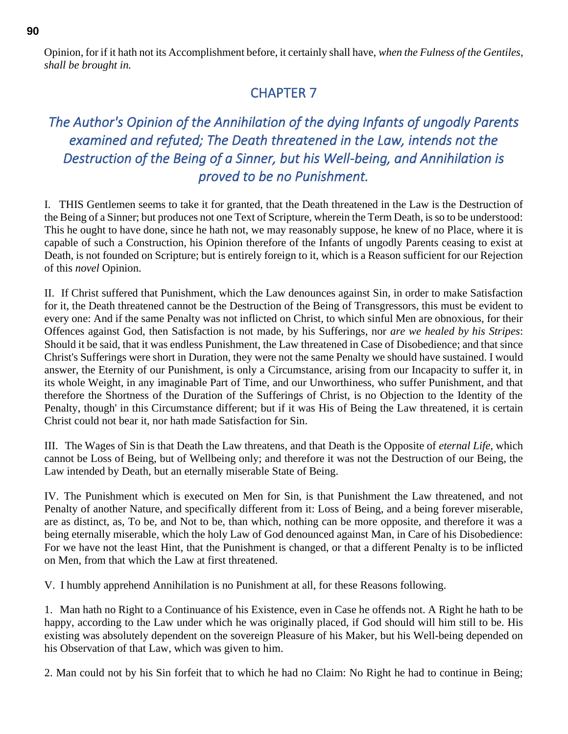Opinion, for if it hath not its Accomplishment before, it certainly shall have, *when the Fulness of the Gentiles*, *shall be brought in.*

## CHAPTER 7

# *The Author's Opinion of the Annihilation of the dying Infants of ungodly Parents examined and refuted; The Death threatened in the Law, intends not the Destruction of the Being of a Sinner, but his Well-being, and Annihilation is proved to be no Punishment.*

I. THIS Gentlemen seems to take it for granted, that the Death threatened in the Law is the Destruction of the Being of a Sinner; but produces not one Text of Scripture, wherein the Term Death, is so to be understood: This he ought to have done, since he hath not, we may reasonably suppose, he knew of no Place, where it is capable of such a Construction, his Opinion therefore of the Infants of ungodly Parents ceasing to exist at Death, is not founded on Scripture; but is entirely foreign to it, which is a Reason sufficient for our Rejection of this *novel* Opinion.

II. If Christ suffered that Punishment, which the Law denounces against Sin, in order to make Satisfaction for it, the Death threatened cannot be the Destruction of the Being of Transgressors, this must be evident to every one: And if the same Penalty was not inflicted on Christ, to which sinful Men are obnoxious, for their Offences against God, then Satisfaction is not made, by his Sufferings, nor *are we healed by his Stripes*: Should it be said, that it was endless Punishment, the Law threatened in Case of Disobedience; and that since Christ's Sufferings were short in Duration, they were not the same Penalty we should have sustained. I would answer, the Eternity of our Punishment, is only a Circumstance, arising from our Incapacity to suffer it, in its whole Weight, in any imaginable Part of Time, and our Unworthiness, who suffer Punishment, and that therefore the Shortness of the Duration of the Sufferings of Christ, is no Objection to the Identity of the Penalty, though' in this Circumstance different; but if it was His of Being the Law threatened, it is certain Christ could not bear it, nor hath made Satisfaction for Sin.

III. The Wages of Sin is that Death the Law threatens, and that Death is the Opposite of *eternal Life*, which cannot be Loss of Being, but of Wellbeing only; and therefore it was not the Destruction of our Being, the Law intended by Death, but an eternally miserable State of Being.

IV. The Punishment which is executed on Men for Sin, is that Punishment the Law threatened, and not Penalty of another Nature, and specifically different from it: Loss of Being, and a being forever miserable, are as distinct, as, To be, and Not to be, than which, nothing can be more opposite, and therefore it was a being eternally miserable, which the holy Law of God denounced against Man, in Care of his Disobedience: For we have not the least Hint, that the Punishment is changed, or that a different Penalty is to be inflicted on Men, from that which the Law at first threatened.

V. I humbly apprehend Annihilation is no Punishment at all, for these Reasons following.

1. Man hath no Right to a Continuance of his Existence, even in Case he offends not. A Right he hath to be happy, according to the Law under which he was originally placed, if God should will him still to be. His existing was absolutely dependent on the sovereign Pleasure of his Maker, but his Well-being depended on his Observation of that Law, which was given to him.

2. Man could not by his Sin forfeit that to which he had no Claim: No Right he had to continue in Being;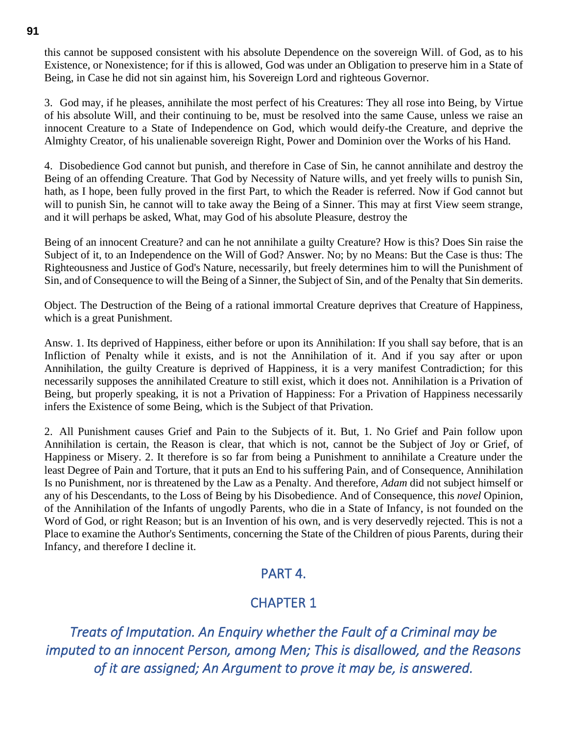this cannot be supposed consistent with his absolute Dependence on the sovereign Will. of God, as to his Existence, or Nonexistence; for if this is allowed, God was under an Obligation to preserve him in a State of Being, in Case he did not sin against him, his Sovereign Lord and righteous Governor.

3. God may, if he pleases, annihilate the most perfect of his Creatures: They all rose into Being, by Virtue of his absolute Will, and their continuing to be, must be resolved into the same Cause, unless we raise an innocent Creature to a State of Independence on God, which would deify-the Creature, and deprive the Almighty Creator, of his unalienable sovereign Right, Power and Dominion over the Works of his Hand.

4. Disobedience God cannot but punish, and therefore in Case of Sin, he cannot annihilate and destroy the Being of an offending Creature. That God by Necessity of Nature wills, and yet freely wills to punish Sin, hath, as I hope, been fully proved in the first Part, to which the Reader is referred. Now if God cannot but will to punish Sin, he cannot will to take away the Being of a Sinner. This may at first View seem strange, and it will perhaps be asked, What, may God of his absolute Pleasure, destroy the

Being of an innocent Creature? and can he not annihilate a guilty Creature? How is this? Does Sin raise the Subject of it, to an Independence on the Will of God? Answer. No; by no Means: But the Case is thus: The Righteousness and Justice of God's Nature, necessarily, but freely determines him to will the Punishment of Sin, and of Consequence to will the Being of a Sinner, the Subject of Sin, and of the Penalty that Sin demerits.

Object. The Destruction of the Being of a rational immortal Creature deprives that Creature of Happiness, which is a great Punishment.

Answ. 1. Its deprived of Happiness, either before or upon its Annihilation: If you shall say before, that is an Infliction of Penalty while it exists, and is not the Annihilation of it. And if you say after or upon Annihilation, the guilty Creature is deprived of Happiness, it is a very manifest Contradiction; for this necessarily supposes the annihilated Creature to still exist, which it does not. Annihilation is a Privation of Being, but properly speaking, it is not a Privation of Happiness: For a Privation of Happiness necessarily infers the Existence of some Being, which is the Subject of that Privation.

2. All Punishment causes Grief and Pain to the Subjects of it. But, 1. No Grief and Pain follow upon Annihilation is certain, the Reason is clear, that which is not, cannot be the Subject of Joy or Grief, of Happiness or Misery. 2. It therefore is so far from being a Punishment to annihilate a Creature under the least Degree of Pain and Torture, that it puts an End to his suffering Pain, and of Consequence, Annihilation Is no Punishment, nor is threatened by the Law as a Penalty. And therefore, *Adam* did not subject himself or any of his Descendants, to the Loss of Being by his Disobedience. And of Consequence, this *novel* Opinion, of the Annihilation of the Infants of ungodly Parents, who die in a State of Infancy, is not founded on the Word of God, or right Reason; but is an Invention of his own, and is very deservedly rejected. This is not a Place to examine the Author's Sentiments, concerning the State of the Children of pious Parents, during their Infancy, and therefore I decline it.

### PART 4.

## CHAPTER 1

*Treats of Imputation. An Enquiry whether the Fault of a Criminal may be imputed to an innocent Person, among Men; This is disallowed, and the Reasons of it are assigned; An Argument to prove it may be, is answered.*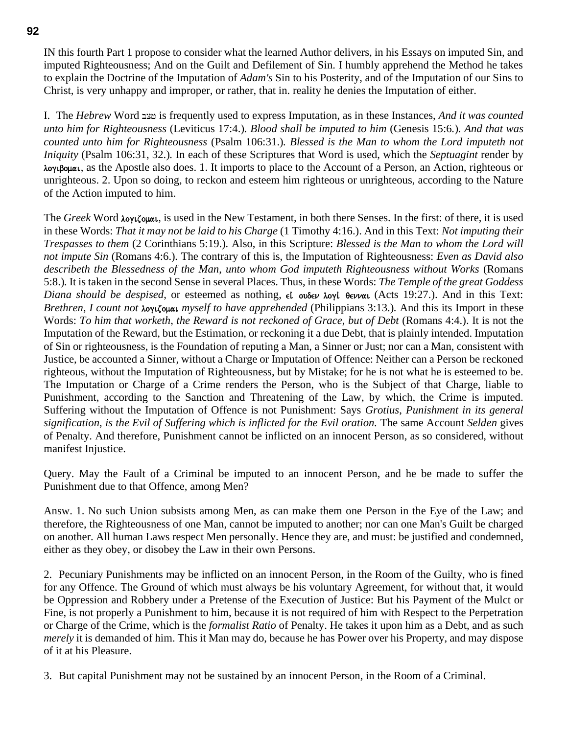IN this fourth Part 1 propose to consider what the learned Author delivers, in his Essays on imputed Sin, and imputed Righteousness; And on the Guilt and Defilement of Sin. I humbly apprehend the Method he takes to explain the Doctrine of the Imputation of *Adam's* Sin to his Posterity, and of the Imputation of our Sins to Christ, is very unhappy and improper, or rather, that in. reality he denies the Imputation of either.

I. The *Hebrew* Word bcj is frequently used to express Imputation, as in these Instances, *And it was counted unto him for Righteousness* (Leviticus 17:4.)*. Blood shall be imputed to him* (Genesis 15:6*.*)*. And that was counted unto him for Righteousness* (Psalm 106:31.)*. Blessed is the Man to whom the Lord imputeth not Iniquity* (Psalm 106:31, 32.)*.* In each of these Scriptures that Word is used, which the *Septuagint* render by λογιβομαι, as the Apostle also does. 1. It imports to place to the Account of a Person, an Action, righteous or unrighteous. 2. Upon so doing, to reckon and esteem him righteous or unrighteous, according to the Nature of the Action imputed to him.

The *Greek* Word *λογιζομαι*, is used in the New Testament, in both there Senses. In the first: of there, it is used in these Words: *That it may not be laid to his Charge* (1 Timothy 4:16.). And in this Text: *Not imputing their Trespasses to them* (2 Corinthians 5:19.)*.* Also, in this Scripture: *Blessed is the Man to whom the Lord will not impute Sin* (Romans 4:6.)*.* The contrary of this is, the Imputation of Righteousness: *Even as David also describeth the Blessedness of the Man*, *unto whom God imputeth Righteousness without Works* (Romans 5:8.)*.* It is taken in the second Sense in several Places. Thus, in these Words: *The Temple of the great Goddess Diana should be despised*, or esteemed as nothing,  $\epsilon i$  ouder logic derrical (Acts 19:27.). And in this Text: *Brethren, I count not <i>logizoual myself to have apprehended* (Philippians 3:13.). And this its Import in these Words: *To him that worketh*, *the Reward is not reckoned of Grace*, *but of Debt* (Romans 4:4.). It is not the Imputation of the Reward, but the Estimation, or reckoning it a due Debt, that is plainly intended. Imputation of Sin or righteousness, is the Foundation of reputing a Man, a Sinner or Just; nor can a Man, consistent with Justice, be accounted a Sinner, without a Charge or Imputation of Offence: Neither can a Person be reckoned righteous, without the Imputation of Righteousness, but by Mistake; for he is not what he is esteemed to be. The Imputation or Charge of a Crime renders the Person, who is the Subject of that Charge, liable to Punishment, according to the Sanction and Threatening of the Law, by which, the Crime is imputed. Suffering without the Imputation of Offence is not Punishment: Says *Grotius*, *Punishment in its general signification*, *is the Evil of Suffering which is inflicted for the Evil oration.* The same Account *Selden* gives of Penalty. And therefore, Punishment cannot be inflicted on an innocent Person, as so considered, without manifest Injustice.

Query. May the Fault of a Criminal be imputed to an innocent Person, and he be made to suffer the Punishment due to that Offence, among Men?

Answ. 1. No such Union subsists among Men, as can make them one Person in the Eye of the Law; and therefore, the Righteousness of one Man, cannot be imputed to another; nor can one Man's Guilt be charged on another. All human Laws respect Men personally. Hence they are, and must: be justified and condemned, either as they obey, or disobey the Law in their own Persons.

2. Pecuniary Punishments may be inflicted on an innocent Person, in the Room of the Guilty, who is fined for any Offence. The Ground of which must always be his voluntary Agreement, for without that, it would be Oppression and Robbery under a Pretense of the Execution of Justice: But his Payment of the Mulct or Fine, is not properly a Punishment to him, because it is not required of him with Respect to the Perpetration or Charge of the Crime, which is the *formalist Ratio* of Penalty. He takes it upon him as a Debt, and as such *merely* it is demanded of him. This it Man may do, because he has Power over his Property, and may dispose of it at his Pleasure.

3. But capital Punishment may not be sustained by an innocent Person, in the Room of a Criminal.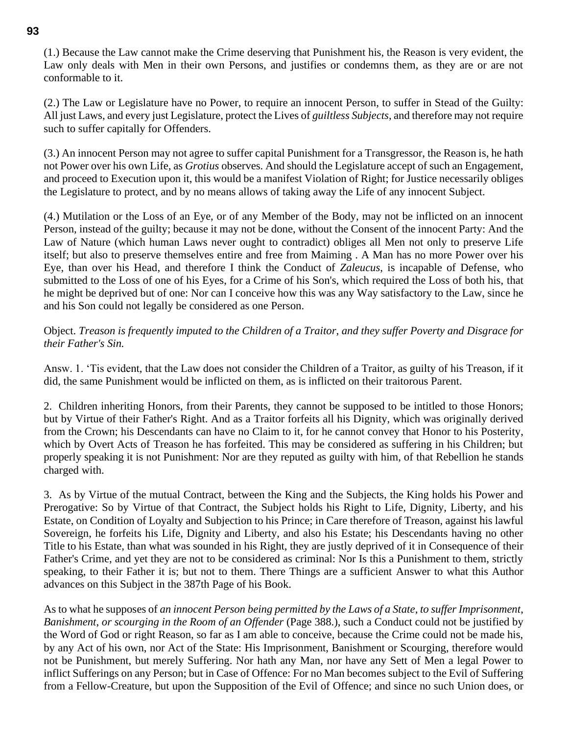(1.) Because the Law cannot make the Crime deserving that Punishment his, the Reason is very evident, the Law only deals with Men in their own Persons, and justifies or condemns them, as they are or are not conformable to it.

(2.) The Law or Legislature have no Power, to require an innocent Person, to suffer in Stead of the Guilty: All just Laws, and every just Legislature, protect the Lives of *guiltless Subjects*, and therefore may not require such to suffer capitally for Offenders.

(3.) An innocent Person may not agree to suffer capital Punishment for a Transgressor, the Reason is, he hath not Power over his own Life, as *Grotius* observes. And should the Legislature accept of such an Engagement, and proceed to Execution upon it, this would be a manifest Violation of Right; for Justice necessarily obliges the Legislature to protect, and by no means allows of taking away the Life of any innocent Subject.

(4.) Mutilation or the Loss of an Eye, or of any Member of the Body, may not be inflicted on an innocent Person, instead of the guilty; because it may not be done, without the Consent of the innocent Party: And the Law of Nature (which human Laws never ought to contradict) obliges all Men not only to preserve Life itself; but also to preserve themselves entire and free from Maiming . A Man has no more Power over his Eye, than over his Head, and therefore I think the Conduct of *Zaleucus*, is incapable of Defense, who submitted to the Loss of one of his Eyes, for a Crime of his Son's, which required the Loss of both his, that he might be deprived but of one: Nor can I conceive how this was any Way satisfactory to the Law, since he and his Son could not legally be considered as one Person.

### Object. *Treason is frequently imputed to the Children of a Traitor*, *and they suffer Poverty and Disgrace for their Father's Sin.*

Answ. 1. 'Tis evident, that the Law does not consider the Children of a Traitor, as guilty of his Treason, if it did, the same Punishment would be inflicted on them, as is inflicted on their traitorous Parent.

2. Children inheriting Honors, from their Parents, they cannot be supposed to be intitled to those Honors; but by Virtue of their Father's Right. And as a Traitor forfeits all his Dignity, which was originally derived from the Crown; his Descendants can have no Claim to it, for he cannot convey that Honor to his Posterity, which by Overt Acts of Treason he has forfeited. This may be considered as suffering in his Children; but properly speaking it is not Punishment: Nor are they reputed as guilty with him, of that Rebellion he stands charged with.

3. As by Virtue of the mutual Contract, between the King and the Subjects, the King holds his Power and Prerogative: So by Virtue of that Contract, the Subject holds his Right to Life, Dignity, Liberty, and his Estate, on Condition of Loyalty and Subjection to his Prince; in Care therefore of Treason, against his lawful Sovereign, he forfeits his Life, Dignity and Liberty, and also his Estate; his Descendants having no other Title to his Estate, than what was sounded in his Right, they are justly deprived of it in Consequence of their Father's Crime, and yet they are not to be considered as criminal: Nor Is this a Punishment to them, strictly speaking, to their Father it is; but not to them. There Things are a sufficient Answer to what this Author advances on this Subject in the 387th Page of his Book.

As to what he supposes of *an innocent Person being permitted by the Laws of a State*, *to suffer Imprisonment*, *Banishment*, *or scourging in the Room of an Offender* (Page 388.), such a Conduct could not be justified by the Word of God or right Reason, so far as I am able to conceive, because the Crime could not be made his, by any Act of his own, nor Act of the State: His Imprisonment, Banishment or Scourging, therefore would not be Punishment, but merely Suffering. Nor hath any Man, nor have any Sett of Men a legal Power to inflict Sufferings on any Person; but in Case of Offence: For no Man becomes subject to the Evil of Suffering from a Fellow-Creature, but upon the Supposition of the Evil of Offence; and since no such Union does, or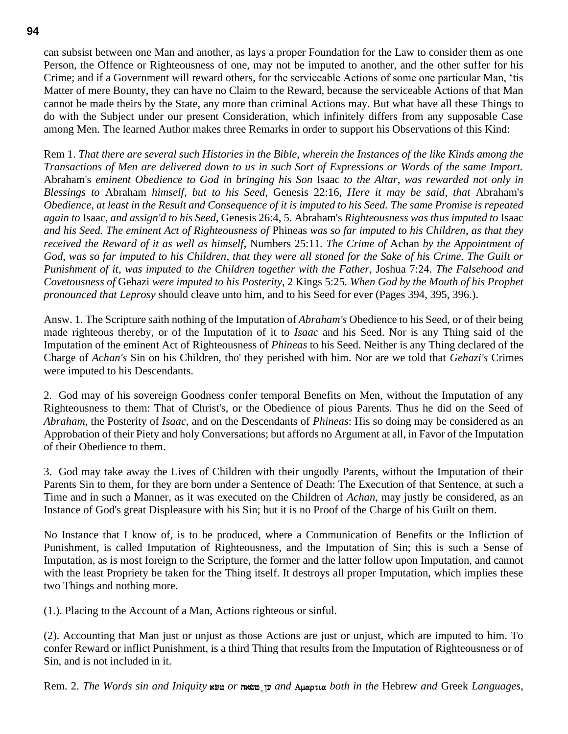can subsist between one Man and another, as lays a proper Foundation for the Law to consider them as one Person, the Offence or Righteousness of one, may not be imputed to another, and the other suffer for his Crime; and if a Government will reward others, for the serviceable Actions of some one particular Man, 'tis Matter of mere Bounty, they can have no Claim to the Reward, because the serviceable Actions of that Man cannot be made theirs by the State, any more than criminal Actions may. But what have all these Things to do with the Subject under our present Consideration, which infinitely differs from any supposable Case among Men. The learned Author makes three Remarks in order to support his Observations of this Kind:

Rem 1. *That there are several such Histories in the Bible*, *wherein the Instances of the like Kinds among the Transactions of Men are delivered down to us in such Sort of Expressions or Words of the same Import.* Abraham's *eminent Obedience to God in bringing his Son* Isaac *to the Altar*, *was rewarded not only in Blessings to* Abraham *himself*, *but to his Seed*, Genesis 22:16, *Here it may be said*, *that* Abraham's *Obedience*, *at least in the Result and Consequence of it is imputed to his Seed. The same Promise is repeated again to* Isaac, *and assign'd to his Seed*, Genesis 26:4, 5. Abraham's *Righteousness was thus imputed to* Isaac *and his Seed. The eminent Act of Righteousness of* Phineas *was so far imputed to his Children*, *as that they received the Reward of it as well as himself*, Numbers 25:11. *The Crime of* Achan *by the Appointment of God*, *was so far imputed to his Children*, *that they were all stoned for the Sake of his Crime. The Guilt or Punishment of it*, *was imputed to the Children together with the Father*, Joshua 7:24. *The Falsehood and Covetousness of* Gehazi *were imputed to his Posterity*, 2 Kings 5:25*. When God by the Mouth of his Prophet pronounced that Leprosy* should cleave unto him, and to his Seed for ever (Pages 394, 395, 396.).

Answ. 1. The Scripture saith nothing of the Imputation of *Abraham's* Obedience to his Seed, or of their being made righteous thereby, or of the Imputation of it to *Isaac* and his Seed. Nor is any Thing said of the Imputation of the eminent Act of Righteousness of *Phineas* to his Seed. Neither is any Thing declared of the Charge of *Achan's* Sin on his Children, tho' they perished with him. Nor are we told that *Gehazi's* Crimes were imputed to his Descendants.

2. God may of his sovereign Goodness confer temporal Benefits on Men, without the Imputation of any Righteousness to them: That of Christ's, or the Obedience of pious Parents. Thus he did on the Seed of *Abraham*, the Posterity of *Isaac*, and on the Descendants of *Phineas*: His so doing may be considered as an Approbation of their Piety and holy Conversations; but affords no Argument at all, in Favor of the Imputation of their Obedience to them.

3. God may take away the Lives of Children with their ungodly Parents, without the Imputation of their Parents Sin to them, for they are born under a Sentence of Death: The Execution of that Sentence, at such a Time and in such a Manner, as it was executed on the Children of *Achan*, may justly be considered, as an Instance of God's great Displeasure with his Sin; but it is no Proof of the Charge of his Guilt on them.

No Instance that I know of, is to be produced, where a Communication of Benefits or the Infliction of Punishment, is called Imputation of Righteousness, and the Imputation of Sin; this is such a Sense of Imputation, as is most foreign to the Scripture, the former and the latter follow upon Imputation, and cannot with the least Propriety be taken for the Thing itself. It destroys all proper Imputation, which implies these two Things and nothing more.

(1.). Placing to the Account of a Man, Actions righteous or sinful.

(2). Accounting that Man just or unjust as those Actions are just or unjust, which are imputed to him. To confer Reward or inflict Punishment, is a third Thing that results from the Imputation of Righteousness or of Sin, and is not included in it.

Rem. 2. *The Words sin and Iniquity* and  $\omega$ *or* ששאה *or* של *and Auaptua both in the Hebrew and Greek Languages,*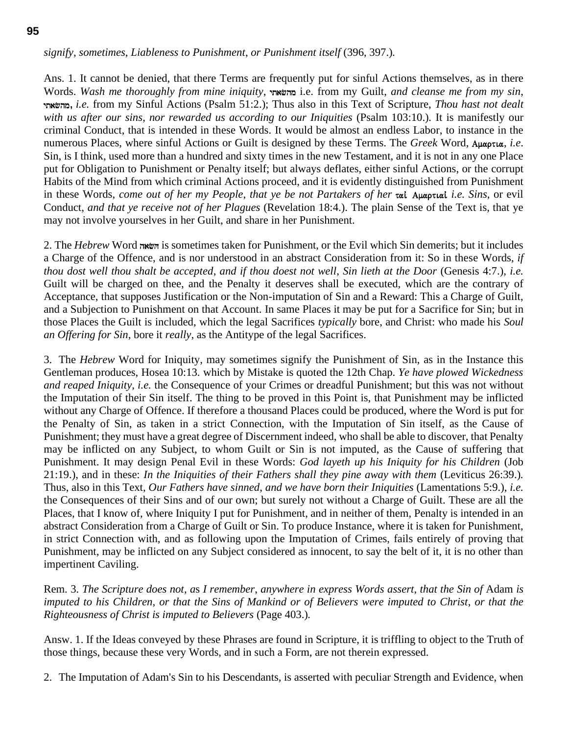*signify*, *sometimes*, *Liableness to Punishment*, *or Punishment itself* (396, 397.)*.*

Ans. 1. It cannot be denied, that there Terms are frequently put for sinful Actions themselves, as in there Words. *Wash me thoroughly from mine iniquity*, ytafhm i.e. from my Guilt, *and cleanse me from my sin*, ytafhm**,** *i.e.* from my Sinful Actions (Psalm 51:2.); Thus also in this Text of Scripture, *Thou hast not dealt with us after our sins*, *nor rewarded us according to our Iniquities* (Psalm 103:10.)*.* It is manifestly our criminal Conduct, that is intended in these Words. It would be almost an endless Labor, to instance in the numerous Places, where sinful Actions or Guilt is designed by these Terms. The *Greek* Word,  $A\mu\alpha\rho\tau\iota\alpha$ , *i.e.* Sin, is I think, used more than a hundred and sixty times in the new Testament, and it is not in any one Place put for Obligation to Punishment or Penalty itself; but always deflates, either sinful Actions, or the corrupt Habits of the Mind from which criminal Actions proceed, and it is evidently distinguished from Punishment in these Words, *come out of her my People*, *that ye be not Partakers of her*  $\pi a$ *i Auaptual <i>i.e.* Sins, or evil Conduct, *and that ye receive not of her Plagues* (Revelation 18:4.). The plain Sense of the Text is, that ye may not involve yourselves in her Guilt, and share in her Punishment.

2. The *Hebrew* Word hafH is sometimes taken for Punishment, or the Evil which Sin demerits; but it includes a Charge of the Offence, and is nor understood in an abstract Consideration from it: So in these Words, *if thou dost well thou shalt be accepted*, *and if thou doest not well*, *Sin lieth at the Door* (Genesis 4:7.), *i.e.* Guilt will be charged on thee, and the Penalty it deserves shall be executed, which are the contrary of Acceptance, that supposes Justification or the Non-imputation of Sin and a Reward: This a Charge of Guilt, and a Subjection to Punishment on that Account. In same Places it may be put for a Sacrifice for Sin; but in those Places the Guilt is included, which the legal Sacrifices *typically* bore, and Christ: who made his *Soul an Offering for Sin*, bore it *really*, as the Antitype of the legal Sacrifices.

3. The *Hebrew* Word for Iniquity, may sometimes signify the Punishment of Sin, as in the Instance this Gentleman produces, Hosea 10:13*.* which by Mistake is quoted the 12th Chap. *Ye have plowed Wickedness and reaped Iniquity*, *i.e.* the Consequence of your Crimes or dreadful Punishment; but this was not without the Imputation of their Sin itself. The thing to be proved in this Point is, that Punishment may be inflicted without any Charge of Offence. If therefore a thousand Places could be produced, where the Word is put for the Penalty of Sin, as taken in a strict Connection, with the Imputation of Sin itself, as the Cause of Punishment; they must have a great degree of Discernment indeed, who shall be able to discover, that Penalty may be inflicted on any Subject, to whom Guilt or Sin is not imputed, as the Cause of suffering that Punishment. It may design Penal Evil in these Words: *God layeth up his Iniquity for his Children* (Job 21:19.), and in these: *In the Iniquities of their Fathers shall they pine away with them* (Leviticus 26:39.)*.* Thus, also in this Text, *Our Fathers have sinned*, *and we have born their Iniquities* (Lamentations 5:9.), *i.e.* the Consequences of their Sins and of our own; but surely not without a Charge of Guilt. These are all the Places, that I know of, where Iniquity I put for Punishment, and in neither of them, Penalty is intended in an abstract Consideration from a Charge of Guilt or Sin. To produce Instance, where it is taken for Punishment, in strict Connection with, and as following upon the Imputation of Crimes, fails entirely of proving that Punishment, may be inflicted on any Subject considered as innocent, to say the belt of it, it is no other than impertinent Caviling.

Rem. 3. *The Scripture does not*, *a*s *I remember*, *anywhere in express Words assert*, *that the Sin of* Adam *is imputed to his Children*, *or that the Sins of Mankind or of Believers were imputed to Christ*, *or that the Righteousness of Christ is imputed to Believers* (Page 403.)*.*

Answ. 1. If the Ideas conveyed by these Phrases are found in Scripture, it is triffling to object to the Truth of those things, because these very Words, and in such a Form, are not therein expressed.

2. The Imputation of Adam's Sin to his Descendants, is asserted with peculiar Strength and Evidence, when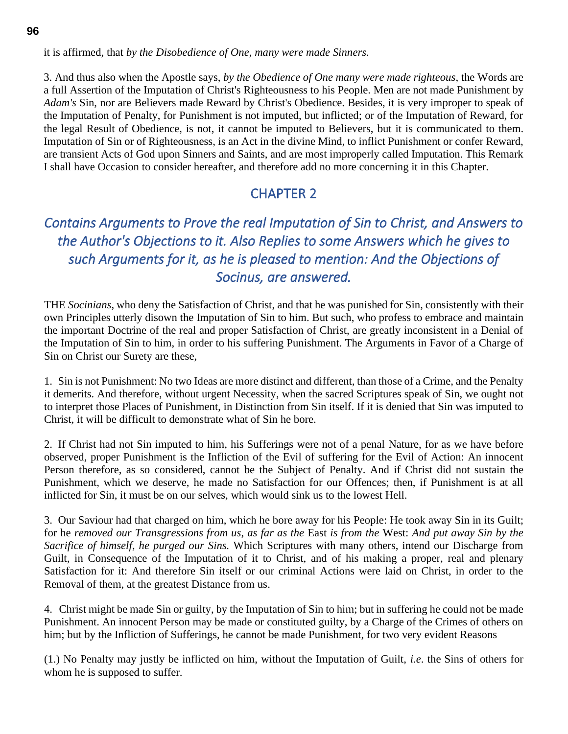it is affirmed, that *by the Disobedience of One*, *many were made Sinners.*

3. And thus also when the Apostle says, *by the Obedience of One many were made righteous*, the Words are a full Assertion of the Imputation of Christ's Righteousness to his People. Men are not made Punishment by *Adam's* Sin, nor are Believers made Reward by Christ's Obedience. Besides, it is very improper to speak of the Imputation of Penalty, for Punishment is not imputed, but inflicted; or of the Imputation of Reward, for the legal Result of Obedience, is not, it cannot be imputed to Believers, but it is communicated to them. Imputation of Sin or of Righteousness, is an Act in the divine Mind, to inflict Punishment or confer Reward, are transient Acts of God upon Sinners and Saints, and are most improperly called Imputation. This Remark I shall have Occasion to consider hereafter, and therefore add no more concerning it in this Chapter.

## CHAPTER 2

# *Contains Arguments to Prove the real Imputation of Sin to Christ, and Answers to the Author's Objections to it. Also Replies to some Answers which he gives to such Arguments for it, as he is pleased to mention: And the Objections of Socinus, are answered.*

THE *Socinians*, who deny the Satisfaction of Christ, and that he was punished for Sin, consistently with their own Principles utterly disown the Imputation of Sin to him. But such, who profess to embrace and maintain the important Doctrine of the real and proper Satisfaction of Christ, are greatly inconsistent in a Denial of the Imputation of Sin to him, in order to his suffering Punishment. The Arguments in Favor of a Charge of Sin on Christ our Surety are these,

1. Sin is not Punishment: No two Ideas are more distinct and different, than those of a Crime, and the Penalty it demerits. And therefore, without urgent Necessity, when the sacred Scriptures speak of Sin, we ought not to interpret those Places of Punishment, in Distinction from Sin itself. If it is denied that Sin was imputed to Christ, it will be difficult to demonstrate what of Sin he bore.

2. If Christ had not Sin imputed to him, his Sufferings were not of a penal Nature, for as we have before observed, proper Punishment is the Infliction of the Evil of suffering for the Evil of Action: An innocent Person therefore, as so considered, cannot be the Subject of Penalty. And if Christ did not sustain the Punishment, which we deserve, he made no Satisfaction for our Offences; then, if Punishment is at all inflicted for Sin, it must be on our selves, which would sink us to the lowest Hell.

3. Our Saviour had that charged on him, which he bore away for his People: He took away Sin in its Guilt; for he *removed our Transgressions from us*, *as far as the* East *is from the* West: *And put away Sin by the Sacrifice of himself*, *he purged our Sins.* Which Scriptures with many others, intend our Discharge from Guilt, in Consequence of the Imputation of it to Christ, and of his making a proper, real and plenary Satisfaction for it: And therefore Sin itself or our criminal Actions were laid on Christ, in order to the Removal of them, at the greatest Distance from us.

4. Christ might be made Sin or guilty, by the Imputation of Sin to him; but in suffering he could not be made Punishment. An innocent Person may be made or constituted guilty, by a Charge of the Crimes of others on him; but by the Infliction of Sufferings, he cannot be made Punishment, for two very evident Reasons

(1.) No Penalty may justly be inflicted on him, without the Imputation of Guilt, *i.e*. the Sins of others for whom he is supposed to suffer.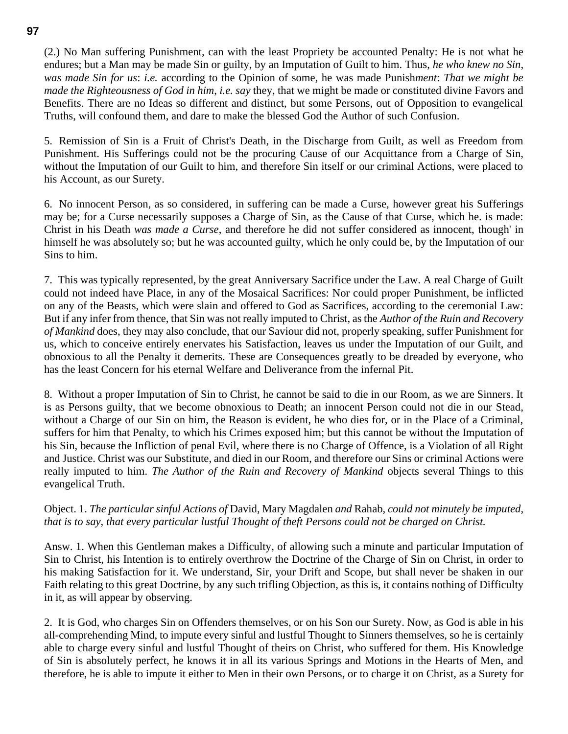(2.) No Man suffering Punishment, can with the least Propriety be accounted Penalty: He is not what he endures; but a Man may be made Sin or guilty, by an Imputation of Guilt to him. Thus, *he who knew no Sin*, *was made Sin for us*: *i.e.* according to the Opinion of some, he was made Punish*ment*: *That we might be made the Righteousness of God in him*, *i.e. say* they, that we might be made or constituted divine Favors and Benefits. There are no Ideas so different and distinct, but some Persons, out of Opposition to evangelical Truths, will confound them, and dare to make the blessed God the Author of such Confusion.

5. Remission of Sin is a Fruit of Christ's Death, in the Discharge from Guilt, as well as Freedom from Punishment. His Sufferings could not be the procuring Cause of our Acquittance from a Charge of Sin, without the Imputation of our Guilt to him, and therefore Sin itself or our criminal Actions, were placed to his Account, as our Surety.

6. No innocent Person, as so considered, in suffering can be made a Curse, however great his Sufferings may be; for a Curse necessarily supposes a Charge of Sin, as the Cause of that Curse, which he. is made: Christ in his Death *was made a Curse*, and therefore he did not suffer considered as innocent, though' in himself he was absolutely so; but he was accounted guilty, which he only could be, by the Imputation of our Sins to him.

7. This was typically represented, by the great Anniversary Sacrifice under the Law. A real Charge of Guilt could not indeed have Place, in any of the Mosaical Sacrifices: Nor could proper Punishment, be inflicted on any of the Beasts, which were slain and offered to God as Sacrifices, according to the ceremonial Law: But if any infer from thence, that Sin was not really imputed to Christ, as the *Author of the Ruin and Recovery of Mankind* does, they may also conclude, that our Saviour did not, properly speaking, suffer Punishment for us, which to conceive entirely enervates his Satisfaction, leaves us under the Imputation of our Guilt, and obnoxious to all the Penalty it demerits. These are Consequences greatly to be dreaded by everyone, who has the least Concern for his eternal Welfare and Deliverance from the infernal Pit.

8. Without a proper Imputation of Sin to Christ, he cannot be said to die in our Room, as we are Sinners. It is as Persons guilty, that we become obnoxious to Death; an innocent Person could not die in our Stead, without a Charge of our Sin on him, the Reason is evident, he who dies for, or in the Place of a Criminal, suffers for him that Penalty, to which his Crimes exposed him; but this cannot be without the Imputation of his Sin, because the Infliction of penal Evil, where there is no Charge of Offence, is a Violation of all Right and Justice. Christ was our Substitute, and died in our Room, and therefore our Sins or criminal Actions were really imputed to him. *The Author of the Ruin and Recovery of Mankind* objects several Things to this evangelical Truth.

#### Object. 1. *The particular sinful Actions of* David, Mary Magdalen *and* Rahab, *could not minutely be imputed*, *that is to say*, *that every particular lustful Thought of theft Persons could not be charged on Christ.*

Answ. 1. When this Gentleman makes a Difficulty, of allowing such a minute and particular Imputation of Sin to Christ, his Intention is to entirely overthrow the Doctrine of the Charge of Sin on Christ, in order to his making Satisfaction for it. We understand, Sir, your Drift and Scope, but shall never be shaken in our Faith relating to this great Doctrine, by any such trifling Objection, as this is, it contains nothing of Difficulty in it, as will appear by observing.

2. It is God, who charges Sin on Offenders themselves, or on his Son our Surety. Now, as God is able in his all-comprehending Mind, to impute every sinful and lustful Thought to Sinners themselves, so he is certainly able to charge every sinful and lustful Thought of theirs on Christ, who suffered for them. His Knowledge of Sin is absolutely perfect, he knows it in all its various Springs and Motions in the Hearts of Men, and therefore, he is able to impute it either to Men in their own Persons, or to charge it on Christ, as a Surety for

#### **97**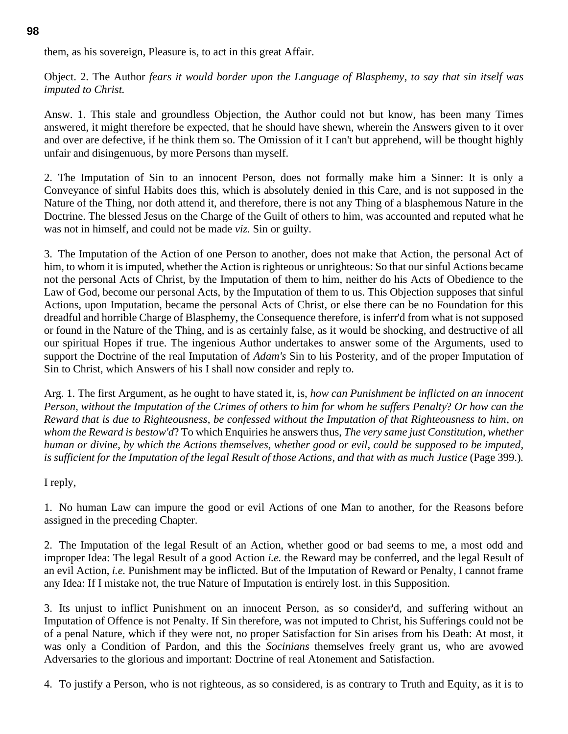them, as his sovereign, Pleasure is, to act in this great Affair.

Object. 2. The Author *fears it would border upon the Language of Blasphemy*, *to say that sin itself was imputed to Christ.*

Answ. 1. This stale and groundless Objection, the Author could not but know, has been many Times answered, it might therefore be expected, that he should have shewn, wherein the Answers given to it over and over are defective, if he think them so. The Omission of it I can't but apprehend, will be thought highly unfair and disingenuous, by more Persons than myself.

2. The Imputation of Sin to an innocent Person, does not formally make him a Sinner: It is only a Conveyance of sinful Habits does this, which is absolutely denied in this Care, and is not supposed in the Nature of the Thing, nor doth attend it, and therefore, there is not any Thing of a blasphemous Nature in the Doctrine. The blessed Jesus on the Charge of the Guilt of others to him, was accounted and reputed what he was not in himself, and could not be made *viz.* Sin or guilty.

3. The Imputation of the Action of one Person to another, does not make that Action, the personal Act of him, to whom it is imputed, whether the Action is righteous or unrighteous: So that our sinful Actions became not the personal Acts of Christ, by the Imputation of them to him, neither do his Acts of Obedience to the Law of God, become our personal Acts, by the Imputation of them to us. This Objection supposes that sinful Actions, upon Imputation, became the personal Acts of Christ, or else there can be no Foundation for this dreadful and horrible Charge of Blasphemy, the Consequence therefore, is inferr'd from what is not supposed or found in the Nature of the Thing, and is as certainly false, as it would be shocking, and destructive of all our spiritual Hopes if true. The ingenious Author undertakes to answer some of the Arguments, used to support the Doctrine of the real Imputation of *Adam's* Sin to his Posterity, and of the proper Imputation of Sin to Christ, which Answers of his I shall now consider and reply to.

Arg. 1. The first Argument, as he ought to have stated it, is, *how can Punishment be inflicted on an innocent Person*, *without the Imputation of the Crimes of others to him for whom he suffers Penalty*? *Or how can the Reward that is due to Righteousness*, *be confessed without the Imputation of that Righteousness to him*, *on whom the Reward is bestow'd*? To which Enquiries he answers thus, *The very same just Constitution*, *whether human or divine*, *by which the Actions themselves, whether good or evil, could be supposed to be imputed*, *is sufficient for the Imputation of the legal Result of those Actions*, *and that with as much Justice* (Page 399.)*.*

I reply,

1. No human Law can impure the good or evil Actions of one Man to another, for the Reasons before assigned in the preceding Chapter.

2. The Imputation of the legal Result of an Action, whether good or bad seems to me, a most odd and improper Idea: The legal Result of a good Action *i.e.* the Reward may be conferred, and the legal Result of an evil Action, *i.e.* Punishment may be inflicted. But of the Imputation of Reward or Penalty, I cannot frame any Idea: If I mistake not, the true Nature of Imputation is entirely lost. in this Supposition.

3. Its unjust to inflict Punishment on an innocent Person, as so consider'd, and suffering without an Imputation of Offence is not Penalty. If Sin therefore, was not imputed to Christ, his Sufferings could not be of a penal Nature, which if they were not, no proper Satisfaction for Sin arises from his Death: At most, it was only a Condition of Pardon, and this the *Socinians* themselves freely grant us, who are avowed Adversaries to the glorious and important: Doctrine of real Atonement and Satisfaction.

4. To justify a Person, who is not righteous, as so considered, is as contrary to Truth and Equity, as it is to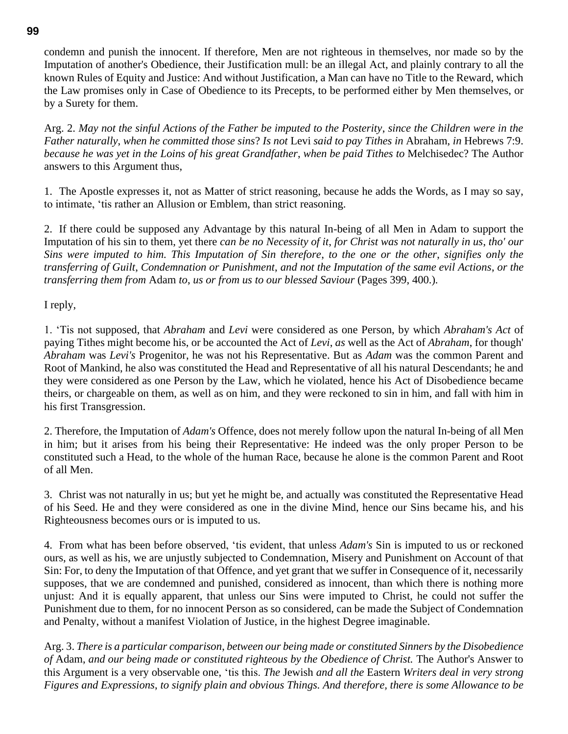condemn and punish the innocent. If therefore, Men are not righteous in themselves, nor made so by the Imputation of another's Obedience, their Justification mull: be an illegal Act, and plainly contrary to all the known Rules of Equity and Justice: And without Justification, a Man can have no Title to the Reward, which the Law promises only in Case of Obedience to its Precepts, to be performed either by Men themselves, or by a Surety for them.

Arg. 2. *May not the sinful Actions of the Father be imputed to the Posterity*, *since the Children were in the Father naturally*, *when he committed those sins*? *Is not* Levi *said to pay Tithes in* Abraham, *in* Hebrews 7:9. *because he was yet in the Loins of his great Grandfather*, *when be paid Tithes to* Melchisedec? The Author answers to this Argument thus,

1. The Apostle expresses it, not as Matter of strict reasoning, because he adds the Words, as I may so say, to intimate, 'tis rather an Allusion or Emblem, than strict reasoning.

2. If there could be supposed any Advantage by this natural In-being of all Men in Adam to support the Imputation of his sin to them, yet there *can be no Necessity of it*, *for Christ was not naturally in us*, *tho' our Sins were imputed to him. This Imputation of Sin therefore*, *to the one or the other*, *signifies only the transferring of Guilt*, *Condemnation or Punishment*, *and not the Imputation of the same evil Actions*, *or the transferring them from* Adam *to*, *us or from us to our blessed Saviour* (Pages 399, 400.)*.*

I reply,

1. 'Tis not supposed, that *Abraham* and *Levi* were considered as one Person, by which *Abraham's Act* of paying Tithes might become his, or be accounted the Act of *Levi*, *as* well as the Act of *Abraham*, for though' *Abraham* was *Levi's* Progenitor, he was not his Representative. But as *Adam* was the common Parent and Root of Mankind, he also was constituted the Head and Representative of all his natural Descendants; he and they were considered as one Person by the Law, which he violated, hence his Act of Disobedience became theirs, or chargeable on them, as well as on him, and they were reckoned to sin in him, and fall with him in his first Transgression.

2. Therefore, the Imputation of *Adam's* Offence, does not merely follow upon the natural In-being of all Men in him; but it arises from his being their Representative: He indeed was the only proper Person to be constituted such a Head, to the whole of the human Race, because he alone is the common Parent and Root of all Men.

3. Christ was not naturally in us; but yet he might be, and actually was constituted the Representative Head of his Seed. He and they were considered as one in the divine Mind, hence our Sins became his, and his Righteousness becomes ours or is imputed to us.

4. From what has been before observed, 'tis evident, that unless *Adam's* Sin is imputed to us or reckoned ours, as well as his, we are unjustly subjected to Condemnation, Misery and Punishment on Account of that Sin: For, to deny the Imputation of that Offence, and yet grant that we suffer in Consequence of it, necessarily supposes, that we are condemned and punished, considered as innocent, than which there is nothing more unjust: And it is equally apparent, that unless our Sins were imputed to Christ, he could not suffer the Punishment due to them, for no innocent Person as so considered, can be made the Subject of Condemnation and Penalty, without a manifest Violation of Justice, in the highest Degree imaginable.

Arg. 3. *There is a particular comparison*, *between our being made or constituted Sinners by the Disobedience of* Adam, *and our being made or constituted righteous by the Obedience of Christ.* The Author's Answer to this Argument is a very observable one, 'tis this. *The* Jewish *and all the* Eastern *Writers deal in very strong Figures and Expressions*, *to signify plain and obvious Things. And therefore, there is some Allowance to be*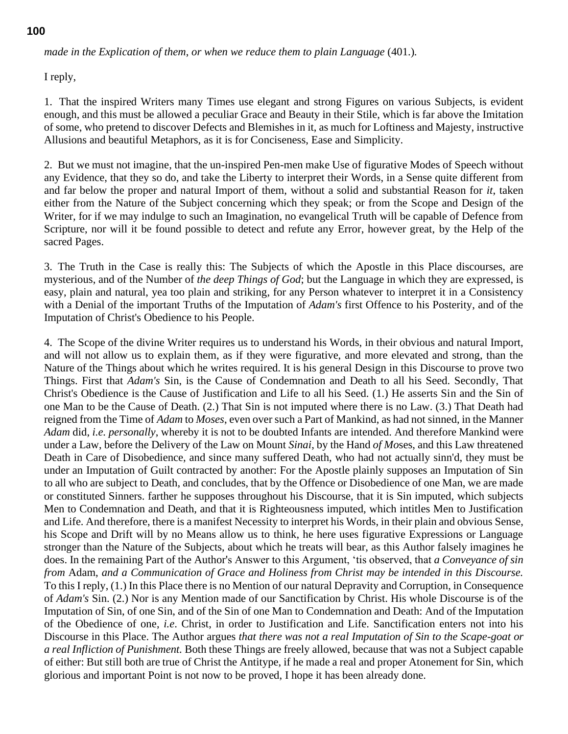*made in the Explication of them*, *or when we reduce them to plain Language* (401.)*.*

I reply,

1. That the inspired Writers many Times use elegant and strong Figures on various Subjects, is evident enough, and this must be allowed a peculiar Grace and Beauty in their Stile, which is far above the Imitation of some, who pretend to discover Defects and Blemishes in it, as much for Loftiness and Majesty, instructive Allusions and beautiful Metaphors, as it is for Conciseness, Ease and Simplicity.

2. But we must not imagine, that the un-inspired Pen-men make Use of figurative Modes of Speech without any Evidence, that they so do, and take the Liberty to interpret their Words, in a Sense quite different from and far below the proper and natural Import of them, without a solid and substantial Reason for *it*, taken either from the Nature of the Subject concerning which they speak; or from the Scope and Design of the Writer, for if we may indulge to such an Imagination, no evangelical Truth will be capable of Defence from Scripture, nor will it be found possible to detect and refute any Error, however great, by the Help of the sacred Pages.

3. The Truth in the Case is really this: The Subjects of which the Apostle in this Place discourses, are mysterious, and of the Number of *the deep Things of God*; but the Language in which they are expressed, is easy, plain and natural, yea too plain and striking, for any Person whatever to interpret it in a Consistency with a Denial of the important Truths of the Imputation of *Adam's* first Offence to his Posterity, and of the Imputation of Christ's Obedience to his People.

4. The Scope of the divine Writer requires us to understand his Words, in their obvious and natural Import, and will not allow us to explain them, as if they were figurative, and more elevated and strong, than the Nature of the Things about which he writes required. It is his general Design in this Discourse to prove two Things. First that *Adam's* Sin, is the Cause of Condemnation and Death to all his Seed. Secondly, That Christ's Obedience is the Cause of Justification and Life to all his Seed. (1.) He asserts Sin and the Sin of one Man to be the Cause of Death. (2.) That Sin is not imputed where there is no Law. (3.) That Death had reigned from the Time of *Adam* to *Moses*, even over such a Part of Mankind, as had not sinned, in the Manner *Adam* did, *i.e. personally*, whereby it is not to be doubted Infants are intended. And therefore Mankind were under a Law, before the Delivery of the Law on Mount *Sinai*, by the Hand *of Mo*ses, and this Law threatened Death in Care of Disobedience, and since many suffered Death, who had not actually sinn'd, they must be under an Imputation of Guilt contracted by another: For the Apostle plainly supposes an Imputation of Sin to all who are subject to Death, and concludes, that by the Offence or Disobedience of one Man, we are made or constituted Sinners. farther he supposes throughout his Discourse, that it is Sin imputed, which subjects Men to Condemnation and Death, and that it is Righteousness imputed, which intitles Men to Justification and Life. And therefore, there is a manifest Necessity to interpret his Words, in their plain and obvious Sense, his Scope and Drift will by no Means allow us to think, he here uses figurative Expressions or Language stronger than the Nature of the Subjects, about which he treats will bear, as this Author falsely imagines he does. In the remaining Part of the Author's Answer to this Argument, 'tis observed, that *a Conveyance of sin from* Adam, *and a Communication of Grace and Holiness from Christ may be intended in this Discourse.* To this I reply, (1.) In this Place there is no Mention of our natural Depravity and Corruption, in Consequence of *Adam's* Sin. (2.) Nor is any Mention made of our Sanctification by Christ. His whole Discourse is of the Imputation of Sin, of one Sin, and of the Sin of one Man to Condemnation and Death: And of the Imputation of the Obedience of one, *i.e*. Christ, in order to Justification and Life. Sanctification enters not into his Discourse in this Place. The Author argues *that there was not a real Imputation of Sin to the Scape-goat or a real Infliction of Punishment.* Both these Things are freely allowed, because that was not a Subject capable of either: But still both are true of Christ the Antitype, if he made a real and proper Atonement for Sin, which glorious and important Point is not now to be proved, I hope it has been already done.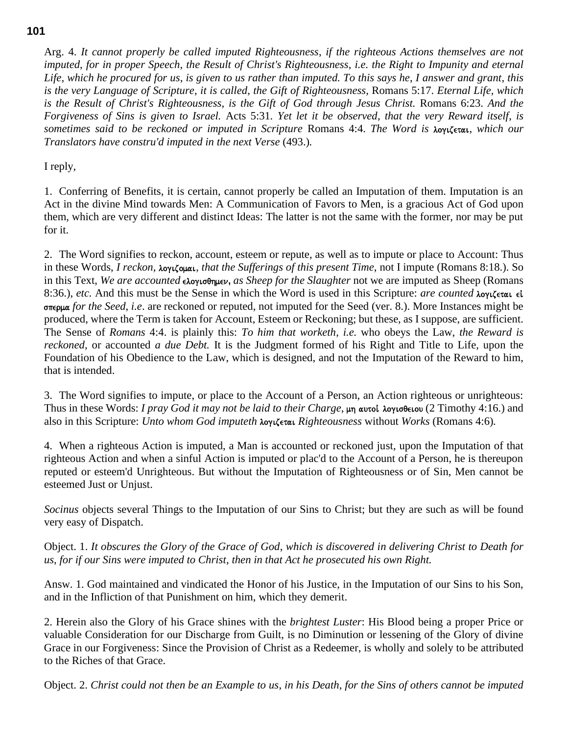Arg. 4. *It cannot properly be called imputed Righteousness*, *if the righteous Actions themselves are not imputed*, *for in proper Speech*, *the Result of Christ's Righteousness*, *i.e. the Right to Impunity and eternal Life*, *which he procured for us*, *is given to us rather than imputed. To this says he*, *I answer and grant*, *this is the very Language of Scripture*, *it is called*, *the Gift of Righteousness*, Romans 5:17. *Eternal Life, which is the Result of Christ's Righteousness*, *is the Gift of God through Jesus Christ.* Romans 6:23. *And the Forgiveness of Sins is given to Israel.* Acts 5:31*. Yet let it be observed*, *that the very Reward itself*, *is sometimes said to be reckoned or imputed in Scripture* Romans 4:4. *The Word is* logizetai, *which our Translators have constru'd imputed in the next Verse* (493.)*.*

I reply,

1. Conferring of Benefits, it is certain, cannot properly be called an Imputation of them. Imputation is an Act in the divine Mind towards Men: A Communication of Favors to Men, is a gracious Act of God upon them, which are very different and distinct Ideas: The latter is not the same with the former, nor may be put for it.

2. The Word signifies to reckon, account, esteem or repute, as well as to impute or place to Account: Thus in these Words, *I reckon*, *λογιζομαι*, *that the Sufferings of this present Time*, not I impute (Romans 8:18.). So in this Text, *We are accounted* ελογισθημεν, *as Sheep for the Slaughter* not we are imputed as Sheep (Romans 8:36.), *etc.* And this must be the Sense in which the Word is used in this Scripture: *are counted* λογιζεται εί sperma *for the Seed*, *i.e*. are reckoned or reputed, not imputed for the Seed (ver. 8.). More Instances might be produced, where the Term is taken for Account, Esteem or Reckoning; but these, as I suppose, are sufficient. The Sense of *Romans* 4:4. is plainly this: *To him that worketh*, *i.e.* who obeys the Law, *the Reward is reckoned*, or accounted *a due Debt.* It is the Judgment formed of his Right and Title to Life, upon the Foundation of his Obedience to the Law, which is designed, and not the Imputation of the Reward to him, that is intended.

3. The Word signifies to impute, or place to the Account of a Person, an Action righteous or unrighteous: Thus in these Words: *I pray God it may not be laid to their Charge*, μη αυτοί λογισθειου (2 Timothy 4:16.) and also in this Scripture: *Unto whom God imputeth* logizetai *Righteousness* without *Works* (Romans 4:6)*.*

4. When a righteous Action is imputed, a Man is accounted or reckoned just, upon the Imputation of that righteous Action and when a sinful Action is imputed or plac'd to the Account of a Person, he is thereupon reputed or esteem'd Unrighteous. But without the Imputation of Righteousness or of Sin, Men cannot be esteemed Just or Unjust.

*Socinus* objects several Things to the Imputation of our Sins to Christ; but they are such as will be found very easy of Dispatch.

Object. 1. *It obscures the Glory of the Grace of God*, *which is discovered in delivering Christ to Death for us*, *for if our Sins were imputed to Christ*, *then in that Act he prosecuted his own Right.*

Answ. 1. God maintained and vindicated the Honor of his Justice, in the Imputation of our Sins to his Son, and in the Infliction of that Punishment on him, which they demerit.

2. Herein also the Glory of his Grace shines with the *brightest Luster*: His Blood being a proper Price or valuable Consideration for our Discharge from Guilt, is no Diminution or lessening of the Glory of divine Grace in our Forgiveness: Since the Provision of Christ as a Redeemer, is wholly and solely to be attributed to the Riches of that Grace.

Object. 2. *Christ could not then be an Example to us*, *in his Death*, *for the Sins of others cannot be imputed* 

#### **101**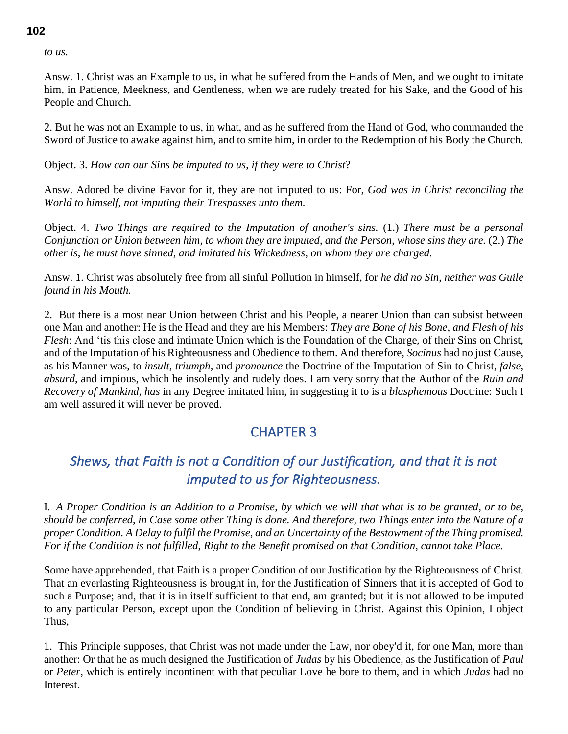*to us.*

Answ. 1. Christ was an Example to us, in what he suffered from the Hands of Men, and we ought to imitate him, in Patience, Meekness, and Gentleness, when we are rudely treated for his Sake, and the Good of his People and Church.

2. But he was not an Example to us, in what, and as he suffered from the Hand of God, who commanded the Sword of Justice to awake against him, and to smite him, in order to the Redemption of his Body the Church.

Object. 3. *How can our Sins be imputed to us*, *if they were to Christ*?

Answ. Adored be divine Favor for it, they are not imputed to us: For, *God was in Christ reconciling the World to himself*, *not imputing their Trespasses unto them.*

Object. 4. *Two Things are required to the Imputation of another's sins.* (1.) *There must be a personal Conjunction or Union between him*, *to whom they are imputed*, *and the Person*, *whose sins they are.* (2.) *The other is*, *he must have sinned*, *and imitated his Wickedness*, *on whom they are charged.*

Answ. 1. Christ was absolutely free from all sinful Pollution in himself, for *he did no Sin*, *neither was Guile found in his Mouth.*

2. But there is a most near Union between Christ and his People, a nearer Union than can subsist between one Man and another: He is the Head and they are his Members: *They are Bone of his Bone*, *and Flesh of his Flesh*: And 'tis this close and intimate Union which is the Foundation of the Charge, of their Sins on Christ, and of the Imputation of his Righteousness and Obedience to them. And therefore, *Socinus* had no just Cause, as his Manner was, to *insult*, *triumph*, and *pronounce* the Doctrine of the Imputation of Sin to Christ, *false*, *absurd*, and impious, which he insolently and rudely does. I am very sorry that the Author of the *Ruin and Recovery of Mankind*, *has* in any Degree imitated him, in suggesting it to is a *blasphemous* Doctrine: Such I am well assured it will never be proved.

# CHAPTER 3

# *Shews, that Faith is not a Condition of our Justification, and that it is not imputed to us for Righteousness.*

I. *A Proper Condition is an Addition to a Promise*, *by which we will that what is to be granted*, *or to be*, *should be conferred*, *in Case some other Thing is done. And therefore, two Things enter into the Nature of a proper Condition. A Delay to fulfil the Promise*, *and an Uncertainty of the Bestowment of the Thing promised. For if the Condition is not fulfilled*, *Right to the Benefit promised on that Condition*, *cannot take Place.*

Some have apprehended, that Faith is a proper Condition of our Justification by the Righteousness of Christ. That an everlasting Righteousness is brought in, for the Justification of Sinners that it is accepted of God to such a Purpose; and, that it is in itself sufficient to that end, am granted; but it is not allowed to be imputed to any particular Person, except upon the Condition of believing in Christ. Against this Opinion, I object Thus,

1. This Principle supposes, that Christ was not made under the Law, nor obey'd it, for one Man, more than another: Or that he as much designed the Justification of *Judas* by his Obedience, as the Justification of *Paul* or *Peter*, which is entirely incontinent with that peculiar Love he bore to them, and in which *Judas* had no Interest.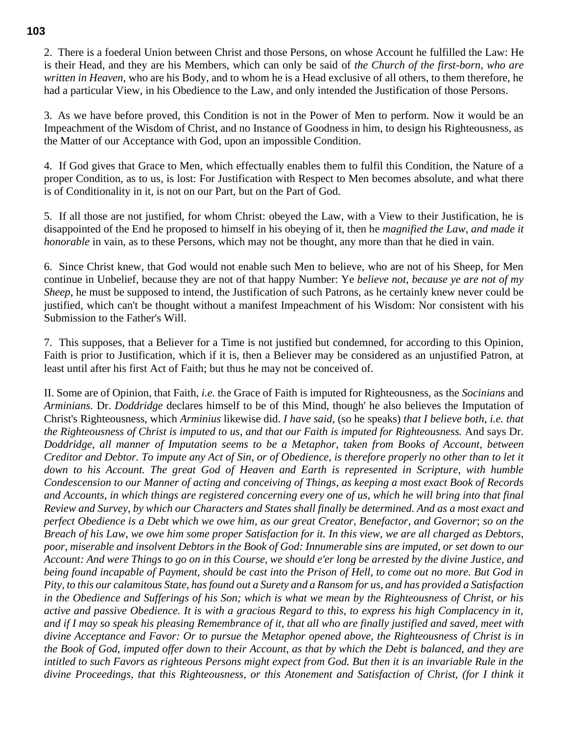2. There is a foederal Union between Christ and those Persons, on whose Account he fulfilled the Law: He is their Head, and they are his Members, which can only be said of *the Church of the first-born*, *who are written in Heaven*, who are his Body, and to whom he is a Head exclusive of all others, to them therefore, he had a particular View, in his Obedience to the Law, and only intended the Justification of those Persons.

3. As we have before proved, this Condition is not in the Power of Men to perform. Now it would be an Impeachment of the Wisdom of Christ, and no Instance of Goodness in him, to design his Righteousness, as the Matter of our Acceptance with God, upon an impossible Condition.

4. If God gives that Grace to Men, which effectually enables them to fulfil this Condition, the Nature of a proper Condition, as to us, is lost: For Justification with Respect to Men becomes absolute, and what there is of Conditionality in it, is not on our Part, but on the Part of God.

5. If all those are not justified, for whom Christ: obeyed the Law, with a View to their Justification, he is disappointed of the End he proposed to himself in his obeying of it, then he *magnified the Law*, *and made it honorable* in vain, as to these Persons, which may not be thought, any more than that he died in vain.

6. Since Christ knew, that God would not enable such Men to believe, who are not of his Sheep, for Men continue in Unbelief, because they are not of that happy Number: Ye *believe not*, *because ye are not of my Sheep*, he must be supposed to intend, the Justification of such Patrons, as he certainly knew never could be justified, which can't be thought without a manifest Impeachment of his Wisdom: Nor consistent with his Submission to the Father's Will.

7. This supposes, that a Believer for a Time is not justified but condemned, for according to this Opinion, Faith is prior to Justification, which if it is, then a Believer may be considered as an unjustified Patron, at least until after his first Act of Faith; but thus he may not be conceived of.

II. Some are of Opinion, that Faith, *i.e.* the Grace of Faith is imputed for Righteousness, as the *Socinians* and *Arminians.* Dr. *Doddridge* declares himself to be of this Mind, though' he also believes the Imputation of Christ's Righteousness, which *Arminius* likewise did. *I have said*, (so he speaks) *that I believe both*, *i.e. that the Righteousness of Christ is imputed to us*, *and that our Faith is imputed for Righteousness.* And says Dr. *Doddridge*, *all manner of Imputation seems to be a Metaphor*, *taken from Books of Account*, *between Creditor and Debtor. To impute any Act of Sin*, *or of Obedience*, *is therefore properly no other than to let it down to his Account. The great God of Heaven and Earth is represented in Scripture*, *with humble Condescension to our Manner of acting and conceiving of Things*, *as keeping a most exact Book of Records and Accounts*, *in which things are registered concerning every one of us*, *which he will bring into that final Review and Survey*, *by which our Characters and States shall finally be determined. And as a most exact and perfect Obedience is a Debt which we owe him*, *as our great Creator*, *Benefactor*, *and Governor*; *so on the Breach of his Law*, *we owe him some proper Satisfaction for it. In this view*, *we are all charged as Debtors*, *poor, miserable and insolvent Debtors in the Book of God: Innumerable sins are imputed, or set down to our Account: And were Things to go on in this Course, we should e'er long be arrested by the divine Justice, and being found incapable of Payment, should be cast into the Prison of Hell, to come out no more. But God in Pity, to this our calamitous State, has found out a Surety and a Ransom for us, and has provided a Satisfaction in the Obedience and Sufferings of his Son; which is what we mean by the Righteousness of Christ, or his active and passive Obedience. It is with a gracious Regard to this, to express his high Complacency in it, and if I may so speak his pleasing Remembrance of it, that all who are finally justified and saved, meet with divine Acceptance and Favor: Or to pursue the Metaphor opened above, the Righteousness of Christ is in the Book of God, imputed offer down to their Account, as that by which the Debt is balanced, and they are intitled to such Favors as righteous Persons might expect from God. But then it is an invariable Rule in the divine Proceedings, that this Righteousness, or this Atonement and Satisfaction of Christ, (for I think it*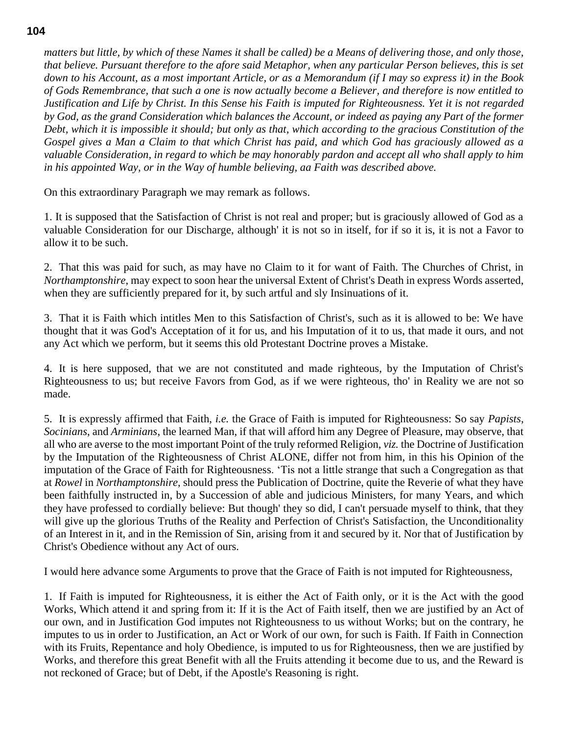*matters but little, by which of these Names it shall be called) be a Means of delivering those, and only those, that believe. Pursuant therefore to the afore said Metaphor, when any particular Person believes, this is set down to his Account, as a most important Article, or as a Memorandum (if I may so express it) in the Book of Gods Remembrance, that such a one is now actually become a Believer, and therefore is now entitled to Justification and Life by Christ. In this Sense his Faith is imputed for Righteousness. Yet it is not regarded by God, as the grand Consideration which balances the Account, or indeed as paying any Part of the former Debt, which it is impossible it should; but only as that, which according to the gracious Constitution of the Gospel gives a Man a Claim to that which Christ has paid, and which God has graciously allowed as a valuable Consideration, in regard to which be may honorably pardon and accept all who shall apply to him in his appointed Way, or in the Way of humble believing, aa Faith was described above.*

On this extraordinary Paragraph we may remark as follows.

1. It is supposed that the Satisfaction of Christ is not real and proper; but is graciously allowed of God as a valuable Consideration for our Discharge, although' it is not so in itself, for if so it is, it is not a Favor to allow it to be such.

2. That this was paid for such, as may have no Claim to it for want of Faith. The Churches of Christ, in *Northamptonshire*, may expect to soon hear the universal Extent of Christ's Death in express Words asserted, when they are sufficiently prepared for it, by such artful and sly Insinuations of it.

3. That it is Faith which intitles Men to this Satisfaction of Christ's, such as it is allowed to be: We have thought that it was God's Acceptation of it for us, and his Imputation of it to us, that made it ours, and not any Act which we perform, but it seems this old Protestant Doctrine proves a Mistake.

4. It is here supposed, that we are not constituted and made righteous, by the Imputation of Christ's Righteousness to us; but receive Favors from God, as if we were righteous, tho' in Reality we are not so made.

5. It is expressly affirmed that Faith, *i.e.* the Grace of Faith is imputed for Righteousness: So say *Papists*, *Socinians*, and *Arminians*, the learned Man, if that will afford him any Degree of Pleasure, may observe, that all who are averse to the most important Point of the truly reformed Religion, *viz.* the Doctrine of Justification by the Imputation of the Righteousness of Christ ALONE, differ not from him, in this his Opinion of the imputation of the Grace of Faith for Righteousness. 'Tis not a little strange that such a Congregation as that at *Rowel* in *Northamptonshire*, should press the Publication of Doctrine, quite the Reverie of what they have been faithfully instructed in, by a Succession of able and judicious Ministers, for many Years, and which they have professed to cordially believe: But though' they so did, I can't persuade myself to think, that they will give up the glorious Truths of the Reality and Perfection of Christ's Satisfaction, the Unconditionality of an Interest in it, and in the Remission of Sin, arising from it and secured by it. Nor that of Justification by Christ's Obedience without any Act of ours.

I would here advance some Arguments to prove that the Grace of Faith is not imputed for Righteousness,

1. If Faith is imputed for Righteousness, it is either the Act of Faith only, or it is the Act with the good Works, Which attend it and spring from it: If it is the Act of Faith itself, then we are justified by an Act of our own, and in Justification God imputes not Righteousness to us without Works; but on the contrary, he imputes to us in order to Justification, an Act or Work of our own, for such is Faith. If Faith in Connection with its Fruits, Repentance and holy Obedience, is imputed to us for Righteousness, then we are justified by Works, and therefore this great Benefit with all the Fruits attending it become due to us, and the Reward is not reckoned of Grace; but of Debt, if the Apostle's Reasoning is right.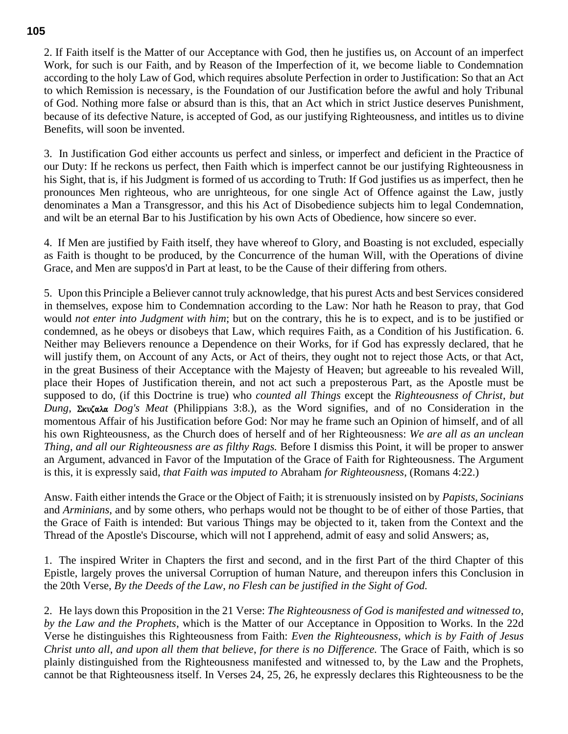2. If Faith itself is the Matter of our Acceptance with God, then he justifies us, on Account of an imperfect Work, for such is our Faith, and by Reason of the Imperfection of it, we become liable to Condemnation according to the holy Law of God, which requires absolute Perfection in order to Justification: So that an Act to which Remission is necessary, is the Foundation of our Justification before the awful and holy Tribunal of God. Nothing more false or absurd than is this, that an Act which in strict Justice deserves Punishment, because of its defective Nature, is accepted of God, as our justifying Righteousness, and intitles us to divine Benefits, will soon be invented.

3. In Justification God either accounts us perfect and sinless, or imperfect and deficient in the Practice of our Duty: If he reckons us perfect, then Faith which is imperfect cannot be our justifying Righteousness in his Sight, that is, if his Judgment is formed of us according to Truth: If God justifies us as imperfect, then he pronounces Men righteous, who are unrighteous, for one single Act of Offence against the Law, justly denominates a Man a Transgressor, and this his Act of Disobedience subjects him to legal Condemnation, and wilt be an eternal Bar to his Justification by his own Acts of Obedience, how sincere so ever.

4. If Men are justified by Faith itself, they have whereof to Glory, and Boasting is not excluded, especially as Faith is thought to be produced, by the Concurrence of the human Will, with the Operations of divine Grace, and Men are suppos'd in Part at least, to be the Cause of their differing from others.

5. Upon this Principle a Believer cannot truly acknowledge, that his purest Acts and best Services considered in themselves, expose him to Condemnation according to the Law: Nor hath he Reason to pray, that God would *not enter into Judgment with him*; but on the contrary, this he is to expect, and is to be justified or condemned, as he obeys or disobeys that Law, which requires Faith, as a Condition of his Justification. 6. Neither may Believers renounce a Dependence on their Works, for if God has expressly declared, that he will justify them, on Account of any Acts, or Act of theirs, they ought not to reject those Acts, or that Act, in the great Business of their Acceptance with the Majesty of Heaven; but agreeable to his revealed Will, place their Hopes of Justification therein, and not act such a preposterous Part, as the Apostle must be supposed to do, (if this Doctrine is true) who *counted all Things* except the *Righteousness of Christ*, *but Dung*, Σκυζαλα *Dog's Meat* (Philippians 3:8.), as the Word signifies, and of no Consideration in the momentous Affair of his Justification before God: Nor may he frame such an Opinion of himself, and of all his own Righteousness, as the Church does of herself and of her Righteousness: *We are all as an unclean Thing*, *and all our Righteousness are as filthy Rags.* Before I dismiss this Point, it will be proper to answer an Argument, advanced in Favor of the Imputation of the Grace of Faith for Righteousness. The Argument is this, it is expressly said, *that Faith was imputed to* Abraham *for Righteousness*, (Romans 4:22.)

Answ. Faith either intends the Grace or the Object of Faith; it is strenuously insisted on by *Papists*, *Socinians* and *Arminians*, and by some others, who perhaps would not be thought to be of either of those Parties, that the Grace of Faith is intended: But various Things may be objected to it, taken from the Context and the Thread of the Apostle's Discourse, which will not I apprehend, admit of easy and solid Answers; as,

1. The inspired Writer in Chapters the first and second, and in the first Part of the third Chapter of this Epistle, largely proves the universal Corruption of human Nature, and thereupon infers this Conclusion in the 20th Verse, *By the Deeds of the Law*, *no Flesh can be justified in the Sight of God.*

2. He lays down this Proposition in the 21 Verse: *The Righteousness of God is manifested and witnessed to*, *by the Law and the Prophets*, which is the Matter of our Acceptance in Opposition to Works. In the 22d Verse he distinguishes this Righteousness from Faith: *Even the Righteousness*, *which is by Faith of Jesus Christ unto all*, *and upon all them that believe*, *for there is no Difference.* The Grace of Faith, which is so plainly distinguished from the Righteousness manifested and witnessed to, by the Law and the Prophets, cannot be that Righteousness itself. In Verses 24, 25, 26, he expressly declares this Righteousness to be the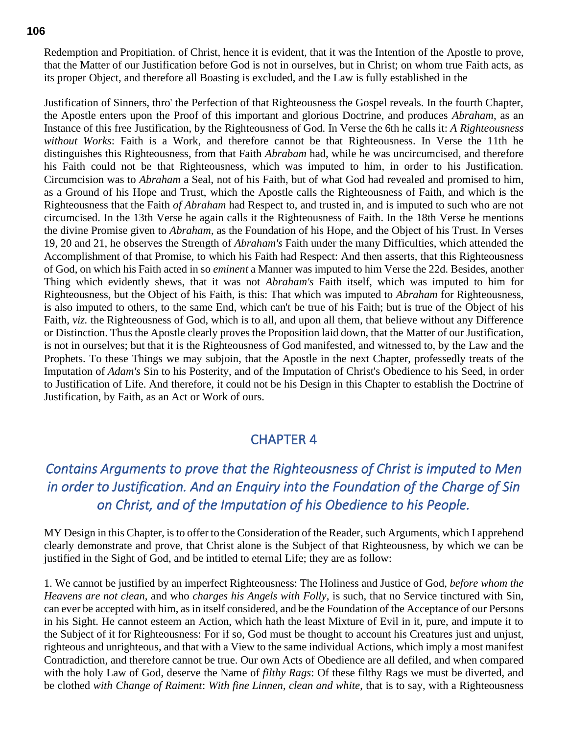Redemption and Propitiation. of Christ, hence it is evident, that it was the Intention of the Apostle to prove, that the Matter of our Justification before God is not in ourselves, but in Christ; on whom true Faith acts, as its proper Object, and therefore all Boasting is excluded, and the Law is fully established in the

Justification of Sinners, thro' the Perfection of that Righteousness the Gospel reveals. In the fourth Chapter, the Apostle enters upon the Proof of this important and glorious Doctrine, and produces *Abraham*, as an Instance of this free Justification, by the Righteousness of God. In Verse the 6th he calls it: *A Righteousness without Works*: Faith is a Work, and therefore cannot be that Righteousness. In Verse the 11th he distinguishes this Righteousness, from that Faith *Abrabam* had, while he was uncircumcised, and therefore his Faith could not be that Righteousness, which was imputed to him, in order to his Justification. Circumcision was to *Abraham* a Seal, not of his Faith, but of what God had revealed and promised to him, as a Ground of his Hope and Trust, which the Apostle calls the Righteousness of Faith, and which is the Righteousness that the Faith *of Abraham* had Respect to, and trusted in, and is imputed to such who are not circumcised. In the 13th Verse he again calls it the Righteousness of Faith. In the 18th Verse he mentions the divine Promise given to *Abraham*, as the Foundation of his Hope, and the Object of his Trust. In Verses 19, 20 and 21, he observes the Strength of *Abraham's* Faith under the many Difficulties, which attended the Accomplishment of that Promise, to which his Faith had Respect: And then asserts, that this Righteousness of God, on which his Faith acted in so *eminent* a Manner was imputed to him Verse the 22d. Besides, another Thing which evidently shews, that it was not *Abraham's* Faith itself, which was imputed to him for Righteousness, but the Object of his Faith, is this: That which was imputed to *Abraham* for Righteousness, is also imputed to others, to the same End, which can't be true of his Faith; but is true of the Object of his Faith, *viz.* the Righteousness of God, which is to all, and upon all them, that believe without any Difference or Distinction. Thus the Apostle clearly proves the Proposition laid down, that the Matter of our Justification, is not in ourselves; but that it is the Righteousness of God manifested, and witnessed to, by the Law and the Prophets. To these Things we may subjoin, that the Apostle in the next Chapter, professedly treats of the Imputation of *Adam's* Sin to his Posterity, and of the Imputation of Christ's Obedience to his Seed, in order to Justification of Life. And therefore, it could not be his Design in this Chapter to establish the Doctrine of Justification, by Faith, as an Act or Work of ours.

## CHAPTER 4

# *Contains Arguments to prove that the Righteousness of Christ is imputed to Men in order to Justification. And an Enquiry into the Foundation of the Charge of Sin on Christ, and of the Imputation of his Obedience to his People.*

MY Design in this Chapter, is to offer to the Consideration of the Reader, such Arguments, which I apprehend clearly demonstrate and prove, that Christ alone is the Subject of that Righteousness, by which we can be justified in the Sight of God, and be intitled to eternal Life; they are as follow:

1. We cannot be justified by an imperfect Righteousness: The Holiness and Justice of God, *before whom the Heavens are not clean*, and who *charges his Angels with Folly*, is such, that no Service tinctured with Sin, can ever be accepted with him, as in itself considered, and be the Foundation of the Acceptance of our Persons in his Sight. He cannot esteem an Action, which hath the least Mixture of Evil in it, pure, and impute it to the Subject of it for Righteousness: For if so, God must be thought to account his Creatures just and unjust, righteous and unrighteous, and that with a View to the same individual Actions, which imply a most manifest Contradiction, and therefore cannot be true. Our own Acts of Obedience are all defiled, and when compared with the holy Law of God, deserve the Name of *filthy Rags*: Of these filthy Rags we must be diverted, and be clothed *with Change of Raiment*: *With fine Linnen*, *clean and white*, that is to say, with a Righteousness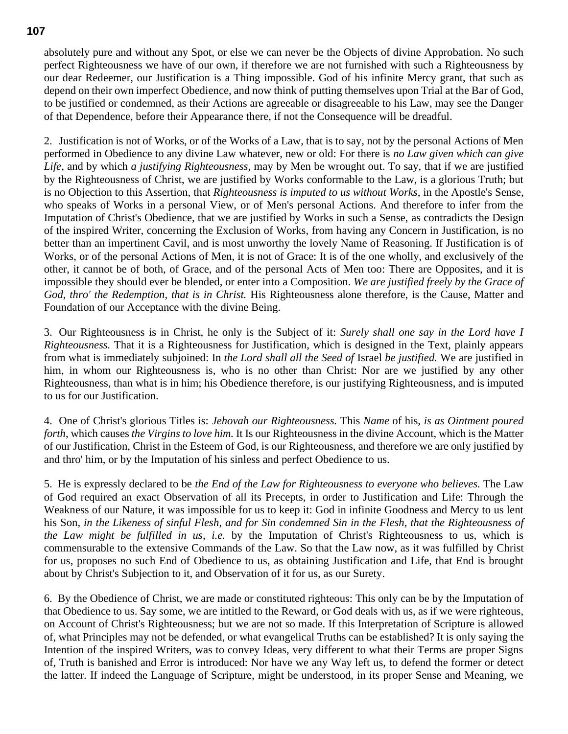absolutely pure and without any Spot, or else we can never be the Objects of divine Approbation. No such perfect Righteousness we have of our own, if therefore we are not furnished with such a Righteousness by our dear Redeemer, our Justification is a Thing impossible. God of his infinite Mercy grant, that such as depend on their own imperfect Obedience, and now think of putting themselves upon Trial at the Bar of God, to be justified or condemned, as their Actions are agreeable or disagreeable to his Law, may see the Danger of that Dependence, before their Appearance there, if not the Consequence will be dreadful.

2. Justification is not of Works, or of the Works of a Law, that is to say, not by the personal Actions of Men performed in Obedience to any divine Law whatever, new or old: For there is *no Law given which can give Life*, and by which *a justifying Righteousness*, may by Men be wrought out. To say, that if we are justified by the Righteousness of Christ, we are justified by Works conformable to the Law, is a glorious Truth; but is no Objection to this Assertion, that *Righteousness is imputed to us without Works*, in the Apostle's Sense, who speaks of Works in a personal View, or of Men's personal Actions. And therefore to infer from the Imputation of Christ's Obedience, that we are justified by Works in such a Sense, as contradicts the Design of the inspired Writer, concerning the Exclusion of Works, from having any Concern in Justification, is no better than an impertinent Cavil, and is most unworthy the lovely Name of Reasoning. If Justification is of Works, or of the personal Actions of Men, it is not of Grace: It is of the one wholly, and exclusively of the other, it cannot be of both, of Grace, and of the personal Acts of Men too: There are Opposites, and it is impossible they should ever be blended, or enter into a Composition. *We are justified freely by the Grace of God*, *thro' the Redemption*, *that is in Christ.* His Righteousness alone therefore, is the Cause, Matter and Foundation of our Acceptance with the divine Being.

3. Our Righteousness is in Christ, he only is the Subject of it: *Surely shall one say in the Lord have I Righteousness.* That it is a Righteousness for Justification, which is designed in the Text, plainly appears from what is immediately subjoined: In *the Lord shall all the Seed of* Israel *be justified.* We are justified in him, in whom our Righteousness is, who is no other than Christ: Nor are we justified by any other Righteousness, than what is in him; his Obedience therefore, is our justifying Righteousness, and is imputed to us for our Justification.

4. One of Christ's glorious Titles is: *Jehovah our Righteousness.* This *Name* of his, *is as Ointment poured forth*, which causes *the Virgins to love him.* It Is our Righteousness in the divine Account, which is the Matter of our Justification, Christ in the Esteem of God, is our Righteousness, and therefore we are only justified by and thro' him, or by the Imputation of his sinless and perfect Obedience to us.

5. He is expressly declared to be *the End of the Law for Righteousness to everyone who believes.* The Law of God required an exact Observation of all its Precepts, in order to Justification and Life: Through the Weakness of our Nature, it was impossible for us to keep it: God in infinite Goodness and Mercy to us lent his Son, *in the Likeness of sinful Flesh*, *and for Sin condemned Sin in the Flesh*, *that the Righteousness of the Law might be fulfilled in us*, *i.e.* by the Imputation of Christ's Righteousness to us, which is commensurable to the extensive Commands of the Law. So that the Law now, as it was fulfilled by Christ for us, proposes no such End of Obedience to us, as obtaining Justification and Life, that End is brought about by Christ's Subjection to it, and Observation of it for us, as our Surety.

6. By the Obedience of Christ, we are made or constituted righteous: This only can be by the Imputation of that Obedience to us. Say some, we are intitled to the Reward, or God deals with us, as if we were righteous, on Account of Christ's Righteousness; but we are not so made. If this Interpretation of Scripture is allowed of, what Principles may not be defended, or what evangelical Truths can be established? It is only saying the Intention of the inspired Writers, was to convey Ideas, very different to what their Terms are proper Signs of, Truth is banished and Error is introduced: Nor have we any Way left us, to defend the former or detect the latter. If indeed the Language of Scripture, might be understood, in its proper Sense and Meaning, we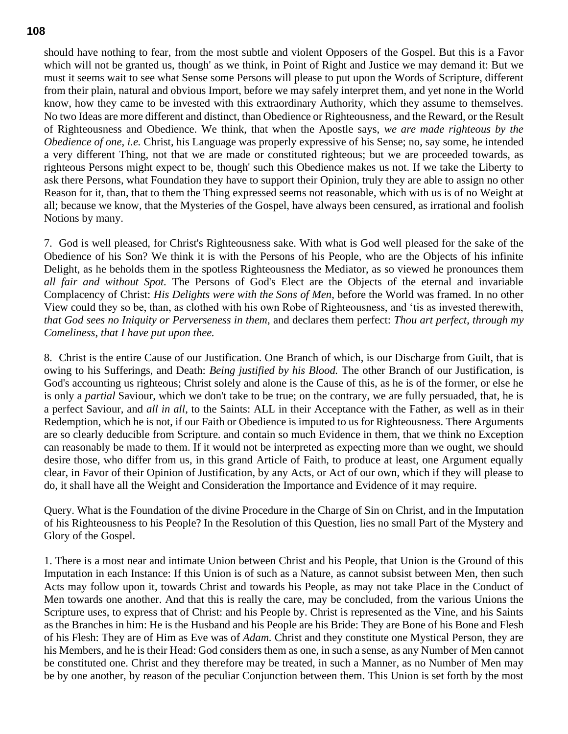should have nothing to fear, from the most subtle and violent Opposers of the Gospel. But this is a Favor which will not be granted us, though' as we think, in Point of Right and Justice we may demand it: But we must it seems wait to see what Sense some Persons will please to put upon the Words of Scripture, different from their plain, natural and obvious Import, before we may safely interpret them, and yet none in the World know, how they came to be invested with this extraordinary Authority, which they assume to themselves. No two Ideas are more different and distinct, than Obedience or Righteousness, and the Reward, or the Result of Righteousness and Obedience. We think, that when the Apostle says, *we are made righteous by the Obedience of one*, *i.e.* Christ, his Language was properly expressive of his Sense; no, say some, he intended a very different Thing, not that we are made or constituted righteous; but we are proceeded towards, as righteous Persons might expect to be, though' such this Obedience makes us not. If we take the Liberty to ask there Persons, what Foundation they have to support their Opinion, truly they are able to assign no other Reason for it, than, that to them the Thing expressed seems not reasonable, which with us is of no Weight at all; because we know, that the Mysteries of the Gospel, have always been censured, as irrational and foolish Notions by many.

7. God is well pleased, for Christ's Righteousness sake. With what is God well pleased for the sake of the Obedience of his Son? We think it is with the Persons of his People, who are the Objects of his infinite Delight, as he beholds them in the spotless Righteousness the Mediator, as so viewed he pronounces them *all fair and without Spot.* The Persons of God's Elect are the Objects of the eternal and invariable Complacency of Christ: *His Delights were with the Sons of Men*, before the World was framed. In no other View could they so be, than, as clothed with his own Robe of Righteousness, and 'tis as invested therewith, *that God sees no Iniquity or Perverseness in them*, and declares them perfect: *Thou art perfect*, *through my Comeliness*, *that I have put upon thee.*

8. Christ is the entire Cause of our Justification. One Branch of which, is our Discharge from Guilt, that is owing to his Sufferings, and Death: *Being justified by his Blood.* The other Branch of our Justification, is God's accounting us righteous; Christ solely and alone is the Cause of this, as he is of the former, or else he is only a *partial* Saviour, which we don't take to be true; on the contrary, we are fully persuaded, that, he is a perfect Saviour, and *all in all*, to the Saints: ALL in their Acceptance with the Father, as well as in their Redemption, which he is not, if our Faith or Obedience is imputed to us for Righteousness. There Arguments are so clearly deducible from Scripture. and contain so much Evidence in them, that we think no Exception can reasonably be made to them. If it would not be interpreted as expecting more than we ought, we should desire those, who differ from us, in this grand Article of Faith, to produce at least, one Argument equally clear, in Favor of their Opinion of Justification, by any Acts, or Act of our own, which if they will please to do, it shall have all the Weight and Consideration the Importance and Evidence of it may require.

Query. What is the Foundation of the divine Procedure in the Charge of Sin on Christ, and in the Imputation of his Righteousness to his People? In the Resolution of this Question, lies no small Part of the Mystery and Glory of the Gospel.

1. There is a most near and intimate Union between Christ and his People, that Union is the Ground of this Imputation in each Instance: If this Union is of such as a Nature, as cannot subsist between Men, then such Acts may follow upon it, towards Christ and towards his People, as may not take Place in the Conduct of Men towards one another. And that this is really the care, may be concluded, from the various Unions the Scripture uses, to express that of Christ: and his People by. Christ is represented as the Vine, and his Saints as the Branches in him: He is the Husband and his People are his Bride: They are Bone of his Bone and Flesh of his Flesh: They are of Him as Eve was of *Adam.* Christ and they constitute one Mystical Person, they are his Members, and he is their Head: God considers them as one, in such a sense, as any Number of Men cannot be constituted one. Christ and they therefore may be treated, in such a Manner, as no Number of Men may be by one another, by reason of the peculiar Conjunction between them. This Union is set forth by the most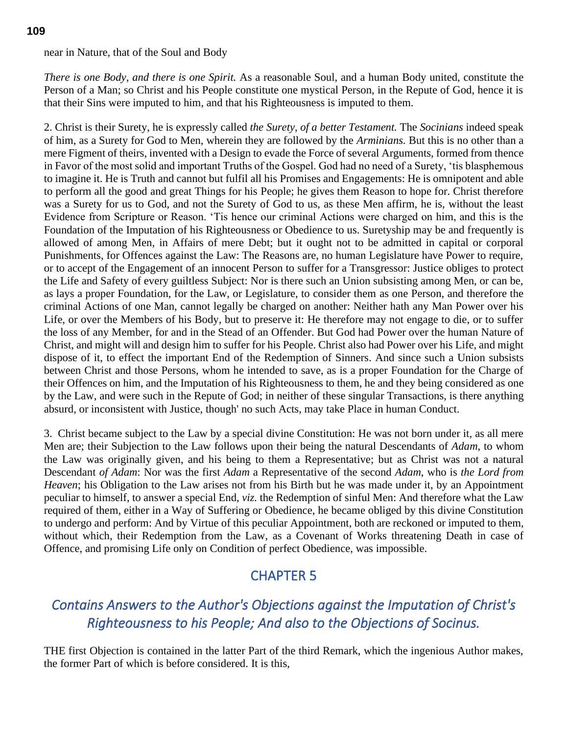### near in Nature, that of the Soul and Body

*There is one Body*, *and there is one Spirit.* As a reasonable Soul, and a human Body united, constitute the Person of a Man; so Christ and his People constitute one mystical Person, in the Repute of God, hence it is that their Sins were imputed to him, and that his Righteousness is imputed to them.

2. Christ is their Surety, he is expressly called *the Surety*, *of a better Testament.* The *Socinians* indeed speak of him, as a Surety for God to Men, wherein they are followed by the *Arminians.* But this is no other than a mere Figment of theirs, invented with a Design to evade the Force of several Arguments, formed from thence in Favor of the most solid and important Truths of the Gospel. God had no need of a Surety, 'tis blasphemous to imagine it. He is Truth and cannot but fulfil all his Promises and Engagements: He is omnipotent and able to perform all the good and great Things for his People; he gives them Reason to hope for. Christ therefore was a Surety for us to God, and not the Surety of God to us, as these Men affirm, he is, without the least Evidence from Scripture or Reason. 'Tis hence our criminal Actions were charged on him, and this is the Foundation of the Imputation of his Righteousness or Obedience to us. Suretyship may be and frequently is allowed of among Men, in Affairs of mere Debt; but it ought not to be admitted in capital or corporal Punishments, for Offences against the Law: The Reasons are, no human Legislature have Power to require, or to accept of the Engagement of an innocent Person to suffer for a Transgressor: Justice obliges to protect the Life and Safety of every guiltless Subject: Nor is there such an Union subsisting among Men, or can be, as lays a proper Foundation, for the Law, or Legislature, to consider them as one Person, and therefore the criminal Actions of one Man, cannot legally be charged on another: Neither hath any Man Power over his Life, or over the Members of his Body, but to preserve it: He therefore may not engage to die, or to suffer the loss of any Member, for and in the Stead of an Offender. But God had Power over the human Nature of Christ, and might will and design him to suffer for his People. Christ also had Power over his Life, and might dispose of it, to effect the important End of the Redemption of Sinners. And since such a Union subsists between Christ and those Persons, whom he intended to save, as is a proper Foundation for the Charge of their Offences on him, and the Imputation of his Righteousness to them, he and they being considered as one by the Law, and were such in the Repute of God; in neither of these singular Transactions, is there anything absurd, or inconsistent with Justice, though' no such Acts, may take Place in human Conduct.

3. Christ became subject to the Law by a special divine Constitution: He was not born under it, as all mere Men are; their Subjection to the Law follows upon their being the natural Descendants of *Adam*, to whom the Law was originally given, and his being to them a Representative; but as Christ was not a natural Descendant *of Adam*: Nor was the first *Adam* a Representative of the second *Adam*, who is *the Lord from Heaven*; his Obligation to the Law arises not from his Birth but he was made under it, by an Appointment peculiar to himself, to answer a special End, *viz.* the Redemption of sinful Men: And therefore what the Law required of them, either in a Way of Suffering or Obedience, he became obliged by this divine Constitution to undergo and perform: And by Virtue of this peculiar Appointment, both are reckoned or imputed to them, without which, their Redemption from the Law, as a Covenant of Works threatening Death in case of Offence, and promising Life only on Condition of perfect Obedience, was impossible.

# CHAPTER 5

# *Contains Answers to the Author's Objections against the Imputation of Christ's Righteousness to his People; And also to the Objections of Socinus.*

THE first Objection is contained in the latter Part of the third Remark, which the ingenious Author makes, the former Part of which is before considered. It is this,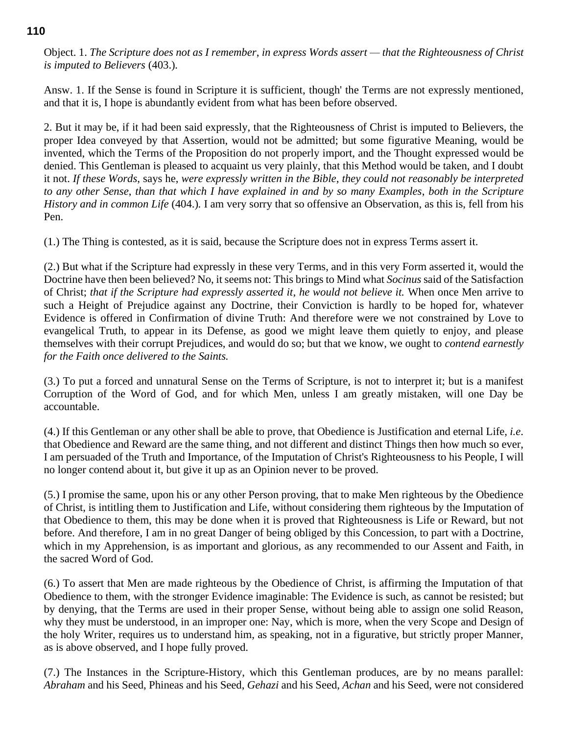Object. 1. *The Scripture does not as I remember*, *in express Words assert — that the Righteousness of Christ is imputed to Believers* (403.)*.*

Answ. 1. If the Sense is found in Scripture it is sufficient, though' the Terms are not expressly mentioned, and that it is, I hope is abundantly evident from what has been before observed.

2. But it may be, if it had been said expressly, that the Righteousness of Christ is imputed to Believers, the proper Idea conveyed by that Assertion, would not be admitted; but some figurative Meaning, would be invented, which the Terms of the Proposition do not properly import, and the Thought expressed would be denied. This Gentleman is pleased to acquaint us very plainly, that this Method would be taken, and I doubt it not. *If these Words*, says he, *were expressly written in the Bible*, *they could not reasonably be interpreted to any other Sense*, *than that which I have explained in and by so many Examples*, *both in the Scripture History and in common Life* (404.)*.* I am very sorry that so offensive an Observation, as this is, fell from his Pen.

(1.) The Thing is contested, as it is said, because the Scripture does not in express Terms assert it.

(2.) But what if the Scripture had expressly in these very Terms, and in this very Form asserted it, would the Doctrine have then been believed? No, it seems not: This brings to Mind what *Socinus* said of the Satisfaction of Christ; *that if the Scripture had expressly asserted it*, *he would not believe it.* When once Men arrive to such a Height of Prejudice against any Doctrine, their Conviction is hardly to be hoped for, whatever Evidence is offered in Confirmation of divine Truth: And therefore were we not constrained by Love to evangelical Truth, to appear in its Defense, as good we might leave them quietly to enjoy, and please themselves with their corrupt Prejudices, and would do so; but that we know, we ought to *contend earnestly for the Faith once delivered to the Saints.*

(3.) To put a forced and unnatural Sense on the Terms of Scripture, is not to interpret it; but is a manifest Corruption of the Word of God, and for which Men, unless I am greatly mistaken, will one Day be accountable.

(4.) If this Gentleman or any other shall be able to prove, that Obedience is Justification and eternal Life, *i.e*. that Obedience and Reward are the same thing, and not different and distinct Things then how much so ever, I am persuaded of the Truth and Importance, of the Imputation of Christ's Righteousness to his People, I will no longer contend about it, but give it up as an Opinion never to be proved.

(5.) I promise the same, upon his or any other Person proving, that to make Men righteous by the Obedience of Christ, is intitling them to Justification and Life, without considering them righteous by the Imputation of that Obedience to them, this may be done when it is proved that Righteousness is Life or Reward, but not before. And therefore, I am in no great Danger of being obliged by this Concession, to part with a Doctrine, which in my Apprehension, is as important and glorious, as any recommended to our Assent and Faith, in the sacred Word of God.

(6.) To assert that Men are made righteous by the Obedience of Christ, is affirming the Imputation of that Obedience to them, with the stronger Evidence imaginable: The Evidence is such, as cannot be resisted; but by denying, that the Terms are used in their proper Sense, without being able to assign one solid Reason, why they must be understood, in an improper one: Nay, which is more, when the very Scope and Design of the holy Writer, requires us to understand him, as speaking, not in a figurative, but strictly proper Manner, as is above observed, and I hope fully proved.

(7.) The Instances in the Scripture-History, which this Gentleman produces, are by no means parallel: *Abraham* and his Seed, Phineas and his Seed, *Gehazi* and his Seed, *Achan* and his Seed, were not considered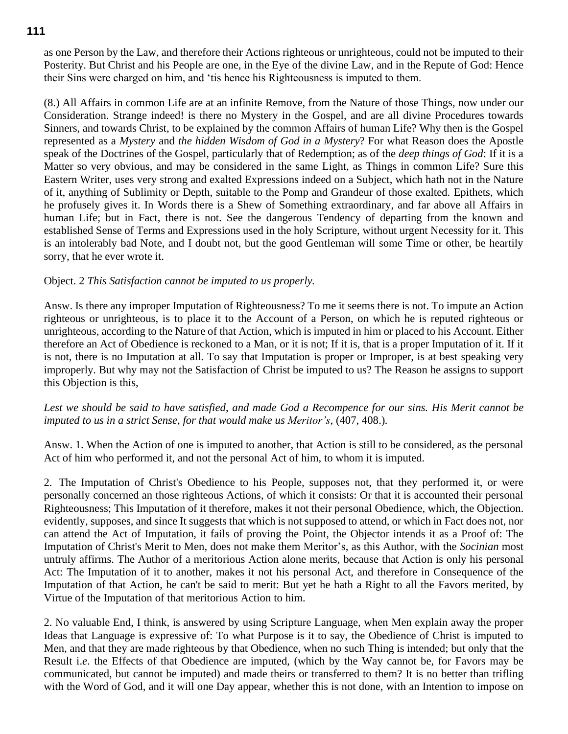as one Person by the Law, and therefore their Actions righteous or unrighteous, could not be imputed to their Posterity. But Christ and his People are one, in the Eye of the divine Law, and in the Repute of God: Hence their Sins were charged on him, and 'tis hence his Righteousness is imputed to them.

(8.) All Affairs in common Life are at an infinite Remove, from the Nature of those Things, now under our Consideration. Strange indeed! is there no Mystery in the Gospel, and are all divine Procedures towards Sinners, and towards Christ, to be explained by the common Affairs of human Life? Why then is the Gospel represented as a *Mystery* and *the hidden Wisdom of God in a Mystery*? For what Reason does the Apostle speak of the Doctrines of the Gospel, particularly that of Redemption; as of the *deep things of God*: If it is a Matter so very obvious, and may be considered in the same Light, as Things in common Life? Sure this Eastern Writer, uses very strong and exalted Expressions indeed on a Subject, which hath not in the Nature of it, anything of Sublimity or Depth, suitable to the Pomp and Grandeur of those exalted. Epithets, which he profusely gives it. In Words there is a Shew of Something extraordinary, and far above all Affairs in human Life; but in Fact, there is not. See the dangerous Tendency of departing from the known and established Sense of Terms and Expressions used in the holy Scripture, without urgent Necessity for it. This is an intolerably bad Note, and I doubt not, but the good Gentleman will some Time or other, be heartily sorry, that he ever wrote it.

#### Object. 2 *This Satisfaction cannot be imputed to us properly.*

Answ. Is there any improper Imputation of Righteousness? To me it seems there is not. To impute an Action righteous or unrighteous, is to place it to the Account of a Person, on which he is reputed righteous or unrighteous, according to the Nature of that Action, which is imputed in him or placed to his Account. Either therefore an Act of Obedience is reckoned to a Man, or it is not; If it is, that is a proper Imputation of it. If it is not, there is no Imputation at all. To say that Imputation is proper or Improper, is at best speaking very improperly. But why may not the Satisfaction of Christ be imputed to us? The Reason he assigns to support this Objection is this,

*Lest we should be said to have satisfied*, *and made God a Recompence for our sins. His Merit cannot be imputed to us in a strict Sense*, *for that would make us Meritor's*, (407, 408.)*.*

Answ. 1. When the Action of one is imputed to another, that Action is still to be considered, as the personal Act of him who performed it, and not the personal Act of him, to whom it is imputed.

2. The Imputation of Christ's Obedience to his People, supposes not, that they performed it, or were personally concerned an those righteous Actions, of which it consists: Or that it is accounted their personal Righteousness; This Imputation of it therefore, makes it not their personal Obedience, which, the Objection. evidently, supposes, and since It suggests that which is not supposed to attend, or which in Fact does not, nor can attend the Act of Imputation, it fails of proving the Point, the Objector intends it as a Proof of: The Imputation of Christ's Merit to Men, does not make them Meritor's, as this Author, with the *Socinian* most untruly affirms. The Author of a meritorious Action alone merits, because that Action is only his personal Act: The Imputation of it to another, makes it not his personal Act, and therefore in Consequence of the Imputation of that Action, he can't be said to merit: But yet he hath a Right to all the Favors merited, by Virtue of the Imputation of that meritorious Action to him.

2. No valuable End, I think, is answered by using Scripture Language, when Men explain away the proper Ideas that Language is expressive of: To what Purpose is it to say, the Obedience of Christ is imputed to Men, and that they are made righteous by that Obedience, when no such Thing is intended; but only that the Result i.*e*. the Effects of that Obedience are imputed, (which by the Way cannot be, for Favors may be communicated, but cannot be imputed) and made theirs or transferred to them? It is no better than trifling with the Word of God, and it will one Day appear, whether this is not done, with an Intention to impose on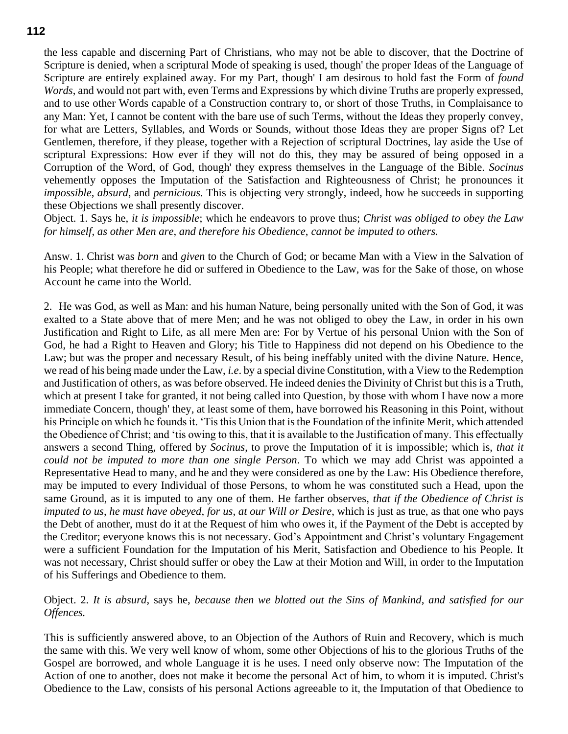the less capable and discerning Part of Christians, who may not be able to discover, that the Doctrine of Scripture is denied, when a scriptural Mode of speaking is used, though' the proper Ideas of the Language of Scripture are entirely explained away. For my Part, though' I am desirous to hold fast the Form of *found Words*, and would not part with, even Terms and Expressions by which divine Truths are properly expressed, and to use other Words capable of a Construction contrary to, or short of those Truths, in Complaisance to any Man: Yet, I cannot be content with the bare use of such Terms, without the Ideas they properly convey, for what are Letters, Syllables, and Words or Sounds, without those Ideas they are proper Signs of? Let Gentlemen, therefore, if they please, together with a Rejection of scriptural Doctrines, lay aside the Use of scriptural Expressions: How ever if they will not do this, they may be assured of being opposed in a Corruption of the Word, of God, though' they express themselves in the Language of the Bible. *Socinus* vehemently opposes the Imputation of the Satisfaction and Righteousness of Christ; he pronounces it *impossible*, *absurd*, and *pernicious.* This is objecting very strongly, indeed, how he succeeds in supporting these Objections we shall presently discover.

Object. 1. Says he, *it is impossible*; which he endeavors to prove thus; *Christ was obliged to obey the Law for himself*, *as other Men are*, *and therefore his Obedience*, *cannot be imputed to others.*

Answ. 1. Christ was *born* and *given* to the Church of God; or became Man with a View in the Salvation of his People; what therefore he did or suffered in Obedience to the Law, was for the Sake of those, on whose Account he came into the World.

2. He was God, as well as Man: and his human Nature, being personally united with the Son of God, it was exalted to a State above that of mere Men; and he was not obliged to obey the Law, in order in his own Justification and Right to Life, as all mere Men are: For by Vertue of his personal Union with the Son of God, he had a Right to Heaven and Glory; his Title to Happiness did not depend on his Obedience to the Law; but was the proper and necessary Result, of his being ineffably united with the divine Nature. Hence, we read of his being made under the Law, *i.e*. by a special divine Constitution, with a View to the Redemption and Justification of others, as was before observed. He indeed denies the Divinity of Christ but this is a Truth, which at present I take for granted, it not being called into Question, by those with whom I have now a more immediate Concern, though' they, at least some of them, have borrowed his Reasoning in this Point, without his Principle on which he founds it. 'Tis this Union that is the Foundation of the infinite Merit, which attended the Obedience of Christ; and 'tis owing to this, that it is available to the Justification of many. This effectually answers a second Thing, offered by *Socinus*, to prove the Imputation of it is impossible; which is, *that it could not be imputed to more than one single Person*. To which we may add Christ was appointed a Representative Head to many, and he and they were considered as one by the Law: His Obedience therefore, may be imputed to every Individual of those Persons, to whom he was constituted such a Head, upon the same Ground, as it is imputed to any one of them. He farther observes, *that if the Obedience of Christ is imputed to us*, *he must have obeyed*, *for us*, *at our Will or Desire*, which is just as true, as that one who pays the Debt of another, must do it at the Request of him who owes it, if the Payment of the Debt is accepted by the Creditor; everyone knows this is not necessary. God's Appointment and Christ's voluntary Engagement were a sufficient Foundation for the Imputation of his Merit, Satisfaction and Obedience to his People. It was not necessary, Christ should suffer or obey the Law at their Motion and Will, in order to the Imputation of his Sufferings and Obedience to them.

Object. 2. *It is absurd*, says he, *because then we blotted out the Sins of Mankind*, *and satisfied for our Offences.*

This is sufficiently answered above, to an Objection of the Authors of Ruin and Recovery, which is much the same with this. We very well know of whom, some other Objections of his to the glorious Truths of the Gospel are borrowed, and whole Language it is he uses. I need only observe now: The Imputation of the Action of one to another, does not make it become the personal Act of him, to whom it is imputed. Christ's Obedience to the Law, consists of his personal Actions agreeable to it, the Imputation of that Obedience to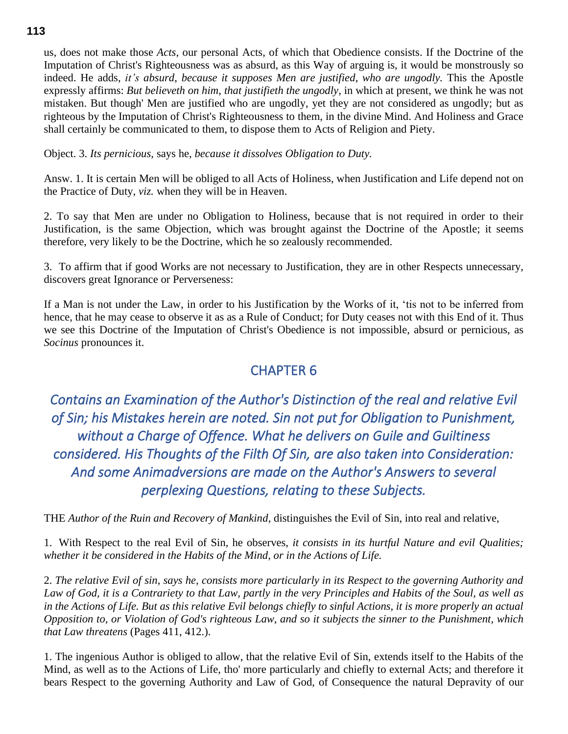us, does not make those *Acts*, our personal Acts, of which that Obedience consists. If the Doctrine of the Imputation of Christ's Righteousness was as absurd, as this Way of arguing is, it would be monstrously so indeed. He adds, *it's absurd*, *because it supposes Men are justified*, *who are ungodly.* This the Apostle expressly affirms: *But believeth on him*, *that justifieth the ungodly*, in which at present, we think he was not mistaken. But though' Men are justified who are ungodly, yet they are not considered as ungodly; but as righteous by the Imputation of Christ's Righteousness to them, in the divine Mind. And Holiness and Grace shall certainly be communicated to them, to dispose them to Acts of Religion and Piety.

Object. 3. *Its pernicious*, says he, *because it dissolves Obligation to Duty.*

Answ. 1. It is certain Men will be obliged to all Acts of Holiness, when Justification and Life depend not on the Practice of Duty, *viz.* when they will be in Heaven.

2. To say that Men are under no Obligation to Holiness, because that is not required in order to their Justification, is the same Objection, which was brought against the Doctrine of the Apostle; it seems therefore, very likely to be the Doctrine, which he so zealously recommended.

3. To affirm that if good Works are not necessary to Justification, they are in other Respects unnecessary, discovers great Ignorance or Perverseness:

If a Man is not under the Law, in order to his Justification by the Works of it, 'tis not to be inferred from hence, that he may cease to observe it as as a Rule of Conduct; for Duty ceases not with this End of it. Thus we see this Doctrine of the Imputation of Christ's Obedience is not impossible, absurd or pernicious, as *Socinus* pronounces it.

## CHAPTER 6

*Contains an Examination of the Author's Distinction of the real and relative Evil of Sin; his Mistakes herein are noted. Sin not put for Obligation to Punishment, without a Charge of Offence. What he delivers on Guile and Guiltiness considered. His Thoughts of the Filth Of Sin, are also taken into Consideration: And some Animadversions are made on the Author's Answers to several perplexing Questions, relating to these Subjects.* 

THE *Author of the Ruin and Recovery of Mankind*, distinguishes the Evil of Sin, into real and relative,

1. With Respect to the real Evil of Sin, he observes, *it consists in its hurtful Nature and evil Qualities; whether it be considered in the Habits of the Mind, or in the Actions of Life.*

2. *The relative Evil of sin, says he, consists more particularly in its Respect to the governing Authority and Law of God, it is a Contrariety to that Law, partly in the very Principles and Habits of the Soul, as well as in the Actions of Life. But as this relative Evil belongs chiefly to sinful Actions, it is more properly an actual Opposition to, or Violation of God's righteous Law, and so it subjects the sinner to the Punishment, which that Law threatens* (Pages 411, 412.).

1. The ingenious Author is obliged to allow, that the relative Evil of Sin, extends itself to the Habits of the Mind, as well as to the Actions of Life, tho' more particularly and chiefly to external Acts; and therefore it bears Respect to the governing Authority and Law of God, of Consequence the natural Depravity of our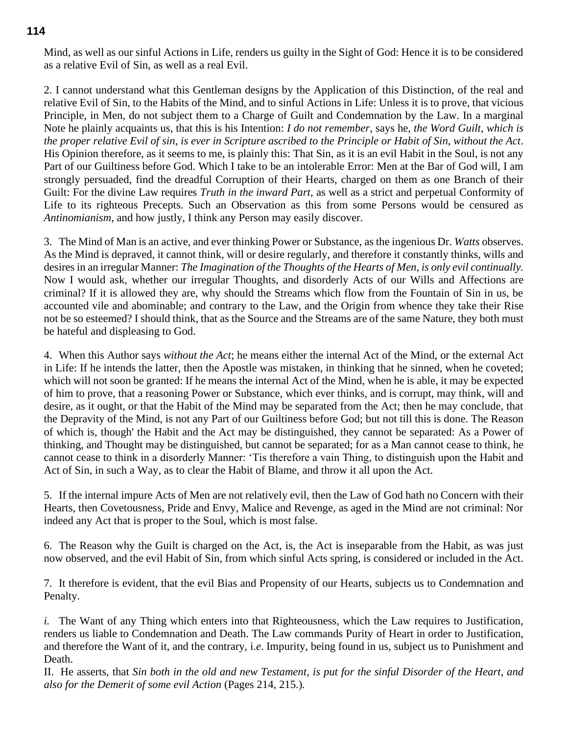Mind, as well as our sinful Actions in Life, renders us guilty in the Sight of God: Hence it is to be considered as a relative Evil of Sin, as well as a real Evil.

2. I cannot understand what this Gentleman designs by the Application of this Distinction, of the real and relative Evil of Sin, to the Habits of the Mind, and to sinful Actions in Life: Unless it is to prove, that vicious Principle, in Men, do not subject them to a Charge of Guilt and Condemnation by the Law. In a marginal Note he plainly acquaints us, that this is his Intention: *I do not remember*, says he, *the Word Guilt*, *which is the proper relative Evil of sin*, *is ever in Scripture ascribed to the Principle or Habit of Sin*, *without the Act*. His Opinion therefore, as it seems to me, is plainly this: That Sin, as it is an evil Habit in the Soul, is not any Part of our Guiltiness before God. Which I take to be an intolerable Error: Men at the Bar of God will, I am strongly persuaded, find the dreadful Corruption of their Hearts, charged on them as one Branch of their Guilt: For the divine Law requires *Truth in the inward Part*, as well as a strict and perpetual Conformity of Life to its righteous Precepts. Such an Observation as this from some Persons would be censured as *Antinomianism*, and how justly, I think any Person may easily discover.

3. The Mind of Man is an active, and ever thinking Power or Substance, as the ingenious Dr. *Watts* observes. As the Mind is depraved, it cannot think, will or desire regularly, and therefore it constantly thinks, wills and desires in an irregular Manner: *The Imagination of the Thoughts of the Hearts of Men*, *is only evil continually.* Now I would ask, whether our irregular Thoughts, and disorderly Acts of our Wills and Affections are criminal? If it is allowed they are, why should the Streams which flow from the Fountain of Sin in us, be accounted vile and abominable; and contrary to the Law, and the Origin from whence they take their Rise not be so esteemed? I should think, that as the Source and the Streams are of the same Nature, they both must be hateful and displeasing to God.

4. When this Author says *without the Act*; he means either the internal Act of the Mind, or the external Act in Life: If he intends the latter, then the Apostle was mistaken, in thinking that he sinned, when he coveted; which will not soon be granted: If he means the internal Act of the Mind, when he is able, it may be expected of him to prove, that a reasoning Power or Substance, which ever thinks, and is corrupt, may think, will and desire, as it ought, or that the Habit of the Mind may be separated from the Act; then he may conclude, that the Depravity of the Mind, is not any Part of our Guiltiness before God; but not till this is done. The Reason of which is, though' the Habit and the Act may be distinguished, they cannot be separated: As a Power of thinking, and Thought may be distinguished, but cannot be separated; for as a Man cannot cease to think, he cannot cease to think in a disorderly Manner: 'Tis therefore a vain Thing, to distinguish upon the Habit and Act of Sin, in such a Way, as to clear the Habit of Blame, and throw it all upon the Act.

5. If the internal impure Acts of Men are not relatively evil, then the Law of God hath no Concern with their Hearts, then Covetousness, Pride and Envy, Malice and Revenge, as aged in the Mind are not criminal: Nor indeed any Act that is proper to the Soul, which is most false.

6. The Reason why the Guilt is charged on the Act, is, the Act is inseparable from the Habit, as was just now observed, and the evil Habit of Sin, from which sinful Acts spring, is considered or included in the Act.

7. It therefore is evident, that the evil Bias and Propensity of our Hearts, subjects us to Condemnation and Penalty.

*i.* The Want of any Thing which enters into that Righteousness, which the Law requires to Justification, renders us liable to Condemnation and Death. The Law commands Purity of Heart in order to Justification, and therefore the Want of it, and the contrary, i.*e*. Impurity, being found in us, subject us to Punishment and Death.

II. He asserts, that *Sin both in the old and new Testament*, *is put for the sinful Disorder of the Heart*, *and also for the Demerit of some evil Action* (Pages 214, 215.)*.*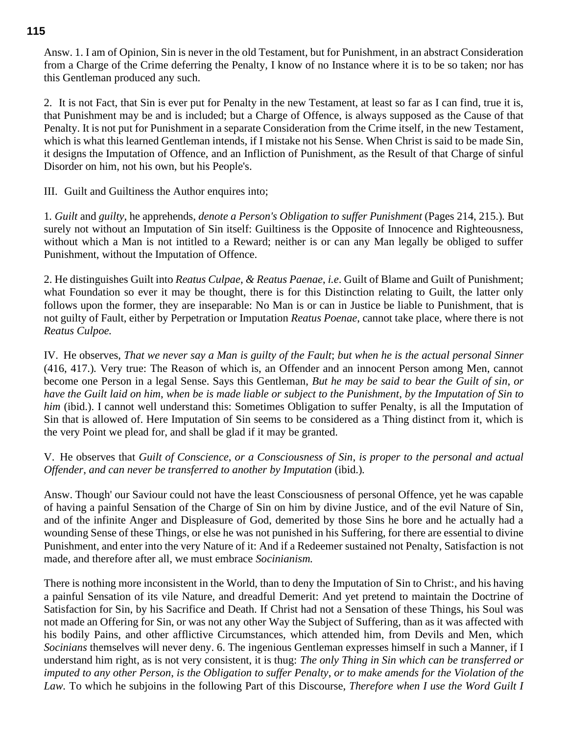Answ. 1. I am of Opinion, Sin is never in the old Testament, but for Punishment, in an abstract Consideration from a Charge of the Crime deferring the Penalty, I know of no Instance where it is to be so taken; nor has this Gentleman produced any such.

2. It is not Fact, that Sin is ever put for Penalty in the new Testament, at least so far as I can find, true it is, that Punishment may be and is included; but a Charge of Offence, is always supposed as the Cause of that Penalty. It is not put for Punishment in a separate Consideration from the Crime itself, in the new Testament, which is what this learned Gentleman intends, if I mistake not his Sense. When Christ is said to be made Sin, it designs the Imputation of Offence, and an Infliction of Punishment, as the Result of that Charge of sinful Disorder on him, not his own, but his People's.

III. Guilt and Guiltiness the Author enquires into;

1*. Guilt* and *guilty*, he apprehends, *denote a Person's Obligation to suffer Punishment* (Pages 214, 215.)*.* But surely not without an Imputation of Sin itself: Guiltiness is the Opposite of Innocence and Righteousness, without which a Man is not intitled to a Reward; neither is or can any Man legally be obliged to suffer Punishment, without the Imputation of Offence.

2. He distinguishes Guilt into *Reatus Culpae*, *& Reatus Paenae*, *i.e*. Guilt of Blame and Guilt of Punishment; what Foundation so ever it may be thought, there is for this Distinction relating to Guilt, the latter only follows upon the former, they are inseparable: No Man is or can in Justice be liable to Punishment, that is not guilty of Fault, either by Perpetration or Imputation *Reatus Poenae*, cannot take place, where there is not *Reatus Culpoe.*

IV. He observes, *That we never say a Man is guilty of the Fault*; *but when he is the actual personal Sinner* (416, 417.)*.* Very true: The Reason of which is, an Offender and an innocent Person among Men, cannot become one Person in a legal Sense. Says this Gentleman, *But he may be said to bear the Guilt of sin*, *or have the Guilt laid on him*, *when be is made liable or subject to the Punishment*, *by the Imputation of Sin to him* (ibid.). I cannot well understand this: Sometimes Obligation to suffer Penalty, is all the Imputation of Sin that is allowed of. Here Imputation of Sin seems to be considered as a Thing distinct from it, which is the very Point we plead for, and shall be glad if it may be granted.

V. He observes that *Guilt of Conscience*, *or a Consciousness of Sin*, *is proper to the personal and actual Offender*, *and can never be transferred to another by Imputation* (ibid.)*.*

Answ. Though' our Saviour could not have the least Consciousness of personal Offence, yet he was capable of having a painful Sensation of the Charge of Sin on him by divine Justice, and of the evil Nature of Sin, and of the infinite Anger and Displeasure of God, demerited by those Sins he bore and he actually had a wounding Sense of these Things, or else he was not punished in his Suffering, for there are essential to divine Punishment, and enter into the very Nature of it: And if a Redeemer sustained not Penalty, Satisfaction is not made, and therefore after all, we must embrace *Socinianism.*

There is nothing more inconsistent in the World, than to deny the Imputation of Sin to Christ:, and his having a painful Sensation of its vile Nature, and dreadful Demerit: And yet pretend to maintain the Doctrine of Satisfaction for Sin, by his Sacrifice and Death. If Christ had not a Sensation of these Things, his Soul was not made an Offering for Sin, or was not any other Way the Subject of Suffering, than as it was affected with his bodily Pains, and other afflictive Circumstances, which attended him, from Devils and Men, which *Socinians* themselves will never deny. 6. The ingenious Gentleman expresses himself in such a Manner, if I understand him right, as is not very consistent, it is thug: *The only Thing in Sin which can be transferred or imputed to any other Person*, *is the Obligation to suffer Penalty*, *or to make amends for the Violation of the Law.* To which he subjoins in the following Part of this Discourse, *Therefore when I use the Word Guilt I*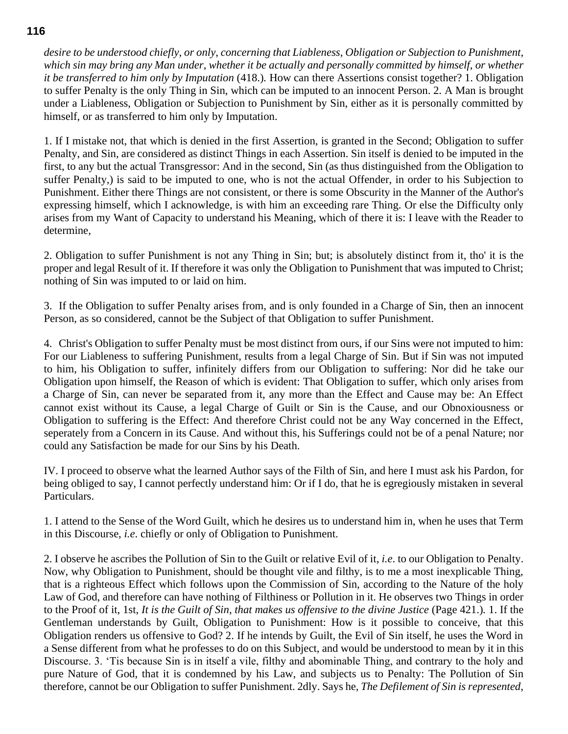*desire to be understood chiefly*, *or only*, *concerning that Liableness*, *Obligation or Subjection to Punishment*, *which sin may bring any Man under*, *whether it be actually and personally committed by himself*, *or whether it be transferred to him only by Imputation* (418.)*.* How can there Assertions consist together? 1. Obligation to suffer Penalty is the only Thing in Sin, which can be imputed to an innocent Person. 2. A Man is brought under a Liableness, Obligation or Subjection to Punishment by Sin, either as it is personally committed by himself, or as transferred to him only by Imputation.

1. If I mistake not, that which is denied in the first Assertion, is granted in the Second; Obligation to suffer Penalty, and Sin, are considered as distinct Things in each Assertion. Sin itself is denied to be imputed in the first, to any but the actual Transgressor: And in the second, Sin (as thus distinguished from the Obligation to suffer Penalty,) is said to be imputed to one, who is not the actual Offender, in order to his Subjection to Punishment. Either there Things are not consistent, or there is some Obscurity in the Manner of the Author's expressing himself, which I acknowledge, is with him an exceeding rare Thing. Or else the Difficulty only arises from my Want of Capacity to understand his Meaning, which of there it is: I leave with the Reader to determine,

2. Obligation to suffer Punishment is not any Thing in Sin; but; is absolutely distinct from it, tho' it is the proper and legal Result of it. If therefore it was only the Obligation to Punishment that was imputed to Christ; nothing of Sin was imputed to or laid on him.

3. If the Obligation to suffer Penalty arises from, and is only founded in a Charge of Sin, then an innocent Person, as so considered, cannot be the Subject of that Obligation to suffer Punishment.

4. Christ's Obligation to suffer Penalty must be most distinct from ours, if our Sins were not imputed to him: For our Liableness to suffering Punishment, results from a legal Charge of Sin. But if Sin was not imputed to him, his Obligation to suffer, infinitely differs from our Obligation to suffering: Nor did he take our Obligation upon himself, the Reason of which is evident: That Obligation to suffer, which only arises from a Charge of Sin, can never be separated from it, any more than the Effect and Cause may be: An Effect cannot exist without its Cause, a legal Charge of Guilt or Sin is the Cause, and our Obnoxiousness or Obligation to suffering is the Effect: And therefore Christ could not be any Way concerned in the Effect, seperately from a Concern in its Cause. And without this, his Sufferings could not be of a penal Nature; nor could any Satisfaction be made for our Sins by his Death.

IV. I proceed to observe what the learned Author says of the Filth of Sin, and here I must ask his Pardon, for being obliged to say, I cannot perfectly understand him: Or if I do, that he is egregiously mistaken in several Particulars.

1. I attend to the Sense of the Word Guilt, which he desires us to understand him in, when he uses that Term in this Discourse, *i.e*. chiefly or only of Obligation to Punishment.

2. I observe he ascribes the Pollution of Sin to the Guilt or relative Evil of it, *i.e*. to our Obligation to Penalty. Now, why Obligation to Punishment, should be thought vile and filthy, is to me a most inexplicable Thing, that is a righteous Effect which follows upon the Commission of Sin, according to the Nature of the holy Law of God, and therefore can have nothing of Filthiness or Pollution in it. He observes two Things in order to the Proof of it, 1st, *It is the Guilt of Sin*, *that makes us offensive to the divine Justice* (Page 421.)*.* 1. If the Gentleman understands by Guilt, Obligation to Punishment: How is it possible to conceive, that this Obligation renders us offensive to God? 2. If he intends by Guilt, the Evil of Sin itself, he uses the Word in a Sense different from what he professes to do on this Subject, and would be understood to mean by it in this Discourse. 3. 'Tis because Sin is in itself a vile, filthy and abominable Thing, and contrary to the holy and pure Nature of God, that it is condemned by his Law, and subjects us to Penalty: The Pollution of Sin therefore, cannot be our Obligation to suffer Punishment. 2dly. Says he, *The Defilement of Sin is represented*,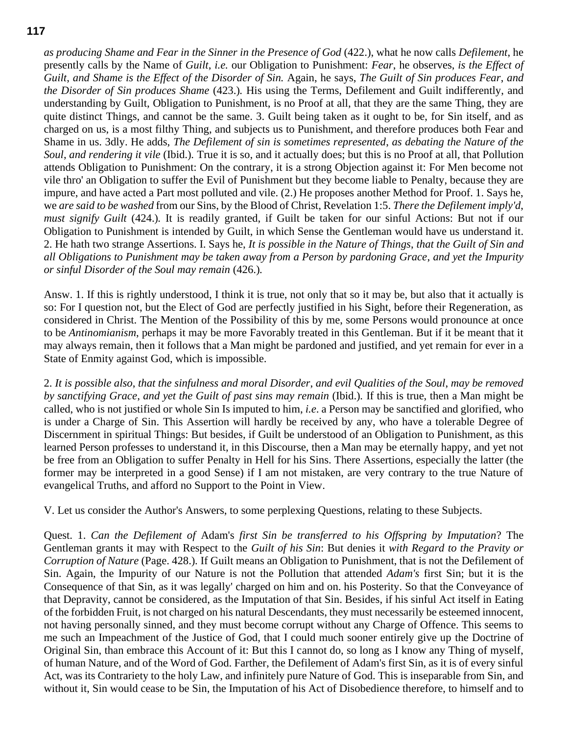*as producing Shame and Fear in the Sinner in the Presence of God* (422.), what he now calls *Defilement*, he presently calls by the Name of *Guilt*, *i.e.* our Obligation to Punishment: *Fear*, he observes, *is the Effect of Guilt*, *and Shame is the Effect of the Disorder of Sin.* Again, he says, *The Guilt of Sin produces Fear*, *and the Disorder of Sin produces Shame* (423.)*.* His using the Terms, Defilement and Guilt indifferently, and understanding by Guilt, Obligation to Punishment, is no Proof at all, that they are the same Thing, they are quite distinct Things, and cannot be the same. 3. Guilt being taken as it ought to be, for Sin itself, and as charged on us, is a most filthy Thing, and subjects us to Punishment, and therefore produces both Fear and Shame in us. 3dly. He adds, *The Defilement of sin is sometimes represented*, *as debating the Nature of the Soul*, *and rendering it vile* (Ibid.)*.* True it is so, and it actually does; but this is no Proof at all, that Pollution attends Obligation to Punishment: On the contrary, it is a strong Objection against it: For Men become not vile thro' an Obligation to suffer the Evil of Punishment but they become liable to Penalty, because they are impure, and have acted a Part most polluted and vile. (2.) He proposes another Method for Proof. 1. Says he, we *are said to be washed* from our Sins, by the Blood of Christ, Revelation 1:5. *There the Defilement imply'd*, *must signify Guilt* (424.)*.* It is readily granted, if Guilt be taken for our sinful Actions: But not if our Obligation to Punishment is intended by Guilt, in which Sense the Gentleman would have us understand it. 2. He hath two strange Assertions. I. Says he, *It is possible in the Nature of Things*, *that the Guilt of Sin and all Obligations to Punishment may be taken away from a Person by pardoning Grace*, *and yet the Impurity or sinful Disorder of the Soul may remain* (426.)*.*

Answ. 1. If this is rightly understood, I think it is true, not only that so it may be, but also that it actually is so: For I question not, but the Elect of God are perfectly justified in his Sight, before their Regeneration, as considered in Christ. The Mention of the Possibility of this by me, some Persons would pronounce at once to be *Antinomianism*, perhaps it may be more Favorably treated in this Gentleman. But if it be meant that it may always remain, then it follows that a Man might be pardoned and justified, and yet remain for ever in a State of Enmity against God, which is impossible.

2. *It is possible also*, *that the sinfulness and moral Disorder*, *and evil Qualities of the Soul*, *may be removed by sanctifying Grace*, *and yet the Guilt of past sins may remain* (Ibid.)*.* If this is true, then a Man might be called, who is not justified or whole Sin Is imputed to him, *i.e*. a Person may be sanctified and glorified, who is under a Charge of Sin. This Assertion will hardly be received by any, who have a tolerable Degree of Discernment in spiritual Things: But besides, if Guilt be understood of an Obligation to Punishment, as this learned Person professes to understand it, in this Discourse, then a Man may be eternally happy, and yet not be free from an Obligation to suffer Penalty in Hell for his Sins. There Assertions, especially the latter (the former may be interpreted in a good Sense) if I am not mistaken, are very contrary to the true Nature of evangelical Truths, and afford no Support to the Point in View.

V. Let us consider the Author's Answers, to some perplexing Questions, relating to these Subjects.

Quest. 1. *Can the Defilement of* Adam's *first Sin be transferred to his Offspring by Imputation*? The Gentleman grants it may with Respect to the *Guilt of his Sin*: But denies it *with Regard to the Pravity or Corruption of Nature* (Page. 428.)*.* If Guilt means an Obligation to Punishment, that is not the Defilement of Sin. Again, the Impurity of our Nature is not the Pollution that attended *Adam's* first Sin; but it is the Consequence of that Sin, as it was legally' charged on him and on. his Posterity. So that the Conveyance of that Depravity, cannot be considered, as the Imputation of that Sin. Besides, if his sinful Act itself in Eating of the forbidden Fruit, is not charged on his natural Descendants, they must necessarily be esteemed innocent, not having personally sinned, and they must become corrupt without any Charge of Offence. This seems to me such an Impeachment of the Justice of God, that I could much sooner entirely give up the Doctrine of Original Sin, than embrace this Account of it: But this I cannot do, so long as I know any Thing of myself, of human Nature, and of the Word of God. Farther, the Defilement of Adam's first Sin, as it is of every sinful Act, was its Contrariety to the holy Law, and infinitely pure Nature of God. This is inseparable from Sin, and without it, Sin would cease to be Sin, the Imputation of his Act of Disobedience therefore, to himself and to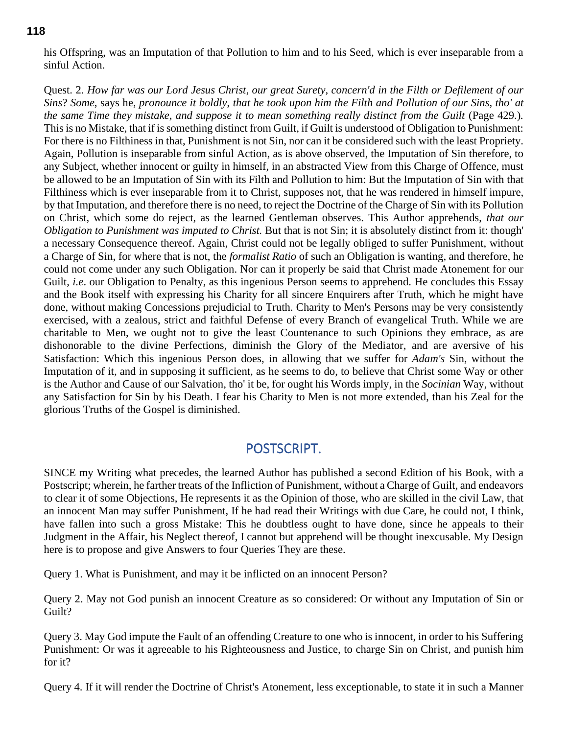his Offspring, was an Imputation of that Pollution to him and to his Seed, which is ever inseparable from a sinful Action.

Quest. 2. *How far was our Lord Jesus Christ*, *our great Surety*, *concern'd in the Filth or Defilement of our Sins*? *Some*, says he, *pronounce it boldly*, *that he took upon him the Filth and Pollution of our Sins*, *tho' at the same Time they mistake*, *and suppose it to mean something really distinct from the Guilt* (Page 429.)*.* This is no Mistake, that if is something distinct from Guilt, if Guilt is understood of Obligation to Punishment: For there is no Filthiness in that, Punishment is not Sin, nor can it be considered such with the least Propriety. Again, Pollution is inseparable from sinful Action, as is above observed, the Imputation of Sin therefore, to any Subject, whether innocent or guilty in himself, in an abstracted View from this Charge of Offence, must be allowed to be an Imputation of Sin with its Filth and Pollution to him: But the Imputation of Sin with that Filthiness which is ever inseparable from it to Christ, supposes not, that he was rendered in himself impure, by that Imputation, and therefore there is no need, to reject the Doctrine of the Charge of Sin with its Pollution on Christ, which some do reject, as the learned Gentleman observes. This Author apprehends, *that our Obligation to Punishment was imputed to Christ.* But that is not Sin; it is absolutely distinct from it: though' a necessary Consequence thereof. Again, Christ could not be legally obliged to suffer Punishment, without a Charge of Sin, for where that is not, the *formalist Ratio* of such an Obligation is wanting, and therefore, he could not come under any such Obligation. Nor can it properly be said that Christ made Atonement for our Guilt, *i.e.* our Obligation to Penalty, as this ingenious Person seems to apprehend. He concludes this Essay and the Book itself with expressing his Charity for all sincere Enquirers after Truth, which he might have done, without making Concessions prejudicial to Truth. Charity to Men's Persons may be very consistently exercised, with a zealous, strict and faithful Defense of every Branch of evangelical Truth. While we are charitable to Men, we ought not to give the least Countenance to such Opinions they embrace, as are dishonorable to the divine Perfections, diminish the Glory of the Mediator, and are aversive of his Satisfaction: Which this ingenious Person does, in allowing that we suffer for *Adam's* Sin, without the Imputation of it, and in supposing it sufficient, as he seems to do, to believe that Christ some Way or other is the Author and Cause of our Salvation, tho' it be, for ought his Words imply, in the *Socinian* Way, without any Satisfaction for Sin by his Death. I fear his Charity to Men is not more extended, than his Zeal for the glorious Truths of the Gospel is diminished.

# POSTSCRIPT.

SINCE my Writing what precedes, the learned Author has published a second Edition of his Book, with a Postscript; wherein, he farther treats of the Infliction of Punishment, without a Charge of Guilt, and endeavors to clear it of some Objections, He represents it as the Opinion of those, who are skilled in the civil Law, that an innocent Man may suffer Punishment, If he had read their Writings with due Care, he could not, I think, have fallen into such a gross Mistake: This he doubtless ought to have done, since he appeals to their Judgment in the Affair, his Neglect thereof, I cannot but apprehend will be thought inexcusable. My Design here is to propose and give Answers to four Queries They are these.

Query 1. What is Punishment, and may it be inflicted on an innocent Person?

Query 2. May not God punish an innocent Creature as so considered: Or without any Imputation of Sin or Guilt?

Query 3. May God impute the Fault of an offending Creature to one who is innocent, in order to his Suffering Punishment: Or was it agreeable to his Righteousness and Justice, to charge Sin on Christ, and punish him for it?

Query 4. If it will render the Doctrine of Christ's Atonement, less exceptionable, to state it in such a Manner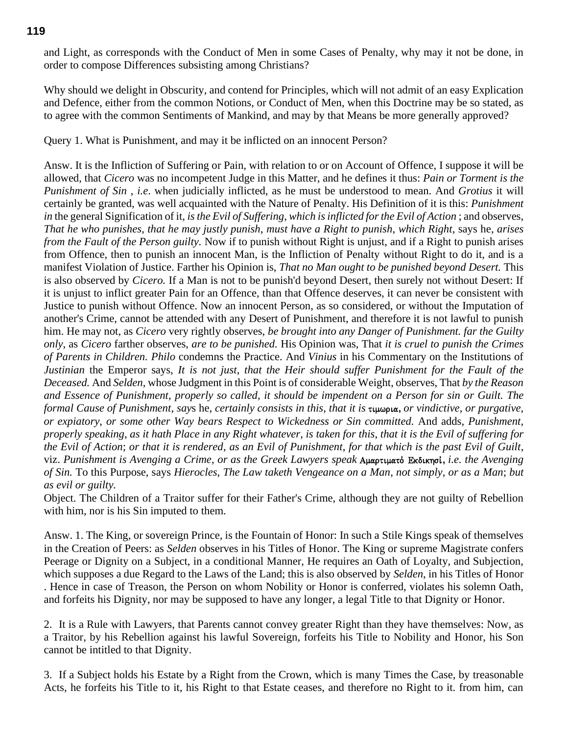and Light, as corresponds with the Conduct of Men in some Cases of Penalty, why may it not be done, in order to compose Differences subsisting among Christians?

Why should we delight in Obscurity, and contend for Principles, which will not admit of an easy Explication and Defence, either from the common Notions, or Conduct of Men, when this Doctrine may be so stated, as to agree with the common Sentiments of Mankind, and may by that Means be more generally approved?

Query 1. What is Punishment, and may it be inflicted on an innocent Person?

Answ. It is the Infliction of Suffering or Pain, with relation to or on Account of Offence, I suppose it will be allowed, that *Cicero* was no incompetent Judge in this Matter, and he defines it thus: *Pain or Torment is the Punishment of Sin* , *i.e*. when judicially inflicted, as he must be understood to mean. And *Grotius* it will certainly be granted, was well acquainted with the Nature of Penalty. His Definition of it is this: *Punishment in* the general Signification of it, *is the Evil of Suffering*, *which is inflicted for the Evil of Action* ; and observes, *That he who punishes*, *that he may justly punish*, *must have a Right to punish*, *which Right*, says he, *arises from the Fault of the Person guilty.* Now if to punish without Right is unjust, and if a Right to punish arises from Offence, then to punish an innocent Man, is the Infliction of Penalty without Right to do it, and is a manifest Violation of Justice. Farther his Opinion is, *That no Man ought to be punished beyond Desert.* This is also observed by *Cicero.* If a Man is not to be punish'd beyond Desert, then surely not without Desert: If it is unjust to inflict greater Pain for an Offence, than that Offence deserves, it can never be consistent with Justice to punish without Offence. Now an innocent Person, as so considered, or without the Imputation of another's Crime, cannot be attended with any Desert of Punishment, and therefore it is not lawful to punish him. He may not, as *Cicero* very rightly observes, *be brought into any Danger of Punishment. far the Guilty only*, as *Cicero* farther observes, *are to be punished.* His Opinion was, That *it is cruel to punish the Crimes of Parents in Children. Philo* condemns the Practice. And *Vinius* in his Commentary on the Institutions of *Justinian* the Emperor says, *It is not just*, *that the Heir should suffer Punishment for the Fault of the Deceased.* And *Selden*, whose Judgment in this Point is of considerable Weight, observes, That *by the Reason and Essence of Punishment*, *properly so called*, *it should be impendent on a Person for sin or Guilt. The formal Cause of Punishment, says he, certainly consists in this, that it is*  $\tau$ *usiona, or vindictive, or purgative, or expiatory*, *or some other Way bears Respect to Wickedness or Sin committed.* And adds, *Punishment, properly speaking*, *as it hath Place in any Right whatever*, *is taken for this*, *that it is the Evil of suffering for the Evil of Action*; *or that it is rendered*, *as an Evil of Punishment*, *for that which is the past Evil of Guilt*, viz. *Punishment is Avenging a Crime*, *or as the Greek Lawyers speak* Amartimato v Ekdikhsi v**,** *i.e. the Avenging of Sin.* To this Purpose, says *Hierocles*, *The Law taketh Vengeance on a Man*, *not simply*, *or as a Man*; *but as evil or guilty.*

Object. The Children of a Traitor suffer for their Father's Crime, although they are not guilty of Rebellion with him, nor is his Sin imputed to them.

Answ. 1. The King, or sovereign Prince, is the Fountain of Honor: In such a Stile Kings speak of themselves in the Creation of Peers: as *Selden* observes in his Titles of Honor. The King or supreme Magistrate confers Peerage or Dignity on a Subject, in a conditional Manner, He requires an Oath of Loyalty, and Subjection, which supposes a due Regard to the Laws of the Land; this is also observed by *Selden*, in his Titles of Honor . Hence in case of Treason, the Person on whom Nobility or Honor is conferred, violates his solemn Oath, and forfeits his Dignity, nor may be supposed to have any longer, a legal Title to that Dignity or Honor.

2. It is a Rule with Lawyers, that Parents cannot convey greater Right than they have themselves: Now, as a Traitor, by his Rebellion against his lawful Sovereign, forfeits his Title to Nobility and Honor, his Son cannot be intitled to that Dignity.

3. If a Subject holds his Estate by a Right from the Crown, which is many Times the Case, by treasonable Acts, he forfeits his Title to it, his Right to that Estate ceases, and therefore no Right to it. from him, can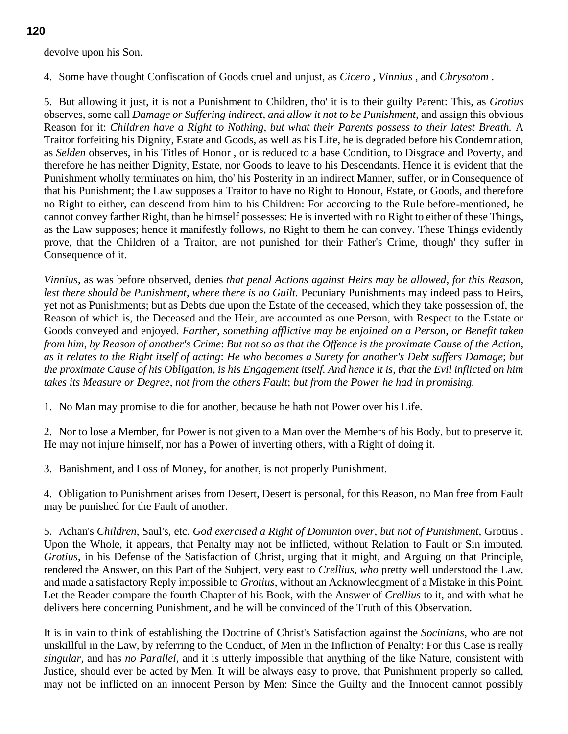# devolve upon his Son.

4. Some have thought Confiscation of Goods cruel and unjust, as *Cicero* , *Vinnius* , and *Chrysotom* .

5. But allowing it just, it is not a Punishment to Children, tho' it is to their guilty Parent: This, as *Grotius* observes, some call *Damage or Suffering indirect*, *and allow it not to be Punishment*, and assign this obvious Reason for it: *Children have a Right to Nothing*, *but what their Parents possess to their latest Breath.* A Traitor forfeiting his Dignity, Estate and Goods, as well as his Life, he is degraded before his Condemnation, as *Selden* observes, in his Titles of Honor , or is reduced to a base Condition, to Disgrace and Poverty, and therefore he has neither Dignity, Estate, nor Goods to leave to his Descendants. Hence it is evident that the Punishment wholly terminates on him, tho' his Posterity in an indirect Manner, suffer, or in Consequence of that his Punishment; the Law supposes a Traitor to have no Right to Honour, Estate, or Goods, and therefore no Right to either, can descend from him to his Children: For according to the Rule before-mentioned, he cannot convey farther Right, than he himself possesses: He is inverted with no Right to either of these Things, as the Law supposes; hence it manifestly follows, no Right to them he can convey. These Things evidently prove, that the Children of a Traitor, are not punished for their Father's Crime, though' they suffer in Consequence of it.

*Vinnius*, as was before observed, denies *that penal Actions against Heirs may be allowed*, *for this Reason*, *lest there should be Punishment*, *where there is no Guilt.* Pecuniary Punishments may indeed pass to Heirs, yet not as Punishments; but as Debts due upon the Estate of the deceased, which they take possession of, the Reason of which is, the Deceased and the Heir, are accounted as one Person, with Respect to the Estate or Goods conveyed and enjoyed. *Farther*, *something afflictive may be enjoined on a Person*, *or Benefit taken from him*, *by Reason of another's Crime*: *But not so as that the Offence is the proximate Cause of the Action*, *as it relates to the Right itself of acting*: *He who becomes a Surety for another's Debt suffers Damage*; *but the proximate Cause of his Obligation*, *is his Engagement itself. And hence it is*, *that the Evil inflicted on him takes its Measure or Degree*, *not from the others Fault*; *but from the Power he had in promising.*

1. No Man may promise to die for another, because he hath not Power over his Life.

2. Nor to lose a Member, for Power is not given to a Man over the Members of his Body, but to preserve it. He may not injure himself, nor has a Power of inverting others, with a Right of doing it.

3. Banishment, and Loss of Money, for another, is not properly Punishment.

4. Obligation to Punishment arises from Desert, Desert is personal, for this Reason, no Man free from Fault may be punished for the Fault of another.

5. Achan's *Children*, Saul's, etc. *God exercised a Right of Dominion over*, *but not of Punishment*, Grotius . Upon the Whole, it appears, that Penalty may not be inflicted, without Relation to Fault or Sin imputed. *Grotius*, in his Defense of the Satisfaction of Christ, urging that it might, and Arguing on that Principle, rendered the Answer, on this Part of the Subject, very east to *Crellius*, *who* pretty well understood the Law, and made a satisfactory Reply impossible to *Grotius*, without an Acknowledgment of a Mistake in this Point. Let the Reader compare the fourth Chapter of his Book, with the Answer of *Crellius* to it, and with what he delivers here concerning Punishment, and he will be convinced of the Truth of this Observation.

It is in vain to think of establishing the Doctrine of Christ's Satisfaction against the *Socinians*, who are not unskillful in the Law, by referring to the Conduct, of Men in the Infliction of Penalty: For this Case is really *singular*, and has *no Parallel*, and it is utterly impossible that anything of the like Nature, consistent with Justice, should ever be acted by Men. It will be always easy to prove, that Punishment properly so called, may not be inflicted on an innocent Person by Men: Since the Guilty and the Innocent cannot possibly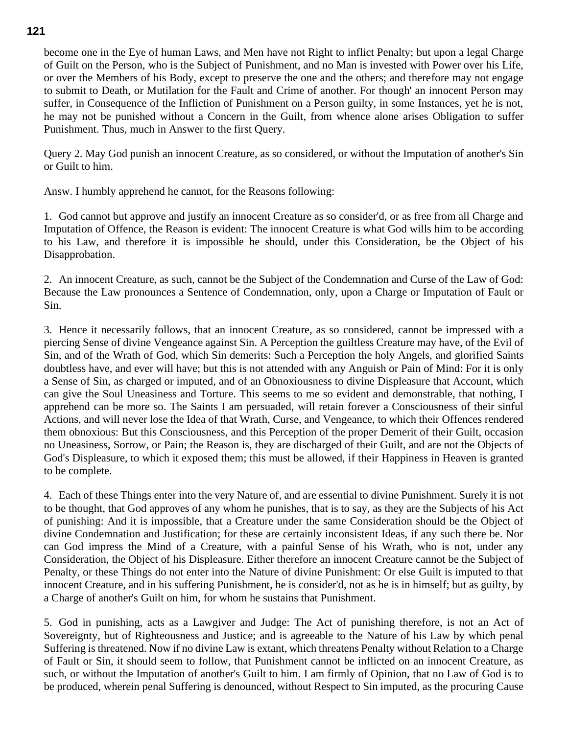become one in the Eye of human Laws, and Men have not Right to inflict Penalty; but upon a legal Charge of Guilt on the Person, who is the Subject of Punishment, and no Man is invested with Power over his Life, or over the Members of his Body, except to preserve the one and the others; and therefore may not engage to submit to Death, or Mutilation for the Fault and Crime of another. For though' an innocent Person may suffer, in Consequence of the Infliction of Punishment on a Person guilty, in some Instances, yet he is not, he may not be punished without a Concern in the Guilt, from whence alone arises Obligation to suffer Punishment. Thus, much in Answer to the first Query.

Query 2. May God punish an innocent Creature, as so considered, or without the Imputation of another's Sin or Guilt to him.

Answ. I humbly apprehend he cannot, for the Reasons following:

1. God cannot but approve and justify an innocent Creature as so consider'd, or as free from all Charge and Imputation of Offence, the Reason is evident: The innocent Creature is what God wills him to be according to his Law, and therefore it is impossible he should, under this Consideration, be the Object of his Disapprobation.

2. An innocent Creature, as such, cannot be the Subject of the Condemnation and Curse of the Law of God: Because the Law pronounces a Sentence of Condemnation, only, upon a Charge or Imputation of Fault or Sin.

3. Hence it necessarily follows, that an innocent Creature, as so considered, cannot be impressed with a piercing Sense of divine Vengeance against Sin. A Perception the guiltless Creature may have, of the Evil of Sin, and of the Wrath of God, which Sin demerits: Such a Perception the holy Angels, and glorified Saints doubtless have, and ever will have; but this is not attended with any Anguish or Pain of Mind: For it is only a Sense of Sin, as charged or imputed, and of an Obnoxiousness to divine Displeasure that Account, which can give the Soul Uneasiness and Torture. This seems to me so evident and demonstrable, that nothing, I apprehend can be more so. The Saints I am persuaded, will retain forever a Consciousness of their sinful Actions, and will never lose the Idea of that Wrath, Curse, and Vengeance, to which their Offences rendered them obnoxious: But this Consciousness, and this Perception of the proper Demerit of their Guilt, occasion no Uneasiness, Sorrow, or Pain; the Reason is, they are discharged of their Guilt, and are not the Objects of God's Displeasure, to which it exposed them; this must be allowed, if their Happiness in Heaven is granted to be complete.

4. Each of these Things enter into the very Nature of, and are essential to divine Punishment. Surely it is not to be thought, that God approves of any whom he punishes, that is to say, as they are the Subjects of his Act of punishing: And it is impossible, that a Creature under the same Consideration should be the Object of divine Condemnation and Justification; for these are certainly inconsistent Ideas, if any such there be. Nor can God impress the Mind of a Creature, with a painful Sense of his Wrath, who is not, under any Consideration, the Object of his Displeasure. Either therefore an innocent Creature cannot be the Subject of Penalty, or these Things do not enter into the Nature of divine Punishment: Or else Guilt is imputed to that innocent Creature, and in his suffering Punishment, he is consider'd, not as he is in himself; but as guilty, by a Charge of another's Guilt on him, for whom he sustains that Punishment.

5. God in punishing, acts as a Lawgiver and Judge: The Act of punishing therefore, is not an Act of Sovereignty, but of Righteousness and Justice; and is agreeable to the Nature of his Law by which penal Suffering is threatened. Now if no divine Law is extant, which threatens Penalty without Relation to a Charge of Fault or Sin, it should seem to follow, that Punishment cannot be inflicted on an innocent Creature, as such, or without the Imputation of another's Guilt to him. I am firmly of Opinion, that no Law of God is to be produced, wherein penal Suffering is denounced, without Respect to Sin imputed, as the procuring Cause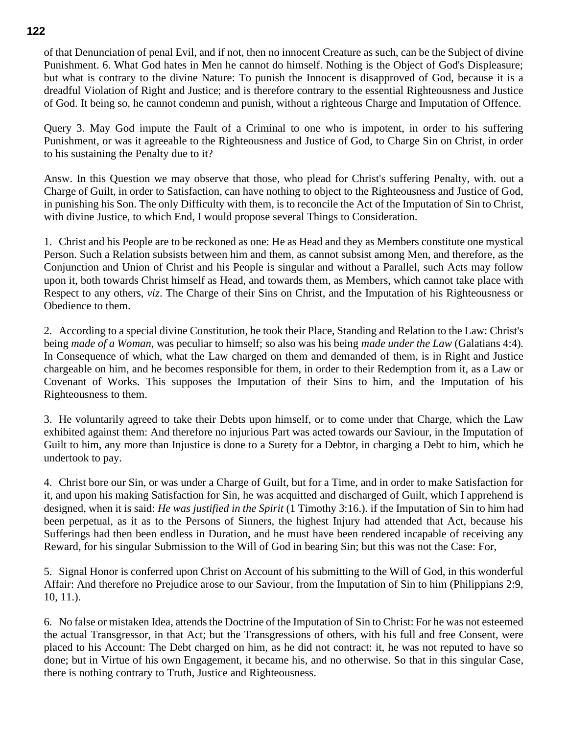of that Denunciation of penal Evil, and if not, then no innocent Creature as such, can be the Subject of divine Punishment. 6. What God hates in Men he cannot do himself. Nothing is the Object of God's Displeasure; but what is contrary to the divine Nature: To punish the Innocent is disapproved of God, because it is a dreadful Violation of Right and Justice; and is therefore contrary to the essential Righteousness and Justice of God. It being so, he cannot condemn and punish, without a righteous Charge and Imputation of Offence.

Query 3. May God impute the Fault of a Criminal to one who is impotent, in order to his suffering Punishment, or was it agreeable to the Righteousness and Justice of God, to Charge Sin on Christ, in order to his sustaining the Penalty due to it?

Answ. In this Question we may observe that those, who plead for Christ's suffering Penalty, with. out a Charge of Guilt, in order to Satisfaction, can have nothing to object to the Righteousness and Justice of God, in punishing his Son. The only Difficulty with them, is to reconcile the Act of the Imputation of Sin to Christ, with divine Justice, to which End, I would propose several Things to Consideration.

1. Christ and his People are to be reckoned as one: He as Head and they as Members constitute one mystical Person. Such a Relation subsists between him and them, as cannot subsist among Men, and therefore, as the Conjunction and Union of Christ and his People is singular and without a Parallel, such Acts may follow upon it, both towards Christ himself as Head, and towards them, as Members, which cannot take place with Respect to any others, *viz*. The Charge of their Sins on Christ, and the Imputation of his Righteousness or Obedience to them.

2. According to a special divine Constitution, he took their Place, Standing and Relation to the Law: Christ's being *made of a Woman*, was peculiar to himself; so also was his being *made under the Law* (Galatians 4:4)*.* In Consequence of which, what the Law charged on them and demanded of them, is in Right and Justice chargeable on him, and he becomes responsible for them, in order to their Redemption from it, as a Law or Covenant of Works. This supposes the Imputation of their Sins to him, and the Imputation of his Righteousness to them.

3. He voluntarily agreed to take their Debts upon himself, or to come under that Charge, which the Law exhibited against them: And therefore no injurious Part was acted towards our Saviour, in the Imputation of Guilt to him, any more than Injustice is done to a Surety for a Debtor, in charging a Debt to him, which he undertook to pay.

4. Christ bore our Sin, or was under a Charge of Guilt, but for a Time, and in order to make Satisfaction for it, and upon his making Satisfaction for Sin, he was acquitted and discharged of Guilt, which I apprehend is designed, when it is said: *He was justified in the Spirit* (1 Timothy 3:16.)*.* if the Imputation of Sin to him had been perpetual, as it as to the Persons of Sinners, the highest Injury had attended that Act, because his Sufferings had then been endless in Duration, and he must have been rendered incapable of receiving any Reward, for his singular Submission to the Will of God in bearing Sin; but this was not the Case: For,

5. Signal Honor is conferred upon Christ on Account of his submitting to the Will of God, in this wonderful Affair: And therefore no Prejudice arose to our Saviour, from the Imputation of Sin to him (Philippians 2:9, 10, 11.).

6. No false or mistaken Idea, attends the Doctrine of the Imputation of Sin to Christ: For he was not esteemed the actual Transgressor, in that Act; but the Transgressions of others, with his full and free Consent, were placed to his Account: The Debt charged on him, as he did not contract: it, he was not reputed to have so done; but in Virtue of his own Engagement, it became his, and no otherwise. So that in this singular Case, there is nothing contrary to Truth, Justice and Righteousness.